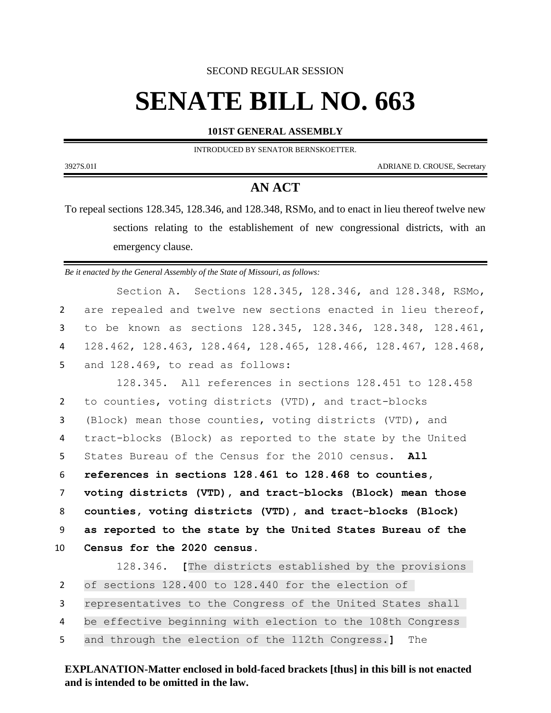SECOND REGULAR SESSION

## **SENATE BILL NO. 663**

**101ST GENERAL ASSEMBLY**

INTRODUCED BY SENATOR BERNSKOETTER.

3927S.01I ADRIANE D. CROUSE, Secretary

## **AN ACT**

To repeal sections 128.345, 128.346, and 128.348, RSMo, and to enact in lieu thereof twelve new sections relating to the establishement of new congressional districts, with an emergency clause.

*Be it enacted by the General Assembly of the State of Missouri, as follows:*

Section A. Sections 128.345, 128.346, and 128.348, RSMo, are repealed and twelve new sections enacted in lieu thereof, to be known as sections 128.345, 128.346, 128.348, 128.461, 128.462, 128.463, 128.464, 128.465, 128.466, 128.467, 128.468, and 128.469, to read as follows:

 128.345. All references in sections 128.451 to 128.458 to counties, voting districts (VTD), and tract-blocks (Block) mean those counties, voting districts (VTD), and tract-blocks (Block) as reported to the state by the United States Bureau of the Census for the 2010 census. **All references in sections 128.461 to 128.468 to counties, voting districts (VTD), and tract-blocks (Block) mean those counties, voting districts (VTD), and tract-blocks (Block) as reported to the state by the United States Bureau of the Census for the 2020 census.**

 128.346. **[**The districts established by the provisions of sections 128.400 to 128.440 for the election of representatives to the Congress of the United States shall be effective beginning with election to the 108th Congress and through the election of the 112th Congress.**]** The

**EXPLANATION-Matter enclosed in bold-faced brackets [thus] in this bill is not enacted and is intended to be omitted in the law.**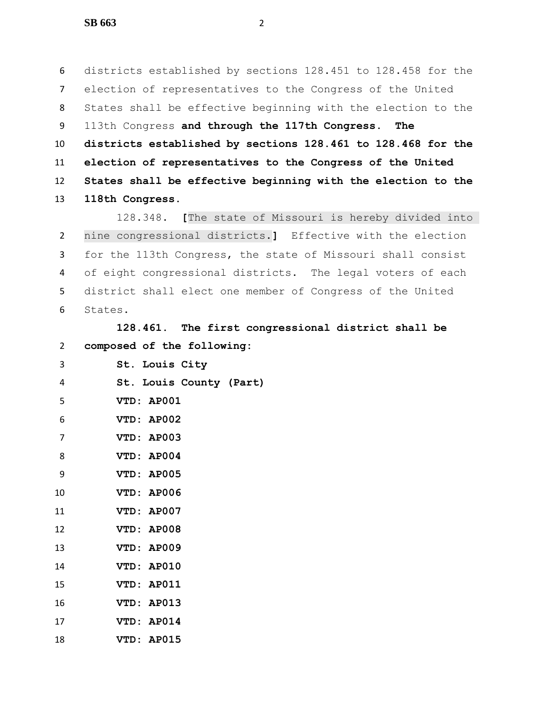districts established by sections 128.451 to 128.458 for the election of representatives to the Congress of the United States shall be effective beginning with the election to the 113th Congress **and through the 117th Congress. The districts established by sections 128.461 to 128.468 for the election of representatives to the Congress of the United States shall be effective beginning with the election to the 118th Congress**.

 128.348. **[**The state of Missouri is hereby divided into nine congressional districts.**]** Effective with the election for the 113th Congress, the state of Missouri shall consist of eight congressional districts. The legal voters of each district shall elect one member of Congress of the United States.

 **128.461. The first congressional district shall be composed of the following:**

| 3              | St. Louis City          |
|----------------|-------------------------|
| 4              | St. Louis County (Part) |
| 5              | VTD: AP001              |
| 6              | VTD: AP002              |
| $\overline{7}$ | VTD: AP003              |
| 8              | VTD: AP004              |
| 9              | VTD: AP005              |
| 10             | VTD: AP006              |
| 11             | VTD: AP007              |
| 12             | VTD: AP008              |
| 13             | VTD: AP009              |
| 14             | VTD: AP010              |
| 15             | VTD: AP011              |
| 16             | VTD: AP013              |
| 17             | VTD: AP014              |
| 18             | VTD: AP015              |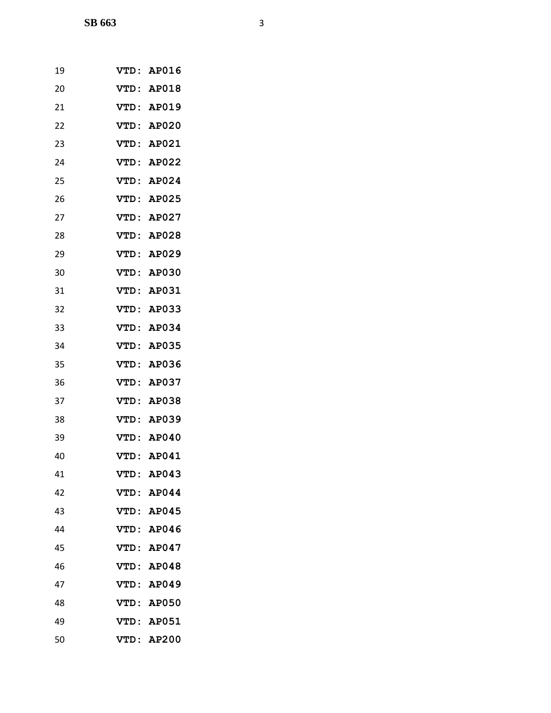| 19 | VTD:        | AP016        |
|----|-------------|--------------|
| 20 | VTD:        | <b>AP018</b> |
| 21 |             | VTD: AP019   |
| 22 | VTD:        | <b>AP020</b> |
| 23 | VTD:        | AP021        |
| 24 | VTD:        | <b>AP022</b> |
| 25 | VTD:        | AP024        |
| 26 | VTD:        | <b>AP025</b> |
| 27 | VTD:        | AP027        |
| 28 | VTD:        | AP028        |
| 29 | VTD:        | <b>AP029</b> |
| 30 | VTD:        | <b>AP030</b> |
| 31 | <b>VTD:</b> | <b>AP031</b> |
| 32 | <b>VTD:</b> | <b>AP033</b> |
| 33 | VTD:        | AP034        |
| 34 | <b>VTD:</b> | <b>AP035</b> |
| 35 | <b>VTD:</b> | AP036        |
| 36 | VTD:        | <b>AP037</b> |
| 37 | <b>VTD:</b> | <b>AP038</b> |
| 38 | VTD:        | <b>AP039</b> |
| 39 | <b>VTD:</b> | AP040        |
| 40 |             | VTD: AP041   |
| 41 | VTD:        | AP043        |
| 42 | VTD:        | AP044        |
| 43 | VTD:        | <b>AP045</b> |
| 44 | VTD:        | AP046        |
| 45 | VTD:        | AP047        |
| 46 | <b>VTD:</b> | AP048        |
| 47 |             | VTD: AP049   |
| 48 | VTD:        | <b>AP050</b> |
| 49 | <b>VTD:</b> | <b>AP051</b> |
| 50 |             | VTD: AP200   |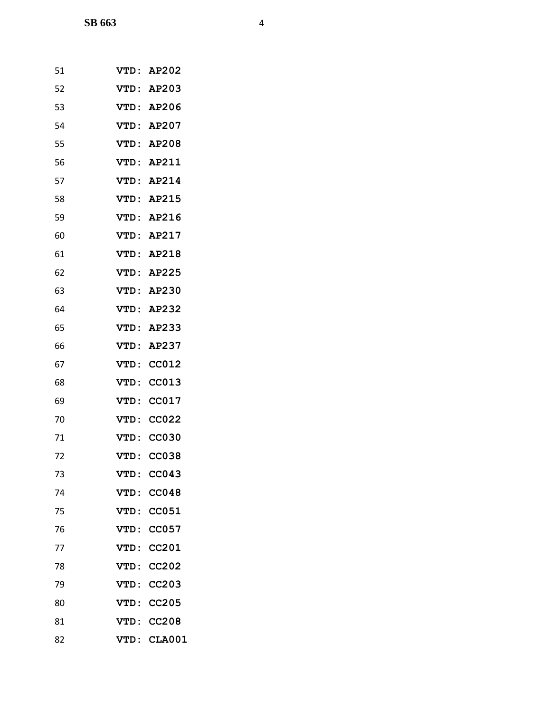| 51 | VTD:        | <b>AP202</b>  |
|----|-------------|---------------|
| 52 |             | VTD: AP203    |
| 53 |             | VTD: AP206    |
| 54 |             | VTD: AP207    |
| 55 | VTD:        | AP208         |
| 56 | VTD :       | AP211         |
| 57 |             | VTD: AP214    |
| 58 |             | VTD: AP215    |
| 59 | <b>VTD:</b> | AP216         |
| 60 |             | VTD: AP217    |
| 61 | VTD:        | <b>AP218</b>  |
| 62 |             | VTD: AP225    |
| 63 |             | VTD: AP230    |
| 64 | VTD:        | <b>AP232</b>  |
| 65 | VTD:        | AP233         |
| 66 | <b>VTD:</b> | <b>AP237</b>  |
| 67 | <b>VTD:</b> | <b>CC012</b>  |
| 68 | VTD:        | CC013         |
| 69 | <b>VTD:</b> | CC017         |
| 70 | VTD:        | <b>CC022</b>  |
| 71 | VTD:        | <b>CC030</b>  |
| 72 | VTD:        | <b>CC038</b>  |
| 73 | <b>VTD:</b> | CC043         |
| 74 | VTD:        | <b>CC048</b>  |
| 75 | VTD:        | <b>CC051</b>  |
| 76 | <b>VTD:</b> | CC057         |
| 77 | VTD:        | CC201         |
| 78 | VTD:        | CC202         |
| 79 | VTD:        | <b>CC203</b>  |
| 80 | <b>VTD:</b> | <b>CC205</b>  |
| 81 | VTD:        | <b>CC208</b>  |
| 82 | VTD:        | <b>CLA001</b> |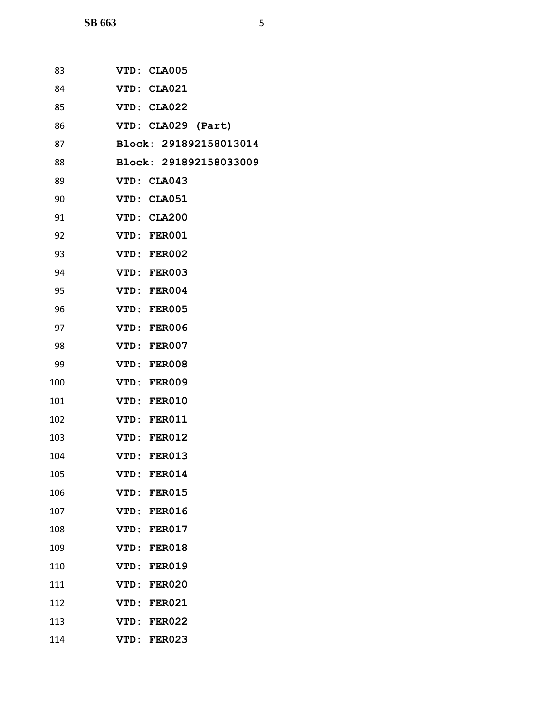| 83  | VTD: CLA005                  |
|-----|------------------------------|
| 84  | VTD: CLA021                  |
| 85  | VTD: CLA022                  |
| 86  | VTD: CLA029 (Part)           |
| 87  | Block: 291892158013014       |
| 88  | Block: 291892158033009       |
| 89  | VTD: CLA043                  |
| 90  | VTD: CLA051                  |
| 91  | VTD: CLA200                  |
| 92  | VTD: FER001                  |
| 93  | VTD: FER002                  |
| 94  | VTD: FER003                  |
| 95  | VTD: FER004                  |
| 96  | VTD: FER005                  |
| 97  | VTD: FER006                  |
| 98  | VTD: FER007                  |
| 99  | VTD: FER008                  |
| 100 | VTD: FER009                  |
| 101 | VTD: FER010                  |
| 102 | VTD: FER011                  |
| 103 | VTD: FER012                  |
| 104 | VTD: FER013                  |
| 105 | VTD: FER014                  |
| 106 | VTD: FER015                  |
| 107 | VTD: FER016                  |
| 108 | VTD: FER017                  |
| 109 | VTD: FER018                  |
| 110 | VTD: FER019                  |
| 111 | VTD: FER020                  |
| 112 | VTD: FER021                  |
| 113 | VTD: FER022                  |
| 114 | <b>FER023</b><br><b>VTD:</b> |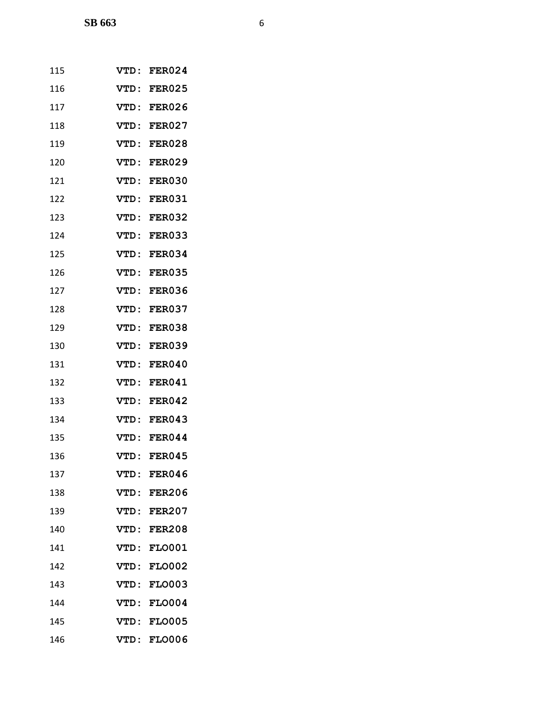| 115 | VTD:        | <b>FER024</b> |
|-----|-------------|---------------|
| 116 | VTD:        | <b>FER025</b> |
| 117 | VTD:        | <b>FER026</b> |
| 118 | VTD:        | FER027        |
| 119 | <b>VTD:</b> | <b>FER028</b> |
| 120 | <b>VTD:</b> | <b>FER029</b> |
| 121 | VTD:        | <b>FER030</b> |
| 122 | VTD:        | <b>FER031</b> |
| 123 | <b>VTD:</b> | <b>FER032</b> |
| 124 | VTD:        | <b>FER033</b> |
| 125 | VTD:        | FER034        |
| 126 | VTD:        | <b>FER035</b> |
| 127 | VTD:        | <b>FER036</b> |
| 128 | VTD:        | FER037        |
| 129 | <b>VTD:</b> | <b>FER038</b> |
| 130 | <b>VTD:</b> | <b>FER039</b> |
| 131 | VTD :       | <b>FER040</b> |
| 132 | VTD:        | <b>FER041</b> |
| 133 | <b>VTD:</b> | <b>FER042</b> |
| 134 | VTD :       | <b>FER043</b> |
| 135 | VTD :       | FER044        |
| 136 | VTD :       | <b>FER045</b> |
| 137 | VTD:        | <b>FER046</b> |
| 138 | VTD:        | <b>FER206</b> |
| 139 | VTD:        | <b>FER207</b> |
| 140 | VTD:        | <b>FER208</b> |
| 141 | <b>VTD:</b> | <b>FLO001</b> |
| 142 | VTD:        | <b>FLO002</b> |
| 143 | VTD:        | <b>FLO003</b> |
| 144 | <b>VTD:</b> | <b>FLO004</b> |
| 145 | VTD:        | <b>FLO005</b> |
| 146 | VTD:        | <b>FLO006</b> |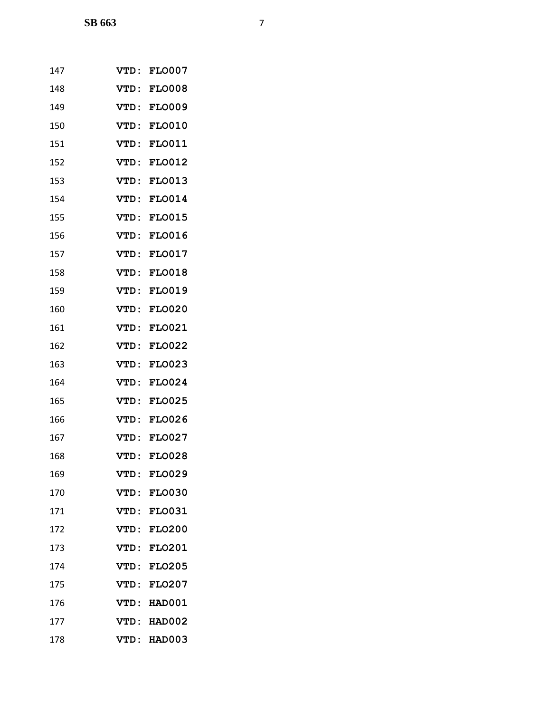| 147 | VTD:        | <b>FLO007</b> |
|-----|-------------|---------------|
| 148 | <b>VTD:</b> | <b>FLO008</b> |
| 149 | VTD:        | <b>FLO009</b> |
| 150 | VTD :       | <b>FLO010</b> |
| 151 | VTD:        | <b>FLO011</b> |
| 152 | <b>VTD:</b> | <b>FLO012</b> |
| 153 | VTD:        | <b>FLO013</b> |
| 154 | VTD:        | <b>FLO014</b> |
| 155 | VTD:        | <b>FLO015</b> |
| 156 | VTD:        | <b>FLO016</b> |
| 157 | VTD:        | <b>FLO017</b> |
| 158 | <b>VTD:</b> | <b>FLO018</b> |
| 159 | VTD:        | <b>FLO019</b> |
| 160 | VTD :       | <b>FLO020</b> |
| 161 | VTD:        | <b>FLO021</b> |
| 162 | <b>VTD:</b> | <b>FLO022</b> |
| 163 | <b>VTD:</b> | <b>FLO023</b> |
| 164 | VTD:        | <b>FLO024</b> |
| 165 | VTD:        | <b>FLO025</b> |
| 166 | VTD:        | <b>FLO026</b> |
| 167 | VTD:        | <b>FLO027</b> |
| 168 | VTD:        | <b>FLO028</b> |
| 169 | VTD:        | <b>FLO029</b> |
| 170 | <b>VTD:</b> | <b>FLO030</b> |
| 171 | VTD:        | <b>FLO031</b> |
| 172 | <b>VTD:</b> | <b>FLO200</b> |
| 173 | <b>VTD:</b> | <b>FLO201</b> |
| 174 | VTD:        | <b>FLO205</b> |
| 175 | VTD:        | <b>FLO207</b> |
| 176 | <b>VTD:</b> | HAD001        |
| 177 | <b>VTD:</b> | HAD002        |
| 178 | VTD:        | <b>HAD003</b> |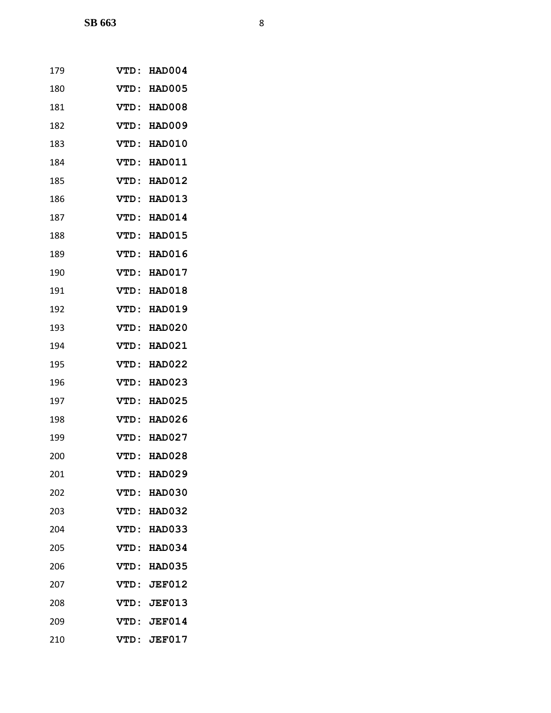| 179 | VTD:        | <b>HAD004</b> |
|-----|-------------|---------------|
| 180 | VTD:        | HAD005        |
| 181 | VTD:        | HAD008        |
| 182 | VTD:        | HAD009        |
| 183 | VTD:        | <b>HAD010</b> |
| 184 | VTD:        | <b>HAD011</b> |
| 185 | VTD:        | <b>HAD012</b> |
| 186 | VTD:        | <b>HAD013</b> |
| 187 | VTD:        | <b>HAD014</b> |
| 188 | VTD:        | <b>HAD015</b> |
| 189 | VTD:        | <b>HAD016</b> |
| 190 | VTD:        | <b>HAD017</b> |
| 191 | VTD :       | <b>HAD018</b> |
| 192 | VTD:        | <b>HAD019</b> |
| 193 | VTD:        | <b>HAD020</b> |
| 194 | <b>VTD:</b> | <b>HAD021</b> |
| 195 | VTD:        | <b>HAD022</b> |
| 196 | VTD:        | <b>HAD023</b> |
| 197 | VTD:        | <b>HAD025</b> |
| 198 | VTD:        | <b>HAD026</b> |
| 199 | VTD:        | <b>HAD027</b> |
| 200 | VTD:        | <b>HAD028</b> |
| 201 | <b>VTD:</b> | <b>HAD029</b> |
| 202 | VTD:        | <b>HAD030</b> |
| 203 | VTD :       | <b>HAD032</b> |
| 204 | VTD:        | <b>HAD033</b> |
| 205 | <b>VTD:</b> | <b>HAD034</b> |
| 206 | VTD:        | <b>HAD035</b> |
| 207 | VTD:        | <b>JEF012</b> |
| 208 |             | VTD: JEF013   |
| 209 |             | VTD: JEF014   |
| 210 | VTD:        | <b>JEF017</b> |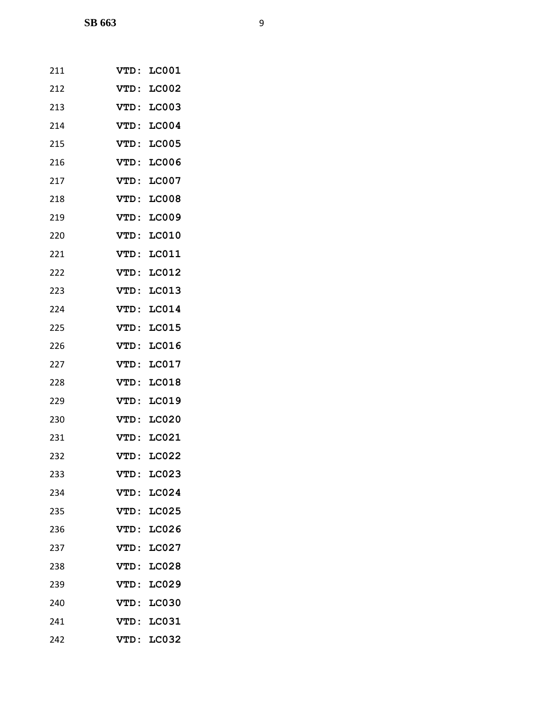| 211 | <b>VTD:</b> | <b>LC001</b> |
|-----|-------------|--------------|
| 212 | VTD:        | <b>LC002</b> |
| 213 | VTD:        | <b>LC003</b> |
| 214 | VTD:        | <b>LC004</b> |
| 215 | VTD:        | <b>LC005</b> |
| 216 | VTD:        | <b>LC006</b> |
| 217 | VTD:        | <b>LC007</b> |
| 218 | VTD:        | <b>LC008</b> |
| 219 | VTD:        | <b>LC009</b> |
| 220 | <b>VTD:</b> | <b>LC010</b> |
| 221 | VTD:        | <b>LC011</b> |
| 222 | VTD:        | <b>LC012</b> |
| 223 | VTD:        | <b>LC013</b> |
| 224 | <b>VTD:</b> | <b>LC014</b> |
| 225 | VTD:        | <b>LC015</b> |
| 226 | VTD:        | <b>LC016</b> |
| 227 | VTD:        | <b>LC017</b> |
| 228 | VTD:        | <b>LC018</b> |
| 229 | VTD:        | LC019        |
| 230 | VTD:        | <b>LC020</b> |
| 231 | VTD:        | LC021        |
| 232 | VTD:        | <b>LC022</b> |
| 233 | <b>VTD:</b> | LC023        |
| 234 | <b>VTD:</b> | <b>LC024</b> |
| 235 | VTD:        | <b>LC025</b> |
| 236 | VTD:        | <b>LC026</b> |
| 237 | VTD:        | <b>LC027</b> |
| 238 | VTD:        | <b>LC028</b> |
| 239 | VTD:        | <b>LC029</b> |
| 240 | VTD:        | <b>LC030</b> |
| 241 | VTD:        | <b>LC031</b> |
| 242 | VTD:        | <b>LC032</b> |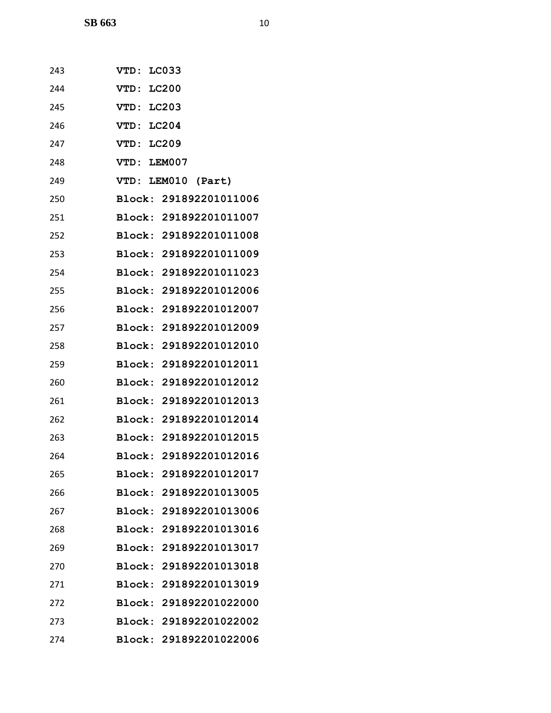| 243 | VTD: LC033             |
|-----|------------------------|
| 244 | VTD: LC200             |
|     |                        |
| 245 | VTD: LC203             |
| 246 | VTD: LC204             |
| 247 | VTD: LC209             |
| 248 | VTD: LEM007            |
| 249 | VTD: LEM010 (Part)     |
| 250 | Block: 291892201011006 |
| 251 | Block: 291892201011007 |
| 252 | Block: 291892201011008 |
| 253 | Block: 291892201011009 |
| 254 | Block: 291892201011023 |
| 255 | Block: 291892201012006 |
| 256 | Block: 291892201012007 |
| 257 | Block: 291892201012009 |
| 258 | Block: 291892201012010 |
| 259 | Block: 291892201012011 |
| 260 | Block: 291892201012012 |
| 261 | Block: 291892201012013 |
| 262 | Block: 291892201012014 |
| 263 | Block: 291892201012015 |
| 264 | Block: 291892201012016 |
| 265 | Block: 291892201012017 |
| 266 | Block: 291892201013005 |
| 267 | Block: 291892201013006 |
| 268 | Block: 291892201013016 |
| 269 | Block: 291892201013017 |
| 270 | Block: 291892201013018 |
| 271 | Block: 291892201013019 |
| 272 | Block: 291892201022000 |
| 273 | Block: 291892201022002 |
| 274 | Block: 291892201022006 |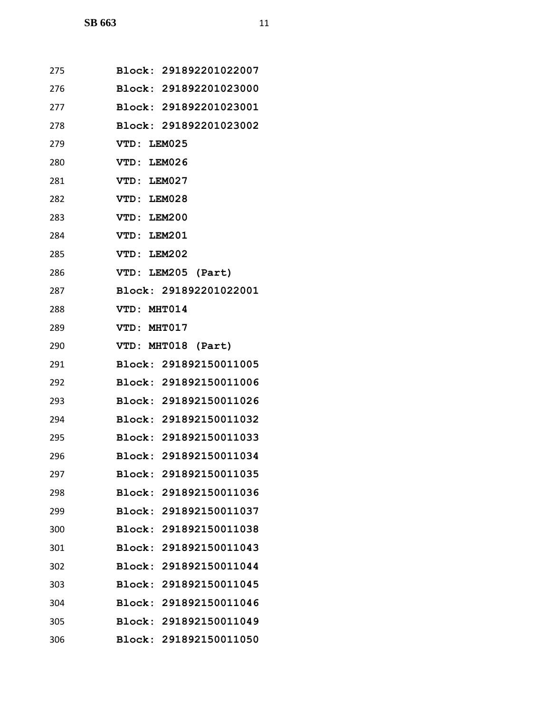| 275 | Block: 291892201022007 |
|-----|------------------------|
| 276 | Block: 291892201023000 |
| 277 | Block: 291892201023001 |
| 278 | Block: 291892201023002 |
| 279 | VTD: LEM025            |
| 280 | VTD: LEM026            |
| 281 | VTD: LEM027            |
| 282 | VTD: LEM028            |
| 283 | VTD: LEM200            |
| 284 | VTD: LEM201            |
| 285 | VTD: LEM202            |
| 286 | VTD: LEM205 (Part)     |
| 287 | Block: 291892201022001 |
| 288 | VTD: MHT014            |
| 289 | VTD: MHT017            |
| 290 | VTD: MHT018 (Part)     |
| 291 | Block: 291892150011005 |
| 292 | Block: 291892150011006 |
| 293 | Block: 291892150011026 |
| 294 | Block: 291892150011032 |
| 295 | Block: 291892150011033 |
| 296 | Block: 291892150011034 |
| 297 | Block: 291892150011035 |
| 298 | Block: 291892150011036 |
| 299 | Block: 291892150011037 |
| 300 | Block: 291892150011038 |
| 301 | Block: 291892150011043 |
| 302 | Block: 291892150011044 |
| 303 | Block: 291892150011045 |
| 304 | Block: 291892150011046 |
| 305 | Block: 291892150011049 |
| 306 | Block: 291892150011050 |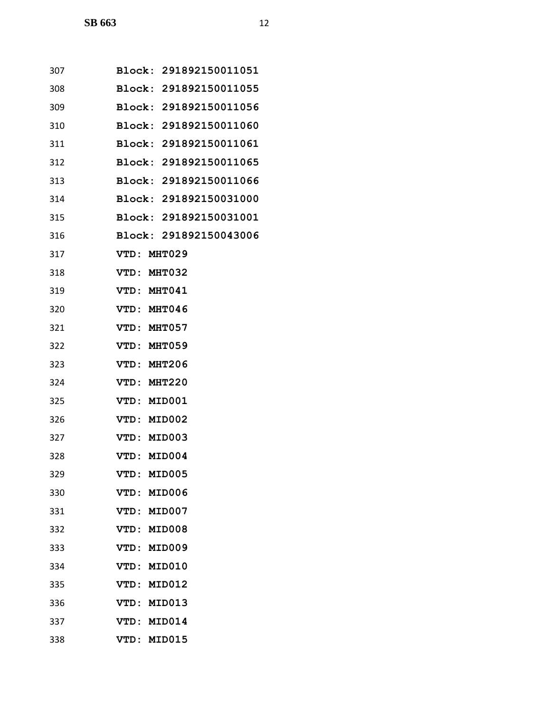| 307 | Block: 291892150011051 |
|-----|------------------------|
| 308 | Block: 291892150011055 |
| 309 | Block: 291892150011056 |
| 310 | Block: 291892150011060 |
| 311 | Block: 291892150011061 |
| 312 | Block: 291892150011065 |
| 313 | Block: 291892150011066 |
| 314 | Block: 291892150031000 |
| 315 | Block: 291892150031001 |
| 316 | Block: 291892150043006 |
| 317 | VTD: MHT029            |
| 318 | VTD: MHT032            |
| 319 | VTD: MHT041            |
| 320 | VTD: MHT046            |
| 321 | VTD: MHT057            |
| 322 | VTD: MHT059            |
| 323 | VTD: MHT206            |
| 324 | VTD: MHT220            |
| 325 | VTD: MID001            |
| 326 | VTD: MID002            |
| 327 | VTD: MID003            |
| 328 | VTD: MID004            |
| 329 | <b>MID005</b><br>VTD : |
| 330 | VTD:<br><b>MID006</b>  |
| 331 | VTD:<br><b>MID007</b>  |
| 332 | <b>MID008</b><br>VTD:  |
| 333 | <b>MID009</b><br>VTD:  |
| 334 | <b>MID010</b><br>VTD : |
| 335 | VTD:<br><b>MID012</b>  |
| 336 | VTD:<br><b>MID013</b>  |
| 337 | <b>VTD:</b><br>MID014  |
| 338 | <b>MID015</b><br>VTD:  |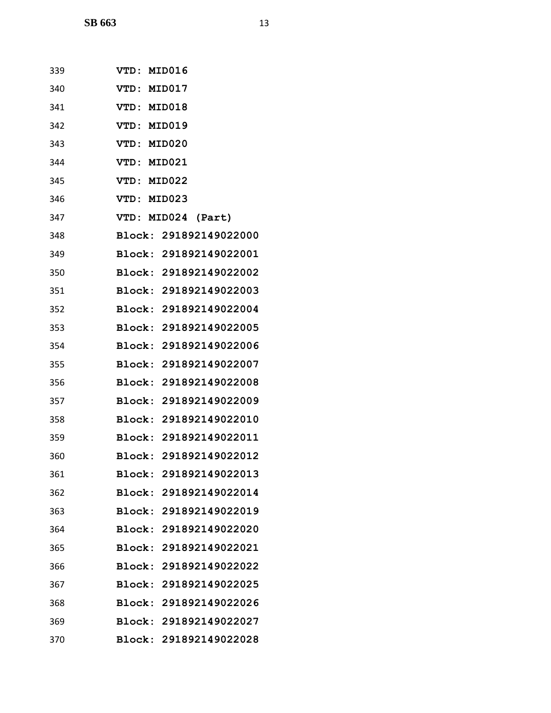| 339 | VTD: MID016            |
|-----|------------------------|
| 340 | VTD: MID017            |
| 341 | VTD: MID018            |
| 342 | VTD: MID019            |
| 343 | VTD: MID020            |
| 344 | VTD: MID021            |
| 345 | VTD: MID022            |
| 346 | VTD: MID023            |
| 347 | VTD: MID024 (Part)     |
| 348 | Block: 291892149022000 |
| 349 | Block: 291892149022001 |
| 350 | Block: 291892149022002 |
| 351 | Block: 291892149022003 |
| 352 | Block: 291892149022004 |
| 353 | Block: 291892149022005 |
| 354 | Block: 291892149022006 |
| 355 | Block: 291892149022007 |
| 356 | Block: 291892149022008 |
| 357 | Block: 291892149022009 |
| 358 | Block: 291892149022010 |
| 359 | Block: 291892149022011 |
| 360 | Block: 291892149022012 |
| 361 | Block: 291892149022013 |
| 362 | Block: 291892149022014 |
| 363 | Block: 291892149022019 |
| 364 | Block: 291892149022020 |
| 365 | Block: 291892149022021 |
| 366 | Block: 291892149022022 |
| 367 | Block: 291892149022025 |
| 368 | Block: 291892149022026 |
| 369 | Block: 291892149022027 |
| 370 | Block: 291892149022028 |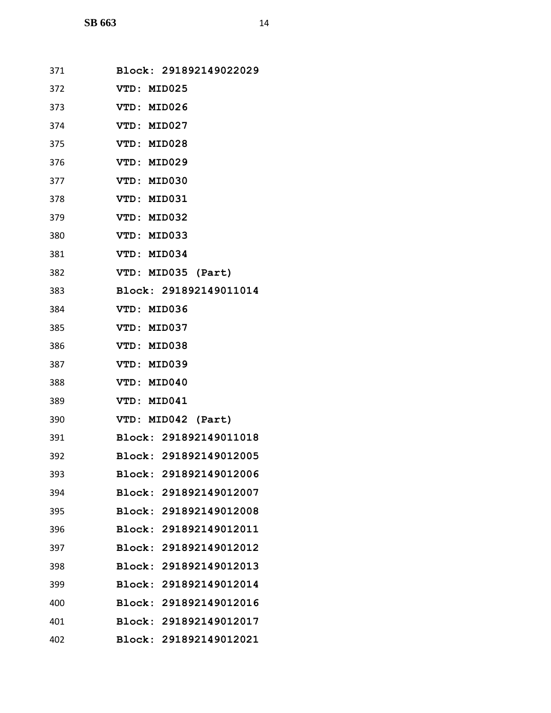| 371 | Block: 291892149022029 |
|-----|------------------------|
| 372 | VTD: MID025            |
| 373 | VTD: MID026            |
| 374 | VTD: MID027            |
| 375 | VTD: MID028            |
| 376 | VTD: MID029            |
| 377 | VTD: MID030            |
| 378 | VTD: MID031            |
| 379 | VTD: MID032            |
| 380 | VTD: MID033            |
| 381 | VTD: MID034            |
| 382 | VTD: MID035 (Part)     |
| 383 | Block: 291892149011014 |
| 384 | VTD: MID036            |
| 385 | VTD: MID037            |
| 386 | VTD: MID038            |
| 387 | VTD: MID039            |
| 388 | VTD: MID040            |
| 389 | VTD: MID041            |
| 390 | VTD: MID042 (Part)     |
| 391 | Block: 291892149011018 |
| 392 | Block: 291892149012005 |
| 393 | Block: 291892149012006 |
| 394 | Block: 291892149012007 |
| 395 | Block: 291892149012008 |
| 396 | Block: 291892149012011 |
| 397 | Block: 291892149012012 |
| 398 | Block: 291892149012013 |
| 399 | Block: 291892149012014 |
| 400 | Block: 291892149012016 |
| 401 | Block: 291892149012017 |
| 402 | Block: 291892149012021 |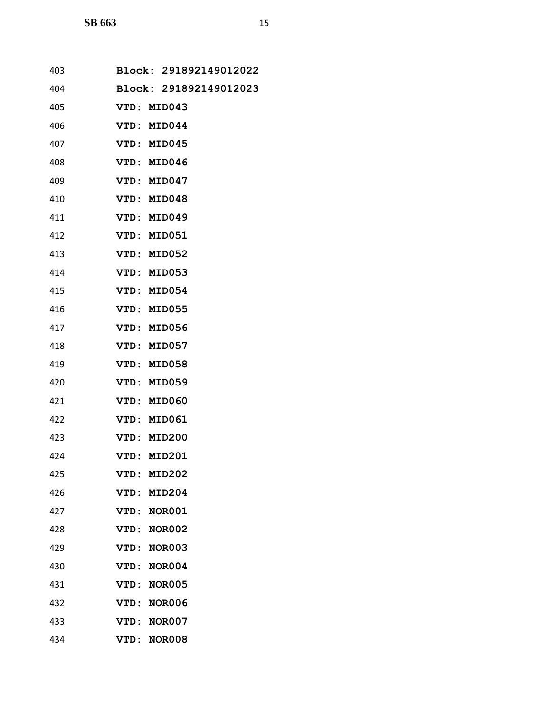| 403 |             | Block: 291892149012022 |
|-----|-------------|------------------------|
| 404 |             | Block: 291892149012023 |
| 405 | VTD: MID043 |                        |
| 406 | VTD: MID044 |                        |
| 407 | VTD: MID045 |                        |
| 408 | VTD: MID046 |                        |
| 409 | VTD: MID047 |                        |
| 410 | VTD: MID048 |                        |
| 411 | VTD: MID049 |                        |
| 412 | VTD: MID051 |                        |
| 413 | VTD: MID052 |                        |
| 414 | VTD: MID053 |                        |
| 415 | VTD: MID054 |                        |
| 416 | VTD: MID055 |                        |
| 417 | VTD: MID056 |                        |
| 418 | VTD:        | <b>MID057</b>          |
| 419 | VTD: MID058 |                        |
| 420 | VTD: MID059 |                        |
| 421 | VTD:        | <b>MID060</b>          |
| 422 | VTD: MID061 |                        |
| 423 | VTD: MID200 |                        |
| 424 | VTD: MID201 |                        |
| 425 | <b>VTD:</b> | <b>MID202</b>          |
| 426 | <b>VTD:</b> | <b>MID204</b>          |
| 427 | VTD:        | NOR001                 |
| 428 | VTD:        | <b>NOR002</b>          |
| 429 | VTD:        | <b>NOR003</b>          |
| 430 | VTD:        | NOR004                 |
| 431 | VTD:        | <b>NOR005</b>          |
| 432 | <b>VTD:</b> | <b>NOR006</b>          |
| 433 | VTD:        | <b>NOR007</b>          |
| 434 | VTD:        | <b>NOR008</b>          |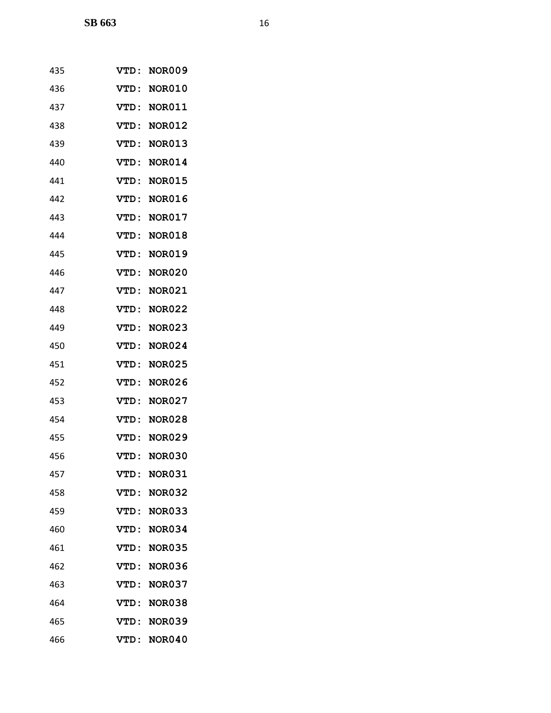| 435 | VTD:        | <b>NOR009</b> |
|-----|-------------|---------------|
| 436 | VTD :       | <b>NOR010</b> |
| 437 | VTD:        | <b>NOR011</b> |
| 438 | VTD:        | <b>NOR012</b> |
| 439 | VTD:        | <b>NOR013</b> |
| 440 | <b>VTD:</b> | <b>NOR014</b> |
| 441 | VTD:        | <b>NOR015</b> |
| 442 | VTD:        | <b>NOR016</b> |
| 443 | VTD:        | <b>NOR017</b> |
| 444 | VTD:        | <b>NOR018</b> |
| 445 | VTD:        | <b>NOR019</b> |
| 446 | VTD:        | <b>NOR020</b> |
| 447 | VTD:        | <b>NOR021</b> |
| 448 | VTD:        | <b>NOR022</b> |
| 449 | VTD:        | <b>NOR023</b> |
| 450 | <b>VTD:</b> | <b>NOR024</b> |
| 451 | VTD:        | <b>NOR025</b> |
| 452 | VTD:        | <b>NOR026</b> |
| 453 | VTD:        | <b>NOR027</b> |
| 454 | VTD:        | <b>NOR028</b> |
| 455 | VTD:        | <b>NOR029</b> |
| 456 | VTD:        | <b>NOR030</b> |
| 457 | VTD:        | <b>NOR031</b> |
| 458 | VTD:        | <b>NOR032</b> |
| 459 | VTD:        | <b>NOR033</b> |
| 460 | VTD:        | <b>NOR034</b> |
| 461 | <b>VTD:</b> | <b>NOR035</b> |
| 462 | VTD:        | <b>NOR036</b> |
| 463 | VTD:        | <b>NOR037</b> |
| 464 | <b>VTD:</b> | <b>NOR038</b> |
| 465 | VTD:        | <b>NOR039</b> |
| 466 | VTD:        | <b>NOR040</b> |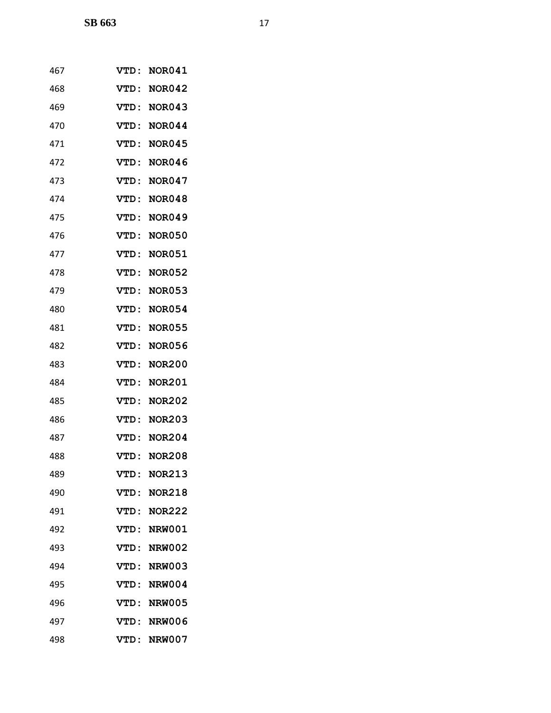| 467 | <b>VTD :</b> | <b>NOR041</b> |
|-----|--------------|---------------|
| 468 | <b>VTD:</b>  | <b>NOR042</b> |
| 469 | <b>VTD :</b> | <b>NOR043</b> |
| 470 | VTD:         | <b>NOR044</b> |
| 471 | <b>VTD :</b> | <b>NOR045</b> |
| 472 | <b>VTD :</b> | <b>NOR046</b> |
| 473 | VTD:         | <b>NOR047</b> |
| 474 | VTD:         | <b>NOR048</b> |
| 475 | VTD:         | <b>NOR049</b> |
| 476 | <b>VTD :</b> | <b>NOR050</b> |
| 477 | VTD:         | <b>NOR051</b> |
| 478 | <b>VTD:</b>  | <b>NOR052</b> |
| 479 | VTD:         | <b>NOR053</b> |
| 480 | VTD:         | <b>NOR054</b> |
| 481 | <b>VTD:</b>  | <b>NOR055</b> |
| 482 | VTD:         | <b>NOR056</b> |
| 483 | VTD:         | <b>NOR200</b> |
| 484 | VTD:         | <b>NOR201</b> |
| 485 | <b>VTD:</b>  | <b>NOR202</b> |
| 486 | <b>VTD :</b> | <b>NOR203</b> |
| 487 | VTD:         | <b>NOR204</b> |
| 488 | VTD:         | <b>NOR208</b> |
| 489 | VTD:         | <b>NOR213</b> |
| 490 | VTD:         | <b>NOR218</b> |
| 491 | VTD :        | <b>NOR222</b> |
| 492 | VTD:         | <b>NRW001</b> |
| 493 | VTD:         | <b>NRW002</b> |
| 494 | VTD :        | <b>NRW003</b> |
| 495 | VTD:         | <b>NRW004</b> |
| 496 | VTD :        | <b>NRW005</b> |
| 497 | VTD:         | <b>NRW006</b> |
| 498 | VTD:         | <b>NRW007</b> |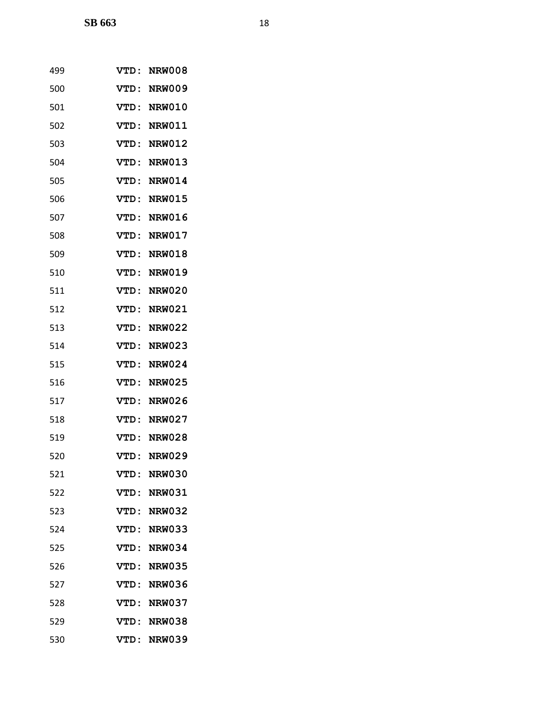| 499 | VTD:        | <b>NRW008</b> |
|-----|-------------|---------------|
| 500 | VTD:        | <b>NRW009</b> |
| 501 | <b>VTD:</b> | <b>NRW010</b> |
| 502 | VTD:        | <b>NRW011</b> |
| 503 | <b>VTD:</b> | <b>NRW012</b> |
| 504 | VTD:        | <b>NRW013</b> |
| 505 | VTD:        | <b>NRW014</b> |
| 506 | VTD:        | <b>NRW015</b> |
| 507 | VTD:        | <b>NRW016</b> |
| 508 | VTD:        | <b>NRW017</b> |
| 509 | VTD:        | <b>NRW018</b> |
| 510 | VTD:        | <b>NRW019</b> |
| 511 | VTD:        | <b>NRW020</b> |
| 512 | VTD:        | <b>NRW021</b> |
| 513 | VTD:        | <b>NRW022</b> |
| 514 | VTD:        | <b>NRW023</b> |
| 515 | VTD:        | <b>NRW024</b> |
| 516 | VTD:        | <b>NRW025</b> |
| 517 | VTD:        | <b>NRW026</b> |
| 518 | VTD:        | <b>NRW027</b> |
| 519 | VTD:        | <b>NRW028</b> |
| 520 | VTD:        | <b>NRW029</b> |
| 521 | VTD:        | <b>NRW030</b> |
| 522 | VTD:        | <b>NRW031</b> |
| 523 | VTD :       | <b>NRW032</b> |
| 524 | VTD:        | <b>NRW033</b> |
| 525 | VTD:        | <b>NRW034</b> |
| 526 | VTD:        | <b>NRW035</b> |
| 527 | VTD:        | <b>NRW036</b> |
| 528 | VTD :       | <b>NRW037</b> |
| 529 | VTD:        | <b>NRW038</b> |
| 530 |             | VTD: NRW039   |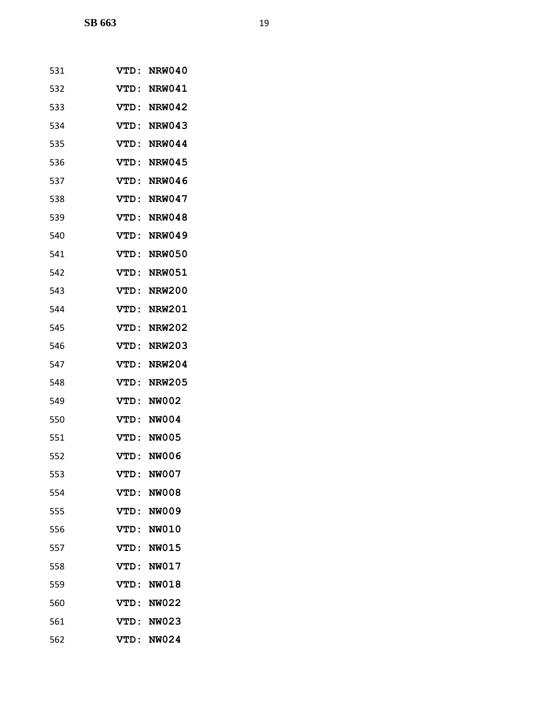| 531 | <b>VTD :</b> | <b>NRW040</b> |
|-----|--------------|---------------|
| 532 | VTD :        | <b>NRW041</b> |
| 533 | VTD:         | <b>NRW042</b> |
| 534 | VTD:         | <b>NRW043</b> |
| 535 | <b>VTD:</b>  | <b>NRW044</b> |
| 536 | <b>VTD :</b> | <b>NRW045</b> |
| 537 | VTD:         | <b>NRW046</b> |
| 538 | VTD:         | <b>NRW047</b> |
| 539 | <b>VTD:</b>  | <b>NRW048</b> |
| 540 | <b>VTD :</b> | <b>NRW049</b> |
| 541 | VTD:         | <b>NRW050</b> |
| 542 | VTD:         | <b>NRW051</b> |
| 543 | VTD:         | <b>NRW200</b> |
| 544 | VTD:         | <b>NRW201</b> |
| 545 | <b>VTD:</b>  | <b>NRW202</b> |
| 546 | <b>VTD:</b>  | <b>NRW203</b> |
| 547 | VTD:         | <b>NRW204</b> |
| 548 | VTD:         | <b>NRW205</b> |
| 549 | <b>VTD:</b>  | <b>NW002</b>  |
| 550 | VTD:         | <b>NW004</b>  |
| 551 | VTD:         | <b>NW005</b>  |
| 552 | VTD :        | <b>NW006</b>  |
| 553 | VTD:         | <b>NW007</b>  |
| 554 | VTD:         | <b>NW008</b>  |
| 555 | <b>VTD:</b>  | <b>NW009</b>  |
| 556 | <b>VTD:</b>  | <b>NW010</b>  |
| 557 | VTD:         | <b>NW015</b>  |
| 558 | VTD:         | <b>NW017</b>  |
| 559 | VTD:         | <b>NW018</b>  |
| 560 | VTD:         | <b>NW022</b>  |
| 561 | <b>VTD:</b>  | <b>NW023</b>  |
| 562 | VTD:         | <b>NW024</b>  |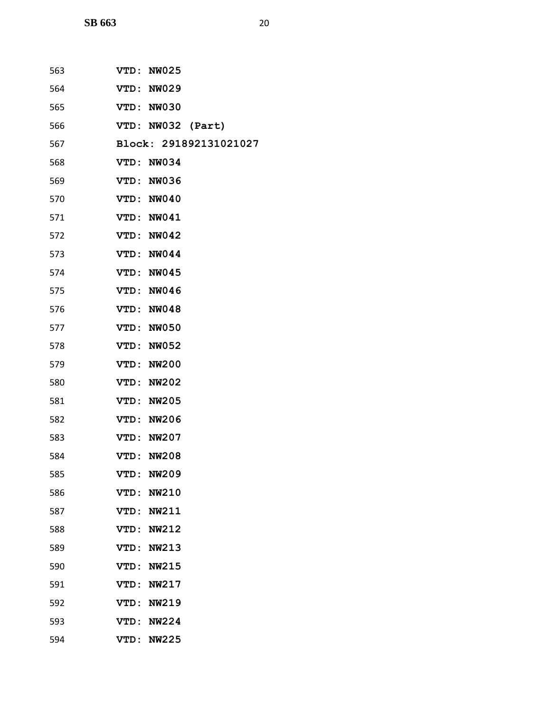| 563 | VTD: NW025             |
|-----|------------------------|
| 564 | VTD: NW029             |
| 565 | VTD: NW030             |
| 566 | VTD: NW032 (Part)      |
| 567 | Block: 291892131021027 |
| 568 | VTD: NW034             |
| 569 | VTD: NW036             |
| 570 | VTD: NW040             |
| 571 | VTD: NW041             |
| 572 | VTD: NW042             |
| 573 | VTD: NW044             |
| 574 | VTD: NW045             |
| 575 | VTD: NW046             |
| 576 | VTD: NW048             |
| 577 | VTD: NW050             |
| 578 | VTD: NW052             |
| 579 | VTD: NW200             |
| 580 | <b>VTD: NW202</b>      |
| 581 | <b>VTD: NW205</b>      |
| 582 | <b>VTD: NW206</b>      |
| 583 | VTD: NW207             |
| 584 | VTD: NW208             |
| 585 | <b>NW209</b><br>VTD:   |
| 586 | <b>NW210</b><br>VTD:   |
| 587 | VTD:<br>NW211          |
| 588 | VTD: NW212             |
| 589 | <b>NW213</b><br>VTD:   |
| 590 | VTD:<br><b>NW215</b>   |
| 591 | VTD: NW217             |
| 592 | <b>VTD: NW219</b>      |
| 593 | VTD:<br><b>NW224</b>   |
| 594 | VTD:<br><b>NW225</b>   |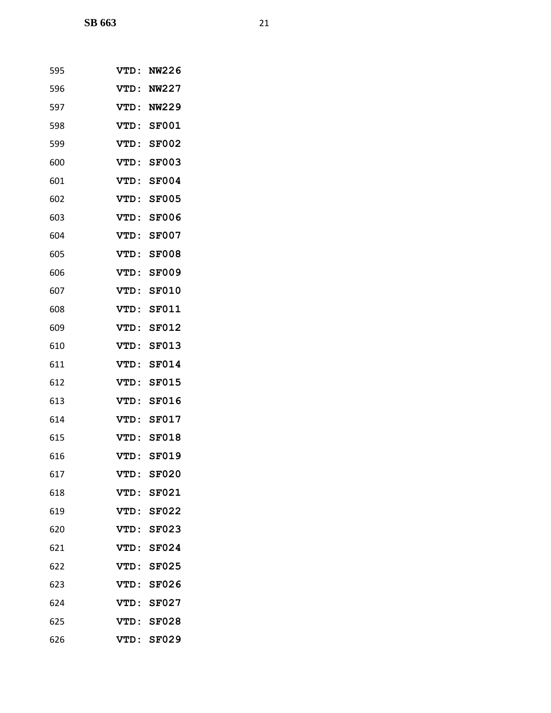| 595 | <b>VTD :</b> | NW226        |
|-----|--------------|--------------|
| 596 | VTD:         | <b>NW227</b> |
| 597 | VTD :        | <b>NW229</b> |
| 598 |              | VTD: SF001   |
| 599 | <b>VTD:</b>  | <b>SF002</b> |
| 600 | <b>VTD :</b> | <b>SF003</b> |
| 601 | <b>VTD:</b>  | <b>SF004</b> |
| 602 | <b>VTD:</b>  | <b>SF005</b> |
| 603 | VTD:         | <b>SF006</b> |
| 604 | VTD:         | <b>SF007</b> |
| 605 | <b>VTD:</b>  | <b>SF008</b> |
| 606 | <b>VTD:</b>  | <b>SF009</b> |
| 607 | VTD:         | <b>SF010</b> |
| 608 | <b>VTD:</b>  | <b>SF011</b> |
| 609 | <b>VTD:</b>  | <b>SF012</b> |
| 610 | VTD:         | <b>SF013</b> |
| 611 | <b>VTD:</b>  | <b>SF014</b> |
| 612 | <b>VTD:</b>  | <b>SF015</b> |
| 613 | VTD:         | <b>SF016</b> |
| 614 | VTD:         | <b>SF017</b> |
| 615 | <b>VTD :</b> | <b>SF018</b> |
| 616 | <b>VTD:</b>  | <b>SF019</b> |
| 617 | VTD :        | <b>SF020</b> |
| 618 | VTD :        | <b>SF021</b> |
| 619 |              | VTD: SF022   |
| 620 | VTD:         | <b>SF023</b> |
| 621 | <b>VTD:</b>  | <b>SF024</b> |
| 622 | VTD:         | <b>SF025</b> |
| 623 | <b>VTD:</b>  | <b>SF026</b> |
| 624 | <b>VTD:</b>  | <b>SF027</b> |
| 625 | <b>VTD:</b>  | <b>SF028</b> |
| 626 | VTD:         | <b>SF029</b> |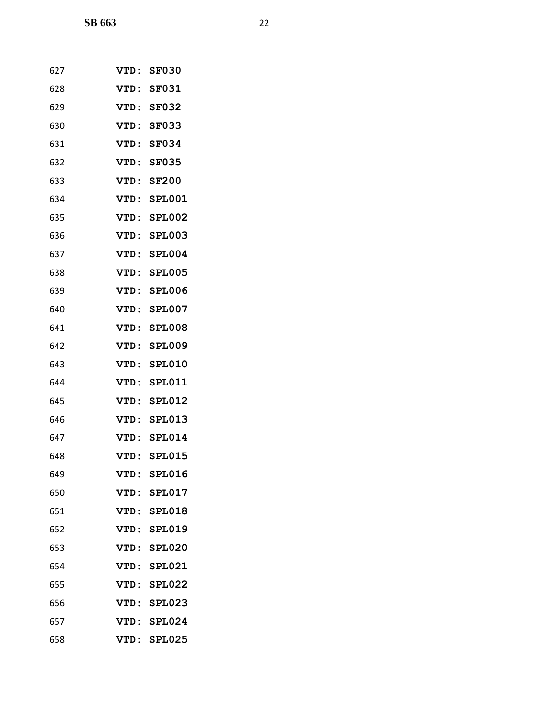| 627 | VTD :        | <b>SF030</b>  |
|-----|--------------|---------------|
| 628 | VTD:         | <b>SF031</b>  |
| 629 | VTD:         | <b>SF032</b>  |
| 630 | VTD:         | <b>SF033</b>  |
| 631 | <b>VTD:</b>  | <b>SF034</b>  |
| 632 | <b>VTD :</b> | <b>SF035</b>  |
| 633 | VTD:         | <b>SF200</b>  |
| 634 | VTD:         | <b>SPL001</b> |
| 635 | VTD:         | <b>SPL002</b> |
| 636 | VTD:         | <b>SPL003</b> |
| 637 | VTD:         | <b>SPL004</b> |
| 638 | VTD:         | <b>SPL005</b> |
| 639 | VTD:         | SPL006        |
| 640 | VTD:         | SPL007        |
| 641 | VTD:         | <b>SPL008</b> |
| 642 | VTD:         | <b>SPL009</b> |
| 643 | VTD:         | <b>SPL010</b> |
| 644 | VTD:         | <b>SPL011</b> |
| 645 | <b>VTD:</b>  | <b>SPL012</b> |
| 646 | VTD:         | <b>SPL013</b> |
| 647 | VTD:         | <b>SPL014</b> |
| 648 |              | VTD: SPL015   |
| 649 |              | VTD: SPL016   |
| 650 |              | VTD: SPL017   |
| 651 |              | VTD: SPL018   |
| 652 |              | VTD: SPL019   |
| 653 |              | VTD: SPL020   |
| 654 |              | VTD: SPL021   |
| 655 |              | VTD: SPL022   |
| 656 |              | VTD: SPL023   |
| 657 |              | VTD: SPL024   |
| 658 |              | VTD: SPL025   |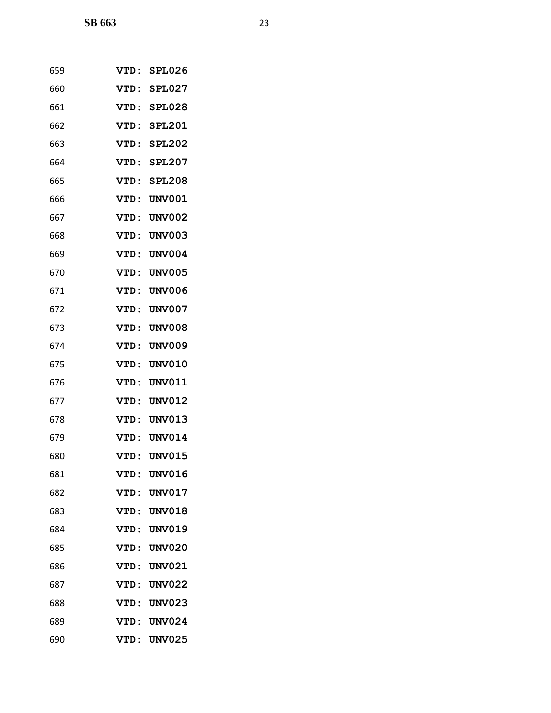| 659 | VTD:        | SPL026        |
|-----|-------------|---------------|
| 660 | VTD:        | SPL027        |
| 661 | VTD:        | SPL028        |
| 662 | VTD :       | <b>SPL201</b> |
| 663 | <b>VTD:</b> | <b>SPL202</b> |
| 664 | VTD:        | <b>SPL207</b> |
| 665 | VTD:        | <b>SPL208</b> |
| 666 | VTD:        | <b>UNV001</b> |
| 667 | <b>VTD:</b> | UNV002        |
| 668 | <b>VTD:</b> | <b>UNV003</b> |
| 669 | <b>VTD:</b> | <b>UNV004</b> |
| 670 | <b>VTD:</b> | <b>UNV005</b> |
| 671 | VTD:        | <b>UNV006</b> |
| 672 | <b>VTD:</b> | <b>UNV007</b> |
| 673 | VTD:        | <b>UNV008</b> |
| 674 | <b>VTD:</b> | <b>UNV009</b> |
| 675 | <b>VTD:</b> | <b>UNV010</b> |
| 676 | VTD:        | <b>UNV011</b> |
| 677 | <b>VTD:</b> | <b>UNV012</b> |
| 678 | <b>VTD:</b> | <b>UNV013</b> |
| 679 | VTD:        | <b>UNV014</b> |
| 680 | VTD:        | <b>UNV015</b> |
| 681 | VTD:        | <b>UNV016</b> |
| 682 | VTD:        | <b>UNV017</b> |
| 683 | <b>VTD:</b> | <b>UNV018</b> |
| 684 | VTD:        | <b>UNV019</b> |
| 685 | <b>VTD:</b> | <b>UNV020</b> |
| 686 | VTD:        | <b>UNV021</b> |
| 687 | VTD:        | <b>UNV022</b> |
| 688 | <b>VTD:</b> | <b>UNV023</b> |
| 689 | <b>VTD:</b> | <b>UNV024</b> |
| 690 | VTD:        | <b>UNV025</b> |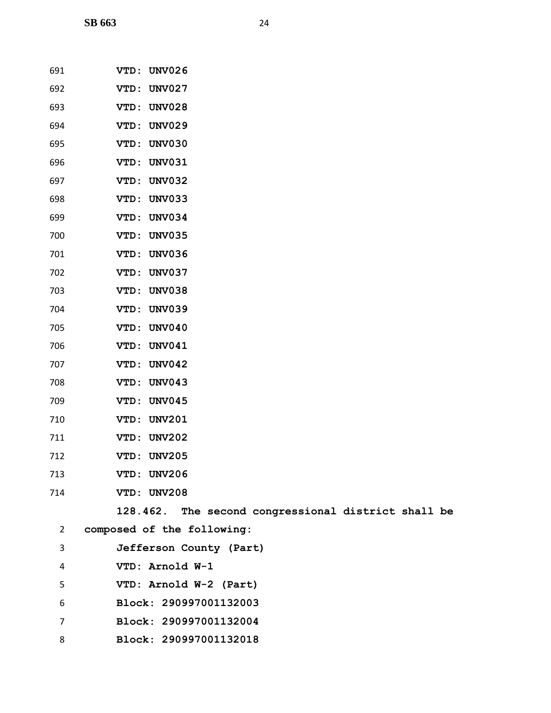| 691            | VTD: UNV026                                         |
|----------------|-----------------------------------------------------|
| 692            | VTD: UNV027                                         |
| 693            | <b>UNV028</b><br>VTD:                               |
| 694            | VTD: UNV029                                         |
| 695            | VTD: UNV030                                         |
| 696            | <b>UNV031</b><br>VTD:                               |
| 697            | <b>UNV032</b><br>VTD:                               |
| 698            | VTD: UNV033                                         |
| 699            | VTD: UNV034                                         |
| 700            | VTD: UNV035                                         |
| 701            | VTD: UNV036                                         |
| 702            | VTD: UNV037                                         |
| 703            | <b>UNV038</b><br>VTD:                               |
| 704            | <b>UNV039</b><br>VTD:                               |
| 705            | VTD: UNV040                                         |
| 706            | VTD: UNV041                                         |
| 707            | <b>UNV042</b><br>VTD:                               |
| 708            | VTD: UNV043                                         |
| 709            | <b>UNV045</b><br>VTD:                               |
| 710            | <b>UNV201</b><br>VTD:                               |
| 711            | VTD: UNV202                                         |
| 712            | VTD: UNV205                                         |
| 713            | VTD: UNV206                                         |
| 714            | VTD: UNV208                                         |
|                | 128.462. The second congressional district shall be |
| $\overline{2}$ | composed of the following:                          |
| 3              | Jefferson County (Part)                             |
| 4              | VTD: Arnold W-1                                     |
| 5              | VTD: Arnold W-2 (Part)                              |
| 6              | Block: 290997001132003                              |

- **Block: 290997001132004**
- **Block: 290997001132018**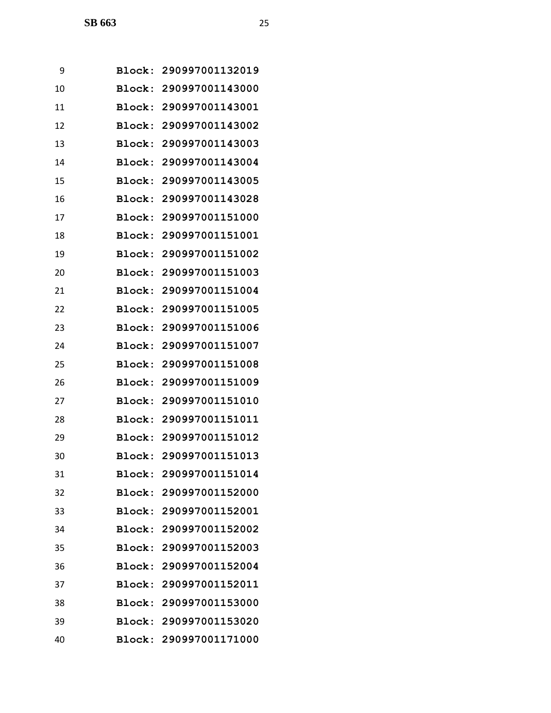| 9  | Block:        | 290997001132019        |
|----|---------------|------------------------|
| 10 |               | Block: 290997001143000 |
| 11 | Block:        | 290997001143001        |
| 12 |               | Block: 290997001143002 |
| 13 | Block:        | 290997001143003        |
| 14 | Block:        | 290997001143004        |
| 15 |               | Block: 290997001143005 |
| 16 | Block:        | 290997001143028        |
| 17 | Block:        | 290997001151000        |
| 18 | Block:        | 290997001151001        |
| 19 | Block:        | 290997001151002        |
| 20 |               | Block: 290997001151003 |
| 21 | Block:        | 290997001151004        |
| 22 | Block:        | 290997001151005        |
| 23 | Block:        | 290997001151006        |
| 24 | Block:        | 290997001151007        |
| 25 |               | Block: 290997001151008 |
| 26 | Block:        | 290997001151009        |
| 27 | Block:        | 290997001151010        |
| 28 | Block:        | 290997001151011        |
| 29 |               | Block: 290997001151012 |
| 30 |               | Block: 290997001151013 |
| 31 | <b>Block:</b> | 290997001151014        |
| 32 |               | Block: 290997001152000 |
| 33 |               | Block: 290997001152001 |
| 34 |               | Block: 290997001152002 |
| 35 |               | Block: 290997001152003 |
| 36 |               | Block: 290997001152004 |
| 37 |               | Block: 290997001152011 |
| 38 |               | Block: 290997001153000 |
| 39 |               | Block: 290997001153020 |
| 40 |               | Block: 290997001171000 |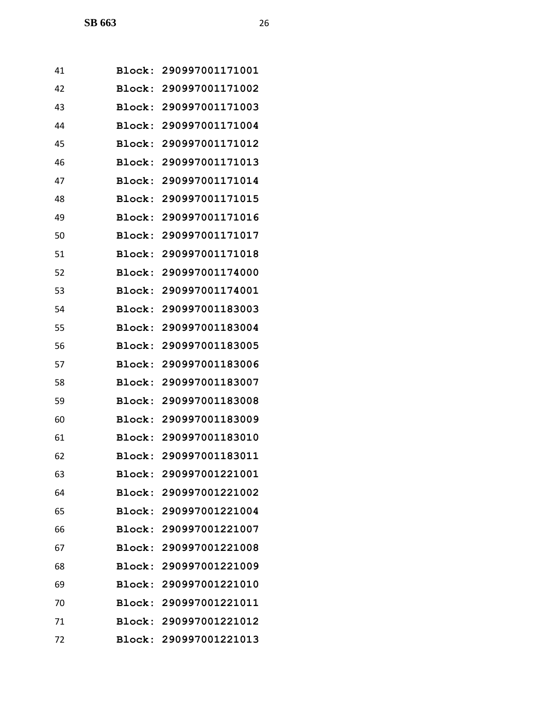| 41 |        | Block: 290997001171001 |
|----|--------|------------------------|
| 42 |        | Block: 290997001171002 |
| 43 |        | Block: 290997001171003 |
| 44 |        | Block: 290997001171004 |
| 45 | Block: | 290997001171012        |
| 46 | Block: | 290997001171013        |
| 47 |        | Block: 290997001171014 |
| 48 |        | Block: 290997001171015 |
| 49 |        | Block: 290997001171016 |
| 50 | Block: | 290997001171017        |
| 51 |        | Block: 290997001171018 |
| 52 | Block: | 290997001174000        |
| 53 | Block: | 290997001174001        |
| 54 |        | Block: 290997001183003 |
| 55 | Block: | 290997001183004        |
| 56 | Block: | 290997001183005        |
| 57 | Block: | 290997001183006        |
| 58 | Block: | 290997001183007        |
| 59 |        | Block: 290997001183008 |
| 60 | Block: | 290997001183009        |
| 61 |        | Block: 290997001183010 |
| 62 |        | Block: 290997001183011 |
| 63 |        | Block: 290997001221001 |
| 64 |        | Block: 290997001221002 |
| 65 |        | Block: 290997001221004 |
| 66 |        | Block: 290997001221007 |
| 67 |        | Block: 290997001221008 |
| 68 |        | Block: 290997001221009 |
| 69 |        | Block: 290997001221010 |
| 70 |        | Block: 290997001221011 |
| 71 |        | Block: 290997001221012 |
| 72 |        | Block: 290997001221013 |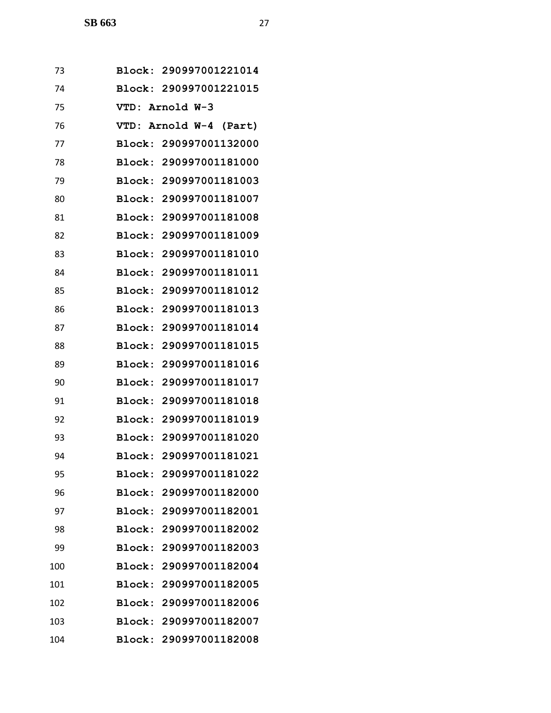| 73  |               | Block: 290997001221014 |
|-----|---------------|------------------------|
| 74  |               | Block: 290997001221015 |
| 75  |               | VTD: Arnold W-3        |
| 76  | VTD :         | Arnold W-4 (Part)      |
| 77  | Block:        | 290997001132000        |
| 78  |               | Block: 290997001181000 |
| 79  |               | Block: 290997001181003 |
| 80  |               | Block: 290997001181007 |
| 81  | Block:        | 290997001181008        |
| 82  | Block:        | 290997001181009        |
| 83  | Block:        | 290997001181010        |
| 84  | Block:        | 290997001181011        |
| 85  | Block:        | 290997001181012        |
| 86  | Block:        | 290997001181013        |
| 87  | Block:        | 290997001181014        |
| 88  | Block:        | 290997001181015        |
| 89  | Block:        | 290997001181016        |
| 90  | Block:        | 290997001181017        |
| 91  | Block:        | 290997001181018        |
| 92  |               | Block: 290997001181019 |
| 93  |               | Block: 290997001181020 |
| 94  |               | Block: 290997001181021 |
| 95  | Block:        | 290997001181022        |
| 96  | Block:        | 290997001182000        |
| 97  | <b>Block:</b> | 290997001182001        |
| 98  | <b>Block:</b> | 290997001182002        |
| 99  | Block:        | 290997001182003        |
| 100 | Block:        | 290997001182004        |
| 101 | Block:        | 290997001182005        |
| 102 | Block:        | 290997001182006        |
| 103 | Block:        | 290997001182007        |
| 104 |               | Block: 290997001182008 |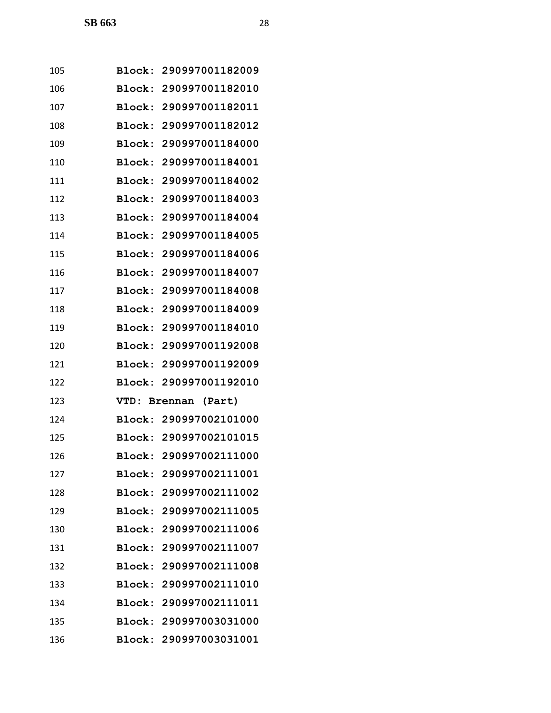| 105 |               | Block: 290997001182009 |
|-----|---------------|------------------------|
| 106 |               | Block: 290997001182010 |
| 107 | Block:        | 290997001182011        |
| 108 |               | Block: 290997001182012 |
| 109 | Block:        | 290997001184000        |
| 110 | Block:        | 290997001184001        |
| 111 | Block:        | 290997001184002        |
| 112 |               | Block: 290997001184003 |
| 113 |               | Block: 290997001184004 |
| 114 | Block:        | 290997001184005        |
| 115 | Block:        | 290997001184006        |
| 116 | Block:        | 290997001184007        |
| 117 | Block:        | 290997001184008        |
| 118 |               | Block: 290997001184009 |
| 119 |               | Block: 290997001184010 |
| 120 |               | Block: 290997001192008 |
| 121 | Block:        | 290997001192009        |
| 122 | Block:        | 290997001192010        |
| 123 |               | VTD: Brennan (Part)    |
| 124 | Block:        | 290997002101000        |
| 125 |               | Block: 290997002101015 |
| 126 |               | Block: 290997002111000 |
| 127 |               | Block: 290997002111001 |
| 128 |               | Block: 290997002111002 |
| 129 |               | Block: 290997002111005 |
| 130 |               | Block: 290997002111006 |
| 131 |               | Block: 290997002111007 |
| 132 | <b>Block:</b> | 290997002111008        |
| 133 |               | Block: 290997002111010 |
| 134 |               | Block: 290997002111011 |
| 135 |               | Block: 290997003031000 |
| 136 |               | Block: 290997003031001 |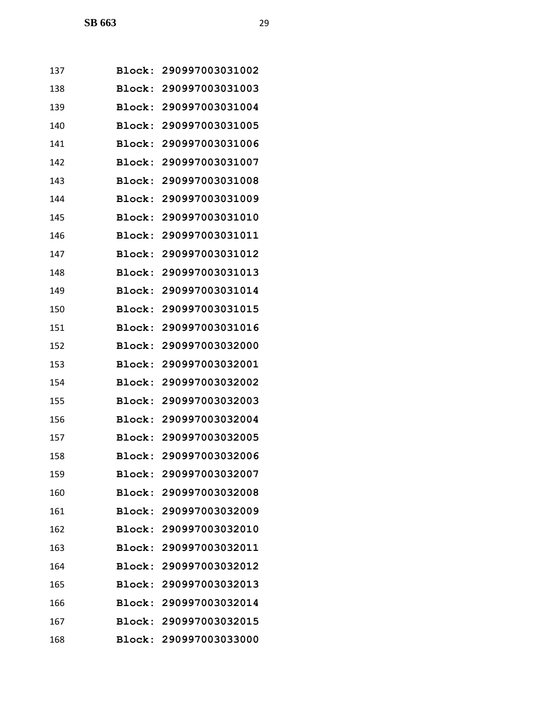| 137 | <b>Block:</b> | 290997003031002        |
|-----|---------------|------------------------|
| 138 | Block:        | 290997003031003        |
| 139 | Block:        | 290997003031004        |
| 140 | <b>Block:</b> | 290997003031005        |
| 141 | Block:        | 290997003031006        |
| 142 | <b>Block:</b> | 290997003031007        |
| 143 | Block:        | 290997003031008        |
| 144 | Block:        | 290997003031009        |
| 145 |               | Block: 290997003031010 |
| 146 | Block:        | 290997003031011        |
| 147 | Block:        | 290997003031012        |
| 148 | Block:        | 290997003031013        |
| 149 | Block:        | 290997003031014        |
| 150 | Block:        | 290997003031015        |
| 151 | Block:        | 290997003031016        |
| 152 | Block:        | 290997003032000        |
| 153 | Block:        | 290997003032001        |
| 154 | Block:        | 290997003032002        |
| 155 | Block:        | 290997003032003        |
| 156 | Block:        | 290997003032004        |
| 157 | Block:        | 290997003032005        |
| 158 |               | Block: 290997003032006 |
| 159 |               | Block: 290997003032007 |
| 160 |               | Block: 290997003032008 |
| 161 |               | Block: 290997003032009 |
| 162 |               | Block: 290997003032010 |
| 163 |               | Block: 290997003032011 |
| 164 | <b>Block:</b> | 290997003032012        |
| 165 | <b>Block:</b> | 290997003032013        |
| 166 |               | Block: 290997003032014 |
| 167 |               | Block: 290997003032015 |
| 168 |               | Block: 290997003033000 |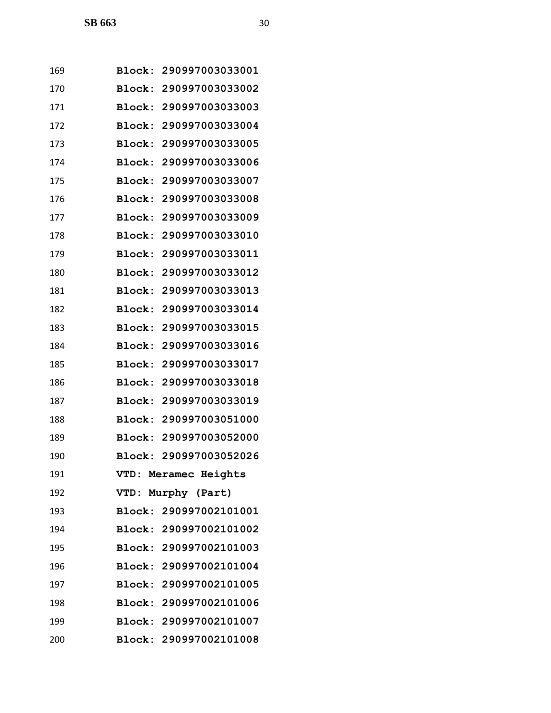| 169 |               | Block: 290997003033001 |
|-----|---------------|------------------------|
| 170 | Block:        | 290997003033002        |
| 171 | Block:        | 290997003033003        |
| 172 |               | Block: 290997003033004 |
| 173 | Block:        | 290997003033005        |
| 174 | <b>Block:</b> | 290997003033006        |
| 175 | Block:        | 290997003033007        |
| 176 | Block:        | 290997003033008        |
| 177 | <b>Block:</b> | 290997003033009        |
| 178 | <b>Block:</b> | 290997003033010        |
| 179 | Block:        | 290997003033011        |
| 180 | <b>Block:</b> | 290997003033012        |
| 181 | Block:        | 290997003033013        |
| 182 | Block:        | 290997003033014        |
| 183 | Block:        | 290997003033015        |
| 184 | Block:        | 290997003033016        |
| 185 | Block:        | 290997003033017        |
| 186 | Block:        | 290997003033018        |
| 187 | <b>Block:</b> | 290997003033019        |
| 188 | Block:        | 290997003051000        |
| 189 |               | Block: 290997003052000 |
| 190 |               | Block: 290997003052026 |
| 191 |               | VTD: Meramec Heights   |
| 192 | VTD:          | Murphy (Part)          |
| 193 |               | Block: 290997002101001 |
| 194 |               | Block: 290997002101002 |
| 195 |               | Block: 290997002101003 |
| 196 |               | Block: 290997002101004 |
| 197 |               | Block: 290997002101005 |
| 198 |               | Block: 290997002101006 |
| 199 |               | Block: 290997002101007 |
| 200 |               | Block: 290997002101008 |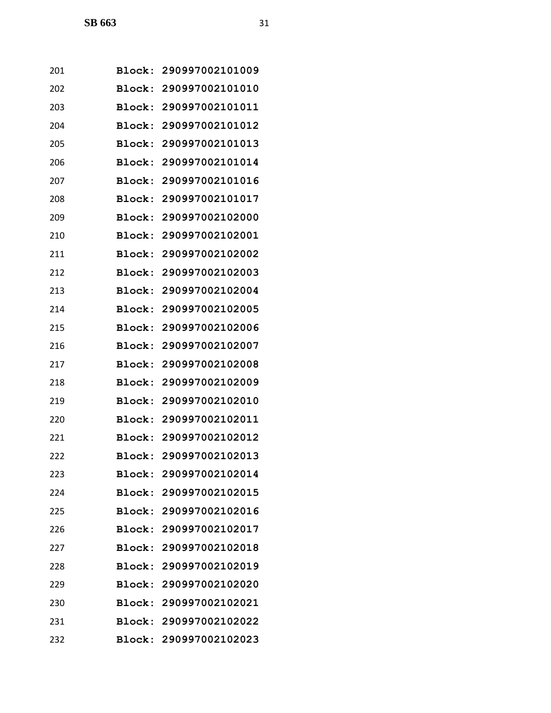| 201 | <b>Block:</b> | 290997002101009        |
|-----|---------------|------------------------|
| 202 | Block:        | 290997002101010        |
| 203 | Block:        | 290997002101011        |
| 204 | Block:        | 290997002101012        |
| 205 | Block:        | 290997002101013        |
| 206 | Block:        | 290997002101014        |
| 207 | Block:        | 290997002101016        |
| 208 | Block:        | 290997002101017        |
| 209 | Block:        | 290997002102000        |
| 210 | Block:        | 290997002102001        |
| 211 | Block:        | 290997002102002        |
| 212 | Block:        | 290997002102003        |
| 213 | Block:        | 290997002102004        |
| 214 | Block:        | 290997002102005        |
| 215 | Block:        | 290997002102006        |
| 216 | Block:        | 290997002102007        |
| 217 | Block:        | 290997002102008        |
| 218 | Block:        | 290997002102009        |
| 219 | Block:        | 290997002102010        |
| 220 | Block:        | 290997002102011        |
| 221 | Block:        | 290997002102012        |
| 222 |               | Block: 290997002102013 |
| 223 |               | Block: 290997002102014 |
| 224 |               | Block: 290997002102015 |
| 225 |               | Block: 290997002102016 |
| 226 |               | Block: 290997002102017 |
| 227 |               | Block: 290997002102018 |
| 228 | <b>Block:</b> | 290997002102019        |
| 229 |               | Block: 290997002102020 |
| 230 |               | Block: 290997002102021 |
| 231 |               | Block: 290997002102022 |
| 232 |               | Block: 290997002102023 |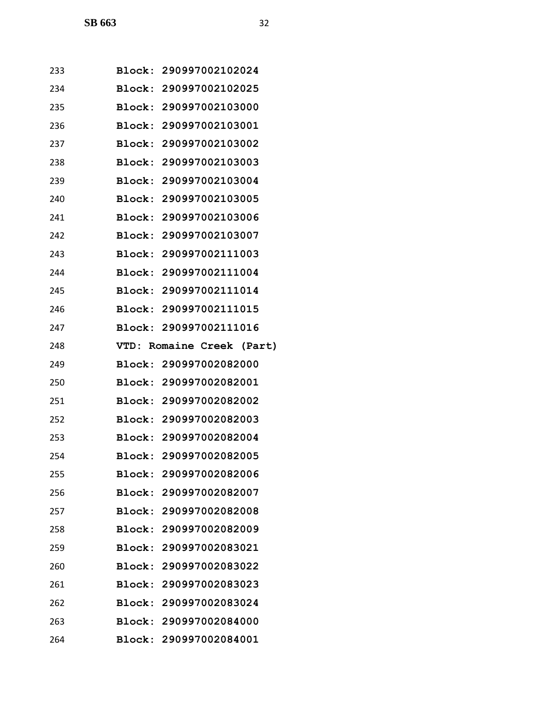| 233 | Block: 290997002102024    |  |  |
|-----|---------------------------|--|--|
| 234 | Block: 290997002102025    |  |  |
| 235 | Block: 290997002103000    |  |  |
| 236 | Block: 290997002103001    |  |  |
| 237 | Block: 290997002103002    |  |  |
| 238 | Block: 290997002103003    |  |  |
| 239 | Block: 290997002103004    |  |  |
| 240 | Block: 290997002103005    |  |  |
| 241 | Block: 290997002103006    |  |  |
| 242 | Block: 290997002103007    |  |  |
| 243 | Block: 290997002111003    |  |  |
| 244 | Block: 290997002111004    |  |  |
| 245 | Block: 290997002111014    |  |  |
| 246 | Block: 290997002111015    |  |  |
| 247 | Block: 290997002111016    |  |  |
| 248 | VTD: Romaine Creek (Part) |  |  |
| 249 | Block: 290997002082000    |  |  |
| 250 | Block: 290997002082001    |  |  |
| 251 | Block: 290997002082002    |  |  |
| 252 | Block: 290997002082003    |  |  |
| 253 | Block: 290997002082004    |  |  |
| 254 | Block: 290997002082005    |  |  |
| 255 | Block: 290997002082006    |  |  |
| 256 | Block: 290997002082007    |  |  |
| 257 | Block: 290997002082008    |  |  |
| 258 | Block: 290997002082009    |  |  |
| 259 | Block: 290997002083021    |  |  |
| 260 | Block: 290997002083022    |  |  |
| 261 | Block: 290997002083023    |  |  |
| 262 | Block: 290997002083024    |  |  |
| 263 | Block: 290997002084000    |  |  |
| 264 | Block: 290997002084001    |  |  |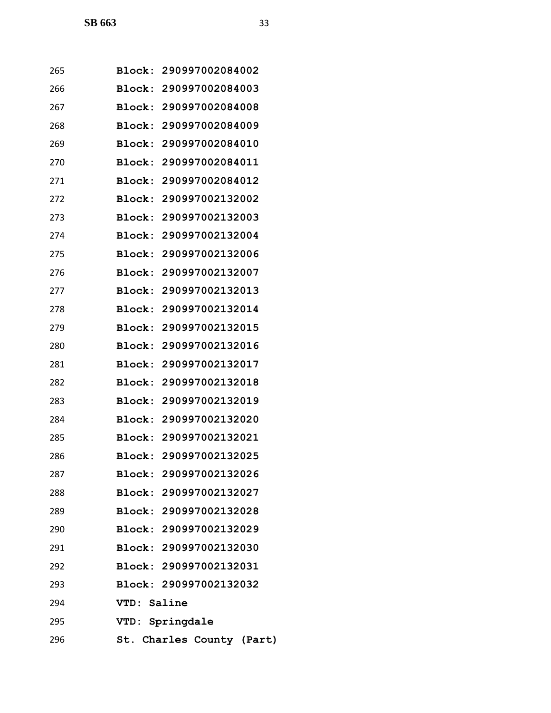| 265 | Block: 290997002084002 |                           |  |
|-----|------------------------|---------------------------|--|
| 266 | Block: 290997002084003 |                           |  |
| 267 | Block: 290997002084008 |                           |  |
| 268 | Block: 290997002084009 |                           |  |
| 269 | Block: 290997002084010 |                           |  |
| 270 | Block: 290997002084011 |                           |  |
| 271 | Block: 290997002084012 |                           |  |
| 272 | Block: 290997002132002 |                           |  |
| 273 | Block: 290997002132003 |                           |  |
| 274 | Block: 290997002132004 |                           |  |
| 275 | Block: 290997002132006 |                           |  |
| 276 | Block: 290997002132007 |                           |  |
| 277 | Block: 290997002132013 |                           |  |
| 278 | Block: 290997002132014 |                           |  |
| 279 | Block: 290997002132015 |                           |  |
| 280 | Block: 290997002132016 |                           |  |
| 281 | Block: 290997002132017 |                           |  |
| 282 | Block: 290997002132018 |                           |  |
| 283 | Block: 290997002132019 |                           |  |
| 284 | Block: 290997002132020 |                           |  |
| 285 | Block: 290997002132021 |                           |  |
| 286 | Block: 290997002132025 |                           |  |
| 287 | Block: 290997002132026 |                           |  |
| 288 | Block: 290997002132027 |                           |  |
| 289 | Block: 290997002132028 |                           |  |
| 290 | Block: 290997002132029 |                           |  |
| 291 | Block: 290997002132030 |                           |  |
| 292 | Block: 290997002132031 |                           |  |
| 293 | Block: 290997002132032 |                           |  |
| 294 | VTD: Saline            |                           |  |
| 295 | VTD: Springdale        |                           |  |
| 296 |                        | St. Charles County (Part) |  |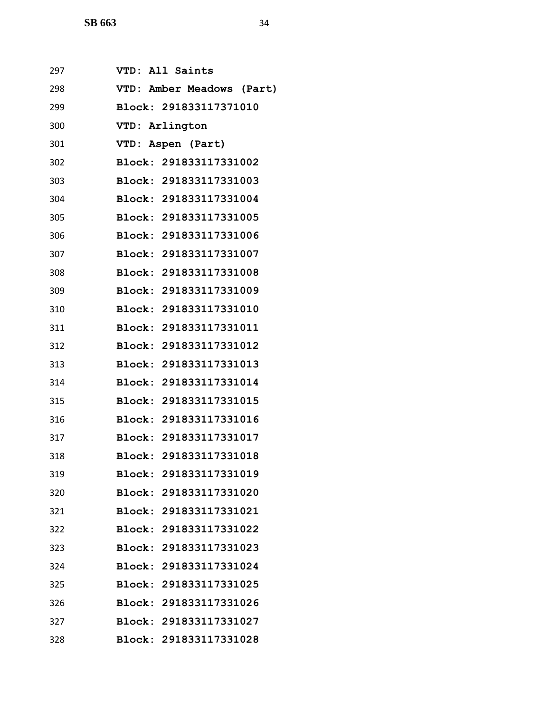| 297 | VTD: All Saints           |
|-----|---------------------------|
| 298 | VTD: Amber Meadows (Part) |
| 299 | Block: 291833117371010    |
| 300 | VTD: Arlington            |
| 301 | VTD: Aspen (Part)         |
| 302 | Block: 291833117331002    |
| 303 | Block: 291833117331003    |
| 304 | Block: 291833117331004    |
| 305 | Block: 291833117331005    |
| 306 | Block: 291833117331006    |
| 307 | Block: 291833117331007    |
| 308 | Block: 291833117331008    |
| 309 | Block: 291833117331009    |
| 310 | Block: 291833117331010    |
| 311 | Block: 291833117331011    |
| 312 | Block: 291833117331012    |
| 313 | Block: 291833117331013    |
| 314 | Block: 291833117331014    |
| 315 | Block: 291833117331015    |
| 316 | Block: 291833117331016    |
| 317 | Block: 291833117331017    |
| 318 | Block: 291833117331018    |
| 319 | Block: 291833117331019    |
| 320 | Block: 291833117331020    |
| 321 | Block: 291833117331021    |
| 322 | Block: 291833117331022    |
| 323 | Block: 291833117331023    |
| 324 | Block: 291833117331024    |
| 325 | Block: 291833117331025    |
| 326 | Block: 291833117331026    |
| 327 | Block: 291833117331027    |
| 328 | Block: 291833117331028    |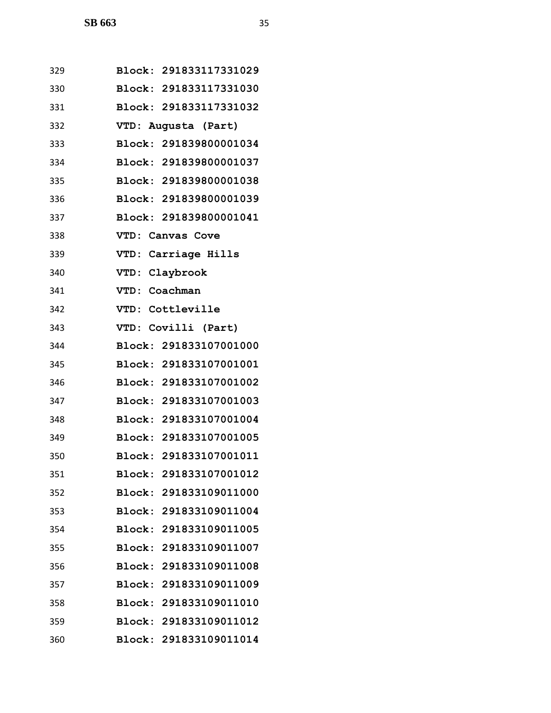| 329 | Block: 291833117331029 |
|-----|------------------------|
| 330 | Block: 291833117331030 |
| 331 | Block: 291833117331032 |
| 332 | VTD: Augusta (Part)    |
| 333 | Block: 291839800001034 |
| 334 | Block: 291839800001037 |
| 335 | Block: 291839800001038 |
| 336 | Block: 291839800001039 |
| 337 | Block: 291839800001041 |
| 338 | VTD: Canvas Cove       |
| 339 | VTD: Carriage Hills    |
| 340 | VTD: Claybrook         |
| 341 | VTD: Coachman          |
| 342 | VTD: Cottleville       |
| 343 | VTD: Covilli (Part)    |
| 344 | Block: 291833107001000 |
| 345 | Block: 291833107001001 |
| 346 | Block: 291833107001002 |
| 347 | Block: 291833107001003 |
| 348 | Block: 291833107001004 |
| 349 | Block: 291833107001005 |
| 350 | Block: 291833107001011 |
| 351 | Block: 291833107001012 |
| 352 | Block: 291833109011000 |
| 353 | Block: 291833109011004 |
| 354 | Block: 291833109011005 |
| 355 | Block: 291833109011007 |
| 356 | Block: 291833109011008 |
| 357 | Block: 291833109011009 |
| 358 | Block: 291833109011010 |
| 359 | Block: 291833109011012 |
| 360 | Block: 291833109011014 |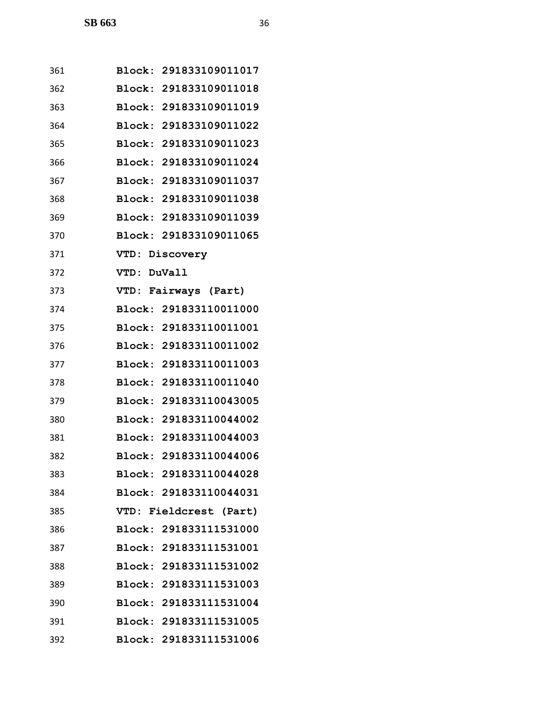| 361 | Block: 291833109011017 |
|-----|------------------------|
| 362 | Block: 291833109011018 |
| 363 | Block: 291833109011019 |
| 364 | Block: 291833109011022 |
| 365 | Block: 291833109011023 |
| 366 | Block: 291833109011024 |
| 367 | Block: 291833109011037 |
| 368 | Block: 291833109011038 |
| 369 | Block: 291833109011039 |
| 370 | Block: 291833109011065 |
| 371 | VTD: Discovery         |
| 372 | VTD: DuVall            |
| 373 | VTD: Fairways (Part)   |
| 374 | Block: 291833110011000 |
| 375 | Block: 291833110011001 |
| 376 | Block: 291833110011002 |
| 377 | Block: 291833110011003 |
| 378 | Block: 291833110011040 |
| 379 | Block: 291833110043005 |
| 380 | Block: 291833110044002 |
| 381 | Block: 291833110044003 |
| 382 | Block: 291833110044006 |
| 383 | Block: 291833110044028 |
| 384 | Block: 291833110044031 |
| 385 | VTD: Fieldcrest (Part) |
| 386 | Block: 291833111531000 |
| 387 | Block: 291833111531001 |
| 388 | Block: 291833111531002 |
| 389 | Block: 291833111531003 |
| 390 | Block: 291833111531004 |
| 391 | Block: 291833111531005 |
| 392 | Block: 291833111531006 |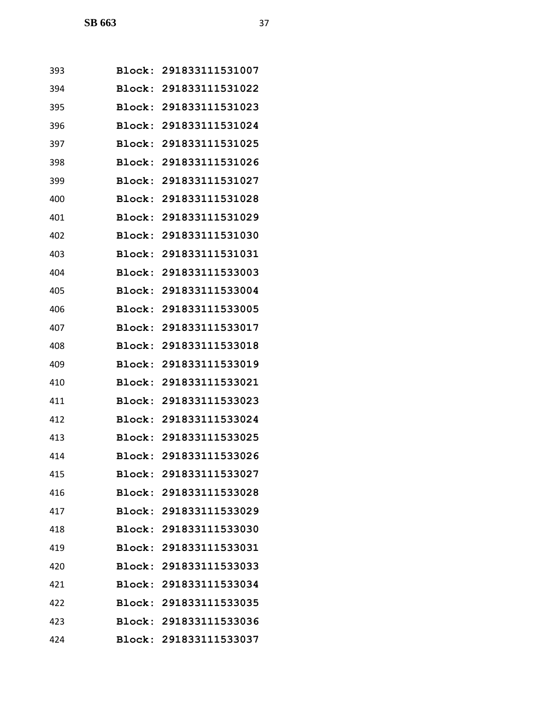| 393 |               | Block: 291833111531007 |
|-----|---------------|------------------------|
| 394 |               | Block: 291833111531022 |
| 395 | Block:        | 291833111531023        |
| 396 |               | Block: 291833111531024 |
| 397 | Block:        | 291833111531025        |
| 398 | Block:        | 291833111531026        |
| 399 | Block:        | 291833111531027        |
| 400 | Block:        | 291833111531028        |
| 401 |               | Block: 291833111531029 |
| 402 | Block:        | 291833111531030        |
| 403 | Block:        | 291833111531031        |
| 404 | Block:        | 291833111533003        |
| 405 | <b>Block:</b> | 291833111533004        |
| 406 |               | Block: 291833111533005 |
| 407 | Block:        | 291833111533017        |
| 408 | Block:        | 291833111533018        |
| 409 | Block:        | 291833111533019        |
| 410 | Block:        | 291833111533021        |
| 411 |               | Block: 291833111533023 |
| 412 | Block:        | 291833111533024        |
| 413 |               | Block: 291833111533025 |
| 414 |               | Block: 291833111533026 |
| 415 |               | Block: 291833111533027 |
| 416 |               | Block: 291833111533028 |
| 417 |               | Block: 291833111533029 |
| 418 |               | Block: 291833111533030 |
| 419 |               | Block: 291833111533031 |
| 420 |               | Block: 291833111533033 |
| 421 |               | Block: 291833111533034 |
| 422 |               | Block: 291833111533035 |
| 423 |               | Block: 291833111533036 |
| 424 |               | Block: 291833111533037 |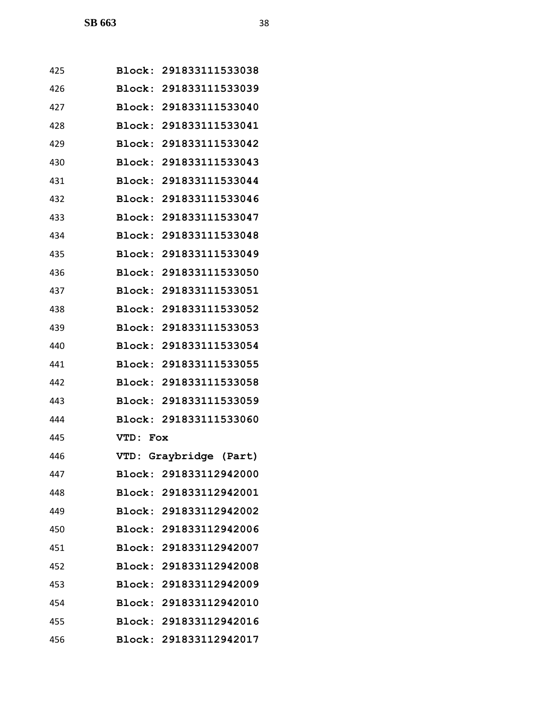| 425 |          | Block: 291833111533038 |
|-----|----------|------------------------|
| 426 |          | Block: 291833111533039 |
| 427 |          | Block: 291833111533040 |
| 428 |          | Block: 291833111533041 |
| 429 |          | Block: 291833111533042 |
| 430 |          | Block: 291833111533043 |
| 431 |          | Block: 291833111533044 |
| 432 |          | Block: 291833111533046 |
| 433 |          | Block: 291833111533047 |
| 434 |          | Block: 291833111533048 |
| 435 |          | Block: 291833111533049 |
| 436 |          | Block: 291833111533050 |
| 437 |          | Block: 291833111533051 |
| 438 |          | Block: 291833111533052 |
| 439 |          | Block: 291833111533053 |
| 440 |          | Block: 291833111533054 |
| 441 |          | Block: 291833111533055 |
| 442 |          | Block: 291833111533058 |
| 443 |          | Block: 291833111533059 |
| 444 |          | Block: 291833111533060 |
| 445 | VTD: Fox |                        |
| 446 |          | VTD: Graybridge (Part) |
| 447 |          | Block: 291833112942000 |
| 448 |          | Block: 291833112942001 |
| 449 |          | Block: 291833112942002 |
| 450 |          | Block: 291833112942006 |
| 451 |          | Block: 291833112942007 |
| 452 |          | Block: 291833112942008 |
| 453 |          | Block: 291833112942009 |
| 454 |          | Block: 291833112942010 |
| 455 |          | Block: 291833112942016 |
| 456 |          | Block: 291833112942017 |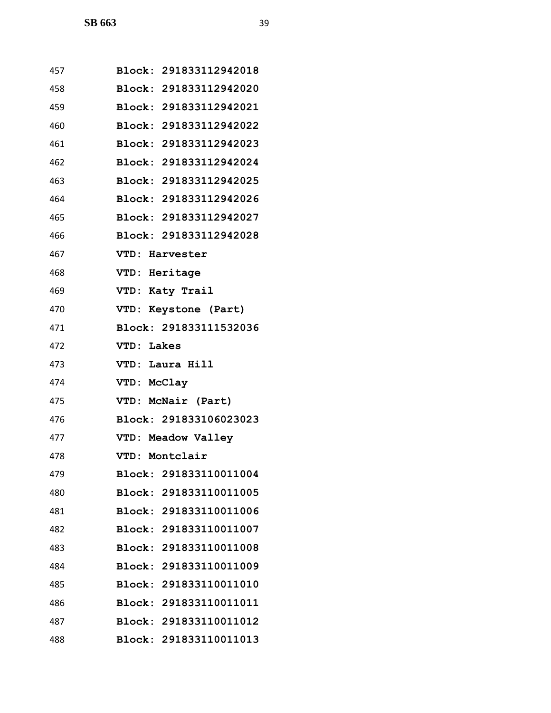| 457 | Block: 291833112942018 |
|-----|------------------------|
| 458 | Block: 291833112942020 |
| 459 | Block: 291833112942021 |
| 460 | Block: 291833112942022 |
| 461 | Block: 291833112942023 |
| 462 | Block: 291833112942024 |
| 463 | Block: 291833112942025 |
| 464 | Block: 291833112942026 |
| 465 | Block: 291833112942027 |
| 466 | Block: 291833112942028 |
| 467 | VTD: Harvester         |
| 468 | VTD: Heritage          |
| 469 | VTD: Katy Trail        |
| 470 | VTD: Keystone (Part)   |
| 471 | Block: 291833111532036 |
| 472 | VTD: Lakes             |
| 473 | VTD: Laura Hill        |
| 474 | VTD: McClay            |
| 475 | VTD: McNair (Part)     |
| 476 | Block: 291833106023023 |
| 477 | VTD: Meadow Valley     |
| 478 | VTD: Montclair         |
| 479 | Block: 291833110011004 |
| 480 | Block: 291833110011005 |
| 481 | Block: 291833110011006 |
| 482 | Block: 291833110011007 |
| 483 | Block: 291833110011008 |
| 484 | Block: 291833110011009 |
| 485 | Block: 291833110011010 |
| 486 | Block: 291833110011011 |
| 487 | Block: 291833110011012 |
| 488 | Block: 291833110011013 |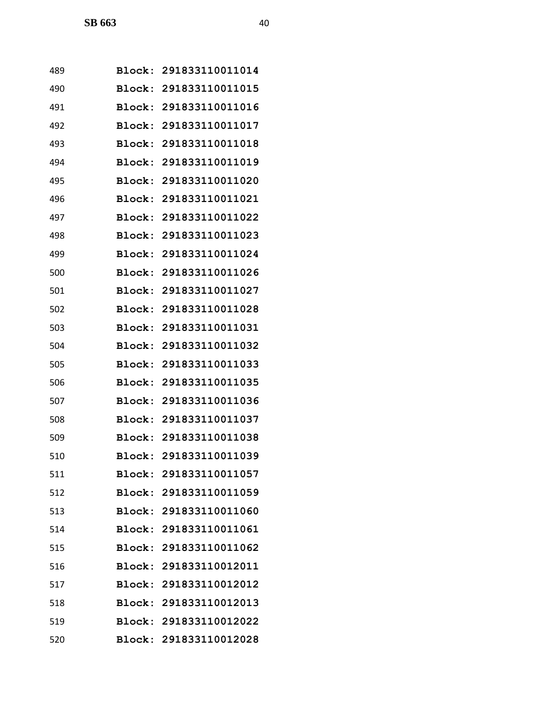| 489 |        | Block: 291833110011014 |
|-----|--------|------------------------|
| 490 |        | Block: 291833110011015 |
| 491 | Block: | 291833110011016        |
| 492 |        | Block: 291833110011017 |
| 493 | Block: | 291833110011018        |
| 494 | Block: | 291833110011019        |
| 495 | Block: | 291833110011020        |
| 496 | Block: | 291833110011021        |
| 497 |        | Block: 291833110011022 |
| 498 | Block: | 291833110011023        |
| 499 |        | Block: 291833110011024 |
| 500 | Block: | 291833110011026        |
| 501 | Block: | 291833110011027        |
| 502 |        | Block: 291833110011028 |
| 503 | Block: | 291833110011031        |
| 504 | Block: | 291833110011032        |
| 505 | Block: | 291833110011033        |
| 506 | Block: | 291833110011035        |
| 507 |        | Block: 291833110011036 |
| 508 | Block: | 291833110011037        |
| 509 |        | Block: 291833110011038 |
| 510 |        | Block: 291833110011039 |
| 511 |        | Block: 291833110011057 |
| 512 |        | Block: 291833110011059 |
| 513 |        | Block: 291833110011060 |
| 514 |        | Block: 291833110011061 |
| 515 |        | Block: 291833110011062 |
| 516 |        | Block: 291833110012011 |
| 517 |        | Block: 291833110012012 |
| 518 |        | Block: 291833110012013 |
| 519 |        | Block: 291833110012022 |
| 520 |        | Block: 291833110012028 |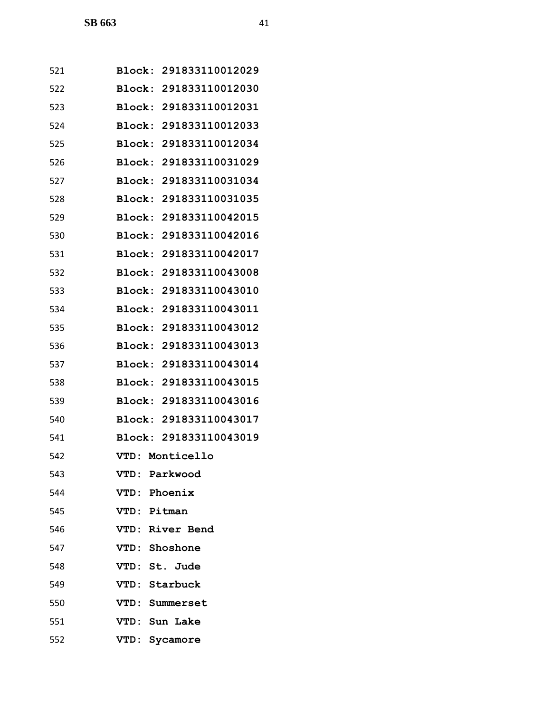| 521 | Block: 291833110012029 |
|-----|------------------------|
| 522 | Block: 291833110012030 |
| 523 | Block: 291833110012031 |
| 524 | Block: 291833110012033 |
| 525 | Block: 291833110012034 |
| 526 | Block: 291833110031029 |
| 527 | Block: 291833110031034 |
| 528 | Block: 291833110031035 |
| 529 | Block: 291833110042015 |
| 530 | Block: 291833110042016 |
| 531 | Block: 291833110042017 |
| 532 | Block: 291833110043008 |
| 533 | Block: 291833110043010 |
| 534 | Block: 291833110043011 |
| 535 | Block: 291833110043012 |
| 536 | Block: 291833110043013 |
| 537 | Block: 291833110043014 |
| 538 | Block: 291833110043015 |
| 539 | Block: 291833110043016 |
| 540 | Block: 291833110043017 |
| 541 | Block: 291833110043019 |
| 542 | VTD: Monticello        |
| 543 | VTD: Parkwood          |
| 544 | VTD: Phoenix           |
| 545 | VTD: Pitman            |
| 546 | VTD: River Bend        |
| 547 | VTD: Shoshone          |
| 548 | VTD: St. Jude          |
| 549 | VTD: Starbuck          |
| 550 | VTD: Summerset         |
| 551 | VTD: Sun Lake          |
| 552 | VTD: Sycamore          |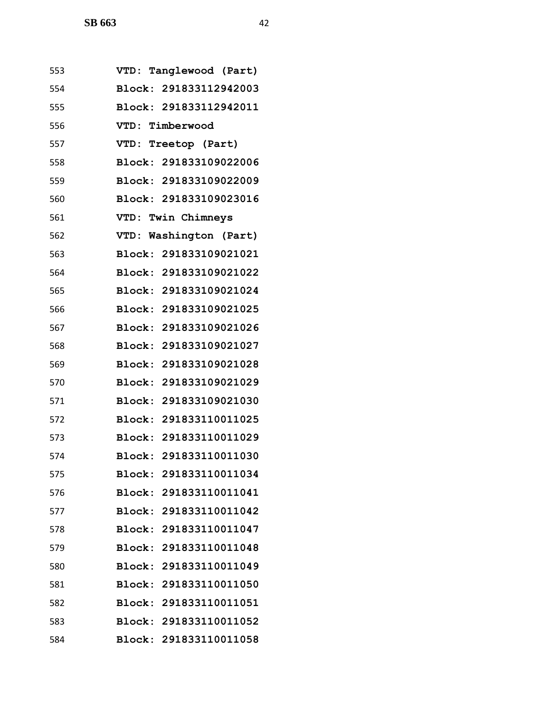| 553 | VTD: Tanglewood (Part)           |
|-----|----------------------------------|
| 554 | Block: 291833112942003           |
| 555 | Block: 291833112942011           |
| 556 | VTD: Timberwood                  |
| 557 | VTD: Treetop (Part)              |
| 558 | Block: 291833109022006           |
| 559 | Block: 291833109022009           |
| 560 | Block: 291833109023016           |
| 561 | VTD: Twin Chimneys               |
| 562 | VTD: Washington (Part)           |
| 563 | Block: 291833109021021           |
| 564 | Block: 291833109021022           |
| 565 | Block: 291833109021024           |
| 566 | Block: 291833109021025           |
| 567 | Block: 291833109021026           |
| 568 | Block: 291833109021027           |
| 569 | Block: 291833109021028           |
| 570 | Block: 291833109021029           |
| 571 | Block: 291833109021030           |
| 572 | Block: 291833110011025           |
| 573 | Block: 291833110011029           |
| 574 | Block: 291833110011030           |
| 575 | <b>Block:</b><br>291833110011034 |
| 576 | Block: 291833110011041           |
| 577 | Block: 291833110011042           |
| 578 | Block: 291833110011047           |
| 579 | Block: 291833110011048           |
| 580 | Block: 291833110011049           |
| 581 | Block: 291833110011050           |
| 582 | Block: 291833110011051           |
| 583 | Block: 291833110011052           |
| 584 | Block: 291833110011058           |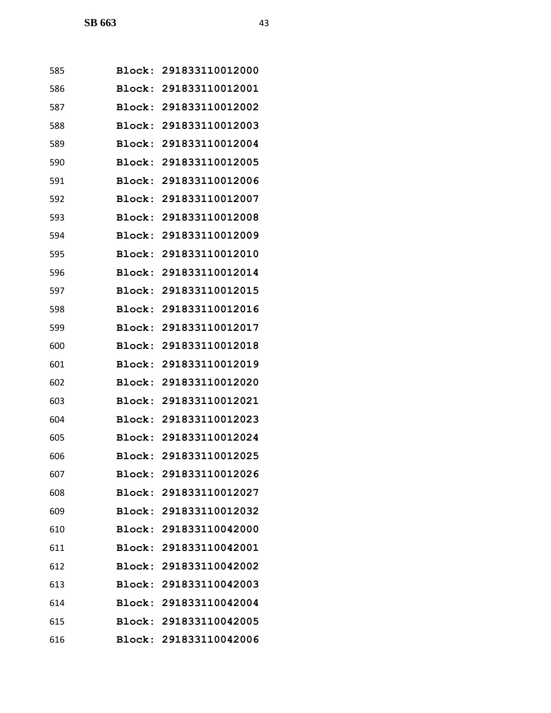| 585 |               | Block: 291833110012000 |
|-----|---------------|------------------------|
| 586 |               | Block: 291833110012001 |
| 587 |               | Block: 291833110012002 |
| 588 |               | Block: 291833110012003 |
| 589 | Block:        | 291833110012004        |
| 590 |               | Block: 291833110012005 |
| 591 | Block:        | 291833110012006        |
| 592 | Block:        | 291833110012007        |
| 593 |               | Block: 291833110012008 |
| 594 | <b>Block:</b> | 291833110012009        |
| 595 |               | Block: 291833110012010 |
| 596 | Block:        | 291833110012014        |
| 597 | Block:        | 291833110012015        |
| 598 |               | Block: 291833110012016 |
| 599 | Block:        | 291833110012017        |
| 600 | Block:        | 291833110012018        |
| 601 | Block:        | 291833110012019        |
| 602 | Block:        | 291833110012020        |
| 603 |               | Block: 291833110012021 |
| 604 | Block:        | 291833110012023        |
| 605 |               | Block: 291833110012024 |
| 606 |               | Block: 291833110012025 |
| 607 |               | Block: 291833110012026 |
| 608 |               | Block: 291833110012027 |
| 609 |               | Block: 291833110012032 |
| 610 |               | Block: 291833110042000 |
| 611 |               | Block: 291833110042001 |
| 612 |               | Block: 291833110042002 |
| 613 |               | Block: 291833110042003 |
| 614 |               | Block: 291833110042004 |
| 615 |               | Block: 291833110042005 |
| 616 |               | Block: 291833110042006 |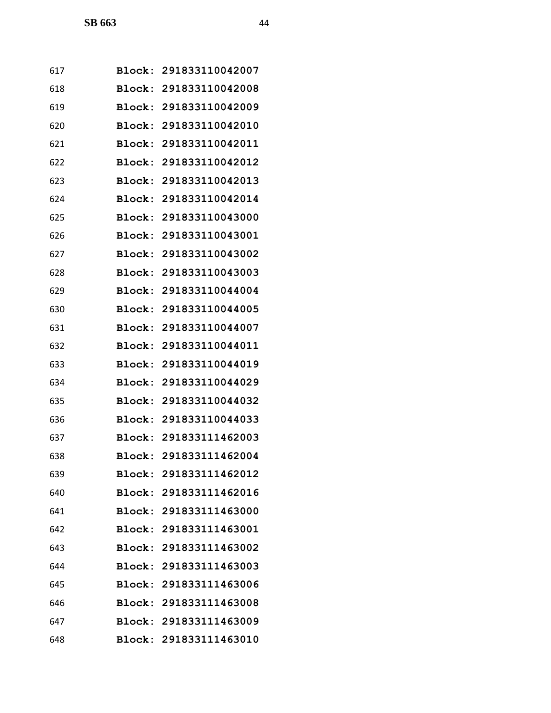| 617 |        | Block: 291833110042007 |
|-----|--------|------------------------|
| 618 |        | Block: 291833110042008 |
| 619 |        | Block: 291833110042009 |
| 620 |        | Block: 291833110042010 |
| 621 |        | Block: 291833110042011 |
| 622 |        | Block: 291833110042012 |
| 623 |        | Block: 291833110042013 |
| 624 |        | Block: 291833110042014 |
| 625 |        | Block: 291833110043000 |
| 626 | Block: | 291833110043001        |
| 627 |        | Block: 291833110043002 |
| 628 |        | Block: 291833110043003 |
| 629 |        | Block: 291833110044004 |
| 630 |        | Block: 291833110044005 |
| 631 |        | Block: 291833110044007 |
| 632 |        | Block: 291833110044011 |
| 633 |        | Block: 291833110044019 |
| 634 | Block: | 291833110044029        |
| 635 |        | Block: 291833110044032 |
| 636 | Block: | 291833110044033        |
| 637 |        | Block: 291833111462003 |
| 638 |        | Block: 291833111462004 |
| 639 |        | Block: 291833111462012 |
| 640 |        | Block: 291833111462016 |
| 641 |        | Block: 291833111463000 |
| 642 |        | Block: 291833111463001 |
| 643 |        | Block: 291833111463002 |
| 644 |        | Block: 291833111463003 |
| 645 |        | Block: 291833111463006 |
| 646 |        | Block: 291833111463008 |
| 647 |        | Block: 291833111463009 |
| 648 |        | Block: 291833111463010 |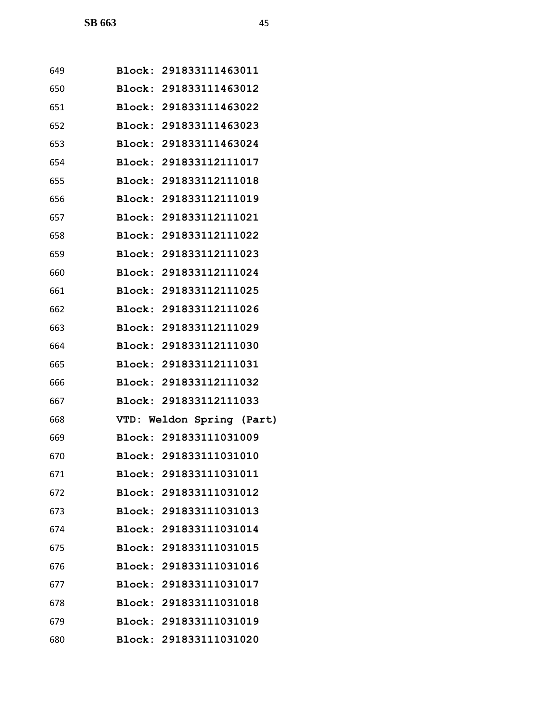| 649 | Block: 291833111463011    |
|-----|---------------------------|
| 650 | Block: 291833111463012    |
| 651 | Block: 291833111463022    |
| 652 | Block: 291833111463023    |
| 653 | Block: 291833111463024    |
| 654 | Block: 291833112111017    |
| 655 | Block: 291833112111018    |
| 656 | Block: 291833112111019    |
| 657 | Block: 291833112111021    |
| 658 | Block: 291833112111022    |
| 659 | Block: 291833112111023    |
| 660 | Block: 291833112111024    |
| 661 | Block: 291833112111025    |
| 662 | Block: 291833112111026    |
| 663 | Block: 291833112111029    |
| 664 | Block: 291833112111030    |
| 665 | Block: 291833112111031    |
| 666 | Block: 291833112111032    |
| 667 | Block: 291833112111033    |
| 668 | VTD: Weldon Spring (Part) |
| 669 | Block: 291833111031009    |
| 670 | Block: 291833111031010    |
| 671 | Block: 291833111031011    |
| 672 | Block: 291833111031012    |
| 673 | Block: 291833111031013    |
| 674 | Block: 291833111031014    |
| 675 | Block: 291833111031015    |
| 676 | Block: 291833111031016    |
| 677 | Block: 291833111031017    |
| 678 | Block: 291833111031018    |
| 679 | Block: 291833111031019    |
| 680 | Block: 291833111031020    |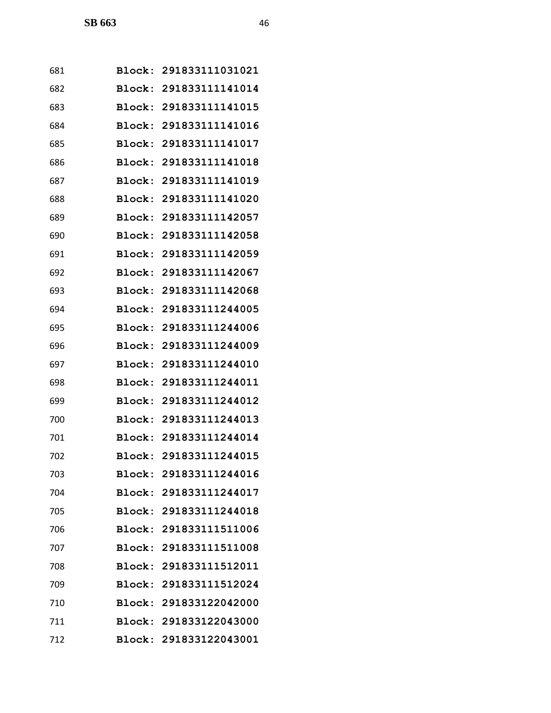| 681 |        | Block: 291833111031021 |
|-----|--------|------------------------|
| 682 |        | Block: 291833111141014 |
| 683 |        | Block: 291833111141015 |
| 684 |        | Block: 291833111141016 |
| 685 | Block: | 291833111141017        |
| 686 | Block: | 291833111141018        |
| 687 | Block: | 291833111141019        |
| 688 | Block: | 291833111141020        |
| 689 |        | Block: 291833111142057 |
| 690 | Block: | 291833111142058        |
| 691 |        | Block: 291833111142059 |
| 692 |        | Block: 291833111142067 |
| 693 | Block: | 291833111142068        |
| 694 |        | Block: 291833111244005 |
| 695 | Block: | 291833111244006        |
| 696 |        | Block: 291833111244009 |
| 697 | Block: | 291833111244010        |
| 698 | Block: | 291833111244011        |
| 699 |        | Block: 291833111244012 |
| 700 | Block: | 291833111244013        |
| 701 |        | Block: 291833111244014 |
| 702 |        | Block: 291833111244015 |
| 703 |        | Block: 291833111244016 |
| 704 |        | Block: 291833111244017 |
| 705 |        | Block: 291833111244018 |
| 706 |        | Block: 291833111511006 |
| 707 |        | Block: 291833111511008 |
| 708 |        | Block: 291833111512011 |
| 709 |        | Block: 291833111512024 |
| 710 |        | Block: 291833122042000 |
| 711 |        | Block: 291833122043000 |
| 712 |        | Block: 291833122043001 |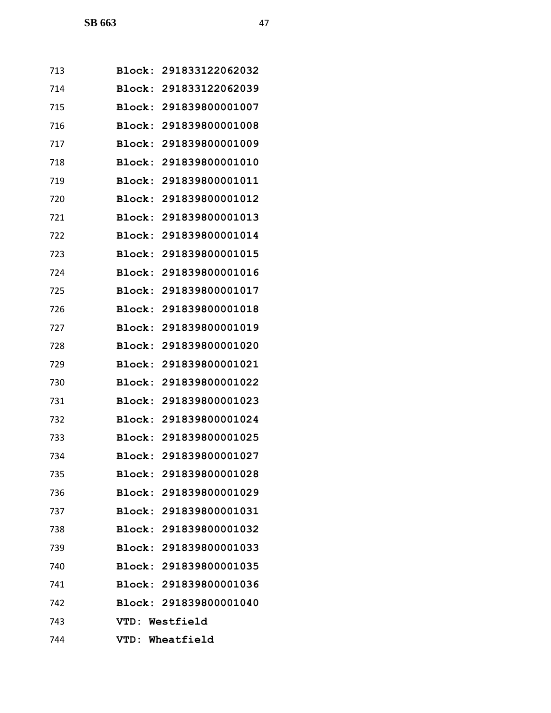| 713 |               | Block: 291833122062032 |
|-----|---------------|------------------------|
| 714 |               | Block: 291833122062039 |
| 715 | Block:        | 291839800001007        |
| 716 |               | Block: 291839800001008 |
| 717 |               | Block: 291839800001009 |
| 718 | Block:        | 291839800001010        |
| 719 |               | Block: 291839800001011 |
| 720 |               | Block: 291839800001012 |
| 721 |               | Block: 291839800001013 |
| 722 | <b>Block:</b> | 291839800001014        |
| 723 |               | Block: 291839800001015 |
| 724 |               | Block: 291839800001016 |
| 725 | Block:        | 291839800001017        |
| 726 |               | Block: 291839800001018 |
| 727 |               | Block: 291839800001019 |
| 728 |               | Block: 291839800001020 |
| 729 | <b>Block:</b> | 291839800001021        |
| 730 | Block:        | 291839800001022        |
| 731 |               | Block: 291839800001023 |
| 732 | Block:        | 291839800001024        |
| 733 |               | Block: 291839800001025 |
| 734 |               | Block: 291839800001027 |
| 735 |               | Block: 291839800001028 |
| 736 |               | Block: 291839800001029 |
| 737 |               | Block: 291839800001031 |
| 738 |               | Block: 291839800001032 |
| 739 |               | Block: 291839800001033 |
| 740 |               | Block: 291839800001035 |
| 741 |               | Block: 291839800001036 |
| 742 |               | Block: 291839800001040 |
| 743 |               | VTD: Westfield         |
| 744 |               | VTD: Wheatfield        |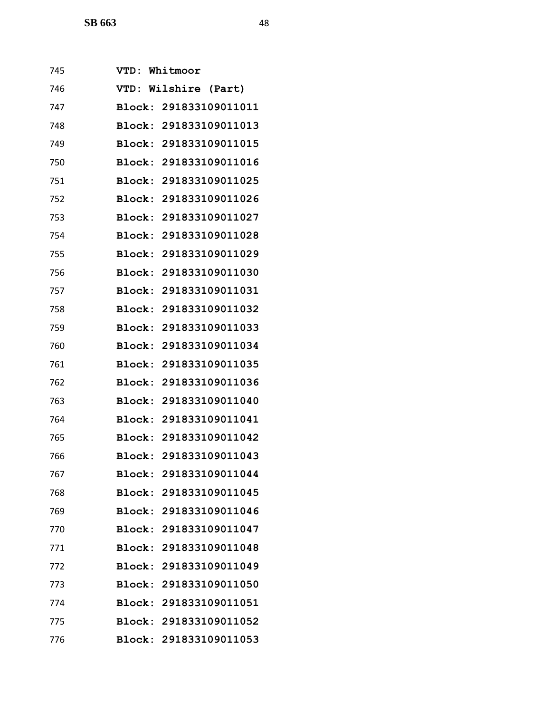| 745 | <b>VTD :</b>  | Whitmoor               |
|-----|---------------|------------------------|
| 746 |               | VTD: Wilshire (Part)   |
| 747 |               | Block: 291833109011011 |
| 748 |               | Block: 291833109011013 |
| 749 |               | Block: 291833109011015 |
| 750 |               | Block: 291833109011016 |
| 751 |               | Block: 291833109011025 |
| 752 |               | Block: 291833109011026 |
| 753 | Block:        | 291833109011027        |
| 754 |               | Block: 291833109011028 |
| 755 |               | Block: 291833109011029 |
| 756 |               | Block: 291833109011030 |
| 757 |               | Block: 291833109011031 |
| 758 |               | Block: 291833109011032 |
| 759 |               | Block: 291833109011033 |
| 760 |               | Block: 291833109011034 |
| 761 |               | Block: 291833109011035 |
| 762 | Block:        | 291833109011036        |
| 763 | Block:        | 291833109011040        |
| 764 |               | Block: 291833109011041 |
| 765 |               | Block: 291833109011042 |
| 766 |               | Block: 291833109011043 |
| 767 |               | Block: 291833109011044 |
| 768 |               | Block: 291833109011045 |
| 769 |               | Block: 291833109011046 |
| 770 |               | Block: 291833109011047 |
| 771 | <b>Block:</b> | 291833109011048        |
| 772 |               | Block: 291833109011049 |
| 773 |               | Block: 291833109011050 |
| 774 |               | Block: 291833109011051 |
| 775 |               | Block: 291833109011052 |
| 776 |               | Block: 291833109011053 |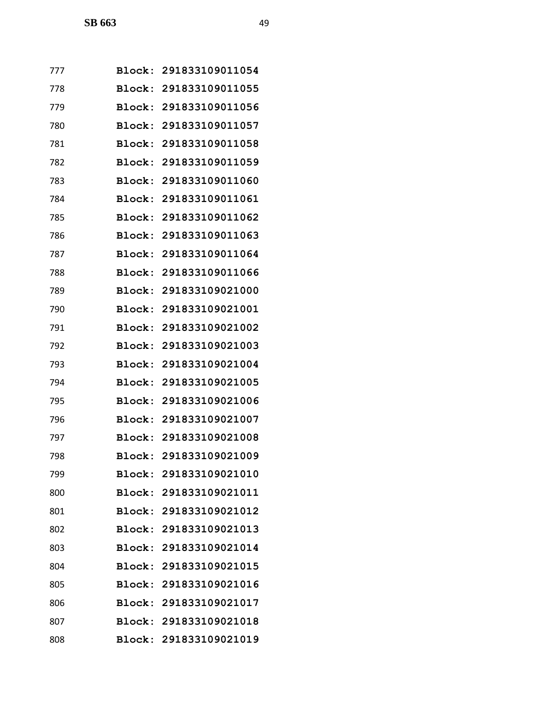| 777 |               | Block: 291833109011054 |
|-----|---------------|------------------------|
| 778 |               | Block: 291833109011055 |
| 779 |               | Block: 291833109011056 |
| 780 |               | Block: 291833109011057 |
| 781 | Block:        | 291833109011058        |
| 782 |               | Block: 291833109011059 |
| 783 | Block:        | 291833109011060        |
| 784 |               | Block: 291833109011061 |
| 785 |               | Block: 291833109011062 |
| 786 | <b>Block:</b> | 291833109011063        |
| 787 |               | Block: 291833109011064 |
| 788 | Block:        | 291833109011066        |
| 789 | Block:        | 291833109021000        |
| 790 |               | Block: 291833109021001 |
| 791 | Block:        | 291833109021002        |
| 792 | Block:        | 291833109021003        |
| 793 | Block:        | 291833109021004        |
| 794 | Block:        | 291833109021005        |
| 795 |               | Block: 291833109021006 |
| 796 | Block:        | 291833109021007        |
| 797 |               | Block: 291833109021008 |
| 798 |               | Block: 291833109021009 |
| 799 |               | Block: 291833109021010 |
| 800 |               | Block: 291833109021011 |
| 801 |               | Block: 291833109021012 |
| 802 |               | Block: 291833109021013 |
| 803 |               | Block: 291833109021014 |
| 804 |               | Block: 291833109021015 |
| 805 |               | Block: 291833109021016 |
| 806 |               | Block: 291833109021017 |
| 807 |               | Block: 291833109021018 |
| 808 |               | Block: 291833109021019 |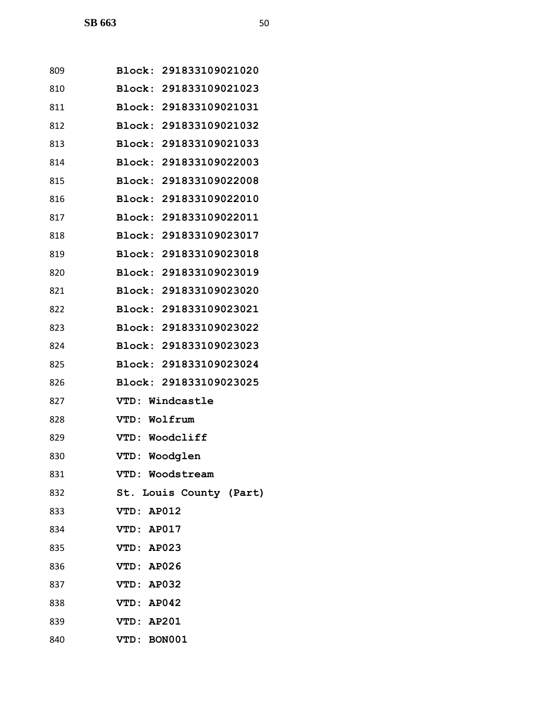| 809 | Block: 291833109021020  |
|-----|-------------------------|
| 810 | Block: 291833109021023  |
| 811 | Block: 291833109021031  |
| 812 | Block: 291833109021032  |
| 813 | Block: 291833109021033  |
| 814 | Block: 291833109022003  |
| 815 | Block: 291833109022008  |
| 816 | Block: 291833109022010  |
| 817 | Block: 291833109022011  |
| 818 | Block: 291833109023017  |
| 819 | Block: 291833109023018  |
| 820 | Block: 291833109023019  |
| 821 | Block: 291833109023020  |
| 822 | Block: 291833109023021  |
| 823 | Block: 291833109023022  |
| 824 | Block: 291833109023023  |
| 825 | Block: 291833109023024  |
| 826 | Block: 291833109023025  |
| 827 | VTD: Windcastle         |
| 828 | VTD: Wolfrum            |
| 829 | VTD: Woodcliff          |
| 830 | VTD: Woodglen           |
| 831 | VTD: Woodstream         |
| 832 | St. Louis County (Part) |
| 833 | VTD: AP012              |
| 834 | VTD: AP017              |
| 835 | VTD: AP023              |
| 836 | VTD: AP026              |
| 837 | VTD: AP032              |
| 838 | VTD: AP042              |
| 839 | VTD: AP201              |
| 840 | VTD: BON001             |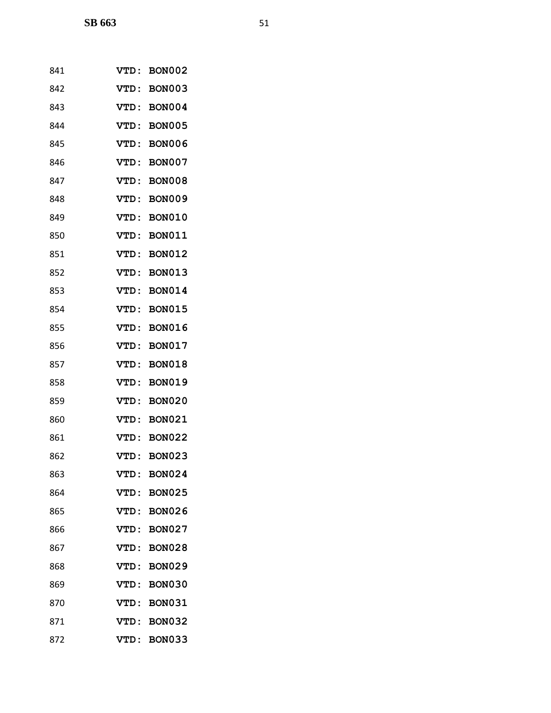| 841 | <b>BON002</b><br><b>VTD:</b>  |  |
|-----|-------------------------------|--|
| 842 | <b>BON003</b><br><b>VTD:</b>  |  |
| 843 | <b>BON004</b><br><b>VTD:</b>  |  |
| 844 | <b>BON005</b><br><b>VTD :</b> |  |
| 845 | <b>BON006</b><br><b>VTD:</b>  |  |
| 846 | VTD:<br><b>BON007</b>         |  |
| 847 | <b>BON008</b><br>VTD :        |  |
| 848 | VTD:<br><b>BON009</b>         |  |
| 849 | VTD:<br><b>BON010</b>         |  |
| 850 | VTD:<br><b>BON011</b>         |  |
| 851 | <b>BON012</b><br>VTD:         |  |
| 852 | <b>BON013</b><br><b>VTD :</b> |  |
| 853 | VTD:<br><b>BON014</b>         |  |
| 854 | VTD:<br><b>BON015</b>         |  |
| 855 | <b>BON016</b><br><b>VTD :</b> |  |
| 856 | <b>BON017</b><br><b>VTD:</b>  |  |
| 857 | <b>BON018</b><br><b>VTD :</b> |  |
| 858 | <b>BON019</b><br>VTD:         |  |
| 859 | <b>BON020</b><br><b>VTD :</b> |  |
| 860 | VTD:<br><b>BON021</b>         |  |
| 861 | <b>BON022</b><br><b>VTD :</b> |  |
| 862 | <b>BON023</b><br>VTD:         |  |
| 863 | <b>BON024</b><br><b>VTD:</b>  |  |
| 864 | <b>BON025</b><br><b>VTD:</b>  |  |
| 865 | <b>BON026</b><br><b>VTD :</b> |  |
| 866 | VTD:<br><b>BON027</b>         |  |
| 867 | <b>BON028</b><br>VTD :        |  |
| 868 | <b>BON029</b><br>VTD :        |  |
| 869 | <b>BON030</b><br>VTD:         |  |
| 870 | VTD:<br><b>BON031</b>         |  |
| 871 | VTD :<br><b>BON032</b>        |  |
| 872 | <b>BON033</b><br>VTD:         |  |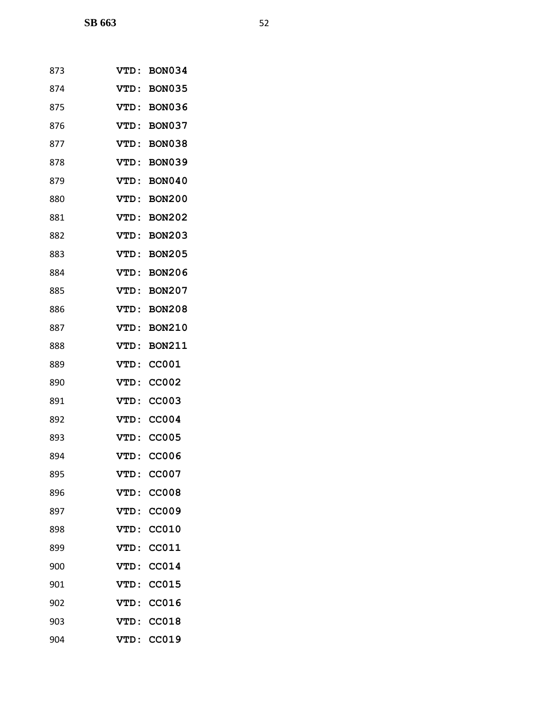| 873 | <b>VTD :</b> | <b>BON034</b> |
|-----|--------------|---------------|
| 874 | <b>VTD:</b>  | <b>BON035</b> |
| 875 | <b>VTD :</b> | <b>BON036</b> |
| 876 | <b>VTD:</b>  | <b>BON037</b> |
| 877 | VTD :        | <b>BON038</b> |
| 878 | <b>VTD:</b>  | <b>BON039</b> |
| 879 | VTD:         | <b>BON040</b> |
| 880 | <b>VTD:</b>  | <b>BON200</b> |
| 881 | <b>VTD:</b>  | <b>BON202</b> |
| 882 | <b>VTD :</b> | <b>BON203</b> |
| 883 | VTD:         | <b>BON205</b> |
| 884 | <b>VTD:</b>  | <b>BON206</b> |
| 885 | <b>VTD:</b>  | <b>BON207</b> |
| 886 | VTD:         | <b>BON208</b> |
| 887 | <b>VTD:</b>  | <b>BON210</b> |
| 888 | <b>VTD:</b>  | <b>BON211</b> |
| 889 | VTD:         | <b>CC001</b>  |
| 890 | <b>VTD:</b>  | <b>CC002</b>  |
| 891 | <b>VTD:</b>  | <b>CC003</b>  |
| 892 | <b>VTD:</b>  | <b>CC004</b>  |
| 893 | <b>VTD:</b>  | <b>CC005</b>  |
| 894 | <b>VTD:</b>  | <b>CC006</b>  |
| 895 | <b>VTD :</b> | <b>CC007</b>  |
| 896 | <b>VTD:</b>  | <b>CC008</b>  |
| 897 | VTD:         | <b>CC009</b>  |
| 898 | VTD:         | CC010         |
| 899 | VTD:         | CC011         |
| 900 | VTD:         | <b>CC014</b>  |
| 901 | VTD:         | CC015         |
| 902 | VTD:         | CC016         |
| 903 | <b>VTD:</b>  | CC018         |
| 904 | VTD:         | CC019         |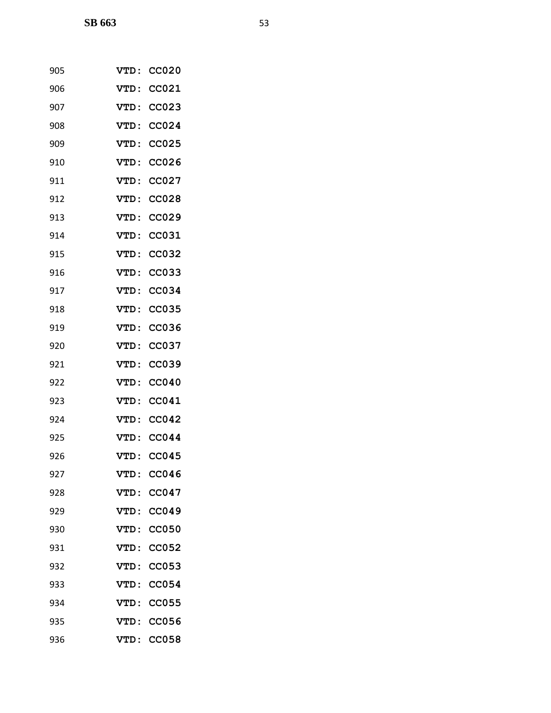| 905 | <b>VTD:</b> | <b>CC020</b> |
|-----|-------------|--------------|
| 906 | VTD:        | CC021        |
| 907 | <b>VTD:</b> | <b>CC023</b> |
| 908 | <b>VTD:</b> | <b>CC024</b> |
| 909 | <b>VTD:</b> | <b>CC025</b> |
| 910 | VTD:        | CC026        |
| 911 | VTD:        | <b>CC027</b> |
| 912 | <b>VTD:</b> | <b>CC028</b> |
| 913 | <b>VTD:</b> | <b>CC029</b> |
| 914 | VTD:        | CC031        |
| 915 | VTD:        | <b>CC032</b> |
| 916 | <b>VTD:</b> | <b>CC033</b> |
| 917 | <b>VTD:</b> | CC034        |
| 918 | <b>VTD:</b> | <b>CC035</b> |
| 919 | <b>VTD:</b> | <b>CC036</b> |
| 920 | VTD:        | CC037        |
| 921 | VTD:        | <b>CC039</b> |
| 922 | <b>VTD:</b> | CC040        |
| 923 | <b>VTD:</b> | CC041        |
| 924 | VTD:        | <b>CC042</b> |
| 925 | VTD:        | CC044        |
| 926 | <b>VTD:</b> | <b>CC045</b> |
| 927 | <b>VTD:</b> | CC046        |
| 928 | VTD:        | CC047        |
| 929 | VTD:        | CC049        |
| 930 | VTD:        | <b>CC050</b> |
| 931 | <b>VTD:</b> | <b>CC052</b> |
| 932 | VTD:        | CC053        |
| 933 | VTD:        | <b>CC054</b> |
| 934 | <b>VTD:</b> | <b>CC055</b> |
| 935 | VTD:        | <b>CC056</b> |
| 936 | <b>VTD:</b> | CC058        |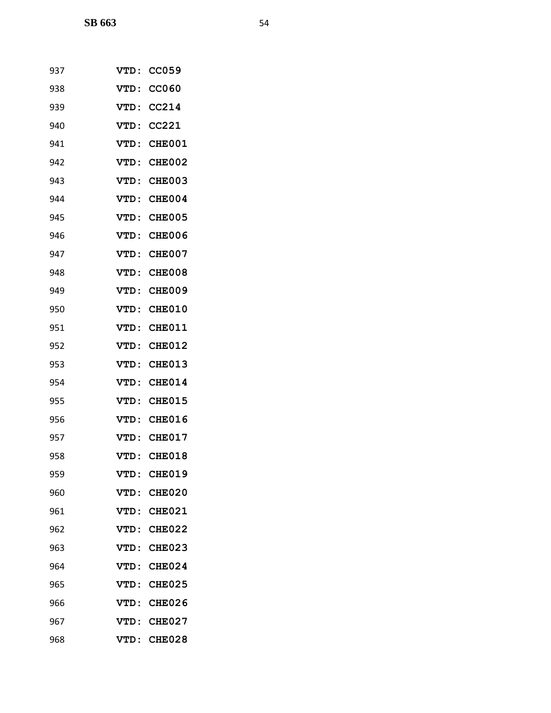| 937 | <b>VTD :</b> | <b>CC059</b>  |
|-----|--------------|---------------|
| 938 | <b>VTD:</b>  | <b>CC060</b>  |
| 939 | <b>VTD:</b>  | CC214         |
| 940 | <b>VTD:</b>  | CC221         |
| 941 | <b>VTD:</b>  | <b>CHE001</b> |
| 942 | <b>VTD:</b>  | <b>CHE002</b> |
| 943 | VTD:         | CHE003        |
| 944 | <b>VTD:</b>  | <b>CHE004</b> |
| 945 | <b>VTD:</b>  | <b>CHE005</b> |
| 946 | <b>VTD:</b>  | <b>CHE006</b> |
| 947 | VTD:         | CHE007        |
| 948 | <b>VTD:</b>  | <b>CHE008</b> |
| 949 | <b>VTD:</b>  | <b>CHE009</b> |
| 950 | <b>VTD:</b>  | CHE010        |
| 951 | <b>VTD:</b>  | <b>CHE011</b> |
| 952 | <b>VTD:</b>  | <b>CHE012</b> |
| 953 | VTD:         | <b>CHE013</b> |
| 954 | <b>VTD:</b>  | <b>CHE014</b> |
| 955 | <b>VTD:</b>  | <b>CHE015</b> |
| 956 | <b>VTD:</b>  | <b>CHE016</b> |
| 957 | <b>VTD:</b>  | CHE017        |
| 958 | <b>VTD:</b>  | <b>CHE018</b> |
| 959 | VTD :        | <b>CHE019</b> |
| 960 | VTD:         | <b>CHE020</b> |
| 961 | VTD:         | <b>CHE021</b> |
| 962 | VTD:         | <b>CHE022</b> |
| 963 | VTD:         | <b>CHE023</b> |
| 964 | VTD:         | <b>CHE024</b> |
| 965 | <b>VTD:</b>  | <b>CHE025</b> |
| 966 | <b>VTD:</b>  | <b>CHE026</b> |
| 967 | VTD:         | <b>CHE027</b> |
| 968 | VTD:         | <b>CHE028</b> |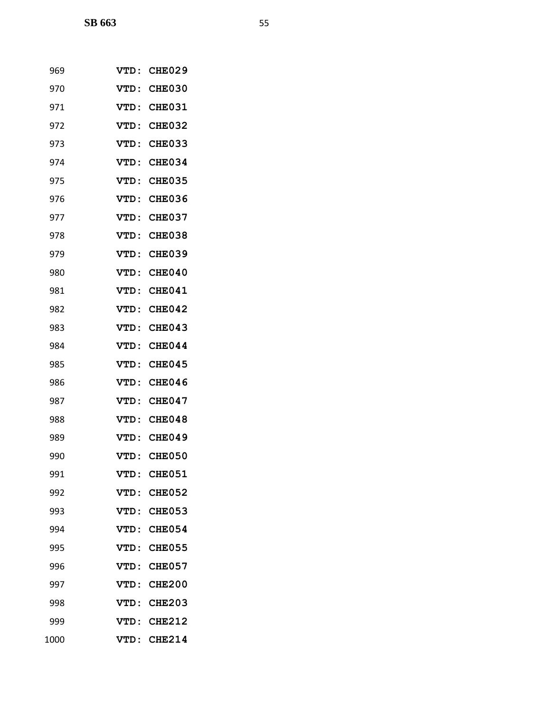| 969  | <b>VTD:</b>  | CHE029        |
|------|--------------|---------------|
| 970  | <b>VTD :</b> | CHE030        |
| 971  | <b>VTD :</b> | <b>CHE031</b> |
| 972  | <b>VTD:</b>  | <b>CHE032</b> |
| 973  | VTD:         | CHE033        |
| 974  | VTD:         | <b>CHE034</b> |
| 975  | <b>VTD :</b> | <b>CHE035</b> |
| 976  | VTD:         | <b>CHE036</b> |
| 977  | <b>VTD :</b> | <b>CHE037</b> |
| 978  | VTD:         | CHE038        |
| 979  | VTD:         | CHE039        |
| 980  | <b>VTD :</b> | CHE040        |
| 981  | VTD:         | CHE041        |
| 982  | VTD:         | CHE042        |
| 983  | <b>VTD:</b>  | CHE043        |
| 984  | VTD:         | <b>CHE044</b> |
| 985  | <b>VTD :</b> | CHE045        |
| 986  | VTD:         | CHE046        |
| 987  | <b>VTD :</b> | CHE047        |
| 988  | VTD:         | CHE048        |
| 989  | <b>VTD :</b> | CHE049        |
| 990  | VTD :        | <b>CHE050</b> |
| 991  | <b>VTD:</b>  | <b>CHE051</b> |
| 992  | VTD :        | <b>CHE052</b> |
| 993  | VTD:         | CHE053        |
| 994  | VTD:         | <b>CHE054</b> |
| 995  | VTD:         | <b>CHE055</b> |
| 996  | VTD:         | <b>CHE057</b> |
| 997  | VTD:         | <b>CHE200</b> |
| 998  | VTD :        | <b>CHE203</b> |
| 999  | VTD:         | <b>CHE212</b> |
| 1000 | VTD :        | <b>CHE214</b> |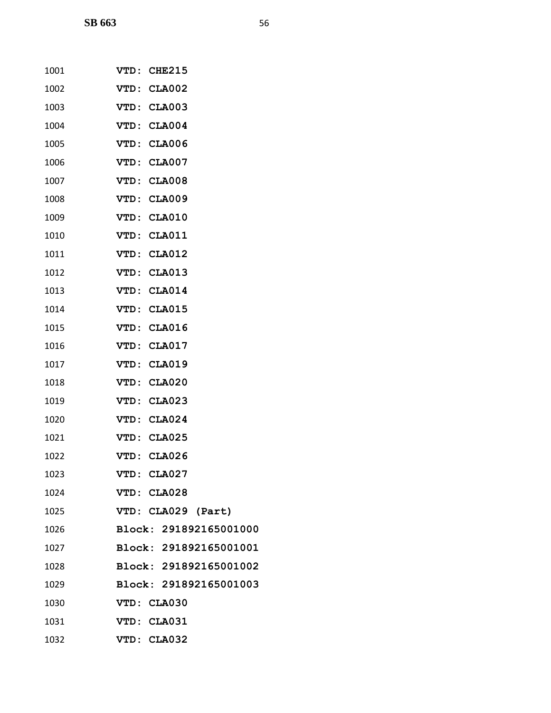| 1001 | VTD: CHE215            |
|------|------------------------|
| 1002 | VTD: CLA002            |
| 1003 | VTD: CLA003            |
| 1004 | VTD: CLA004            |
| 1005 | VTD: CLA006            |
| 1006 | VTD: CLA007            |
| 1007 | VTD: CLA008            |
| 1008 | VTD: CLA009            |
| 1009 | VTD: CLA010            |
| 1010 | VTD: CLA011            |
| 1011 | VTD: CLA012            |
| 1012 | VTD: CLA013            |
| 1013 | VTD: CLA014            |
| 1014 | VTD: CLA015            |
| 1015 | VTD: CLA016            |
| 1016 | VTD: CLA017            |
| 1017 | VTD: CLA019            |
| 1018 | VTD: CLA020            |
| 1019 | VTD: CLA023            |
| 1020 | VTD: CLA024            |
| 1021 | VTD: CLA025            |
| 1022 | VTD: CLA026            |
| 1023 | VTD: CLA027            |
| 1024 | VTD: CLA028            |
| 1025 | VTD: CLA029 (Part)     |
| 1026 | Block: 291892165001000 |
| 1027 | Block: 291892165001001 |
| 1028 | Block: 291892165001002 |
| 1029 | Block: 291892165001003 |
| 1030 | VTD: CLA030            |
| 1031 | VTD: CLA031            |
| 1032 | VTD: CLA032            |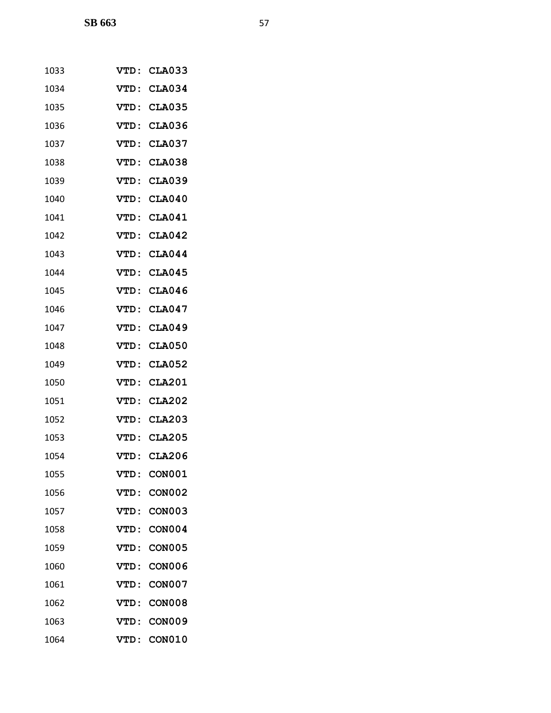| 1033 | <b>VTD :</b> | <b>CLA033</b> |
|------|--------------|---------------|
| 1034 | <b>VTD:</b>  | <b>CLA034</b> |
| 1035 | VTD:         | <b>CLA035</b> |
| 1036 | VTD:         | <b>CLA036</b> |
| 1037 | VTD:         | <b>CLA037</b> |
| 1038 | <b>VTD :</b> | <b>CLA038</b> |
| 1039 | VTD:         | <b>CLA039</b> |
| 1040 | <b>VTD :</b> | <b>CLA040</b> |
| 1041 | VTD:         | <b>CLA041</b> |
| 1042 | VTD:         | <b>CLA042</b> |
| 1043 | VTD:         | <b>CLA044</b> |
| 1044 | VTD:         | <b>CLA045</b> |
| 1045 | VTD:         | <b>CLA046</b> |
| 1046 | VTD:         | <b>CLA047</b> |
| 1047 | VTD:         | <b>CLA049</b> |
| 1048 | VTD:         | <b>CLA050</b> |
| 1049 | VTD:         | <b>CLA052</b> |
| 1050 | VTD:         | <b>CLA201</b> |
| 1051 | VTD:         | <b>CLA202</b> |
| 1052 | VTD:         | <b>CLA203</b> |
| 1053 | VTD:         | <b>CLA205</b> |
| 1054 | VTD:         | <b>CLA206</b> |
| 1055 | <b>VTD:</b>  | <b>CON001</b> |
| 1056 | <b>VTD:</b>  | <b>CON002</b> |
| 1057 | VTD:         | <b>CON003</b> |
| 1058 | VTD:         | <b>CON004</b> |
| 1059 | VTD:         | <b>CON005</b> |
| 1060 | VTD :        | <b>CON006</b> |
| 1061 | <b>VTD:</b>  | <b>CON007</b> |
| 1062 | <b>VTD:</b>  | <b>CON008</b> |
| 1063 | VTD :        | <b>CON009</b> |
| 1064 | VTD:         | <b>CON010</b> |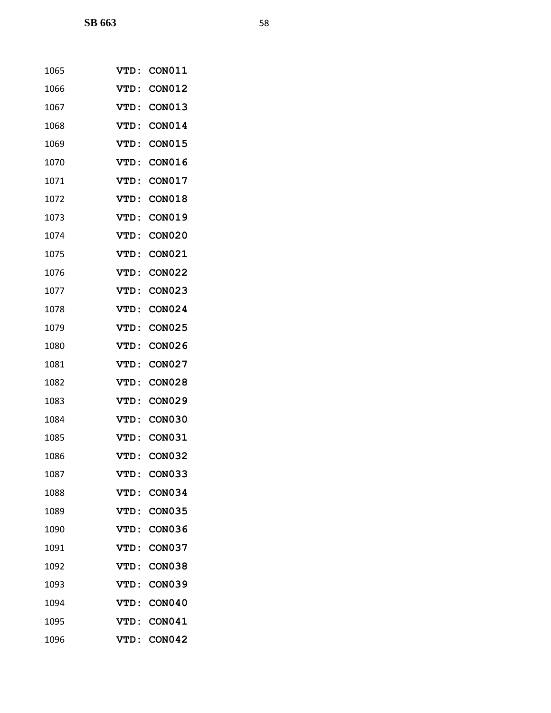| 1065 | VTD:         | <b>CON011</b> |
|------|--------------|---------------|
| 1066 | <b>VTD:</b>  | <b>CON012</b> |
| 1067 | VTD:         | <b>CON013</b> |
| 1068 | VTD:         | <b>CON014</b> |
| 1069 | <b>VTD :</b> | <b>CON015</b> |
| 1070 | VTD:         | <b>CON016</b> |
| 1071 | VTD:         | <b>CON017</b> |
| 1072 | VTD:         | <b>CON018</b> |
| 1073 | <b>VTD :</b> | <b>CON019</b> |
| 1074 | <b>VTD:</b>  | <b>CON020</b> |
| 1075 | VTD:         | <b>CON021</b> |
| 1076 | <b>VTD :</b> | <b>CON022</b> |
| 1077 | VTD:         | <b>CON023</b> |
| 1078 | VTD:         | <b>CON024</b> |
| 1079 | <b>VTD :</b> | <b>CON025</b> |
| 1080 | VTD:         | <b>CON026</b> |
| 1081 | VTD:         | <b>CON027</b> |
| 1082 | VTD:         | <b>CON028</b> |
| 1083 | VTD:         | <b>CON029</b> |
| 1084 | <b>VTD :</b> | <b>CON030</b> |
| 1085 | VTD:         | <b>CON031</b> |
| 1086 | VTD:         | <b>CON032</b> |
| 1087 | VTD :        | <b>CON033</b> |
| 1088 | VTD :        | <b>CON034</b> |
| 1089 | VTD:         | <b>CON035</b> |
| 1090 | <b>VTD:</b>  | <b>CON036</b> |
| 1091 | VTD:         | <b>CON037</b> |
| 1092 | VTD:         | <b>CON038</b> |
| 1093 | VTD:         | <b>CON039</b> |
| 1094 | <b>VTD:</b>  | <b>CON040</b> |
| 1095 | VTD:         | <b>CON041</b> |
| 1096 | VTD:         | <b>CON042</b> |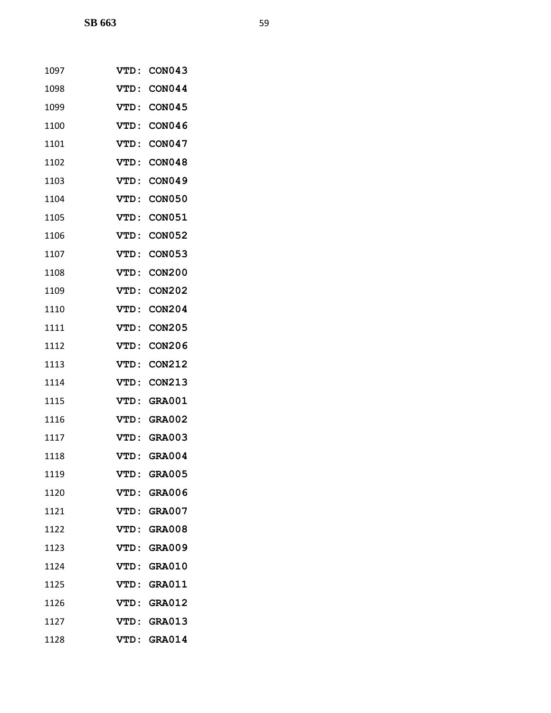| 1097 | <b>VTD :</b> | <b>CON043</b> |
|------|--------------|---------------|
| 1098 | <b>VTD:</b>  | <b>CON044</b> |
| 1099 | <b>VTD :</b> | <b>CON045</b> |
| 1100 | <b>VTD:</b>  | <b>CON046</b> |
| 1101 | <b>VTD :</b> | <b>CON047</b> |
| 1102 | VTD:         | <b>CON048</b> |
| 1103 | VTD:         | <b>CON049</b> |
| 1104 | <b>VTD:</b>  | <b>CON050</b> |
| 1105 | <b>VTD:</b>  | <b>CON051</b> |
| 1106 | <b>VTD:</b>  | <b>CON052</b> |
| 1107 | VTD:         | <b>CON053</b> |
| 1108 | VTD:         | <b>CON200</b> |
| 1109 | <b>VTD:</b>  | <b>CON202</b> |
| 1110 | <b>VTD:</b>  | <b>CON204</b> |
| 1111 | <b>VTD:</b>  | <b>CON205</b> |
| 1112 | <b>VTD:</b>  | <b>CON206</b> |
| 1113 | <b>VTD:</b>  | <b>CON212</b> |
| 1114 | <b>VTD:</b>  | <b>CON213</b> |
| 1115 | VTD:         | <b>GRA001</b> |
| 1116 | <b>VTD:</b>  | <b>GRA002</b> |
| 1117 | <b>VTD :</b> | <b>GRA003</b> |
| 1118 | <b>VTD:</b>  | <b>GRA004</b> |
| 1119 | <b>VTD :</b> | <b>GRA005</b> |
| 1120 | VTD :        | <b>GRA006</b> |
| 1121 |              | VTD: GRA007   |
| 1122 |              | VTD: GRA008   |
| 1123 | <b>VTD:</b>  | <b>GRA009</b> |
| 1124 | VTD:         | <b>GRA010</b> |
| 1125 |              | VTD: GRA011   |
| 1126 | <b>VTD:</b>  | <b>GRA012</b> |
| 1127 | VTD:         | <b>GRA013</b> |
| 1128 | VTD:         | <b>GRA014</b> |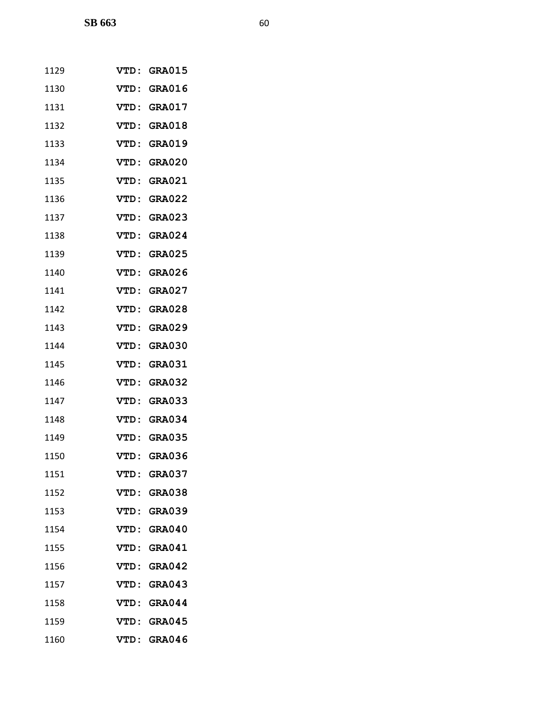| 1129 | <b>VTD :</b> | <b>GRA015</b> |
|------|--------------|---------------|
| 1130 | VTD:         | <b>GRA016</b> |
| 1131 | VTD:         | <b>GRA017</b> |
| 1132 | VTD:         | <b>GRA018</b> |
| 1133 | VTD:         | <b>GRA019</b> |
| 1134 | VTD:         | <b>GRA020</b> |
| 1135 | VTD:         | <b>GRA021</b> |
| 1136 | VTD:         | <b>GRA022</b> |
| 1137 | VTD:         | <b>GRA023</b> |
| 1138 | VTD:         | <b>GRA024</b> |
| 1139 | VTD:         | <b>GRA025</b> |
| 1140 | VTD:         | <b>GRA026</b> |
| 1141 | VTD:         | <b>GRA027</b> |
| 1142 | VTD:         | <b>GRA028</b> |
| 1143 | VTD:         | <b>GRA029</b> |
| 1144 | VTD:         | <b>GRA030</b> |
| 1145 | VTD:         | <b>GRA031</b> |
| 1146 | VTD:         | <b>GRA032</b> |
| 1147 | VTD:         | <b>GRA033</b> |
| 1148 | VTD:         | <b>GRA034</b> |
| 1149 | VTD:         | <b>GRA035</b> |
| 1150 | VTD:         | <b>GRA036</b> |
| 1151 | <b>VTD:</b>  | <b>GRA037</b> |
| 1152 | VTD:         | <b>GRA038</b> |
| 1153 |              | VTD: GRA039   |
| 1154 |              | VTD: GRA040   |
| 1155 |              | VTD: GRA041   |
| 1156 | <b>VTD:</b>  | <b>GRA042</b> |
| 1157 |              | VTD: GRA043   |
| 1158 | <b>VTD:</b>  | <b>GRA044</b> |
| 1159 | <b>VTD:</b>  | <b>GRA045</b> |
| 1160 |              | VTD: GRA046   |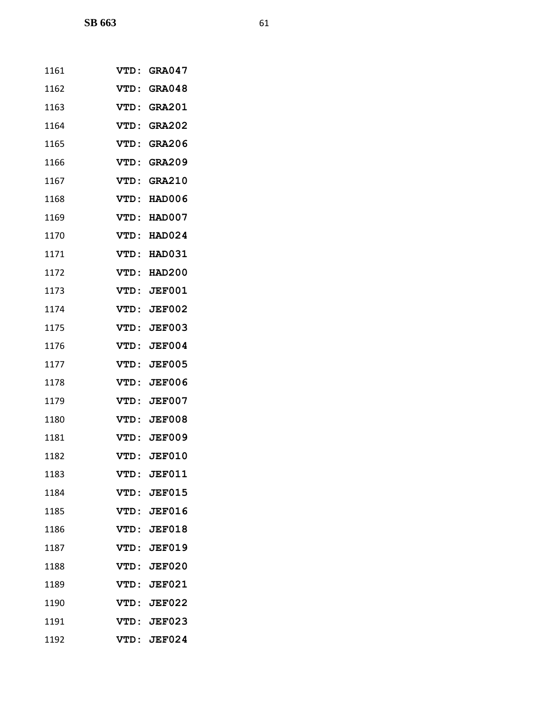| 1161 | <b>VTD :</b> | <b>GRA047</b> |
|------|--------------|---------------|
| 1162 | VTD:         | <b>GRA048</b> |
| 1163 | VTD:         | <b>GRA201</b> |
| 1164 | VTD:         | <b>GRA202</b> |
| 1165 | VTD:         | <b>GRA206</b> |
| 1166 | VTD:         | <b>GRA209</b> |
| 1167 | VTD:         | <b>GRA210</b> |
| 1168 | VTD:         | HAD006        |
| 1169 | <b>VTD:</b>  | HAD007        |
| 1170 | VTD:         | <b>HAD024</b> |
| 1171 | VTD:         | <b>HAD031</b> |
| 1172 | <b>VTD:</b>  | <b>HAD200</b> |
| 1173 | VTD:         | <b>JEF001</b> |
| 1174 | <b>VTD:</b>  | <b>JEF002</b> |
| 1175 | VTD:         | <b>JEF003</b> |
| 1176 | VTD:         | <b>JEF004</b> |
| 1177 | VTD:         | <b>JEF005</b> |
| 1178 | VTD:         | <b>JEF006</b> |
| 1179 | VTD:         | <b>JEF007</b> |
| 1180 |              | VTD: JEF008   |
| 1181 |              | VTD: JEF009   |
| 1182 |              | VTD: JEF010   |
| 1183 | <b>VTD:</b>  | <b>JEF011</b> |
| 1184 |              | VTD: JEF015   |
| 1185 |              | VTD: JEF016   |
| 1186 |              | VTD: JEF018   |
| 1187 | <b>VTD:</b>  | <b>JEF019</b> |
| 1188 | VTD:         | <b>JEF020</b> |
| 1189 |              | VTD: JEF021   |
| 1190 |              | VTD: JEF022   |
| 1191 |              | VTD: JEF023   |
| 1192 | VTD:         | <b>JEF024</b> |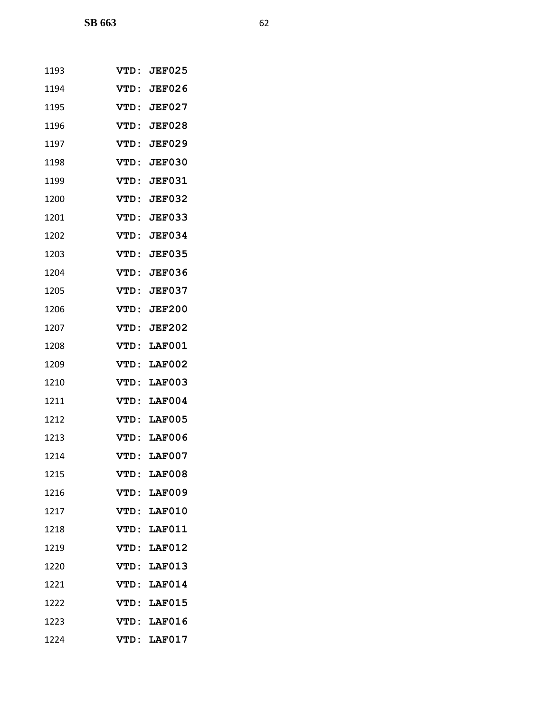| 1193 | <b>VTD :</b> | <b>JEF025</b> |
|------|--------------|---------------|
| 1194 | VTD:         | <b>JEF026</b> |
| 1195 | VTD:         | <b>JEF027</b> |
| 1196 | VTD:         | <b>JEF028</b> |
| 1197 | <b>VTD :</b> | <b>JEF029</b> |
| 1198 | VTD:         | <b>JEF030</b> |
| 1199 | VTD:         | <b>JEF031</b> |
| 1200 | VTD:         | <b>JEF032</b> |
| 1201 | VTD:         | <b>JEF033</b> |
| 1202 | VTD:         | <b>JEF034</b> |
| 1203 | VTD:         | <b>JEF035</b> |
| 1204 | VTD:         | <b>JEF036</b> |
| 1205 | VTD:         | <b>JEF037</b> |
| 1206 | VTD:         | <b>JEF200</b> |
| 1207 | <b>VTD:</b>  | <b>JEF202</b> |
| 1208 | VTD:         | <b>LAF001</b> |
| 1209 | VTD:         | <b>LAF002</b> |
| 1210 | VTD:         | <b>LAF003</b> |
| 1211 | <b>VTD:</b>  | <b>LAF004</b> |
| 1212 | VTD:         | LAF005        |
| 1213 | VTD:         | <b>LAF006</b> |
| 1214 | VTD:         | <b>LAF007</b> |
| 1215 | VTD:         | <b>LAF008</b> |
| 1216 | VTD:         | <b>LAF009</b> |
| 1217 |              | VTD: LAF010   |
| 1218 |              | VTD: LAF011   |
| 1219 | VTD:         | <b>LAF012</b> |
| 1220 | VTD :        | <b>LAF013</b> |
| 1221 |              | VTD: LAF014   |
| 1222 |              | VTD: LAF015   |
| 1223 | <b>VTD:</b>  | <b>LAF016</b> |
| 1224 | VTD:         | <b>LAF017</b> |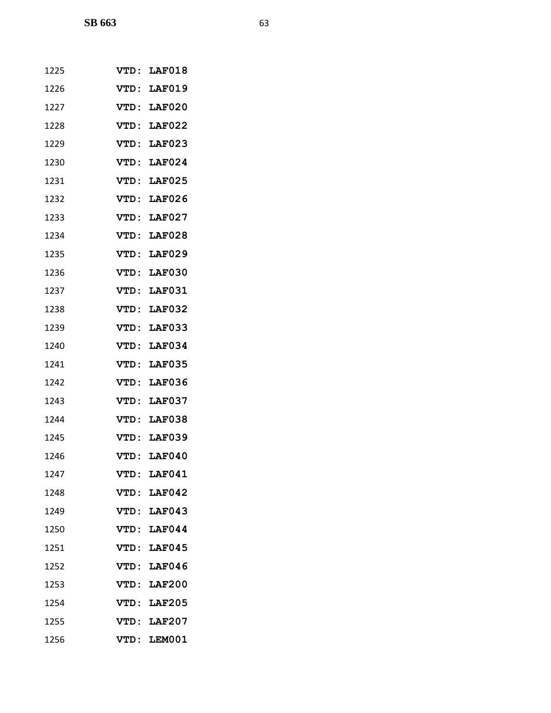| 1225 |              | VTD: LAF018        |
|------|--------------|--------------------|
| 1226 | VTD:         | <b>LAF019</b>      |
| 1227 |              | VTD: LAF020        |
| 1228 |              | VTD: LAF022        |
| 1229 | <b>VTD :</b> | <b>LAF023</b>      |
| 1230 | <b>VTD:</b>  | <b>LAF024</b>      |
| 1231 | VTD:         | <b>LAF025</b>      |
| 1232 | VTD:         | <b>LAF026</b>      |
| 1233 | VTD:         | <b>LAF027</b>      |
| 1234 | <b>VTD :</b> | <b>LAF028</b>      |
| 1235 | VTD:         | <b>LAF029</b>      |
| 1236 | VTD:         | <b>LAF030</b>      |
| 1237 | VTD:         | <b>LAF031</b>      |
| 1238 | VTD:         | <b>LAF032</b>      |
| 1239 | <b>VTD :</b> | <b>LAF033</b>      |
| 1240 | <b>VTD:</b>  | <b>LAF034</b>      |
| 1241 | VTD:         | <b>LAF035</b>      |
| 1242 | VTD:         | <b>LAF036</b>      |
| 1243 | VTD:         | <b>LAF037</b>      |
| 1244 | VTD:         | <b>LAF038</b>      |
| 1245 | VTD:         | <b>LAF039</b>      |
| 1246 |              | <b>VTD: LAF040</b> |
| 1247 |              | VTD: LAF041        |
| 1248 |              | VTD: LAF042        |
| 1249 |              | VTD: LAF043        |
| 1250 |              | VTD: LAF044        |
| 1251 |              | VTD: LAF045        |
| 1252 |              | VTD: LAF046        |
| 1253 |              | VTD: LAF200        |
| 1254 |              | VTD: LAF205        |
| 1255 |              | VTD: LAF207        |
| 1256 | VTD:         | LEM001             |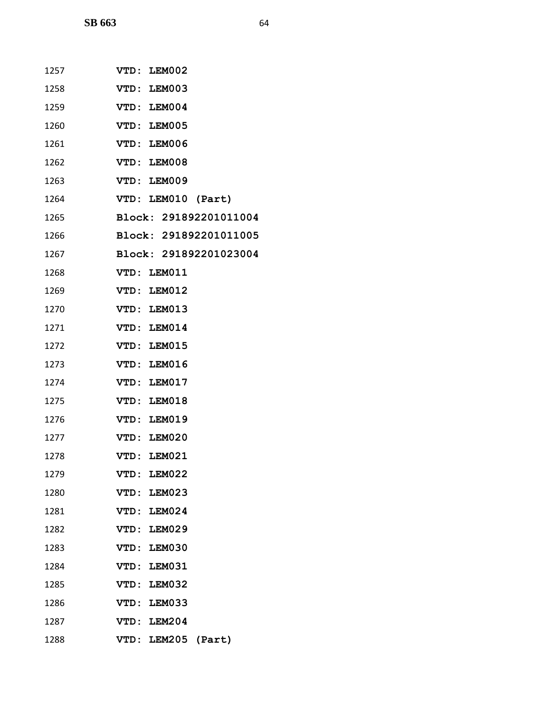| 1257 | VTD: LEM002            |
|------|------------------------|
| 1258 | VTD: LEM003            |
| 1259 | VTD: LEM004            |
| 1260 | VTD: LEM005            |
| 1261 | VTD: LEM006            |
| 1262 | VTD: LEM008            |
| 1263 | VTD: LEM009            |
| 1264 | VTD: LEM010 (Part)     |
| 1265 | Block: 291892201011004 |
| 1266 | Block: 291892201011005 |
| 1267 | Block: 291892201023004 |
| 1268 | VTD: LEM011            |
| 1269 | VTD: LEM012            |
| 1270 | VTD: LEM013            |
| 1271 | VTD: LEM014            |
| 1272 | VTD: LEM015            |
| 1273 | VTD: LEM016            |
| 1274 | VTD: LEM017            |
| 1275 | VTD: LEM018            |
| 1276 | VTD: LEM019            |
| 1277 | VTD: LEM020            |
| 1278 | VTD: LEM021            |
| 1279 | VTD: LEM022            |
| 1280 | VTD: LEM023            |
| 1281 | VTD: LEM024            |
| 1282 | VTD: LEM029            |
| 1283 | VTD: LEM030            |
| 1284 | VTD: LEM031            |
| 1285 | VTD: LEM032            |
| 1286 | VTD: LEM033            |
| 1287 | VTD: LEM204            |
| 1288 | VTD: LEM205 (Part)     |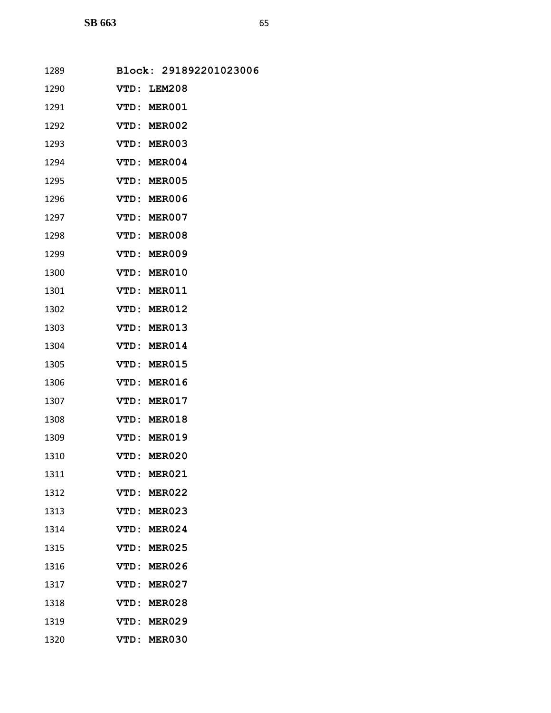| 1289 | Block: 291892201023006 |
|------|------------------------|
| 1290 | VTD: LEM208            |
| 1291 | VTD: MER001            |
| 1292 | VTD: MER002            |
| 1293 | VTD: MER003            |
| 1294 | VTD: MER004            |
| 1295 | VTD: MER005            |
| 1296 | VTD: MER006            |
| 1297 | VTD: MER007            |
| 1298 | VTD: MER008            |
| 1299 | VTD: MER009            |
| 1300 | VTD: MER010            |
| 1301 | VTD: MER011            |
| 1302 | VTD: MER012            |
| 1303 | VTD: MER013            |
| 1304 | VTD: MER014            |
| 1305 | VTD: MER015            |
| 1306 | VTD: MER016            |
| 1307 | VTD: MER017            |
| 1308 | VTD: MER018            |
| 1309 | VTD: MER019            |
| 1310 | VTD: MER020            |
| 1311 | VTD: MER021            |
| 1312 | <b>MER022</b><br>VTD:  |
| 1313 | VTD: MER023            |
| 1314 | VTD: MER024            |
| 1315 | VTD:<br><b>MER025</b>  |
| 1316 | <b>MER026</b><br>VTD:  |
| 1317 | VTD: MER027            |
| 1318 | <b>MER028</b><br>VTD:  |
| 1319 | VTD:<br><b>MER029</b>  |
| 1320 | VTD: MER030            |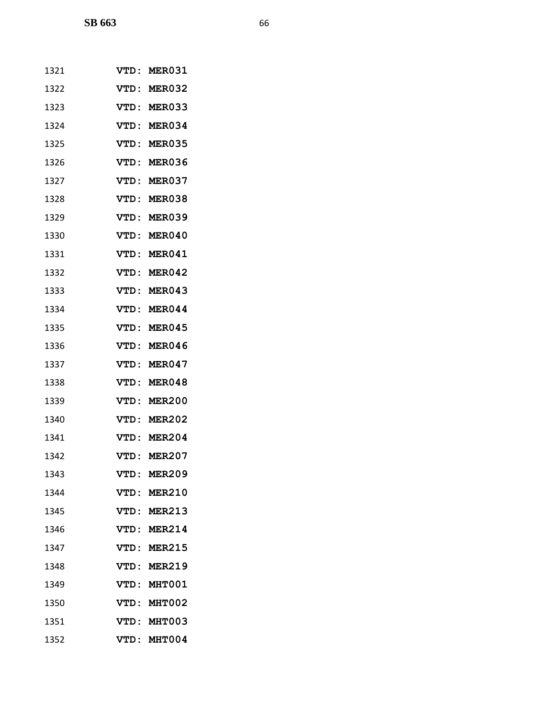| 1321 | VTD:         | <b>MER031</b> |
|------|--------------|---------------|
| 1322 | VTD:         | <b>MER032</b> |
| 1323 | VTD:         | <b>MER033</b> |
| 1324 | VTD:         | MER034        |
| 1325 | <b>VTD :</b> | <b>MER035</b> |
| 1326 | <b>VTD:</b>  | <b>MER036</b> |
| 1327 | VTD:         | MER037        |
| 1328 | VTD:         | MER038        |
| 1329 | VTD:         | <b>MER039</b> |
| 1330 | <b>VTD :</b> | MER040        |
| 1331 | VTD:         | MER041        |
| 1332 | VTD:         | MER042        |
| 1333 | VTD:         | <b>MER043</b> |
| 1334 | VTD:         | MER044        |
| 1335 | <b>VTD :</b> | MER045        |
| 1336 | <b>VTD:</b>  | MER046        |
| 1337 | VTD:         | MER047        |
| 1338 | VTD:         | MER048        |
| 1339 | VTD:         | <b>MER200</b> |
| 1340 | <b>VTD :</b> | <b>MER202</b> |
| 1341 | VTD:         | <b>MER204</b> |
| 1342 | VTD:         | <b>MER207</b> |
| 1343 | VTD:         | <b>MER209</b> |
| 1344 | VTD:         | <b>MER210</b> |
| 1345 | VTD :        | <b>MER213</b> |
| 1346 |              | VTD: MER214   |
| 1347 | VTD:         | <b>MER215</b> |
| 1348 |              | VTD: MER219   |
| 1349 |              | VTD: MHT001   |
| 1350 | VTD:         | <b>MHT002</b> |
| 1351 | VTD:         | <b>MHT003</b> |
| 1352 | VTD:         | MHT004        |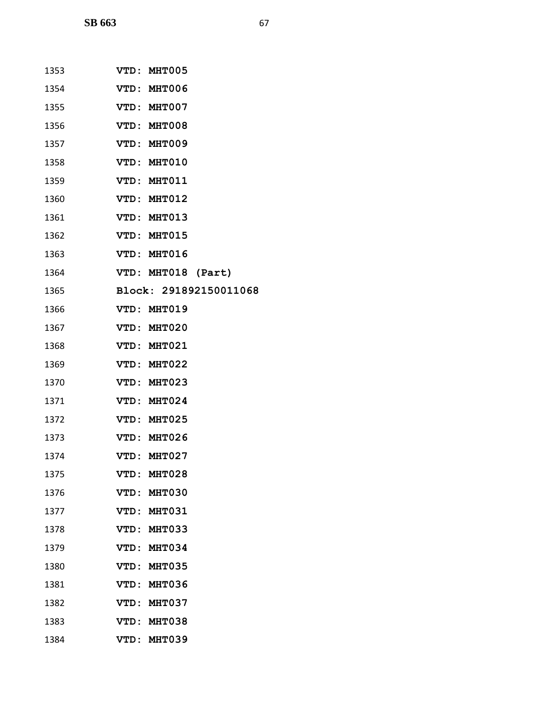| 1353 | VTD: MHT005            |
|------|------------------------|
| 1354 | VTD: MHT006            |
| 1355 | VTD: MHT007            |
| 1356 | VTD: MHT008            |
| 1357 | VTD: MHT009            |
| 1358 | VTD: MHT010            |
| 1359 | VTD: MHT011            |
| 1360 | VTD: MHT012            |
| 1361 | VTD: MHT013            |
| 1362 | VTD: MHT015            |
| 1363 | VTD: MHT016            |
| 1364 | VTD: MHT018 (Part)     |
| 1365 | Block: 291892150011068 |
| 1366 | VTD: MHT019            |
| 1367 | VTD: MHT020            |
| 1368 | VTD: MHT021            |
| 1369 | VTD: MHT022            |
| 1370 | VTD: MHT023            |
| 1371 | VTD: MHT024            |
| 1372 | VTD: MHT025            |
| 1373 | VTD: MHT026            |
| 1374 | VTD: MHT027            |
| 1375 | VTD: MHT028            |
| 1376 | VTD: MHT030            |
| 1377 | VTD: MHT031            |
| 1378 | VTD: MHT033            |
| 1379 | VTD: MHT034            |
| 1380 | VTD:<br><b>MHT035</b>  |
| 1381 | VTD:<br>MHT036         |
| 1382 | VTD: MHT037            |
| 1383 | <b>VTD:</b><br>MHT038  |
| 1384 | MHT039<br>VTD :        |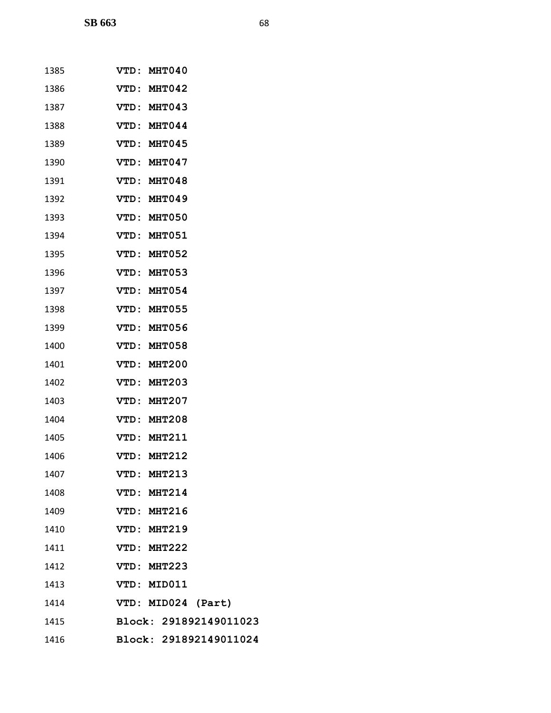| 1385 | VTD: MHT040                  |
|------|------------------------------|
| 1386 | VTD: MHT042                  |
| 1387 | VTD: MHT043                  |
| 1388 | VTD: MHT044                  |
| 1389 | VTD: MHT045                  |
| 1390 | VTD: MHT047                  |
| 1391 | VTD: MHT048                  |
| 1392 | VTD: MHT049                  |
| 1393 | VTD: MHT050                  |
| 1394 | VTD: MHT051                  |
| 1395 | VTD: MHT052                  |
| 1396 | VTD: MHT053                  |
| 1397 | VTD: MHT054                  |
| 1398 | VTD: MHT055                  |
| 1399 | VTD: MHT056                  |
| 1400 | VTD: MHT058                  |
| 1401 | VTD: MHT200                  |
| 1402 | VTD: MHT203                  |
| 1403 | <b>VTD:</b><br><b>MHT207</b> |
| 1404 | VTD: MHT208                  |
| 1405 | VTD: MHT211                  |
| 1406 | VTD: MHT212                  |
| 1407 | VTD: MHT213                  |
| 1408 | VTD: MHT214                  |
| 1409 | VTD: MHT216                  |
| 1410 | VTD: MHT219                  |
| 1411 | VTD: MHT222                  |
| 1412 | VTD: MHT223                  |
| 1413 | VTD: MID011                  |
| 1414 | VTD: MID024 (Part)           |
| 1415 | Block: 291892149011023       |
| 1416 | Block: 291892149011024       |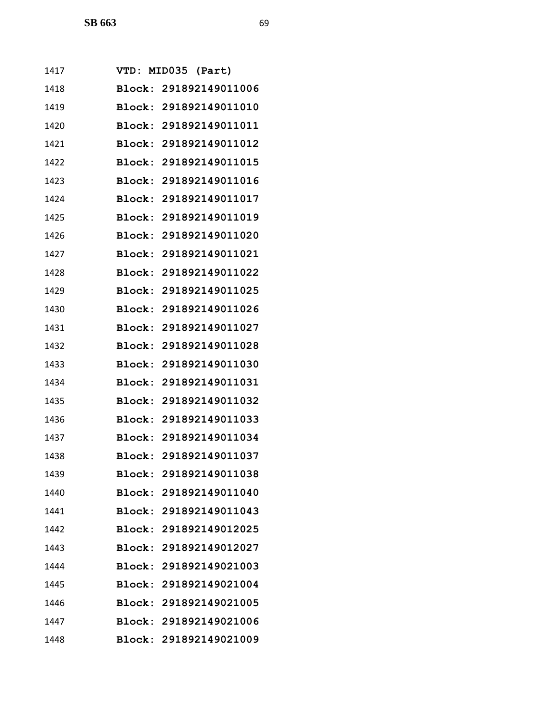| 1417 |        | VTD: MID035 (Part)     |
|------|--------|------------------------|
| 1418 |        | Block: 291892149011006 |
| 1419 |        | Block: 291892149011010 |
| 1420 |        | Block: 291892149011011 |
| 1421 |        | Block: 291892149011012 |
| 1422 | Block: | 291892149011015        |
| 1423 |        | Block: 291892149011016 |
| 1424 |        | Block: 291892149011017 |
| 1425 |        | Block: 291892149011019 |
| 1426 |        | Block: 291892149011020 |
| 1427 |        | Block: 291892149011021 |
| 1428 |        | Block: 291892149011022 |
| 1429 |        | Block: 291892149011025 |
| 1430 |        | Block: 291892149011026 |
| 1431 |        | Block: 291892149011027 |
| 1432 |        | Block: 291892149011028 |
| 1433 |        | Block: 291892149011030 |
| 1434 |        | Block: 291892149011031 |
| 1435 |        | Block: 291892149011032 |
| 1436 |        | Block: 291892149011033 |
| 1437 |        | Block: 291892149011034 |
| 1438 |        | Block: 291892149011037 |
| 1439 |        | Block: 291892149011038 |
| 1440 |        | Block: 291892149011040 |
| 1441 |        | Block: 291892149011043 |
| 1442 |        | Block: 291892149012025 |
| 1443 |        | Block: 291892149012027 |
| 1444 |        | Block: 291892149021003 |
| 1445 |        | Block: 291892149021004 |
| 1446 |        | Block: 291892149021005 |
| 1447 |        | Block: 291892149021006 |
| 1448 |        | Block: 291892149021009 |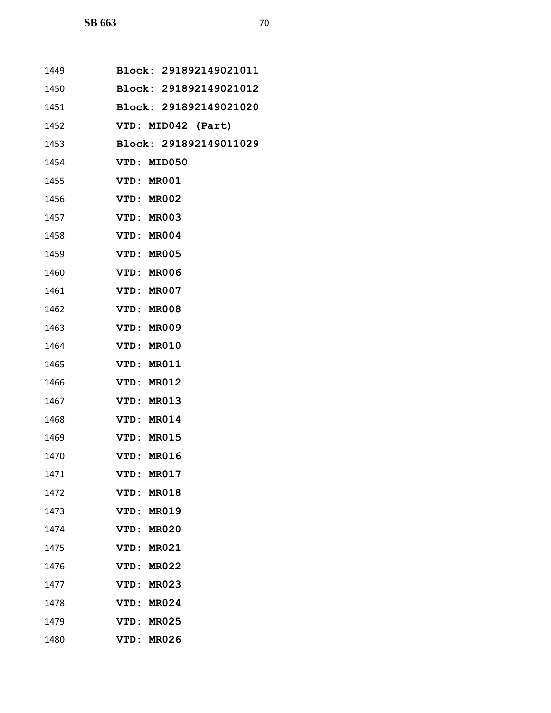| 1449 | Block: 291892149021011      |
|------|-----------------------------|
| 1450 | Block: 291892149021012      |
| 1451 | Block: 291892149021020      |
| 1452 | VTD: MID042 (Part)          |
| 1453 | Block: 291892149011029      |
| 1454 | VTD: MID050                 |
| 1455 | VTD: MR001                  |
| 1456 | VTD: MR002                  |
| 1457 | VTD: MR003                  |
| 1458 | VTD: MR004                  |
| 1459 | VTD: MR005                  |
| 1460 | VTD: MR006                  |
| 1461 | VTD: MR007                  |
| 1462 | VTD: MR008                  |
| 1463 | VTD: MR009                  |
| 1464 | VTD: MR010                  |
| 1465 | VTD: MR011                  |
| 1466 | VTD: MR012                  |
| 1467 | VTD: MR013                  |
| 1468 | VTD: MR014                  |
| 1469 | VTD: MR015                  |
| 1470 | VTD: MR016                  |
| 1471 | MR017<br>VTD :              |
| 1472 | <b>MR018</b><br>VTD:        |
| 1473 | VTD: MR019                  |
| 1474 | VTD: MR020                  |
| 1475 | <b>VTD:</b><br><b>MR021</b> |
| 1476 | VTD:<br><b>MR022</b>        |
| 1477 | VTD: MR023                  |
| 1478 | VTD: MR024                  |
| 1479 | VTD:<br><b>MR025</b>        |
| 1480 | VTD:<br><b>MR026</b>        |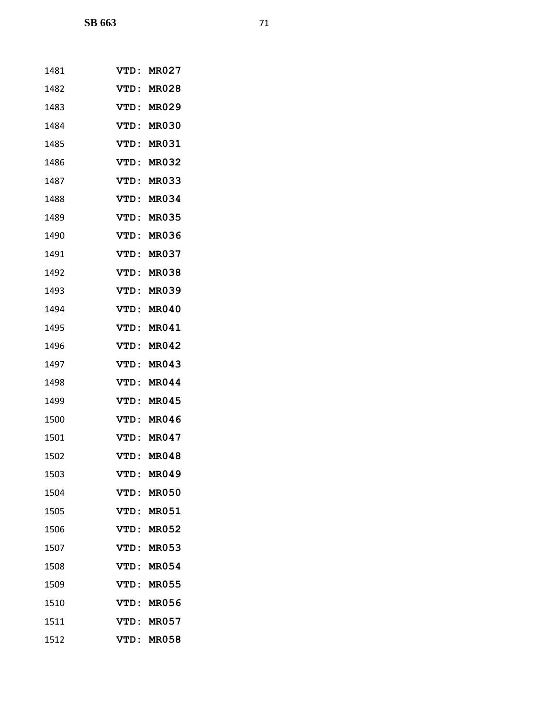| 1481 | <b>VTD :</b> | MR027        |
|------|--------------|--------------|
| 1482 | <b>VTD:</b>  | <b>MR028</b> |
| 1483 | VTD:         | <b>MR029</b> |
| 1484 | VTD:         | <b>MR030</b> |
| 1485 | <b>VTD :</b> | <b>MR031</b> |
| 1486 | <b>VTD :</b> | <b>MR032</b> |
| 1487 | VTD:         | <b>MR033</b> |
| 1488 | <b>VTD:</b>  | MR034        |
| 1489 | <b>VTD :</b> | <b>MR035</b> |
| 1490 | VTD:         | <b>MR036</b> |
| 1491 | VTD:         | <b>MR037</b> |
| 1492 | <b>VTD :</b> | <b>MR038</b> |
| 1493 | VTD:         | <b>MR039</b> |
| 1494 | VTD:         | <b>MR040</b> |
| 1495 | VTD:         | <b>MR041</b> |
| 1496 | VTD:         | MR042        |
| 1497 | VTD:         | MR043        |
| 1498 | <b>VTD:</b>  | MR044        |
| 1499 | <b>VTD:</b>  | MR045        |
| 1500 | <b>VTD :</b> | MR046        |
| 1501 | VTD:         | MR047        |
| 1502 | <b>VTD:</b>  | <b>MR048</b> |
| 1503 | <b>VTD :</b> | MR049        |
| 1504 | VTD:         | <b>MR050</b> |
| 1505 |              | VTD: MR051   |
| 1506 |              | VTD: MR052   |
| 1507 | VTD:         | <b>MR053</b> |
| 1508 | VTD:         | <b>MR054</b> |
| 1509 | VTD:         | <b>MR055</b> |
| 1510 | <b>VTD:</b>  | <b>MR056</b> |
| 1511 | VTD:         | MR057        |
| 1512 | VTD:         | MR058        |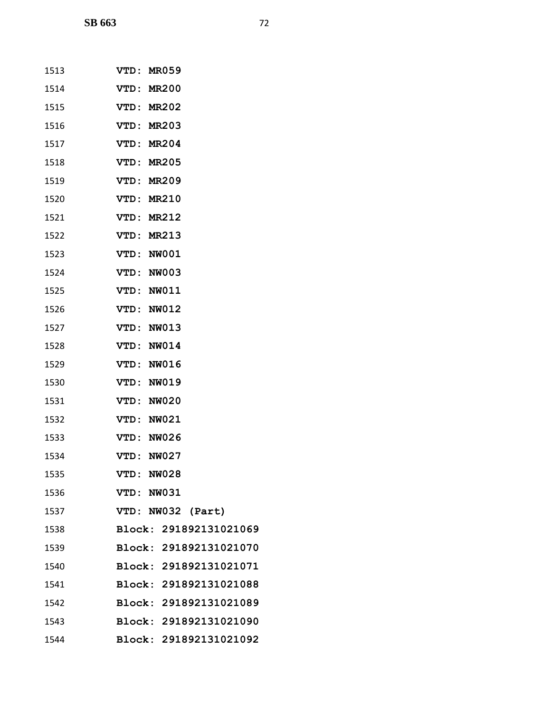| 1513 | VTD: MR059             |
|------|------------------------|
| 1514 | VTD: MR200             |
| 1515 | VTD: MR202             |
| 1516 | VTD: MR203             |
| 1517 | VTD: MR204             |
| 1518 | VTD: MR205             |
| 1519 | VTD: MR209             |
| 1520 | VTD: MR210             |
| 1521 | VTD: MR212             |
| 1522 | VTD: MR213             |
| 1523 | VTD: NW001             |
| 1524 | VTD: NW003             |
| 1525 | VTD: NW011             |
| 1526 | VTD: NW012             |
| 1527 | VTD: NW013             |
| 1528 | VTD: NW014             |
| 1529 | VTD: NW016             |
| 1530 | VTD: NW019             |
| 1531 | VTD: NW020             |
| 1532 | VTD: NW021             |
| 1533 | VTD: NW026             |
| 1534 | VTD: NW027             |
| 1535 | VTD: NW028             |
| 1536 | VTD: NW031             |
| 1537 | VTD: NW032 (Part)      |
| 1538 | Block: 291892131021069 |
| 1539 | Block: 291892131021070 |
| 1540 | Block: 291892131021071 |
| 1541 | Block: 291892131021088 |
| 1542 | Block: 291892131021089 |
| 1543 | Block: 291892131021090 |
| 1544 | Block: 291892131021092 |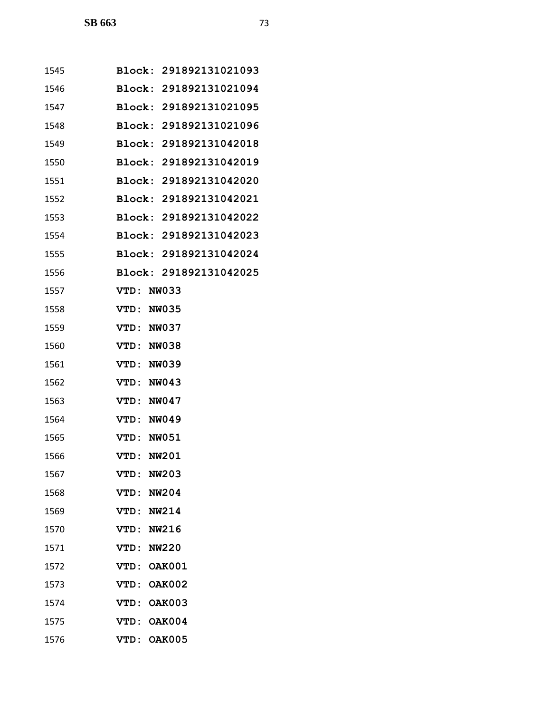| 1545 | Block: 291892131021093 |
|------|------------------------|
| 1546 | Block: 291892131021094 |
| 1547 | Block: 291892131021095 |
| 1548 | Block: 291892131021096 |
| 1549 | Block: 291892131042018 |
| 1550 | Block: 291892131042019 |
| 1551 | Block: 291892131042020 |
| 1552 | Block: 291892131042021 |
| 1553 | Block: 291892131042022 |
| 1554 | Block: 291892131042023 |
| 1555 | Block: 291892131042024 |
| 1556 | Block: 291892131042025 |
| 1557 | VTD: NW033             |
| 1558 | VTD: NW035             |
| 1559 | VTD: NW037             |
| 1560 | VTD: NW038             |
| 1561 | VTD: NW039             |
| 1562 | VTD: NW043             |
| 1563 | VTD: NW047             |
| 1564 | VTD: NW049             |
| 1565 | VTD: NW051             |
| 1566 | <b>VTD: NW201</b>      |
| 1567 | <b>NW203</b><br>VTD :  |
| 1568 | <b>NW204</b><br>VTD:   |
| 1569 | VTD: NW214             |
| 1570 | VTD: NW216             |
| 1571 | VTD: NW220             |
| 1572 | <b>OAK001</b><br>VTD:  |
| 1573 | VTD: OAK002            |
| 1574 | VTD: OAK003            |
| 1575 | VTD:<br><b>OAK004</b>  |
| 1576 | VTD: OAK005            |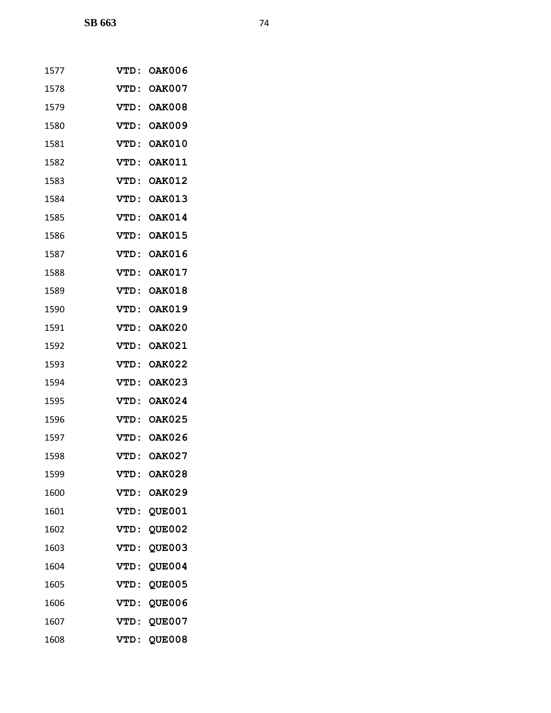| 1577 | VTD:        | <b>OAK006</b> |
|------|-------------|---------------|
| 1578 | VTD:        | <b>OAK007</b> |
| 1579 | <b>VTD:</b> | <b>OAK008</b> |
| 1580 | VTD:        | <b>OAK009</b> |
| 1581 | VTD:        | <b>OAK010</b> |
| 1582 | <b>VTD:</b> | <b>OAK011</b> |
| 1583 | VTD:        | <b>OAK012</b> |
| 1584 | VTD:        | <b>OAK013</b> |
| 1585 | VTD:        | <b>OAK014</b> |
| 1586 | VTD:        | <b>OAK015</b> |
| 1587 | VTD:        | <b>OAK016</b> |
| 1588 | VTD:        | <b>OAK017</b> |
| 1589 | VTD:        | <b>OAK018</b> |
| 1590 | VTD:        | <b>OAK019</b> |
| 1591 | VTD:        | <b>OAK020</b> |
| 1592 | VTD:        | <b>OAK021</b> |
| 1593 | VTD:        | <b>OAK022</b> |
| 1594 | VTD:        | <b>OAK023</b> |
| 1595 | <b>VTD:</b> | <b>OAK024</b> |
| 1596 | VTD:        | <b>OAK025</b> |
| 1597 | VTD:        | <b>OAK026</b> |
| 1598 | VTD:        | <b>OAK027</b> |
| 1599 | <b>VTD:</b> | <b>OAK028</b> |
| 1600 | <b>VTD:</b> | <b>OAK029</b> |
| 1601 | VTD:        | <b>QUE001</b> |
| 1602 | <b>VTD:</b> | QUE002        |
| 1603 | VTD:        | <b>QUE003</b> |
| 1604 | VTD:        | QUE004        |
| 1605 | VTD:        | <b>QUE005</b> |
| 1606 | VTD:        | <b>QUE006</b> |
| 1607 | VTD:        | <b>QUE007</b> |
| 1608 | VTD:        | <b>QUE008</b> |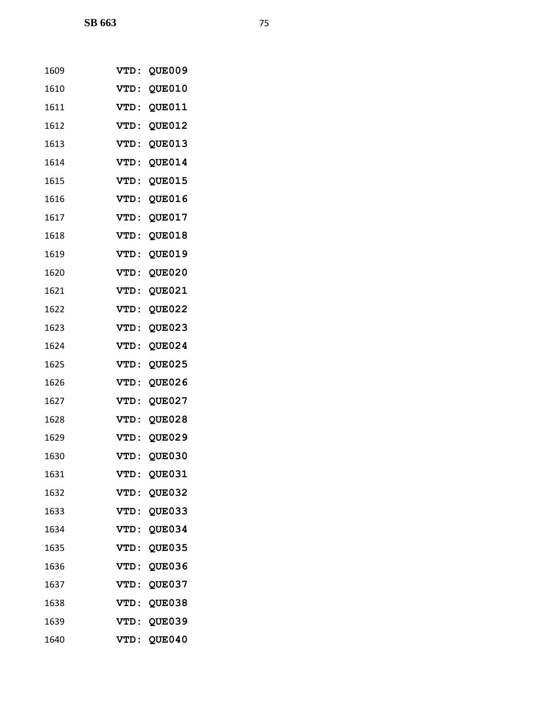| 1609 | VTD :       | <b>QUE009</b> |
|------|-------------|---------------|
| 1610 | <b>VTD:</b> | <b>QUE010</b> |
| 1611 | <b>VTD:</b> | QUE011        |
| 1612 | <b>VTD:</b> | <b>QUE012</b> |
| 1613 | <b>VTD:</b> | QUE013        |
| 1614 | <b>VTD:</b> | <b>QUE014</b> |
| 1615 | <b>VTD:</b> | QUE015        |
| 1616 | <b>VTD:</b> | QUE016        |
| 1617 | <b>VTD:</b> | QUE017        |
| 1618 | VTD:        | <b>QUE018</b> |
| 1619 | <b>VTD:</b> | <b>QUE019</b> |
| 1620 | <b>VTD:</b> | <b>QUE020</b> |
| 1621 | VTD:        | QUE021        |
| 1622 | <b>VTD:</b> | <b>QUE022</b> |
| 1623 | <b>VTD:</b> | QUE023        |
| 1624 | VTD:        | <b>QUE024</b> |
| 1625 | <b>VTD:</b> | <b>QUE025</b> |
| 1626 | <b>VTD:</b> | <b>QUE026</b> |
| 1627 | <b>VTD:</b> | QUE027        |
| 1628 | <b>VTD:</b> | <b>QUE028</b> |
| 1629 | <b>VTD:</b> | <b>QUE029</b> |
| 1630 | <b>VTD:</b> | <b>QUE030</b> |
| 1631 | <b>VTD:</b> | QUE031        |
| 1632 | VTD:        | <b>QUE032</b> |
| 1633 | VTD:        | <b>QUE033</b> |
| 1634 | VTD:        | <b>QUE034</b> |
| 1635 | <b>VTD:</b> | <b>QUE035</b> |
| 1636 | VTD:        | <b>QUE036</b> |
| 1637 | VTD:        | <b>QUE037</b> |
| 1638 | <b>VTD:</b> | <b>QUE038</b> |
| 1639 | <b>VTD:</b> | <b>QUE039</b> |
| 1640 | VTD:        | <b>QUE040</b> |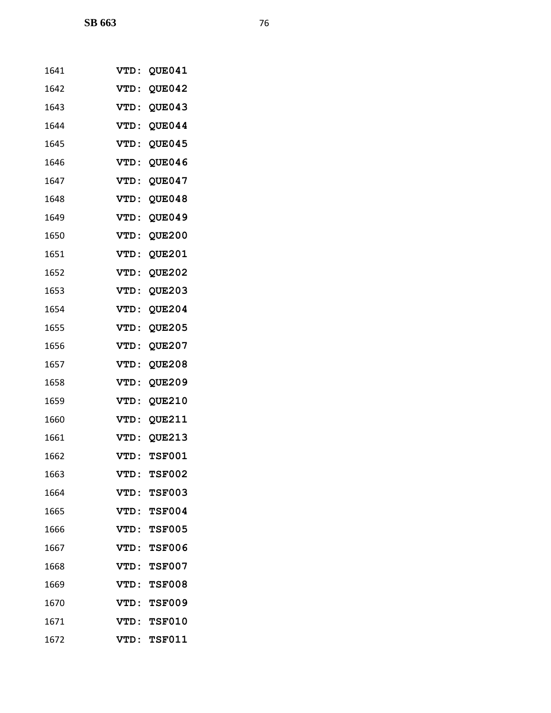| 1641 | <b>VTD:</b> | <b>QUE041</b> |
|------|-------------|---------------|
| 1642 | <b>VTD:</b> | <b>QUE042</b> |
| 1643 | VTD:        | <b>QUE043</b> |
| 1644 | <b>VTD:</b> | <b>QUE044</b> |
| 1645 | VTD:        | <b>QUE045</b> |
| 1646 | VTD:        | <b>QUE046</b> |
| 1647 | <b>VTD:</b> | <b>QUE047</b> |
| 1648 | VTD:        | <b>QUE048</b> |
| 1649 | <b>VTD:</b> | QUE049        |
| 1650 | VTD:        | <b>QUE200</b> |
| 1651 | <b>VTD:</b> | <b>QUE201</b> |
| 1652 | <b>VTD:</b> | <b>QUE202</b> |
| 1653 | VTD:        | <b>QUE203</b> |
| 1654 | <b>VTD:</b> | <b>QUE204</b> |
| 1655 | VTD:        | <b>QUE205</b> |
| 1656 | VTD:        | <b>QUE207</b> |
| 1657 | <b>VTD:</b> | <b>QUE208</b> |
| 1658 | VTD:        | <b>QUE209</b> |
| 1659 | VTD:        | <b>QUE210</b> |
| 1660 | VTD:        | <b>QUE211</b> |
| 1661 | <b>VTD:</b> | <b>QUE213</b> |
| 1662 | <b>VTD:</b> | <b>TSF001</b> |
| 1663 | VTD :       | <b>TSF002</b> |
| 1664 | VTD:        | <b>TSF003</b> |
| 1665 |             | VTD: TSF004   |
| 1666 | VTD:        | <b>TSF005</b> |
| 1667 | VTD:        | <b>TSF006</b> |
| 1668 | VTD:        | <b>TSF007</b> |
| 1669 |             | VTD: TSF008   |
| 1670 | VTD:        | <b>TSF009</b> |
| 1671 | VTD :       | <b>TSF010</b> |
| 1672 | VTD:        | <b>TSF011</b> |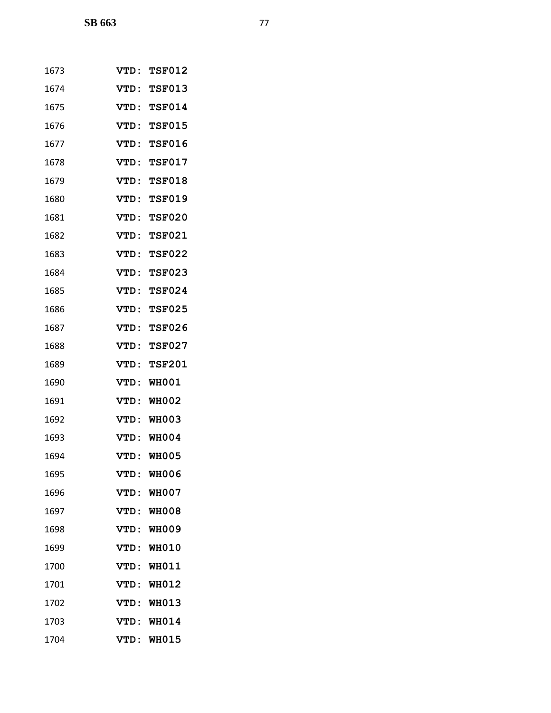| 1673 | VTD :        | <b>TSF012</b> |
|------|--------------|---------------|
| 1674 | VTD:         | <b>TSF013</b> |
| 1675 | VTD:         | <b>TSF014</b> |
| 1676 | VTD:         | <b>TSF015</b> |
| 1677 | <b>VTD:</b>  | <b>TSF016</b> |
| 1678 | <b>VTD :</b> | <b>TSF017</b> |
| 1679 | VTD:         | <b>TSF018</b> |
| 1680 | VTD:         | <b>TSF019</b> |
| 1681 | <b>VTD:</b>  | <b>TSF020</b> |
| 1682 | VTD:         | <b>TSF021</b> |
| 1683 | VTD:         | <b>TSF022</b> |
| 1684 | VTD:         | <b>TSF023</b> |
| 1685 | VTD:         | <b>TSF024</b> |
| 1686 | VTD:         | <b>TSF025</b> |
| 1687 | <b>VTD:</b>  | <b>TSF026</b> |
| 1688 | VTD:         | <b>TSF027</b> |
| 1689 | VTD:         | <b>TSF201</b> |
| 1690 | VTD:         | <b>WH001</b>  |
| 1691 | <b>VTD:</b>  | <b>WH002</b>  |
| 1692 | VTD:         | <b>WH003</b>  |
| 1693 | VTD:         | <b>WH004</b>  |
| 1694 | VTD :        | <b>WH005</b>  |
| 1695 | VTD:         | <b>WH006</b>  |
| 1696 | VTD:         | <b>WH007</b>  |
| 1697 | VTD:         | <b>WH008</b>  |
| 1698 | VTD:         | <b>WH009</b>  |
| 1699 | <b>VTD:</b>  | <b>WH010</b>  |
| 1700 | VTD:         | <b>WH011</b>  |
| 1701 | VTD:         | <b>WH012</b>  |
| 1702 | VTD:         | <b>WH013</b>  |
| 1703 | VTD:         | <b>WH014</b>  |
| 1704 | VTD:         | <b>WH015</b>  |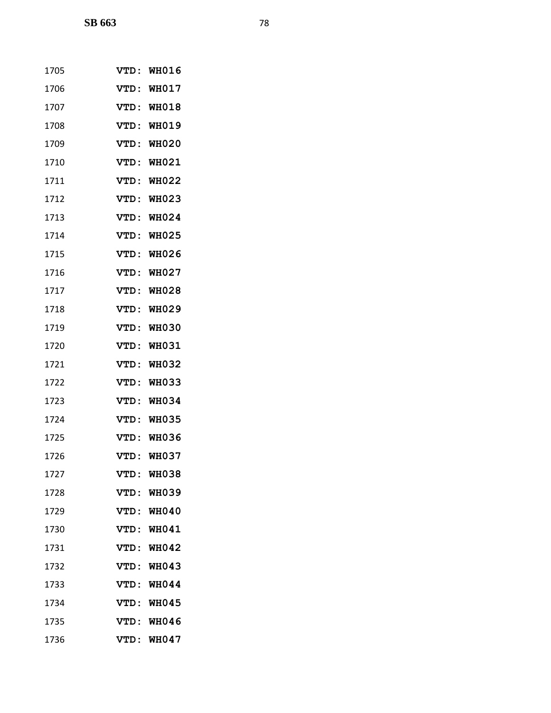| 1705 | <b>VTD:</b> | <b>WH016</b> |
|------|-------------|--------------|
| 1706 | VTD:        | <b>WH017</b> |
| 1707 | VTD :       | <b>WH018</b> |
| 1708 | <b>VTD:</b> | <b>WH019</b> |
| 1709 | VTD:        | <b>WH020</b> |
| 1710 | VTD:        | WH021        |
| 1711 | <b>VTD:</b> | <b>WH022</b> |
| 1712 | VTD:        | <b>WH023</b> |
| 1713 | VTD:        | WH024        |
| 1714 | VTD:        | <b>WH025</b> |
| 1715 | VTD:        | <b>WH026</b> |
| 1716 | VTD:        | <b>WH027</b> |
| 1717 | VTD:        | <b>WH028</b> |
| 1718 | VTD:        | <b>WH029</b> |
| 1719 | VTD:        | <b>WH030</b> |
| 1720 | VTD:        | <b>WH031</b> |
| 1721 | VTD:        | <b>WH032</b> |
| 1722 | VTD:        | <b>WH033</b> |
| 1723 | VTD:        | <b>WH034</b> |
| 1724 | VTD:        | <b>WH035</b> |
| 1725 | VTD:        | <b>WH036</b> |
| 1726 | VTD :       | <b>WH037</b> |
| 1727 | VTD :       | WH038        |
| 1728 | VTD:        | <b>WH039</b> |
| 1729 |             | VTD: WH040   |
| 1730 | VTD:        | <b>WH041</b> |
| 1731 | VTD:        | <b>WH042</b> |
| 1732 | VTD:        | <b>WH043</b> |
| 1733 | <b>VTD:</b> | <b>WH044</b> |
| 1734 | <b>VTD:</b> | <b>WH045</b> |
| 1735 | VTD:        | WH046        |
| 1736 |             | VTD: WH047   |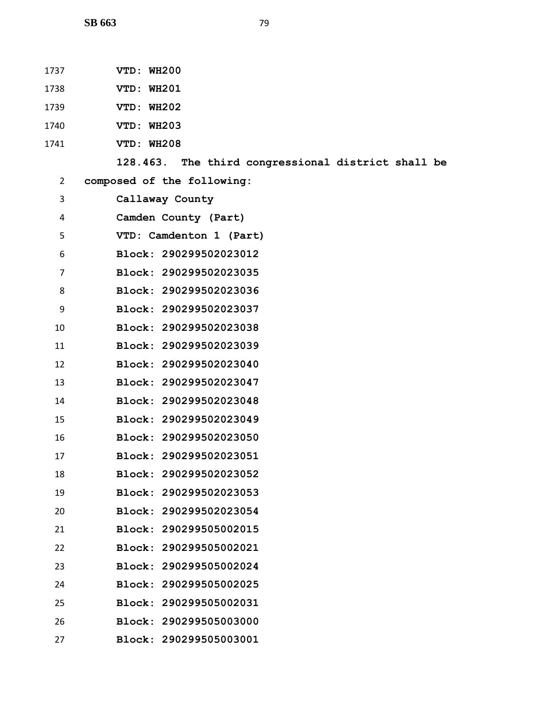- **VTD: WH201**
- **VTD: WH202**
- **VTD: WH203**
- **VTD: WH208**

```
1 128.463. The third congressional district shall be
```
**composed of the following:**

| 3  | Callaway County           |
|----|---------------------------|
| 4  | Camden County (Part)      |
| 5  | VTD: Camdenton 1 (Part)   |
| 6  | Block: 290299502023012    |
| 7  | Block: 290299502023035    |
| 8  | Block: 290299502023036    |
| 9  | Block: 290299502023037    |
| 10 | Block: 290299502023038    |
| 11 | Block: 290299502023039    |
| 12 | Block: 290299502023040    |
| 13 | Block: 290299502023047    |
| 14 | Block: 290299502023048    |
| 15 | Block: 290299502023049    |
| 16 | Block: 290299502023050    |
| 17 | Block: 290299502023051    |
| 18 | 290299502023052<br>Block: |
| 19 | Block: 290299502023053    |
| 20 | 290299502023054<br>Block: |
| 21 | Block: 290299505002015    |
| 22 | Block: 290299505002021    |
| 23 | Block: 290299505002024    |
| 24 | Block: 290299505002025    |
| 25 | Block: 290299505002031    |
| 26 | Block: 290299505003000    |
| 27 | Block:<br>290299505003001 |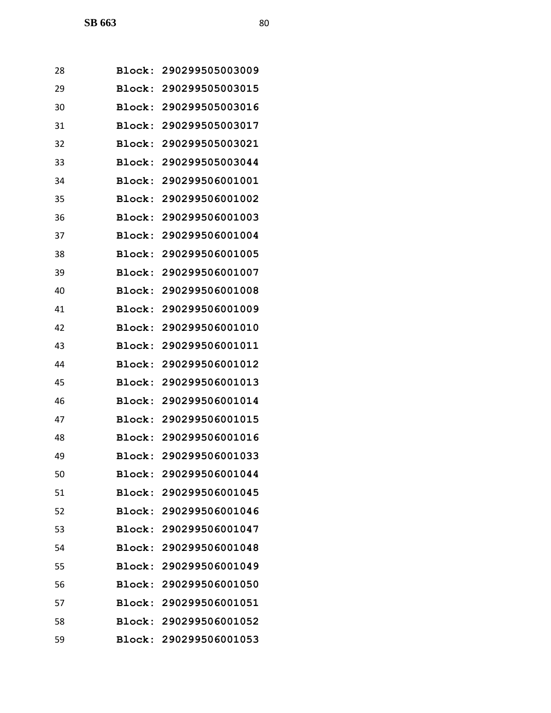| 28 |        | Block: 290299505003009 |
|----|--------|------------------------|
| 29 |        | Block: 290299505003015 |
| 30 | Block: | 290299505003016        |
| 31 |        | Block: 290299505003017 |
| 32 |        | Block: 290299505003021 |
| 33 |        | Block: 290299505003044 |
| 34 |        | Block: 290299506001001 |
| 35 |        | Block: 290299506001002 |
| 36 |        | Block: 290299506001003 |
| 37 | Block: | 290299506001004        |
| 38 |        | Block: 290299506001005 |
| 39 |        | Block: 290299506001007 |
| 40 | Block: | 290299506001008        |
| 41 |        | Block: 290299506001009 |
| 42 | Block: | 290299506001010        |
| 43 |        | Block: 290299506001011 |
| 44 | Block: | 290299506001012        |
| 45 | Block: | 290299506001013        |
| 46 |        | Block: 290299506001014 |
| 47 | Block: | 290299506001015        |
| 48 |        | Block: 290299506001016 |
| 49 |        | Block: 290299506001033 |
| 50 |        | Block: 290299506001044 |
| 51 |        | Block: 290299506001045 |
| 52 |        | Block: 290299506001046 |
| 53 |        | Block: 290299506001047 |
| 54 |        | Block: 290299506001048 |
| 55 |        | Block: 290299506001049 |
| 56 |        | Block: 290299506001050 |
| 57 |        | Block: 290299506001051 |
| 58 |        | Block: 290299506001052 |
| 59 |        | Block: 290299506001053 |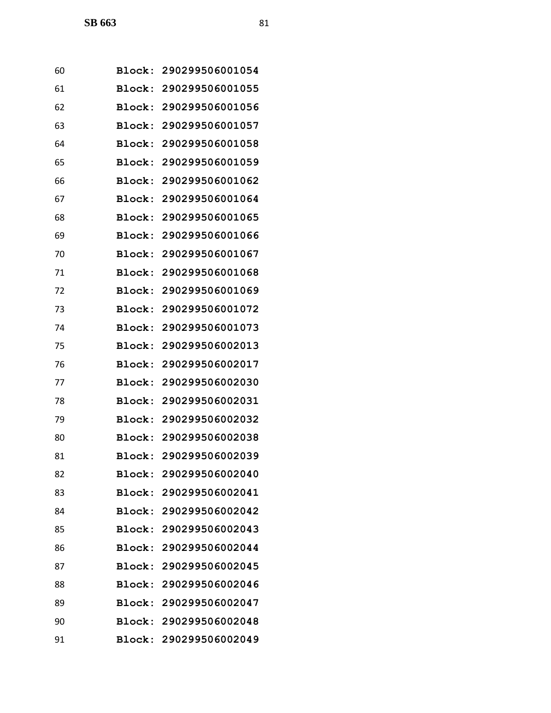| 60 | Block: 290299506001054 |
|----|------------------------|
| 61 | Block: 290299506001055 |
| 62 | Block: 290299506001056 |
| 63 | Block: 290299506001057 |
| 64 | Block: 290299506001058 |
| 65 | Block: 290299506001059 |
| 66 | Block: 290299506001062 |
| 67 | Block: 290299506001064 |
| 68 | Block: 290299506001065 |
| 69 | Block: 290299506001066 |
| 70 | Block: 290299506001067 |
| 71 | Block: 290299506001068 |
| 72 | Block: 290299506001069 |
| 73 | Block: 290299506001072 |
| 74 | Block: 290299506001073 |
| 75 | Block: 290299506002013 |
| 76 | Block: 290299506002017 |
| 77 | Block: 290299506002030 |
| 78 | Block: 290299506002031 |
| 79 | Block: 290299506002032 |
| 80 | Block: 290299506002038 |
| 81 | Block: 290299506002039 |
| 82 | Block: 290299506002040 |
| 83 | Block: 290299506002041 |
| 84 | Block: 290299506002042 |
| 85 | Block: 290299506002043 |
| 86 | Block: 290299506002044 |
| 87 | Block: 290299506002045 |
| 88 | Block: 290299506002046 |
| 89 | Block: 290299506002047 |
| 90 | Block: 290299506002048 |
| 91 | Block: 290299506002049 |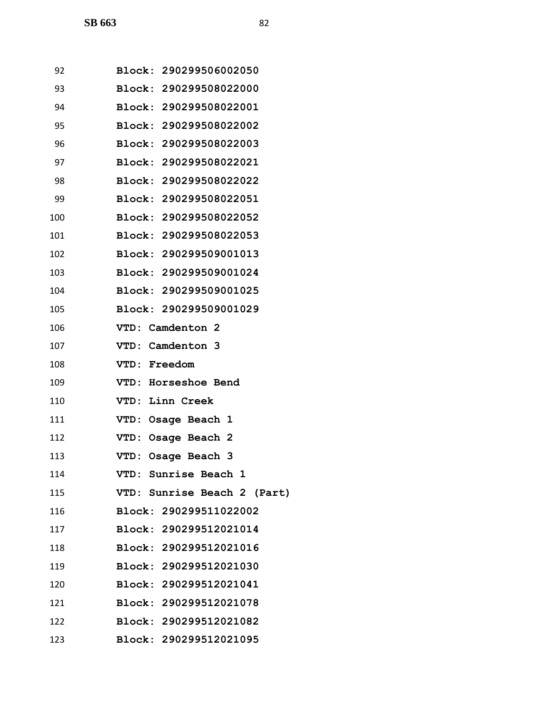| 92  | Block: 290299506002050        |
|-----|-------------------------------|
| 93  | Block: 290299508022000        |
| 94  | Block: 290299508022001        |
| 95  | Block: 290299508022002        |
| 96  | Block: 290299508022003        |
| 97  | Block: 290299508022021        |
| 98  | Block: 290299508022022        |
| 99  | Block: 290299508022051        |
| 100 | <b>Block: 290299508022052</b> |
| 101 | Block: 290299508022053        |
| 102 | Block: 290299509001013        |
| 103 | Block: 290299509001024        |
| 104 | Block: 290299509001025        |
| 105 | Block: 290299509001029        |
| 106 | VTD: Camdenton 2              |
| 107 | VTD: Camdenton 3              |
| 108 | <b>VTD: Freedom</b>           |
| 109 | VTD: Horseshoe Bend           |
| 110 | VTD: Linn Creek               |
| 111 | VTD: Osage Beach 1            |
| 112 | VTD: Osage Beach 2            |
| 113 | VTD: Osage Beach 3            |
| 114 | VTD: Sunrise Beach 1          |
| 115 | VTD: Sunrise Beach 2 (Part)   |
| 116 | Block: 290299511022002        |
| 117 | Block: 290299512021014        |
| 118 | Block: 290299512021016        |
| 119 | Block: 290299512021030        |
| 120 | Block: 290299512021041        |
| 121 | Block: 290299512021078        |
| 122 | Block: 290299512021082        |
| 123 | Block: 290299512021095        |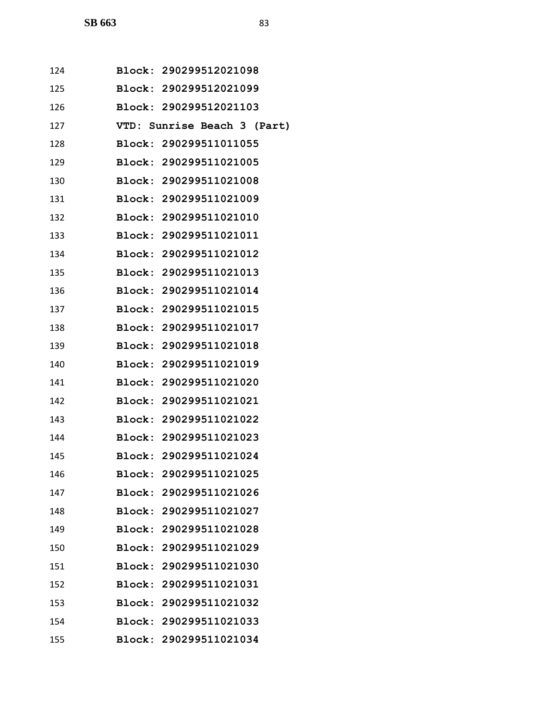| 124 | Block: 290299512021098        |  |  |  |                             |
|-----|-------------------------------|--|--|--|-----------------------------|
| 125 | Block: 290299512021099        |  |  |  |                             |
| 126 | Block: 290299512021103        |  |  |  |                             |
| 127 |                               |  |  |  | VTD: Sunrise Beach 3 (Part) |
| 128 | Block: 290299511011055        |  |  |  |                             |
| 129 | <b>Block: 290299511021005</b> |  |  |  |                             |
| 130 | Block: 290299511021008        |  |  |  |                             |
| 131 | Block: 290299511021009        |  |  |  |                             |
| 132 | Block: 290299511021010        |  |  |  |                             |
| 133 | Block: 290299511021011        |  |  |  |                             |
| 134 | Block: 290299511021012        |  |  |  |                             |
| 135 | Block: 290299511021013        |  |  |  |                             |
| 136 | <b>Block: 290299511021014</b> |  |  |  |                             |
| 137 | Block: 290299511021015        |  |  |  |                             |
| 138 | Block: 290299511021017        |  |  |  |                             |
| 139 | Block: 290299511021018        |  |  |  |                             |
| 140 | Block: 290299511021019        |  |  |  |                             |
| 141 | Block: 290299511021020        |  |  |  |                             |
| 142 | Block: 290299511021021        |  |  |  |                             |
| 143 | Block: 290299511021022        |  |  |  |                             |
| 144 | Block: 290299511021023        |  |  |  |                             |
| 145 | Block: 290299511021024        |  |  |  |                             |
| 146 | Block: 290299511021025        |  |  |  |                             |
| 147 | Block: 290299511021026        |  |  |  |                             |
| 148 | Block: 290299511021027        |  |  |  |                             |
| 149 | Block: 290299511021028        |  |  |  |                             |
| 150 | Block: 290299511021029        |  |  |  |                             |
| 151 | Block: 290299511021030        |  |  |  |                             |
| 152 | Block: 290299511021031        |  |  |  |                             |
| 153 | Block: 290299511021032        |  |  |  |                             |
| 154 | Block: 290299511021033        |  |  |  |                             |
| 155 | Block: 290299511021034        |  |  |  |                             |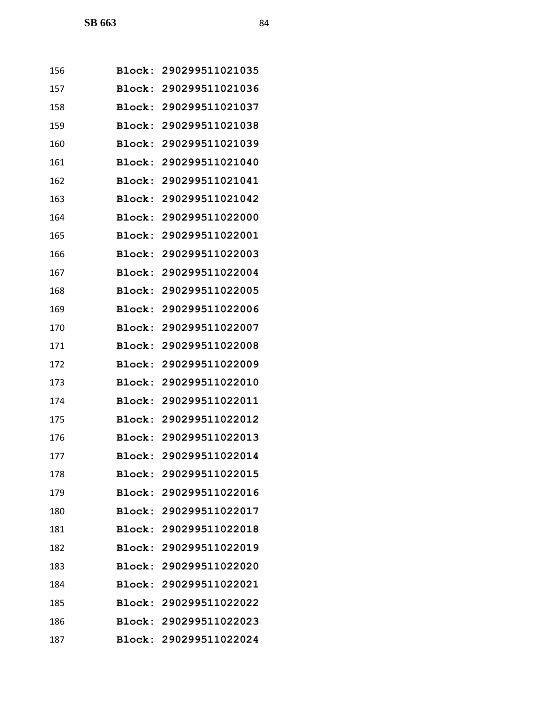| 156 |               | Block: 290299511021035 |
|-----|---------------|------------------------|
| 157 |               | Block: 290299511021036 |
| 158 |               | Block: 290299511021037 |
| 159 |               | Block: 290299511021038 |
| 160 | Block:        | 290299511021039        |
| 161 | <b>Block:</b> | 290299511021040        |
| 162 | Block:        | 290299511021041        |
| 163 | Block:        | 290299511021042        |
| 164 |               | Block: 290299511022000 |
| 165 | Block:        | 290299511022001        |
| 166 | Block:        | 290299511022003        |
| 167 | Block:        | 290299511022004        |
| 168 | Block:        | 290299511022005        |
| 169 |               | Block: 290299511022006 |
| 170 | Block:        | 290299511022007        |
| 171 | Block:        | 290299511022008        |
| 172 | Block:        | 290299511022009        |
| 173 | Block:        | 290299511022010        |
| 174 |               | Block: 290299511022011 |
| 175 | <b>Block:</b> | 290299511022012        |
| 176 |               | Block: 290299511022013 |
| 177 |               | Block: 290299511022014 |
| 178 |               | Block: 290299511022015 |
| 179 |               | Block: 290299511022016 |
| 180 |               | Block: 290299511022017 |
| 181 |               | Block: 290299511022018 |
| 182 |               | Block: 290299511022019 |
| 183 |               | Block: 290299511022020 |
| 184 |               | Block: 290299511022021 |
| 185 |               | Block: 290299511022022 |
| 186 |               | Block: 290299511022023 |
| 187 |               | Block: 290299511022024 |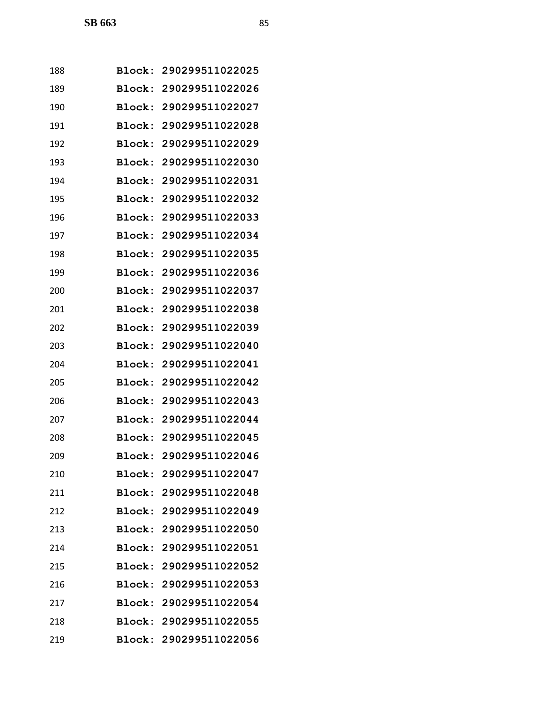| 188 |               | Block: 290299511022025 |
|-----|---------------|------------------------|
| 189 |               | Block: 290299511022026 |
| 190 |               | Block: 290299511022027 |
| 191 |               | Block: 290299511022028 |
| 192 | Block:        | 290299511022029        |
| 193 | Block:        | 290299511022030        |
| 194 | Block:        | 290299511022031        |
| 195 | Block:        | 290299511022032        |
| 196 |               | Block: 290299511022033 |
| 197 | Block:        | 290299511022034        |
| 198 |               | Block: 290299511022035 |
| 199 | Block:        | 290299511022036        |
| 200 | Block:        | 290299511022037        |
| 201 | <b>Block:</b> | 290299511022038        |
| 202 | Block:        | 290299511022039        |
| 203 | Block:        | 290299511022040        |
| 204 | Block:        | 290299511022041        |
| 205 | Block:        | 290299511022042        |
| 206 |               | Block: 290299511022043 |
| 207 | <b>Block:</b> | 290299511022044        |
| 208 |               | Block: 290299511022045 |
| 209 |               | Block: 290299511022046 |
| 210 |               | Block: 290299511022047 |
| 211 |               | Block: 290299511022048 |
| 212 |               | Block: 290299511022049 |
| 213 |               | Block: 290299511022050 |
| 214 |               | Block: 290299511022051 |
| 215 |               | Block: 290299511022052 |
| 216 |               | Block: 290299511022053 |
| 217 |               | Block: 290299511022054 |
| 218 |               | Block: 290299511022055 |
| 219 |               | Block: 290299511022056 |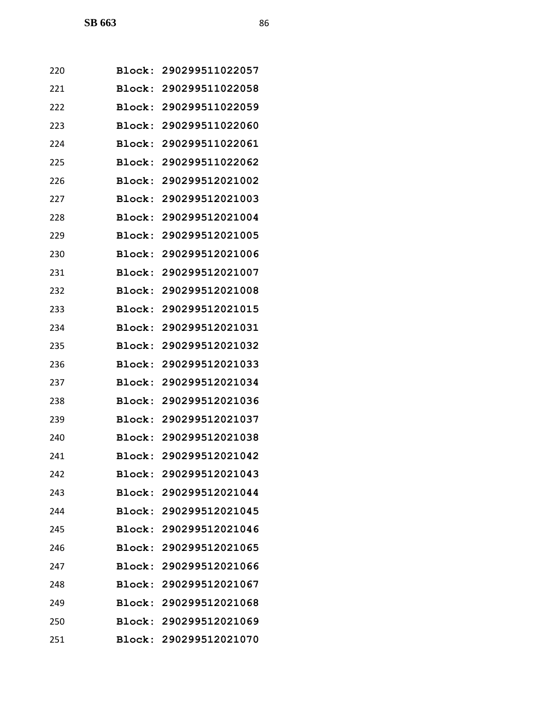| 220 |               | Block: 290299511022057 |
|-----|---------------|------------------------|
| 221 |               | Block: 290299511022058 |
| 222 |               | Block: 290299511022059 |
| 223 |               | Block: 290299511022060 |
| 224 | Block:        | 290299511022061        |
| 225 |               | Block: 290299511022062 |
| 226 | Block:        | 290299512021002        |
| 227 |               | Block: 290299512021003 |
| 228 |               | Block: 290299512021004 |
| 229 | Block:        | 290299512021005        |
| 230 |               | Block: 290299512021006 |
| 231 |               | Block: 290299512021007 |
| 232 | Block:        | 290299512021008        |
| 233 |               | Block: 290299512021015 |
| 234 | Block:        | 290299512021031        |
| 235 |               | Block: 290299512021032 |
| 236 | Block:        | 290299512021033        |
| 237 | Block:        | 290299512021034        |
| 238 |               | Block: 290299512021036 |
| 239 | <b>Block:</b> | 290299512021037        |
| 240 |               | Block: 290299512021038 |
| 241 |               | Block: 290299512021042 |
| 242 |               | Block: 290299512021043 |
| 243 |               | Block: 290299512021044 |
| 244 |               | Block: 290299512021045 |
| 245 |               | Block: 290299512021046 |
| 246 |               | Block: 290299512021065 |
| 247 |               | Block: 290299512021066 |
| 248 |               | Block: 290299512021067 |
| 249 |               | Block: 290299512021068 |
| 250 |               | Block: 290299512021069 |
| 251 |               | Block: 290299512021070 |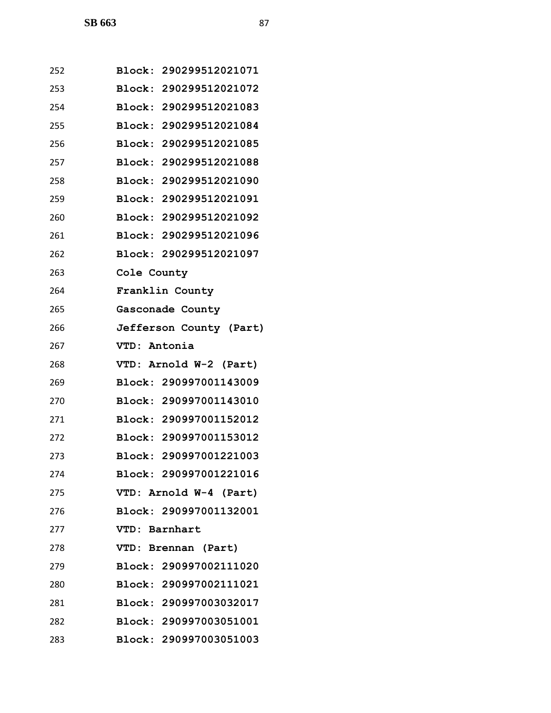| 252 | Block: 290299512021071  |
|-----|-------------------------|
| 253 | Block: 290299512021072  |
| 254 | Block: 290299512021083  |
| 255 | Block: 290299512021084  |
| 256 | Block: 290299512021085  |
| 257 | Block: 290299512021088  |
| 258 | Block: 290299512021090  |
| 259 | Block: 290299512021091  |
| 260 | Block: 290299512021092  |
| 261 | Block: 290299512021096  |
| 262 | Block: 290299512021097  |
| 263 | Cole County             |
| 264 | Franklin County         |
| 265 | Gasconade County        |
| 266 | Jefferson County (Part) |
| 267 | VTD: Antonia            |
| 268 | VTD: Arnold W-2 (Part)  |
| 269 | Block: 290997001143009  |
| 270 | Block: 290997001143010  |
| 271 | Block: 290997001152012  |
| 272 | Block: 290997001153012  |
| 273 | Block: 290997001221003  |
| 274 | Block: 290997001221016  |
| 275 | VTD: Arnold W-4 (Part)  |
| 276 | Block: 290997001132001  |
| 277 | VTD: Barnhart           |
| 278 | VTD: Brennan (Part)     |
| 279 | Block: 290997002111020  |
| 280 | Block: 290997002111021  |
| 281 | Block: 290997003032017  |
| 282 | Block: 290997003051001  |
| 283 | Block: 290997003051003  |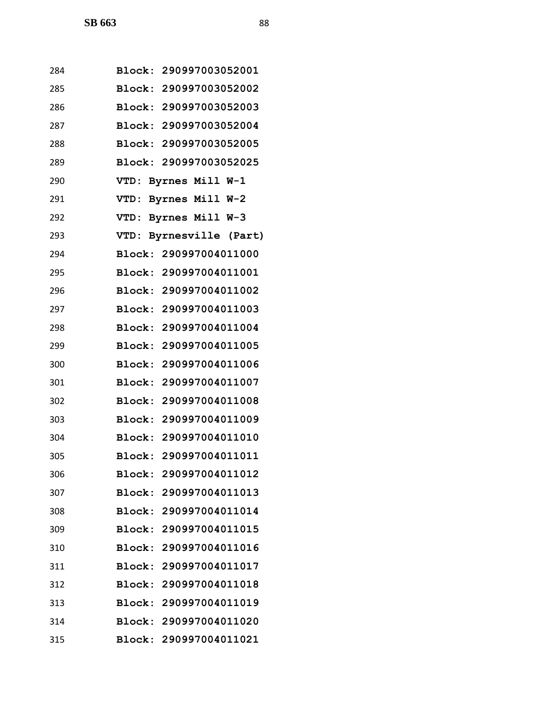| 284 | Block: 290997003052001     |
|-----|----------------------------|
| 285 | Block: 290997003052002     |
| 286 | Block: 290997003052003     |
| 287 | Block: 290997003052004     |
| 288 | Block: 290997003052005     |
| 289 | Block: 290997003052025     |
| 290 | Byrnes Mill W-1<br>VTD:    |
| 291 | VTD: Byrnes Mill W-2       |
| 292 | VTD: Byrnes Mill W-3       |
| 293 | VTD:<br>Byrnesville (Part) |
| 294 | Block: 290997004011000     |
| 295 | Block: 290997004011001     |
| 296 | Block: 290997004011002     |
| 297 | Block: 290997004011003     |
| 298 | Block: 290997004011004     |
| 299 | Block: 290997004011005     |
| 300 | Block: 290997004011006     |
| 301 | Block: 290997004011007     |
| 302 | Block: 290997004011008     |
| 303 | Block: 290997004011009     |
| 304 | Block: 290997004011010     |
| 305 | Block: 290997004011011     |
| 306 | Block: 290997004011012     |
| 307 | Block: 290997004011013     |
| 308 | Block: 290997004011014     |
| 309 | Block: 290997004011015     |
| 310 | Block: 290997004011016     |
| 311 | Block: 290997004011017     |
| 312 | Block: 290997004011018     |
| 313 | Block: 290997004011019     |
| 314 | Block: 290997004011020     |
| 315 | Block: 290997004011021     |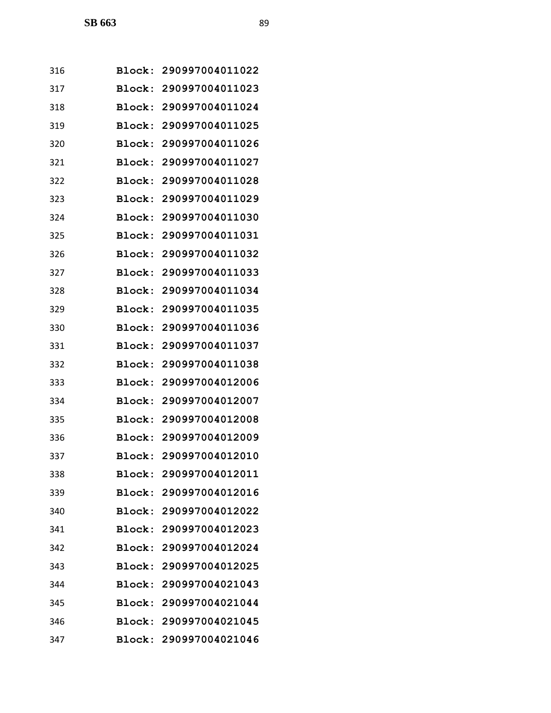| 316 |        | Block: 290997004011022 |
|-----|--------|------------------------|
| 317 | Block: | 290997004011023        |
| 318 | Block: | 290997004011024        |
| 319 | Block: | 290997004011025        |
| 320 | Block: | 290997004011026        |
| 321 | Block: | 290997004011027        |
| 322 | Block: | 290997004011028        |
| 323 | Block: | 290997004011029        |
| 324 | Block: | 290997004011030        |
| 325 | Block: | 290997004011031        |
| 326 | Block: | 290997004011032        |
| 327 | Block: | 290997004011033        |
| 328 | Block: | 290997004011034        |
| 329 | Block: | 290997004011035        |
| 330 | Block: | 290997004011036        |
| 331 | Block: | 290997004011037        |
| 332 | Block: | 290997004011038        |
| 333 | Block: | 290997004012006        |
| 334 | Block: | 290997004012007        |
| 335 | Block: | 290997004012008        |
| 336 |        | Block: 290997004012009 |
| 337 |        | Block: 290997004012010 |
| 338 |        | Block: 290997004012011 |
| 339 |        | Block: 290997004012016 |
| 340 |        | Block: 290997004012022 |
| 341 |        | Block: 290997004012023 |
| 342 |        | Block: 290997004012024 |
| 343 |        | Block: 290997004012025 |
| 344 |        | Block: 290997004021043 |
| 345 |        | Block: 290997004021044 |
| 346 |        | Block: 290997004021045 |
| 347 |        | Block: 290997004021046 |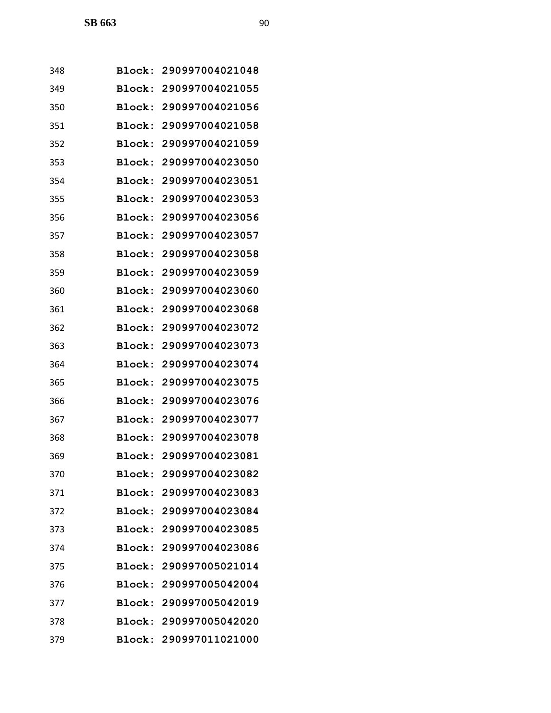| 348 | Block: | 290997004021048        |
|-----|--------|------------------------|
| 349 | Block: | 290997004021055        |
| 350 | Block: | 290997004021056        |
| 351 | Block: | 290997004021058        |
| 352 | Block: | 290997004021059        |
| 353 | Block: | 290997004023050        |
| 354 | Block: | 290997004023051        |
| 355 | Block: | 290997004023053        |
| 356 | Block: | 290997004023056        |
| 357 | Block: | 290997004023057        |
| 358 | Block: | 290997004023058        |
| 359 | Block: | 290997004023059        |
| 360 | Block: | 290997004023060        |
| 361 | Block: | 290997004023068        |
| 362 | Block: | 290997004023072        |
| 363 | Block: | 290997004023073        |
| 364 | Block: | 290997004023074        |
| 365 | Block: | 290997004023075        |
| 366 | Block: | 290997004023076        |
| 367 | Block: | 290997004023077        |
| 368 | Block: | 290997004023078        |
| 369 | Block: | 290997004023081        |
| 370 |        | Block: 290997004023082 |
| 371 |        | Block: 290997004023083 |
| 372 |        | Block: 290997004023084 |
| 373 |        | Block: 290997004023085 |
| 374 |        | Block: 290997004023086 |
| 375 |        | Block: 290997005021014 |
| 376 |        | Block: 290997005042004 |
| 377 |        | Block: 290997005042019 |
| 378 |        | Block: 290997005042020 |
| 379 |        | Block: 290997011021000 |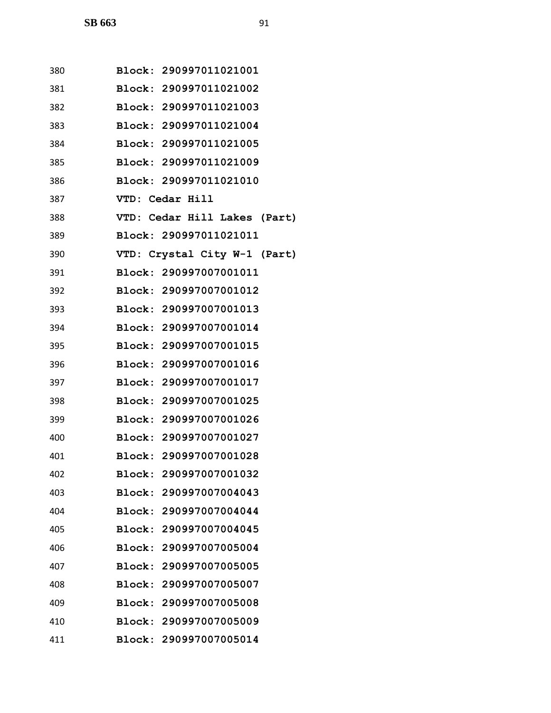| 380 | Block: 290997011021001       |
|-----|------------------------------|
| 381 | Block: 290997011021002       |
| 382 | Block: 290997011021003       |
| 383 | Block: 290997011021004       |
| 384 | Block: 290997011021005       |
| 385 | Block: 290997011021009       |
| 386 | Block: 290997011021010       |
| 387 | VTD: Cedar Hill              |
| 388 | VTD: Cedar Hill Lakes (Part) |
| 389 | Block: 290997011021011       |
| 390 | VTD: Crystal City W-1 (Part) |
| 391 | Block: 290997007001011       |
| 392 | Block: 290997007001012       |
| 393 | Block: 290997007001013       |
| 394 | Block: 290997007001014       |
| 395 | Block: 290997007001015       |
| 396 | Block: 290997007001016       |
| 397 | Block: 290997007001017       |
| 398 | Block: 290997007001025       |
| 399 | Block: 290997007001026       |
| 400 | Block: 290997007001027       |
| 401 | Block: 290997007001028       |
| 402 | Block: 290997007001032       |
| 403 | Block: 290997007004043       |
| 404 | Block: 290997007004044       |
| 405 | Block: 290997007004045       |
| 406 | Block: 290997007005004       |
| 407 | Block: 290997007005005       |
| 408 | Block: 290997007005007       |
| 409 | Block: 290997007005008       |
| 410 | Block: 290997007005009       |
| 411 | Block: 290997007005014       |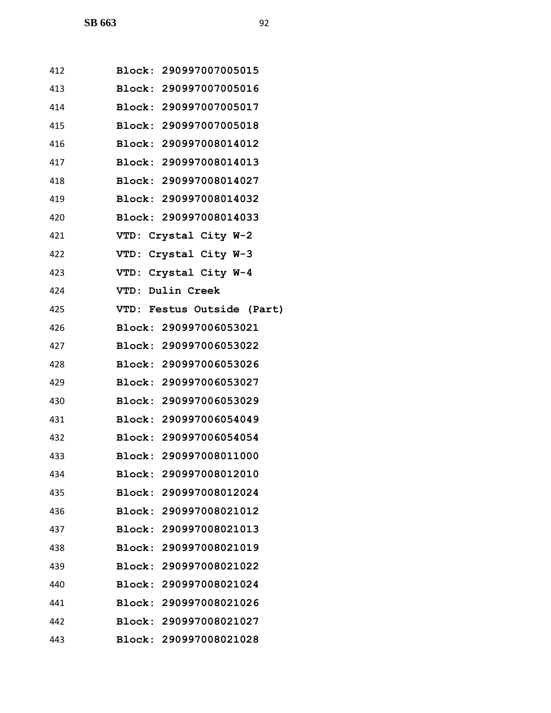| 412 | Block: 290997007005015        |
|-----|-------------------------------|
| 413 | <b>Block: 290997007005016</b> |
| 414 | Block: 290997007005017        |
| 415 | Block: 290997007005018        |
| 416 | Block: 290997008014012        |
| 417 | Block: 290997008014013        |
| 418 | <b>Block: 290997008014027</b> |
| 419 | Block: 290997008014032        |
| 420 | Block: 290997008014033        |
| 421 | VTD: Crystal City W-2         |
| 422 | VTD: Crystal City W-3         |
| 423 | VTD: Crystal City W-4         |
| 424 | VTD: Dulin Creek              |
| 425 | VTD: Festus Outside (Part)    |
| 426 | Block: 290997006053021        |
| 427 | Block: 290997006053022        |
| 428 | <b>Block: 290997006053026</b> |
| 429 | Block: 290997006053027        |
| 430 | Block: 290997006053029        |
| 431 | <b>Block: 290997006054049</b> |
| 432 | Block: 290997006054054        |
| 433 | Block: 290997008011000        |
| 434 | Block: 290997008012010        |
| 435 | Block: 290997008012024        |
| 436 | Block: 290997008021012        |
| 437 | Block: 290997008021013        |
| 438 | Block: 290997008021019        |
| 439 | Block: 290997008021022        |
| 440 | Block: 290997008021024        |
| 441 | Block: 290997008021026        |
| 442 | Block: 290997008021027        |
| 443 | Block: 290997008021028        |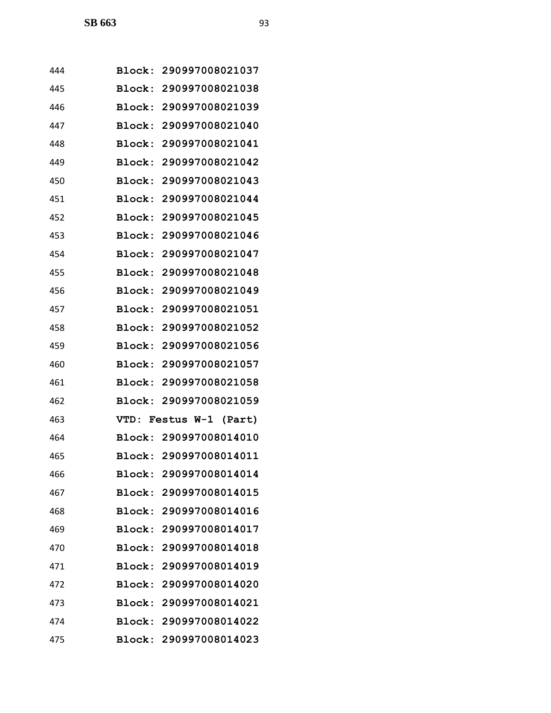| 444 |               | Block: 290997008021037 |
|-----|---------------|------------------------|
| 445 | Block:        | 290997008021038        |
| 446 | Block:        | 290997008021039        |
| 447 |               | Block: 290997008021040 |
| 448 | Block:        | 290997008021041        |
| 449 | Block:        | 290997008021042        |
| 450 | Block:        | 290997008021043        |
| 451 | Block:        | 290997008021044        |
| 452 |               | Block: 290997008021045 |
| 453 | Block:        | 290997008021046        |
| 454 | Block:        | 290997008021047        |
| 455 | Block:        | 290997008021048        |
| 456 | Block:        | 290997008021049        |
| 457 | Block:        | 290997008021051        |
| 458 | Block:        | 290997008021052        |
| 459 |               | Block: 290997008021056 |
| 460 | Block:        | 290997008021057        |
| 461 | Block:        | 290997008021058        |
| 462 |               | Block: 290997008021059 |
| 463 | VTD:          | Festus W-1 (Part)      |
| 464 |               | Block: 290997008014010 |
| 465 |               | Block: 290997008014011 |
| 466 |               | Block: 290997008014014 |
| 467 |               | Block: 290997008014015 |
| 468 |               | Block: 290997008014016 |
| 469 |               | Block: 290997008014017 |
| 470 |               | Block: 290997008014018 |
| 471 | <b>Block:</b> | 290997008014019        |
| 472 | <b>Block:</b> | 290997008014020        |
| 473 |               | Block: 290997008014021 |
| 474 |               | Block: 290997008014022 |
| 475 |               | Block: 290997008014023 |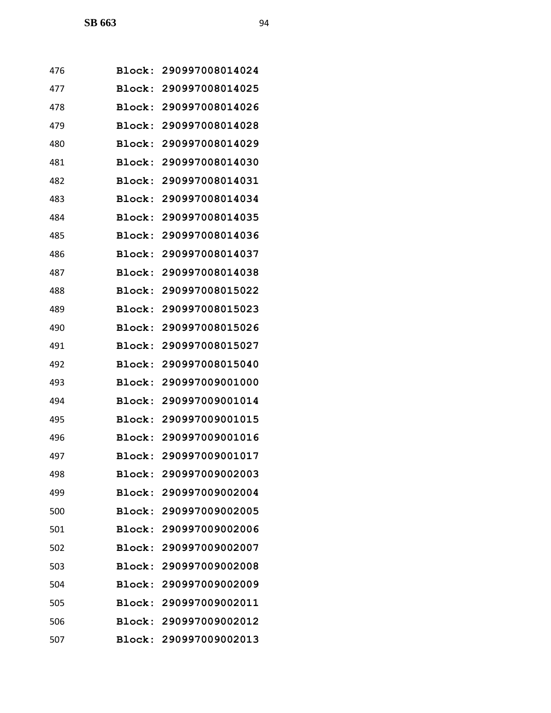| 476 | Block:        | 290997008014024        |
|-----|---------------|------------------------|
| 477 | Block:        | 290997008014025        |
| 478 | Block:        | 290997008014026        |
| 479 | Block:        | 290997008014028        |
| 480 | Block:        | 290997008014029        |
| 481 | Block:        | 290997008014030        |
| 482 | Block:        | 290997008014031        |
| 483 | Block:        | 290997008014034        |
| 484 | Block:        | 290997008014035        |
| 485 | Block:        | 290997008014036        |
| 486 | Block:        | 290997008014037        |
| 487 | Block:        | 290997008014038        |
| 488 | Block:        | 290997008015022        |
| 489 | Block:        | 290997008015023        |
| 490 | Block:        | 290997008015026        |
| 491 | Block:        | 290997008015027        |
| 492 | Block:        | 290997008015040        |
| 493 | Block:        | 290997009001000        |
| 494 | Block:        | 290997009001014        |
| 495 | Block:        | 290997009001015        |
| 496 | Block:        | 290997009001016        |
| 497 |               | Block: 290997009001017 |
| 498 |               | Block: 290997009002003 |
| 499 |               | Block: 290997009002004 |
| 500 | <b>Block:</b> | 290997009002005        |
| 501 |               | Block: 290997009002006 |
| 502 |               | Block: 290997009002007 |
| 503 |               | Block: 290997009002008 |
| 504 | <b>Block:</b> | 290997009002009        |
| 505 |               | Block: 290997009002011 |
| 506 |               | Block: 290997009002012 |
| 507 |               | Block: 290997009002013 |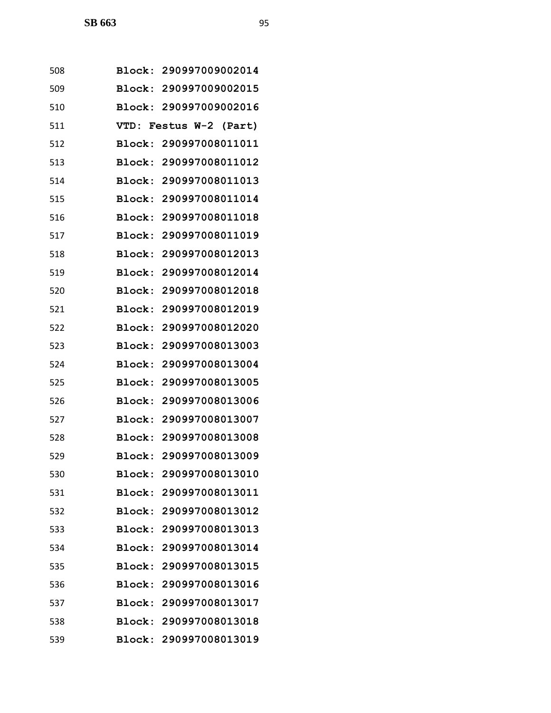| 508 | <b>Block:</b> | 290997009002014        |
|-----|---------------|------------------------|
| 509 |               | Block: 290997009002015 |
| 510 | Block:        | 290997009002016        |
| 511 |               | VTD: Festus W-2 (Part) |
| 512 | Block:        | 290997008011011        |
| 513 | Block:        | 290997008011012        |
| 514 |               | Block: 290997008011013 |
| 515 | Block:        | 290997008011014        |
| 516 | Block:        | 290997008011018        |
| 517 | Block:        | 290997008011019        |
| 518 | Block:        | 290997008012013        |
| 519 |               | Block: 290997008012014 |
| 520 | Block:        | 290997008012018        |
| 521 | Block:        | 290997008012019        |
| 522 | Block:        | 290997008012020        |
| 523 | Block:        | 290997008013003        |
| 524 | Block:        | 290997008013004        |
| 525 | Block:        | 290997008013005        |
| 526 | Block:        | 290997008013006        |
| 527 | Block:        | 290997008013007        |
| 528 |               | Block: 290997008013008 |
| 529 |               | Block: 290997008013009 |
| 530 | <b>Block:</b> | 290997008013010        |
| 531 |               | Block: 290997008013011 |
| 532 |               | Block: 290997008013012 |
| 533 |               | Block: 290997008013013 |
| 534 |               | Block: 290997008013014 |
| 535 | <b>Block:</b> | 290997008013015        |
| 536 |               | Block: 290997008013016 |
| 537 |               | Block: 290997008013017 |
| 538 |               | Block: 290997008013018 |
| 539 |               | Block: 290997008013019 |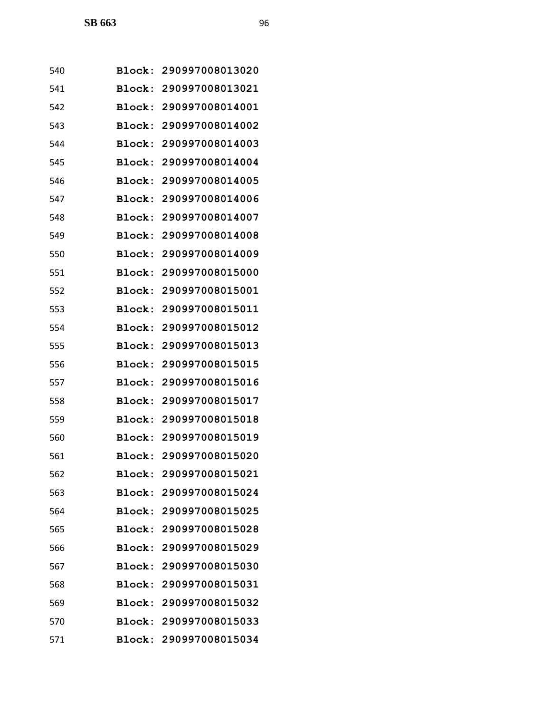| 540 | Block:        | 290997008013020        |
|-----|---------------|------------------------|
| 541 | Block:        | 290997008013021        |
| 542 | Block:        | 290997008014001        |
| 543 | Block:        | 290997008014002        |
| 544 | Block:        | 290997008014003        |
| 545 | <b>Block:</b> | 290997008014004        |
| 546 | Block:        | 290997008014005        |
| 547 | Block:        | 290997008014006        |
| 548 | Block:        | 290997008014007        |
| 549 | Block:        | 290997008014008        |
| 550 | Block:        | 290997008014009        |
| 551 | Block:        | 290997008015000        |
| 552 | Block:        | 290997008015001        |
| 553 | Block:        | 290997008015011        |
| 554 | Block:        | 290997008015012        |
| 555 | Block:        | 290997008015013        |
| 556 | Block:        | 290997008015015        |
| 557 | Block:        | 290997008015016        |
| 558 | Block:        | 290997008015017        |
| 559 | Block:        | 290997008015018        |
| 560 | Block:        | 290997008015019        |
| 561 |               | Block: 290997008015020 |
| 562 |               | Block: 290997008015021 |
| 563 |               | Block: 290997008015024 |
| 564 |               | Block: 290997008015025 |
| 565 |               | Block: 290997008015028 |
| 566 |               | Block: 290997008015029 |
| 567 | <b>Block:</b> | 290997008015030        |
| 568 | <b>Block:</b> | 290997008015031        |
| 569 |               | Block: 290997008015032 |
| 570 |               | Block: 290997008015033 |
| 571 |               | Block: 290997008015034 |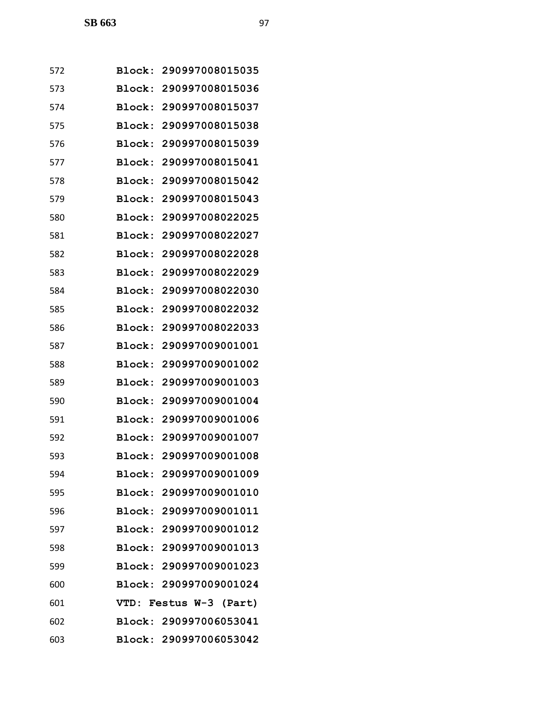| 572 | Block:        | 290997008015035        |
|-----|---------------|------------------------|
| 573 | Block:        | 290997008015036        |
| 574 | Block:        | 290997008015037        |
| 575 | Block:        | 290997008015038        |
| 576 | Block:        | 290997008015039        |
| 577 | Block:        | 290997008015041        |
| 578 | Block:        | 290997008015042        |
| 579 | Block:        | 290997008015043        |
| 580 | <b>Block:</b> | 290997008022025        |
| 581 | <b>Block:</b> | 290997008022027        |
| 582 | Block:        | 290997008022028        |
| 583 | Block:        | 290997008022029        |
| 584 | Block:        | 290997008022030        |
| 585 | Block:        | 290997008022032        |
| 586 | <b>Block:</b> | 290997008022033        |
| 587 | Block:        | 290997009001001        |
| 588 | Block:        | 290997009001002        |
| 589 | Block:        | 290997009001003        |
| 590 | Block:        | 290997009001004        |
| 591 | Block:        | 290997009001006        |
| 592 | Block:        | 290997009001007        |
| 593 |               | Block: 290997009001008 |
| 594 |               | Block: 290997009001009 |
| 595 |               | Block: 290997009001010 |
| 596 |               | Block: 290997009001011 |
| 597 |               | Block: 290997009001012 |
| 598 |               | Block: 290997009001013 |
| 599 |               | Block: 290997009001023 |
| 600 |               | Block: 290997009001024 |
| 601 |               | VTD: Festus W-3 (Part) |
| 602 |               | Block: 290997006053041 |
| 603 |               | Block: 290997006053042 |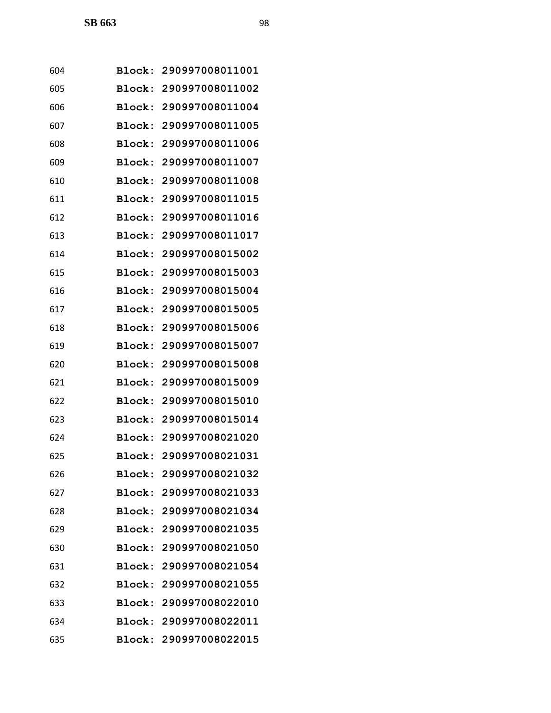| 604 | <b>Block:</b> | 290997008011001        |
|-----|---------------|------------------------|
| 605 | <b>Block:</b> | 290997008011002        |
| 606 | Block:        | 290997008011004        |
| 607 | Block:        | 290997008011005        |
| 608 | Block:        | 290997008011006        |
| 609 | Block:        | 290997008011007        |
| 610 | Block:        | 290997008011008        |
| 611 | Block:        | 290997008011015        |
| 612 | <b>Block:</b> | 290997008011016        |
| 613 | Block:        | 290997008011017        |
| 614 | Block:        | 290997008015002        |
| 615 | Block:        | 290997008015003        |
| 616 | Block:        | 290997008015004        |
| 617 | Block:        | 290997008015005        |
| 618 | Block:        | 290997008015006        |
| 619 | Block:        | 290997008015007        |
| 620 | Block:        | 290997008015008        |
| 621 | Block:        | 290997008015009        |
| 622 | Block:        | 290997008015010        |
| 623 | Block:        | 290997008015014        |
| 624 | Block:        | 290997008021020        |
| 625 |               | Block: 290997008021031 |
| 626 |               | Block: 290997008021032 |
| 627 |               | Block: 290997008021033 |
| 628 |               | Block: 290997008021034 |
| 629 |               | Block: 290997008021035 |
| 630 |               | Block: 290997008021050 |
| 631 | <b>Block:</b> | 290997008021054        |
| 632 |               | Block: 290997008021055 |
| 633 |               | Block: 290997008022010 |
| 634 |               | Block: 290997008022011 |
| 635 |               | Block: 290997008022015 |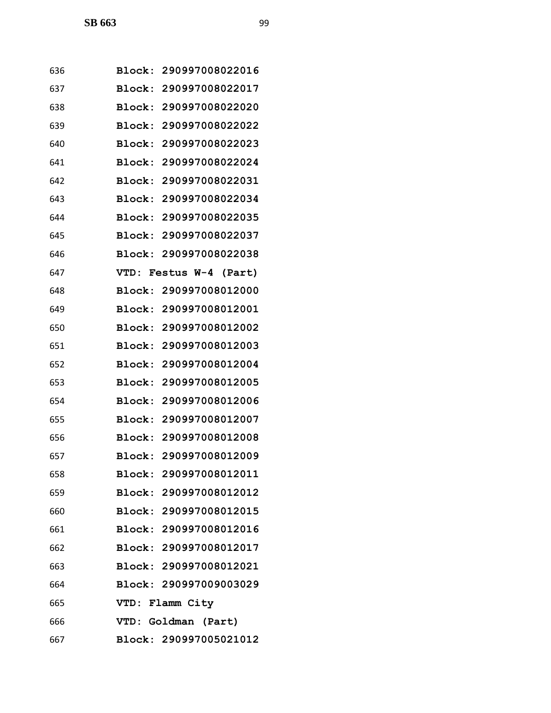| 636 | Block: 290997008022016    |
|-----|---------------------------|
| 637 | Block: 290997008022017    |
| 638 | Block: 290997008022020    |
| 639 | Block: 290997008022022    |
| 640 | Block:<br>290997008022023 |
| 641 | Block: 290997008022024    |
| 642 | Block:<br>290997008022031 |
| 643 | Block: 290997008022034    |
| 644 | Block: 290997008022035    |
| 645 | Block: 290997008022037    |
| 646 | 290997008022038<br>Block: |
| 647 | VTD: Festus W-4 (Part)    |
| 648 | Block: 290997008012000    |
| 649 | Block: 290997008012001    |
| 650 | Block: 290997008012002    |
| 651 | Block: 290997008012003    |
| 652 | Block:<br>290997008012004 |
| 653 | 290997008012005<br>Block: |
| 654 | Block: 290997008012006    |
| 655 | Block: 290997008012007    |
| 656 | Block: 290997008012008    |
| 657 | Block: 290997008012009    |
| 658 | Block: 290997008012011    |
| 659 | Block: 290997008012012    |
| 660 | Block: 290997008012015    |
| 661 | Block: 290997008012016    |
| 662 | Block: 290997008012017    |
| 663 | Block: 290997008012021    |
| 664 | Block: 290997009003029    |
| 665 | VTD: Flamm City           |
| 666 | VTD: Goldman (Part)       |
| 667 | Block: 290997005021012    |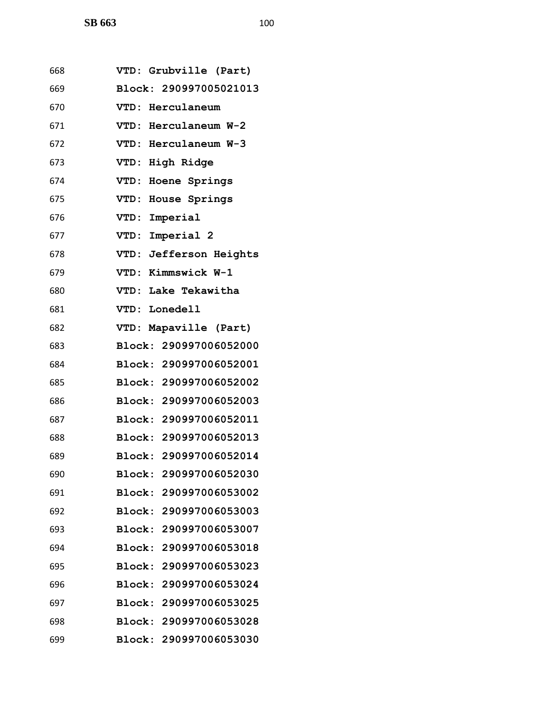| 668 | VTD: Grubville (Part)     |
|-----|---------------------------|
| 669 | Block: 290997005021013    |
| 670 | VTD: Herculaneum          |
| 671 | VTD: Herculaneum W-2      |
| 672 | VTD: Herculaneum W-3      |
| 673 | VTD: High Ridge           |
| 674 | VTD: Hoene Springs        |
| 675 | VTD: House Springs        |
| 676 | VTD: Imperial             |
| 677 | VTD: Imperial 2           |
| 678 | VTD: Jefferson Heights    |
| 679 | VTD: Kimmswick W-1        |
| 680 | VTD: Lake Tekawitha       |
| 681 | VTD: Lonedell             |
| 682 | VTD: Mapaville (Part)     |
| 683 | Block: 290997006052000    |
| 684 | Block: 290997006052001    |
| 685 | Block: 290997006052002    |
| 686 | Block: 290997006052003    |
| 687 | Block: 290997006052011    |
| 688 | Block: 290997006052013    |
| 689 | Block: 290997006052014    |
| 690 | 290997006052030<br>Block: |
| 691 | Block: 290997006053002    |
| 692 | Block: 290997006053003    |
| 693 | Block: 290997006053007    |
| 694 | Block: 290997006053018    |
| 695 | 290997006053023<br>Block: |
| 696 | Block: 290997006053024    |
| 697 | Block: 290997006053025    |
| 698 | Block: 290997006053028    |
| 699 | Block: 290997006053030    |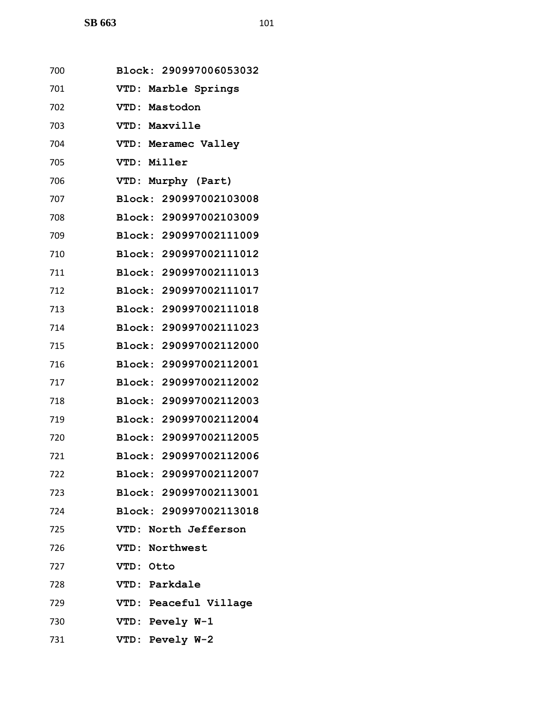| 700 | Block: 290997006053032 |
|-----|------------------------|
| 701 | VTD: Marble Springs    |
| 702 | VTD: Mastodon          |
| 703 | VTD: Maxville          |
| 704 | VTD: Meramec Valley    |
| 705 | VTD: Miller            |
| 706 | Murphy (Part)<br>VTD:  |
| 707 | Block: 290997002103008 |
| 708 | Block: 290997002103009 |
| 709 | Block: 290997002111009 |
| 710 | Block: 290997002111012 |
| 711 | Block: 290997002111013 |
| 712 | Block: 290997002111017 |
| 713 | Block: 290997002111018 |
| 714 | Block: 290997002111023 |
| 715 | Block: 290997002112000 |
| 716 | Block: 290997002112001 |
| 717 | Block: 290997002112002 |
| 718 | Block: 290997002112003 |
| 719 | Block: 290997002112004 |
| 720 | Block: 290997002112005 |
| 721 | Block: 290997002112006 |
| 722 | Block: 290997002112007 |
| 723 | Block: 290997002113001 |
| 724 | Block: 290997002113018 |
| 725 | VTD: North Jefferson   |
| 726 | VTD: Northwest         |
| 727 | VTD: Otto              |
| 728 | VTD: Parkdale          |
| 729 | VTD: Peaceful Village  |
| 730 | VTD: Pevely W-1        |
| 731 | VTD: Pevely W-2        |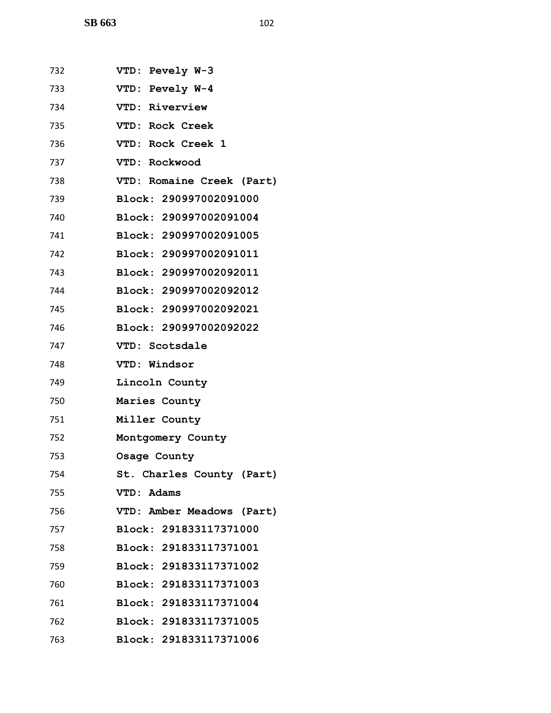| 732 | VTD: Pevely W-3           |
|-----|---------------------------|
| 733 | VTD: Pevely W-4           |
| 734 | VTD: Riverview            |
| 735 | VTD: Rock Creek           |
| 736 | VTD: Rock Creek 1         |
| 737 | VTD: Rockwood             |
| 738 | VTD: Romaine Creek (Part) |
| 739 | Block: 290997002091000    |
| 740 | Block: 290997002091004    |
| 741 | Block: 290997002091005    |
| 742 | Block: 290997002091011    |
| 743 | Block: 290997002092011    |
| 744 | Block: 290997002092012    |
| 745 | Block: 290997002092021    |
| 746 | Block: 290997002092022    |
| 747 | VTD: Scotsdale            |
| 748 | VTD: Windsor              |
| 749 | Lincoln County            |
| 750 | Maries County             |
| 751 | Miller County             |
| 752 | Montgomery County         |
| 753 | Osage County              |
| 754 | St. Charles County (Part) |
| 755 | VTD: Adams                |
| 756 | VTD: Amber Meadows (Part) |
| 757 | Block: 291833117371000    |
| 758 | Block: 291833117371001    |
| 759 | Block: 291833117371002    |
| 760 | Block: 291833117371003    |
| 761 | Block: 291833117371004    |
| 762 | Block: 291833117371005    |
| 763 | Block: 291833117371006    |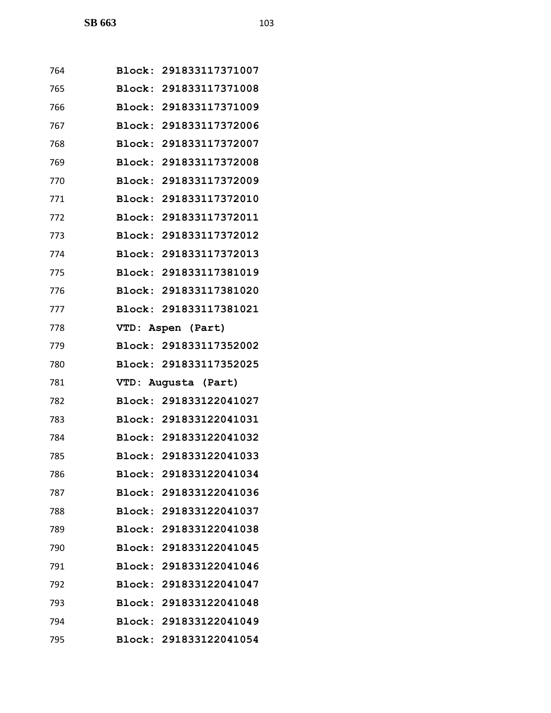| 764 | Block: 291833117371007 |
|-----|------------------------|
| 765 | Block: 291833117371008 |
| 766 | Block: 291833117371009 |
| 767 | Block: 291833117372006 |
| 768 | Block: 291833117372007 |
| 769 | Block: 291833117372008 |
| 770 | Block: 291833117372009 |
| 771 | Block: 291833117372010 |
| 772 | Block: 291833117372011 |
| 773 | Block: 291833117372012 |
| 774 | Block: 291833117372013 |
| 775 | Block: 291833117381019 |
| 776 | Block: 291833117381020 |
| 777 | Block: 291833117381021 |
| 778 | VTD: Aspen (Part)      |
| 779 | Block: 291833117352002 |
| 780 | Block: 291833117352025 |
| 781 | VTD: Augusta (Part)    |
| 782 | Block: 291833122041027 |
| 783 | Block: 291833122041031 |
| 784 | Block: 291833122041032 |
| 785 | Block: 291833122041033 |
| 786 | Block: 291833122041034 |
| 787 | Block: 291833122041036 |
| 788 | Block: 291833122041037 |
| 789 | Block: 291833122041038 |
| 790 | Block: 291833122041045 |
| 791 | Block: 291833122041046 |
| 792 | Block: 291833122041047 |
| 793 | Block: 291833122041048 |
| 794 | Block: 291833122041049 |
| 795 | Block: 291833122041054 |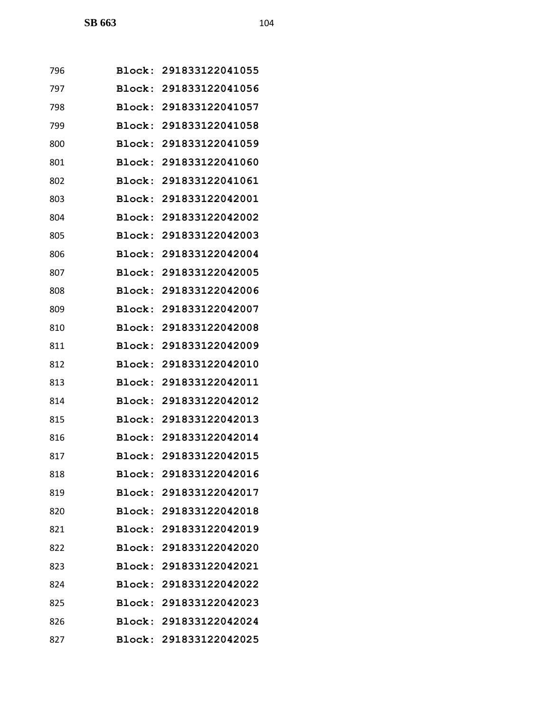| 796 |        | Block: 291833122041055 |
|-----|--------|------------------------|
| 797 |        | Block: 291833122041056 |
| 798 |        | Block: 291833122041057 |
| 799 |        | Block: 291833122041058 |
| 800 |        | Block: 291833122041059 |
| 801 |        | Block: 291833122041060 |
| 802 |        | Block: 291833122041061 |
| 803 | Block: | 291833122042001        |
| 804 |        | Block: 291833122042002 |
| 805 | Block: | 291833122042003        |
| 806 |        | Block: 291833122042004 |
| 807 |        | Block: 291833122042005 |
| 808 |        | Block: 291833122042006 |
| 809 |        | Block: 291833122042007 |
| 810 |        | Block: 291833122042008 |
| 811 |        | Block: 291833122042009 |
| 812 |        | Block: 291833122042010 |
| 813 | Block: | 291833122042011        |
| 814 |        | Block: 291833122042012 |
| 815 | Block: | 291833122042013        |
| 816 |        | Block: 291833122042014 |
| 817 |        | Block: 291833122042015 |
| 818 |        | Block: 291833122042016 |
| 819 |        | Block: 291833122042017 |
| 820 |        | Block: 291833122042018 |
| 821 |        | Block: 291833122042019 |
| 822 |        | Block: 291833122042020 |
| 823 |        | Block: 291833122042021 |
| 824 |        | Block: 291833122042022 |
| 825 |        | Block: 291833122042023 |
| 826 |        | Block: 291833122042024 |
| 827 |        | Block: 291833122042025 |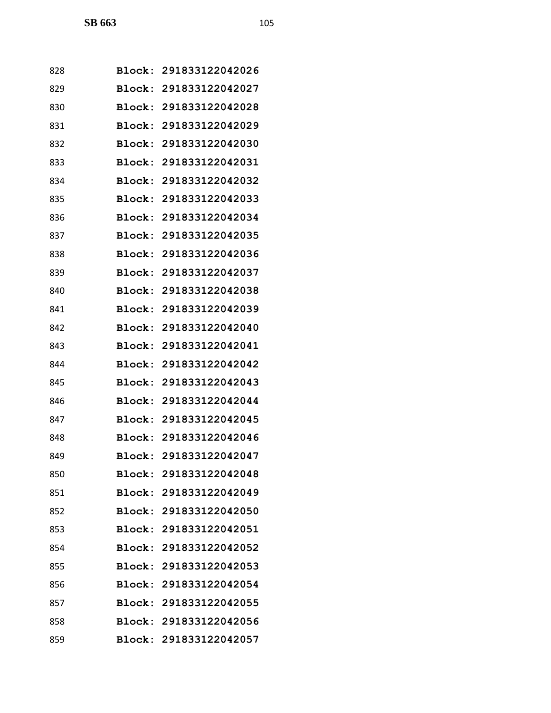| 828 | Block: 291833122042026 |
|-----|------------------------|
| 829 | Block: 291833122042027 |
| 830 | Block: 291833122042028 |
| 831 | Block: 291833122042029 |
| 832 | Block: 291833122042030 |
| 833 | Block: 291833122042031 |
| 834 | Block: 291833122042032 |
| 835 | Block: 291833122042033 |
| 836 | Block: 291833122042034 |
| 837 | Block: 291833122042035 |
| 838 | Block: 291833122042036 |
| 839 | Block: 291833122042037 |
| 840 | Block: 291833122042038 |
| 841 | Block: 291833122042039 |
| 842 | Block: 291833122042040 |
| 843 | Block: 291833122042041 |
| 844 | Block: 291833122042042 |
| 845 | Block: 291833122042043 |
| 846 | Block: 291833122042044 |
| 847 | Block: 291833122042045 |
| 848 | Block: 291833122042046 |
| 849 | Block: 291833122042047 |
| 850 | Block: 291833122042048 |
| 851 | Block: 291833122042049 |
| 852 | Block: 291833122042050 |
| 853 | Block: 291833122042051 |
| 854 | Block: 291833122042052 |
| 855 | Block: 291833122042053 |
| 856 | Block: 291833122042054 |
| 857 | Block: 291833122042055 |
| 858 | Block: 291833122042056 |
| 859 | Block: 291833122042057 |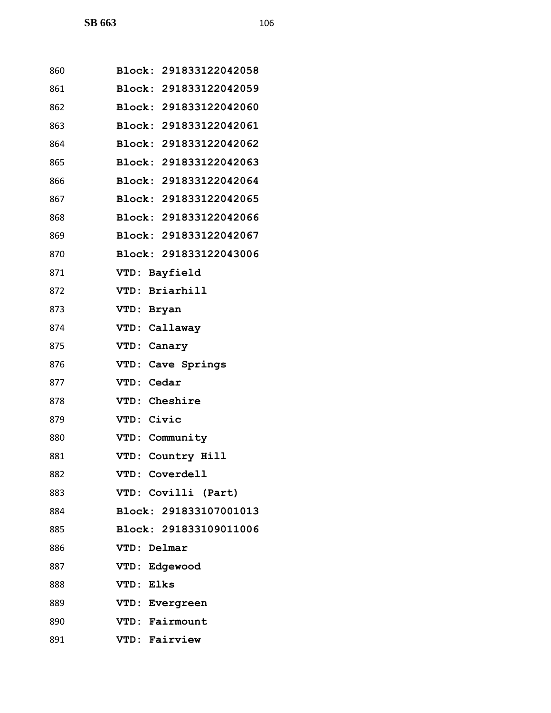| 860 | Block: 291833122042058 |
|-----|------------------------|
| 861 | Block: 291833122042059 |
| 862 | Block: 291833122042060 |
| 863 | Block: 291833122042061 |
| 864 | Block: 291833122042062 |
| 865 | Block: 291833122042063 |
| 866 | Block: 291833122042064 |
| 867 | Block: 291833122042065 |
| 868 | Block: 291833122042066 |
| 869 | Block: 291833122042067 |
| 870 | Block: 291833122043006 |
| 871 | VTD: Bayfield          |
| 872 | VTD: Briarhill         |
| 873 | VTD: Bryan             |
| 874 | VTD: Callaway          |
| 875 | VTD: Canary            |
| 876 | VTD: Cave Springs      |
| 877 | VTD: Cedar             |
| 878 | VTD: Cheshire          |
| 879 | VTD: Civic             |
| 880 | VTD: Community         |
| 881 | VTD: Country Hill      |
| 882 | VTD: Coverdell         |
| 883 | VTD: Covilli (Part)    |
| 884 | Block: 291833107001013 |
| 885 | Block: 291833109011006 |
| 886 | VTD: Delmar            |
| 887 | VTD: Edgewood          |
| 888 | VTD: Elks              |
| 889 | VTD: Evergreen         |
| 890 | VTD: Fairmount         |
| 891 | VTD: Fairview          |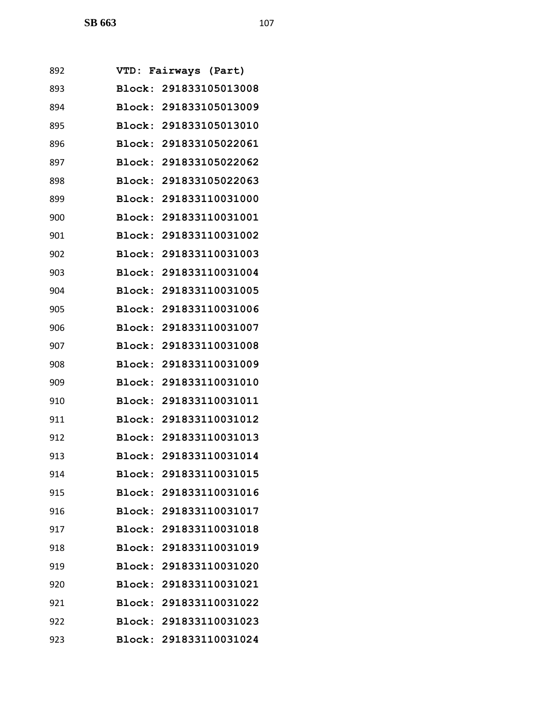| 892 | VTD:          | Fairways (Part)        |
|-----|---------------|------------------------|
| 893 |               | Block: 291833105013008 |
| 894 | Block:        | 291833105013009        |
| 895 |               | Block: 291833105013010 |
| 896 | Block:        | 291833105022061        |
| 897 | <b>Block:</b> | 291833105022062        |
| 898 |               | Block: 291833105022063 |
| 899 | Block:        | 291833110031000        |
| 900 | Block:        | 291833110031001        |
| 901 | Block:        | 291833110031002        |
| 902 | Block:        | 291833110031003        |
| 903 |               | Block: 291833110031004 |
| 904 | Block:        | 291833110031005        |
| 905 |               | Block: 291833110031006 |
| 906 | Block:        | 291833110031007        |
| 907 | Block:        | 291833110031008        |
| 908 |               | Block: 291833110031009 |
| 909 | Block:        | 291833110031010        |
| 910 | Block:        | 291833110031011        |
| 911 | Block:        | 291833110031012        |
| 912 |               | Block: 291833110031013 |
| 913 |               | Block: 291833110031014 |
| 914 |               | Block: 291833110031015 |
| 915 |               | Block: 291833110031016 |
| 916 |               | Block: 291833110031017 |
| 917 |               | Block: 291833110031018 |
| 918 |               | Block: 291833110031019 |
| 919 |               | Block: 291833110031020 |
| 920 |               | Block: 291833110031021 |
| 921 |               | Block: 291833110031022 |
| 922 |               | Block: 291833110031023 |
| 923 |               | Block: 291833110031024 |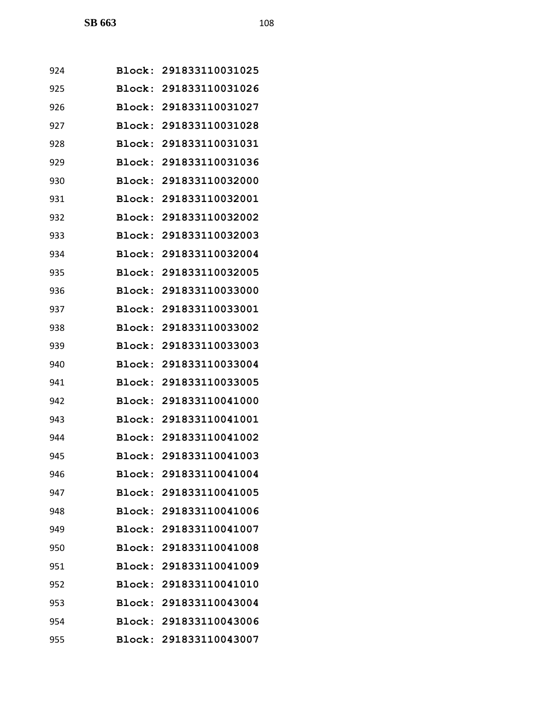| 924 |               | Block: 291833110031025 |
|-----|---------------|------------------------|
| 925 |               | Block: 291833110031026 |
| 926 |               | Block: 291833110031027 |
| 927 |               | Block: 291833110031028 |
| 928 | <b>Block:</b> | 291833110031031        |
| 929 |               | Block: 291833110031036 |
| 930 | Block:        | 291833110032000        |
| 931 |               | Block: 291833110032001 |
| 932 |               | Block: 291833110032002 |
| 933 | <b>Block:</b> | 291833110032003        |
| 934 |               | Block: 291833110032004 |
| 935 | Block:        | 291833110032005        |
| 936 |               | Block: 291833110033000 |
| 937 |               | Block: 291833110033001 |
| 938 |               | Block: 291833110033002 |
| 939 |               | Block: 291833110033003 |
| 940 | <b>Block:</b> | 291833110033004        |
| 941 |               | Block: 291833110033005 |
| 942 |               | Block: 291833110041000 |
| 943 | <b>Block:</b> | 291833110041001        |
| 944 |               | Block: 291833110041002 |
| 945 |               | Block: 291833110041003 |
| 946 |               | Block: 291833110041004 |
| 947 |               | Block: 291833110041005 |
| 948 |               | Block: 291833110041006 |
| 949 |               | Block: 291833110041007 |
| 950 |               | Block: 291833110041008 |
| 951 |               | Block: 291833110041009 |
| 952 |               | Block: 291833110041010 |
| 953 |               | Block: 291833110043004 |
| 954 |               | Block: 291833110043006 |
| 955 |               | Block: 291833110043007 |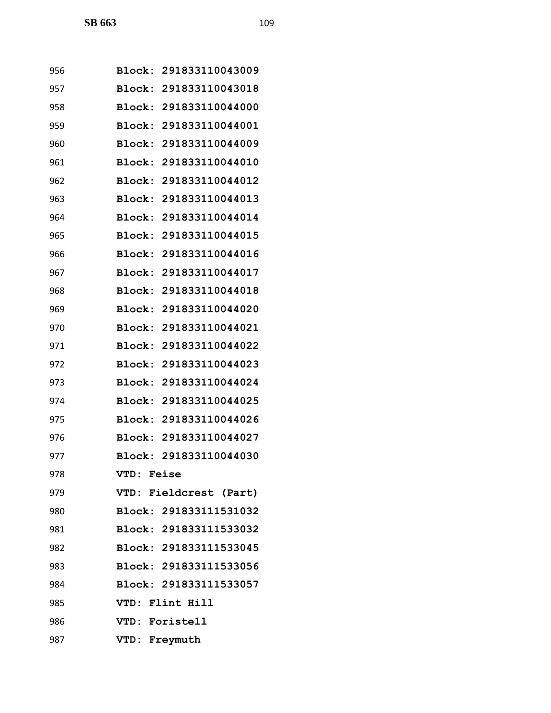| 956 | Block: 291833110043009           |
|-----|----------------------------------|
| 957 | <b>Block:</b><br>291833110043018 |
| 958 | Block: 291833110044000           |
| 959 | Block:<br>291833110044001        |
| 960 | Block:<br>291833110044009        |
| 961 | Block: 291833110044010           |
| 962 | Block:<br>291833110044012        |
| 963 | Block: 291833110044013           |
| 964 | Block: 291833110044014           |
| 965 | Block:<br>291833110044015        |
| 966 | Block: 291833110044016           |
| 967 | Block:<br>291833110044017        |
| 968 | Block:<br>291833110044018        |
| 969 | Block:<br>291833110044020        |
| 970 | Block:<br>291833110044021        |
| 971 | Block:<br>291833110044022        |
| 972 | Block:<br>291833110044023        |
| 973 | 291833110044024<br>Block:        |
| 974 | Block:<br>291833110044025        |
| 975 | Block:<br>291833110044026        |
| 976 | Block: 291833110044027           |
| 977 | Block: 291833110044030           |
| 978 | VTD: Feise                       |
| 979 | VTD: Fieldcrest (Part)           |
| 980 | Block: 291833111531032           |
| 981 | Block: 291833111533032           |
| 982 | Block: 291833111533045           |
| 983 | Block: 291833111533056           |
| 984 | Block: 291833111533057           |
| 985 | VTD: Flint Hill                  |
| 986 | VTD: Foristell                   |
| 987 | VTD: Freymuth                    |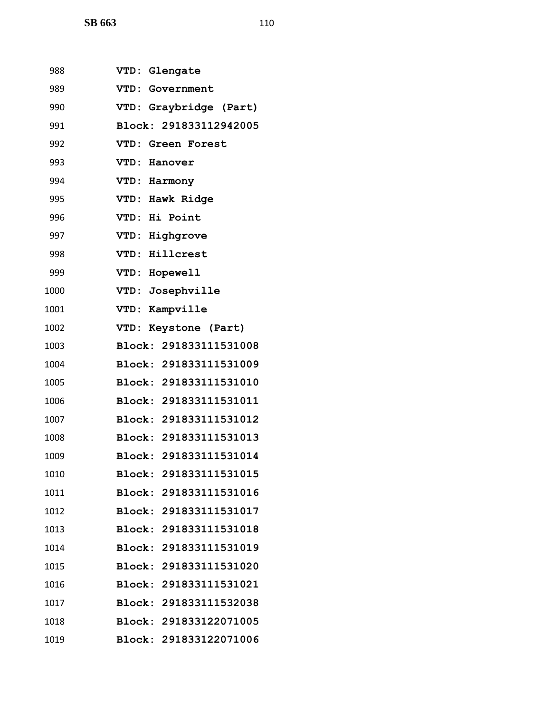**SB 663** 110

| 988  | VTD: Glengate          |
|------|------------------------|
| 989  | VTD: Government        |
| 990  | VTD: Graybridge (Part) |
| 991  | Block: 291833112942005 |
| 992  | VTD: Green Forest      |
| 993  | VTD: Hanover           |
| 994  | VTD: Harmony           |
| 995  | VTD: Hawk Ridge        |
| 996  | VTD: Hi Point          |
| 997  | VTD: Highgrove         |
| 998  | VTD: Hillcrest         |
| 999  | VTD: Hopewell          |
| 1000 | VTD: Josephville       |
| 1001 | VTD: Kampville         |
| 1002 | VTD: Keystone (Part)   |
| 1003 | Block: 291833111531008 |
| 1004 | Block: 291833111531009 |
| 1005 | Block: 291833111531010 |
| 1006 | Block: 291833111531011 |
| 1007 | Block: 291833111531012 |
| 1008 | Block: 291833111531013 |
| 1009 | Block: 291833111531014 |
| 1010 | Block: 291833111531015 |
| 1011 | Block: 291833111531016 |
| 1012 | Block: 291833111531017 |
| 1013 | Block: 291833111531018 |
| 1014 | Block: 291833111531019 |
| 1015 | Block: 291833111531020 |
| 1016 | Block: 291833111531021 |
| 1017 | Block: 291833111532038 |
| 1018 | Block: 291833122071005 |
| 1019 | Block: 291833122071006 |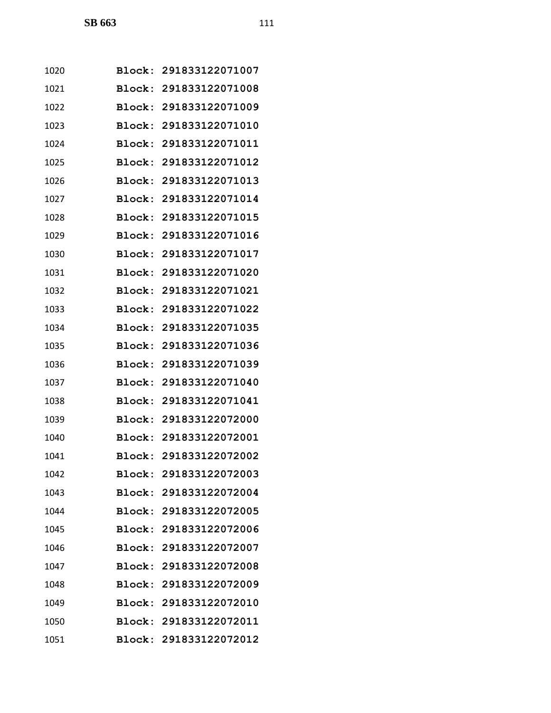| 1020 |        | Block: 291833122071007 |
|------|--------|------------------------|
| 1021 |        | Block: 291833122071008 |
| 1022 |        | Block: 291833122071009 |
| 1023 |        | Block: 291833122071010 |
| 1024 |        | Block: 291833122071011 |
| 1025 | Block: | 291833122071012        |
| 1026 | Block: | 291833122071013        |
| 1027 |        | Block: 291833122071014 |
| 1028 |        | Block: 291833122071015 |
| 1029 | Block: | 291833122071016        |
| 1030 |        | Block: 291833122071017 |
| 1031 | Block: | 291833122071020        |
| 1032 |        | Block: 291833122071021 |
| 1033 |        | Block: 291833122071022 |
| 1034 |        | Block: 291833122071035 |
| 1035 |        | Block: 291833122071036 |
| 1036 | Block: | 291833122071039        |
| 1037 |        | Block: 291833122071040 |
| 1038 |        | Block: 291833122071041 |
| 1039 |        | Block: 291833122072000 |
| 1040 |        | Block: 291833122072001 |
| 1041 |        | Block: 291833122072002 |
| 1042 |        | Block: 291833122072003 |
| 1043 |        | Block: 291833122072004 |
| 1044 |        | Block: 291833122072005 |
| 1045 |        | Block: 291833122072006 |
| 1046 |        | Block: 291833122072007 |
| 1047 |        | Block: 291833122072008 |
| 1048 |        | Block: 291833122072009 |
| 1049 |        | Block: 291833122072010 |
| 1050 |        | Block: 291833122072011 |
| 1051 |        | Block: 291833122072012 |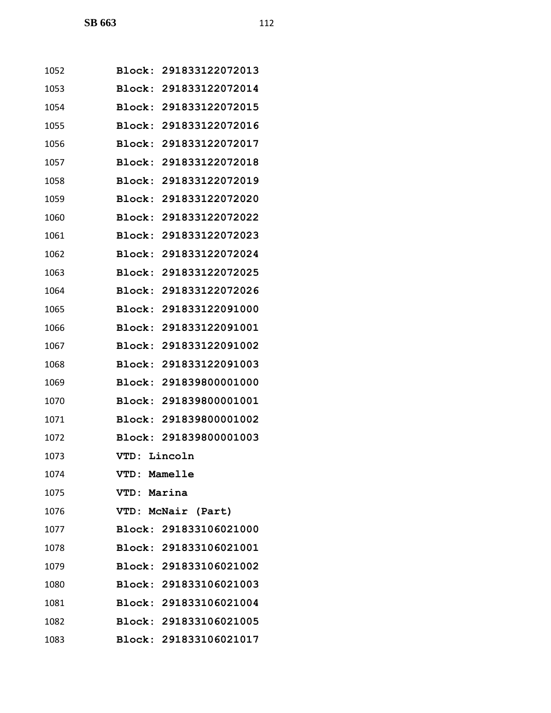| 1052 | Block:       | 291833122072013        |
|------|--------------|------------------------|
| 1053 | Block:       | 291833122072014        |
| 1054 | Block:       | 291833122072015        |
| 1055 |              | Block: 291833122072016 |
| 1056 | Block:       | 291833122072017        |
| 1057 | Block:       | 291833122072018        |
| 1058 | Block:       | 291833122072019        |
| 1059 | Block:       | 291833122072020        |
| 1060 |              | Block: 291833122072022 |
| 1061 | Block:       | 291833122072023        |
| 1062 | Block:       | 291833122072024        |
| 1063 | Block:       | 291833122072025        |
| 1064 | Block:       | 291833122072026        |
| 1065 |              | Block: 291833122091000 |
| 1066 | Block:       | 291833122091001        |
| 1067 | Block:       | 291833122091002        |
| 1068 | Block:       | 291833122091003        |
| 1069 | Block:       | 291839800001000        |
| 1070 |              | Block: 291839800001001 |
| 1071 |              | Block: 291839800001002 |
| 1072 |              | Block: 291839800001003 |
| 1073 | VTD: Lincoln |                        |
| 1074 | VTD: Mamelle |                        |
| 1075 | VTD: Marina  |                        |
| 1076 |              | VTD: McNair (Part)     |
| 1077 |              | Block: 291833106021000 |
| 1078 |              | Block: 291833106021001 |
| 1079 |              | Block: 291833106021002 |
| 1080 |              | Block: 291833106021003 |
| 1081 |              | Block: 291833106021004 |
| 1082 |              | Block: 291833106021005 |
| 1083 |              | Block: 291833106021017 |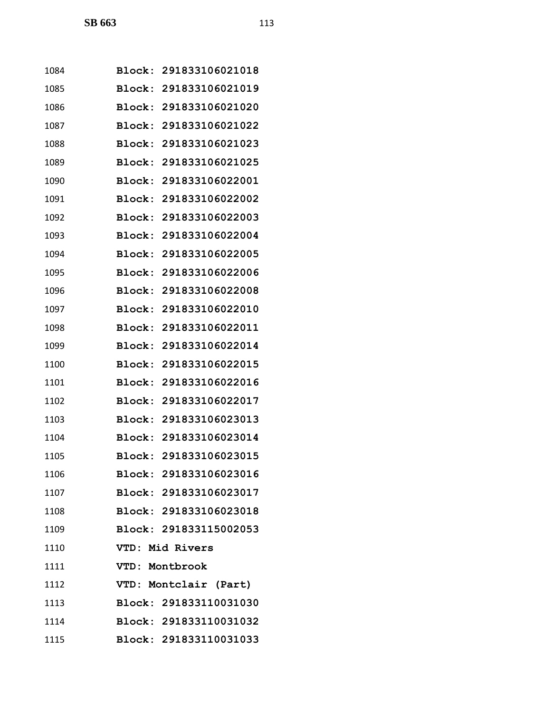| 1084 |        | Block: 291833106021018 |
|------|--------|------------------------|
| 1085 | Block: | 291833106021019        |
| 1086 | Block: | 291833106021020        |
| 1087 | Block: | 291833106021022        |
| 1088 | Block: | 291833106021023        |
| 1089 |        | Block: 291833106021025 |
| 1090 | Block: | 291833106022001        |
| 1091 | Block: | 291833106022002        |
| 1092 | Block: | 291833106022003        |
| 1093 | Block: | 291833106022004        |
| 1094 |        | Block: 291833106022005 |
| 1095 | Block: | 291833106022006        |
| 1096 | Block: | 291833106022008        |
| 1097 | Block: | 291833106022010        |
| 1098 | Block: | 291833106022011        |
| 1099 | Block: | 291833106022014        |
| 1100 | Block: | 291833106022015        |
| 1101 | Block: | 291833106022016        |
| 1102 | Block: | 291833106022017        |
| 1103 | Block: | 291833106023013        |
| 1104 |        | Block: 291833106023014 |
| 1105 |        | Block: 291833106023015 |
| 1106 |        | Block: 291833106023016 |
| 1107 |        | Block: 291833106023017 |
| 1108 |        | Block: 291833106023018 |
| 1109 |        | Block: 291833115002053 |
| 1110 |        | VTD: Mid Rivers        |
| 1111 |        | VTD: Montbrook         |
| 1112 |        | VTD: Montclair (Part)  |
| 1113 |        | Block: 291833110031030 |
| 1114 |        | Block: 291833110031032 |
| 1115 |        | Block: 291833110031033 |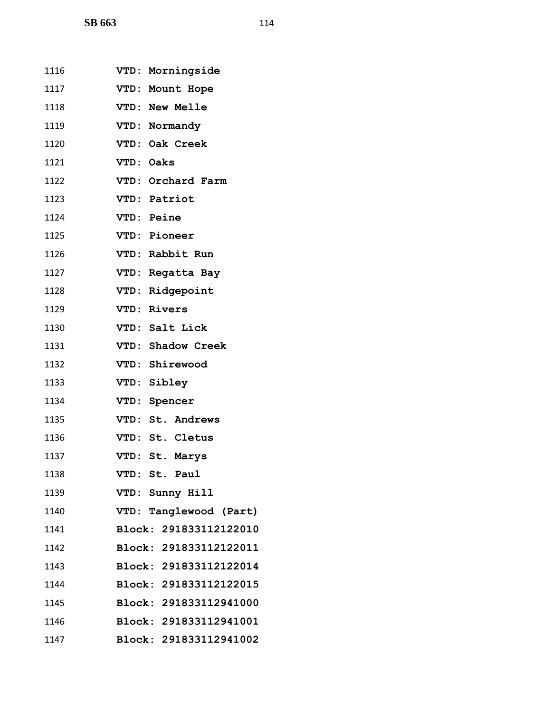**SB 663** 114

| 1116 | VTD: Morningside       |
|------|------------------------|
| 1117 | VTD: Mount Hope        |
| 1118 | VTD: New Melle         |
| 1119 | VTD: Normandy          |
| 1120 | VTD: Oak Creek         |
| 1121 | VTD: Oaks              |
| 1122 | VTD: Orchard Farm      |
| 1123 | VTD: Patriot           |
| 1124 | VTD: Peine             |
| 1125 | VTD: Pioneer           |
| 1126 | VTD: Rabbit Run        |
| 1127 | VTD: Regatta Bay       |
| 1128 | VTD: Ridgepoint        |
| 1129 | VTD: Rivers            |
| 1130 | VTD: Salt Lick         |
| 1131 | VTD: Shadow Creek      |
| 1132 | VTD: Shirewood         |
| 1133 | VTD: Sibley            |
| 1134 | VTD: Spencer           |
| 1135 | VTD: St. Andrews       |
| 1136 | VTD: St. Cletus        |
| 1137 | VTD: St. Marys         |
| 1138 | VTD: St. Paul          |
| 1139 | VTD: Sunny Hill        |
| 1140 | VTD: Tanglewood (Part) |
| 1141 | Block: 291833112122010 |
| 1142 | Block: 291833112122011 |
| 1143 | Block: 291833112122014 |
| 1144 | Block: 291833112122015 |
| 1145 | Block: 291833112941000 |
| 1146 | Block: 291833112941001 |
| 1147 | Block: 291833112941002 |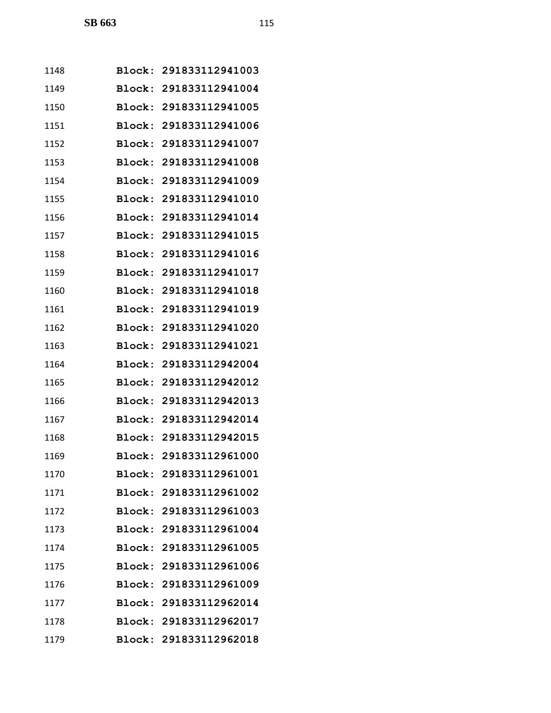| 1148 |        | Block: 291833112941003 |
|------|--------|------------------------|
| 1149 |        | Block: 291833112941004 |
| 1150 |        | Block: 291833112941005 |
| 1151 |        | Block: 291833112941006 |
| 1152 | Block: | 291833112941007        |
| 1153 | Block: | 291833112941008        |
| 1154 |        | Block: 291833112941009 |
| 1155 |        | Block: 291833112941010 |
| 1156 |        | Block: 291833112941014 |
| 1157 | Block: | 291833112941015        |
| 1158 |        | Block: 291833112941016 |
| 1159 | Block: | 291833112941017        |
| 1160 | Block: | 291833112941018        |
| 1161 |        | Block: 291833112941019 |
| 1162 | Block: | 291833112941020        |
| 1163 | Block: | 291833112941021        |
| 1164 | Block: | 291833112942004        |
| 1165 |        | Block: 291833112942012 |
| 1166 |        | Block: 291833112942013 |
| 1167 |        | Block: 291833112942014 |
| 1168 |        | Block: 291833112942015 |
| 1169 |        | Block: 291833112961000 |
| 1170 |        | Block: 291833112961001 |
| 1171 |        | Block: 291833112961002 |
| 1172 |        | Block: 291833112961003 |
| 1173 |        | Block: 291833112961004 |
| 1174 |        | Block: 291833112961005 |
| 1175 |        | Block: 291833112961006 |
| 1176 |        | Block: 291833112961009 |
| 1177 |        | Block: 291833112962014 |
| 1178 |        | Block: 291833112962017 |
| 1179 |        | Block: 291833112962018 |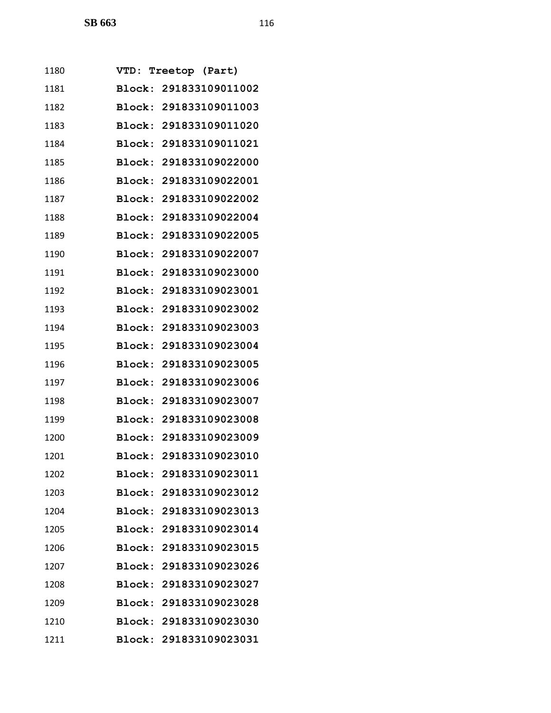| 1180         | <b>VTD:</b>   | Treetop (Part)         |
|--------------|---------------|------------------------|
| 1181         |               | Block: 291833109011002 |
| 1182         |               | Block: 291833109011003 |
| 1183         |               | Block: 291833109011020 |
| 1184         |               | Block: 291833109011021 |
| 1185         | Block:        | 291833109022000        |
| 1186         |               | Block: 291833109022001 |
| 1187         |               | Block: 291833109022002 |
| 1188         | Block:        | 291833109022004        |
| 1189         |               | Block: 291833109022005 |
| 1190         |               | Block: 291833109022007 |
| 1191         |               | Block: 291833109023000 |
| 1192         | Block:        | 291833109023001        |
| 1193         |               | Block: 291833109023002 |
| 1194         |               | Block: 291833109023003 |
| 1195         | Block:        | 291833109023004        |
| 1196         |               | Block: 291833109023005 |
| 1197         |               | Block: 291833109023006 |
| <u> 1198</u> | Block:        | 291833109023007        |
| 1199         |               | Block: 291833109023008 |
| 1200         |               | Block: 291833109023009 |
| 1201         |               | Block: 291833109023010 |
| 1202         | <b>Block:</b> | 291833109023011        |
| 1203         |               | Block: 291833109023012 |
| 1204         |               | Block: 291833109023013 |
| 1205         |               | Block: 291833109023014 |
| 1206         | <b>Block:</b> | 291833109023015        |
| 1207         | Block:        | 291833109023026        |
| 1208         |               | Block: 291833109023027 |
| 1209         |               | Block: 291833109023028 |
| 1210         |               | Block: 291833109023030 |
| 1211         |               | Block: 291833109023031 |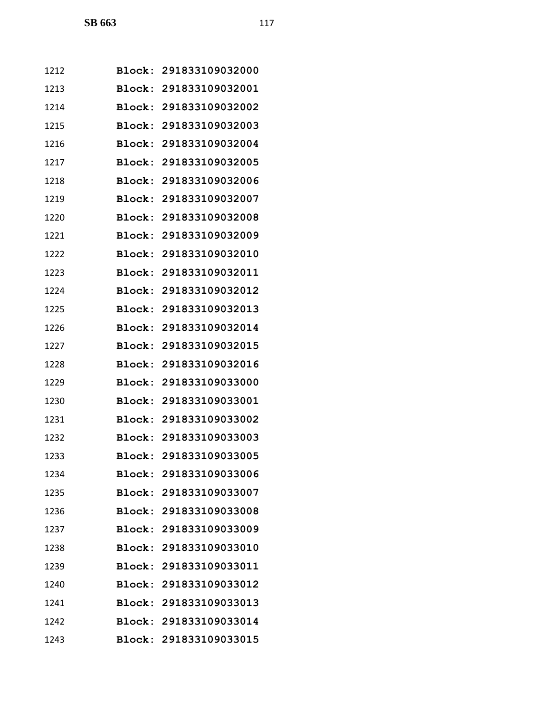| 1212 |        | Block: 291833109032000 |
|------|--------|------------------------|
| 1213 |        | Block: 291833109032001 |
| 1214 |        | Block: 291833109032002 |
| 1215 |        | Block: 291833109032003 |
| 1216 | Block: | 291833109032004        |
| 1217 | Block: | 291833109032005        |
| 1218 |        | Block: 291833109032006 |
| 1219 |        | Block: 291833109032007 |
| 1220 |        | Block: 291833109032008 |
| 1221 | Block: | 291833109032009        |
| 1222 |        | Block: 291833109032010 |
| 1223 | Block: | 291833109032011        |
| 1224 | Block: | 291833109032012        |
| 1225 |        | Block: 291833109032013 |
| 1226 | Block: | 291833109032014        |
| 1227 | Block: | 291833109032015        |
| 1228 |        | Block: 291833109032016 |
| 1229 |        | Block: 291833109033000 |
| 1230 |        | Block: 291833109033001 |
| 1231 |        | Block: 291833109033002 |
| 1232 |        | Block: 291833109033003 |
| 1233 |        | Block: 291833109033005 |
| 1234 |        | Block: 291833109033006 |
| 1235 |        | Block: 291833109033007 |
| 1236 |        | Block: 291833109033008 |
| 1237 |        | Block: 291833109033009 |
| 1238 |        | Block: 291833109033010 |
| 1239 |        | Block: 291833109033011 |
| 1240 |        | Block: 291833109033012 |
| 1241 |        | Block: 291833109033013 |
| 1242 |        | Block: 291833109033014 |
| 1243 |        | Block: 291833109033015 |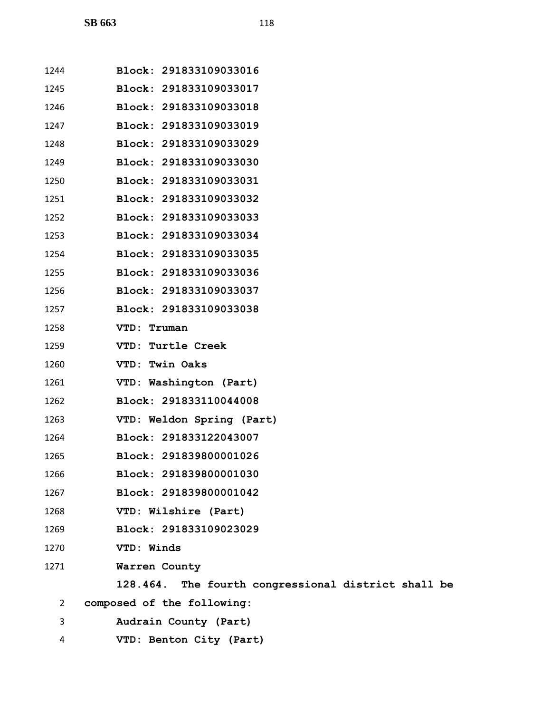| 1244 | Block: 291833109033016                              |
|------|-----------------------------------------------------|
| 1245 | Block: 291833109033017                              |
| 1246 | Block: 291833109033018                              |
| 1247 | Block: 291833109033019                              |
| 1248 | Block: 291833109033029                              |
| 1249 | Block: 291833109033030                              |
| 1250 | Block: 291833109033031                              |
| 1251 | Block: 291833109033032                              |
| 1252 | Block: 291833109033033                              |
| 1253 | Block: 291833109033034                              |
| 1254 | Block: 291833109033035                              |
| 1255 | Block: 291833109033036                              |
| 1256 | Block: 291833109033037                              |
| 1257 | Block: 291833109033038                              |
| 1258 | VTD: Truman                                         |
| 1259 | <b>VTD: Turtle Creek</b>                            |
| 1260 | VTD: Twin Oaks                                      |
| 1261 | VTD: Washington (Part)                              |
| 1262 | Block: 291833110044008                              |
| 1263 | VTD: Weldon Spring (Part)                           |
| 1264 | Block: 291833122043007                              |
| 1265 | Block: 291839800001026                              |
| 1266 | Block: 291839800001030                              |
| 1267 | Block: 291839800001042                              |
| 1268 | VTD: Wilshire (Part)                                |
| 1269 | Block: 291833109023029                              |
| 1270 | VTD: Winds                                          |
| 1271 | Warren County                                       |
|      | 128.464. The fourth congressional district shall be |
| 2    | composed of the following:                          |
| 3    | Audrain County (Part)                               |

**VTD: Benton City (Part)**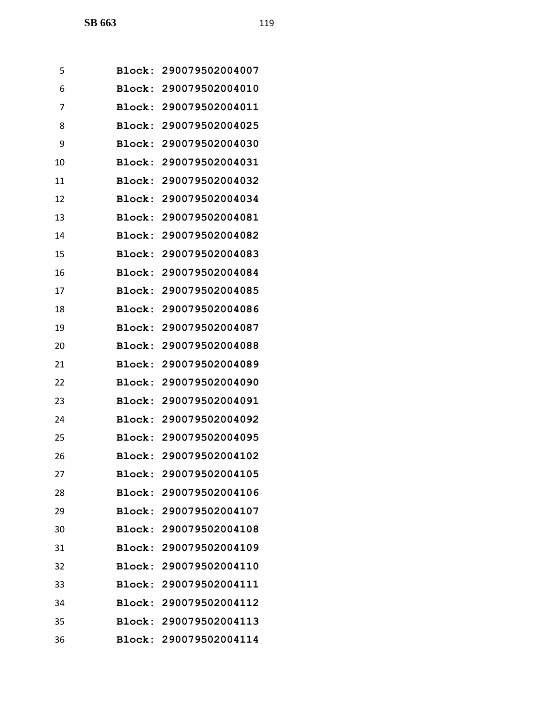| 5  | Block:        | 290079502004007        |
|----|---------------|------------------------|
| 6  |               | Block: 290079502004010 |
| 7  | Block:        | 290079502004011        |
| 8  | Block:        | 290079502004025        |
| 9  | Block:        | 290079502004030        |
| 10 | Block:        | 290079502004031        |
| 11 |               | Block: 290079502004032 |
| 12 | Block:        | 290079502004034        |
| 13 | Block:        | 290079502004081        |
| 14 | Block:        | 290079502004082        |
| 15 | Block:        | 290079502004083        |
| 16 | Block:        | 290079502004084        |
| 17 | Block:        | 290079502004085        |
| 18 | <b>Block:</b> | 290079502004086        |
| 19 | Block:        | 290079502004087        |
| 20 | Block:        | 290079502004088        |
| 21 |               | Block: 290079502004089 |
| 22 | Block:        | 290079502004090        |
| 23 | Block:        | 290079502004091        |
| 24 | Block:        | 290079502004092        |
| 25 |               | Block: 290079502004095 |
| 26 |               | Block: 290079502004102 |
| 27 | Block:        | 290079502004105        |
| 28 |               | Block: 290079502004106 |
| 29 |               | Block: 290079502004107 |
| 30 |               | Block: 290079502004108 |
| 31 |               | Block: 290079502004109 |
| 32 |               | Block: 290079502004110 |
| 33 |               | Block: 290079502004111 |
| 34 |               | Block: 290079502004112 |
| 35 |               | Block: 290079502004113 |
| 36 |               | Block: 290079502004114 |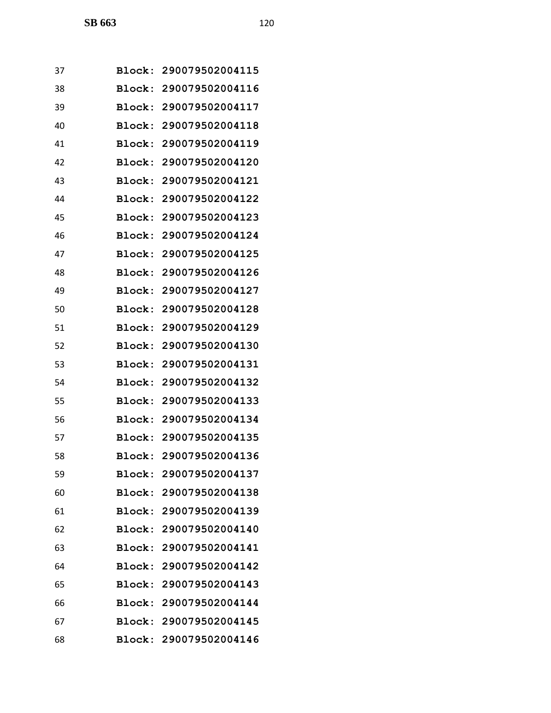| 37 |               | Block: 290079502004115 |
|----|---------------|------------------------|
| 38 | <b>Block:</b> | 290079502004116        |
| 39 | Block:        | 290079502004117        |
| 40 |               | Block: 290079502004118 |
| 41 | Block:        | 290079502004119        |
| 42 | Block:        | 290079502004120        |
| 43 | Block:        | 290079502004121        |
| 44 | Block:        | 290079502004122        |
| 45 |               | Block: 290079502004123 |
| 46 | Block:        | 290079502004124        |
| 47 | Block:        | 290079502004125        |
| 48 | <b>Block:</b> | 290079502004126        |
| 49 | Block:        | 290079502004127        |
| 50 |               | Block: 290079502004128 |
| 51 | Block:        | 290079502004129        |
| 52 | Block:        | 290079502004130        |
| 53 | Block:        | 290079502004131        |
| 54 | Block:        | 290079502004132        |
| 55 |               | Block: 290079502004133 |
| 56 | Block:        | 290079502004134        |
| 57 |               | Block: 290079502004135 |
| 58 |               | Block: 290079502004136 |
| 59 |               | Block: 290079502004137 |
| 60 |               | Block: 290079502004138 |
| 61 |               | Block: 290079502004139 |
| 62 |               | Block: 290079502004140 |
| 63 |               | Block: 290079502004141 |
| 64 | <b>Block:</b> | 290079502004142        |
| 65 |               | Block: 290079502004143 |
| 66 |               | Block: 290079502004144 |
| 67 |               | Block: 290079502004145 |
| 68 |               | Block: 290079502004146 |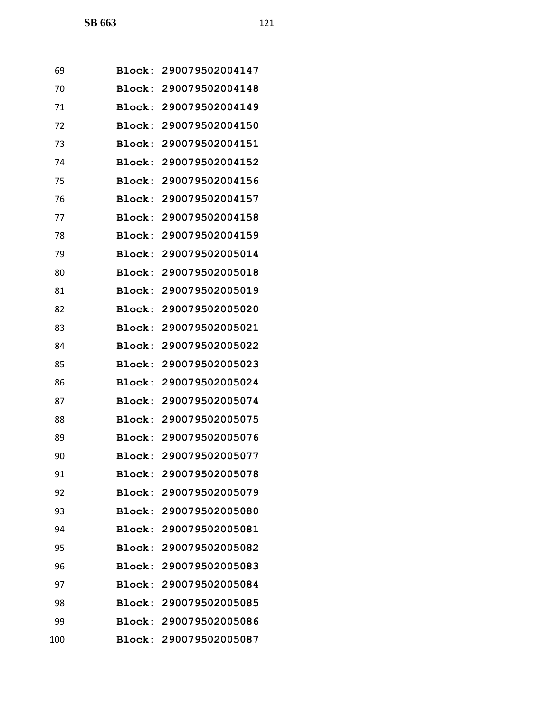| 69  |               | Block: 290079502004147 |
|-----|---------------|------------------------|
| 70  |               | Block: 290079502004148 |
| 71  |               | Block: 290079502004149 |
| 72  |               | Block: 290079502004150 |
| 73  |               | Block: 290079502004151 |
| 74  |               | Block: 290079502004152 |
| 75  |               | Block: 290079502004156 |
| 76  |               | Block: 290079502004157 |
| 77  |               | Block: 290079502004158 |
| 78  |               | Block: 290079502004159 |
| 79  |               | Block: 290079502005014 |
| 80  |               | Block: 290079502005018 |
| 81  |               | Block: 290079502005019 |
| 82  |               | Block: 290079502005020 |
| 83  |               | Block: 290079502005021 |
| 84  | Block:        | 290079502005022        |
| 85  |               | Block: 290079502005023 |
| 86  |               | Block: 290079502005024 |
| 87  |               | Block: 290079502005074 |
| 88  |               | Block: 290079502005075 |
| 89  |               | Block: 290079502005076 |
| 90  |               | Block: 290079502005077 |
| 91  | <b>Block:</b> | 290079502005078        |
| 92  |               | Block: 290079502005079 |
| 93  |               | Block: 290079502005080 |
| 94  |               | Block: 290079502005081 |
| 95  |               | Block: 290079502005082 |
| 96  | Block:        | 290079502005083        |
| 97  |               | Block: 290079502005084 |
| 98  |               | Block: 290079502005085 |
| 99  |               | Block: 290079502005086 |
| 100 |               | Block: 290079502005087 |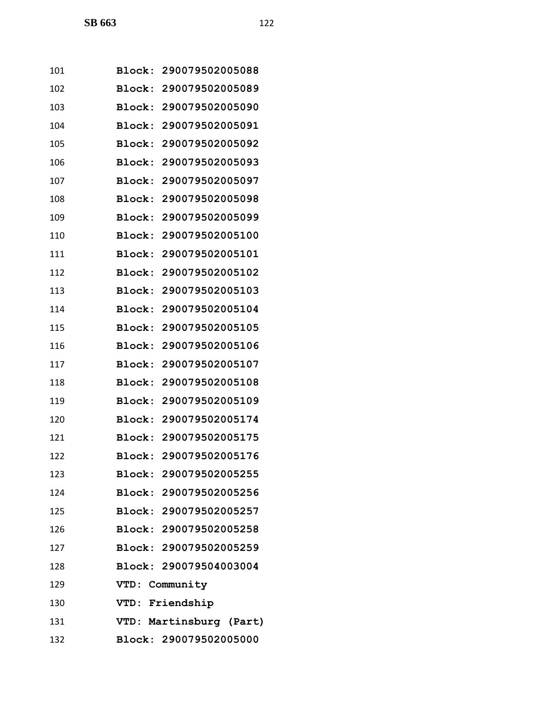| 101 | Block: 290079502005088  |
|-----|-------------------------|
| 102 | Block: 290079502005089  |
| 103 | Block: 290079502005090  |
| 104 | Block: 290079502005091  |
| 105 | Block: 290079502005092  |
| 106 | Block: 290079502005093  |
| 107 | Block: 290079502005097  |
| 108 | Block: 290079502005098  |
| 109 | Block: 290079502005099  |
| 110 | Block: 290079502005100  |
| 111 | Block: 290079502005101  |
| 112 | Block: 290079502005102  |
| 113 | Block: 290079502005103  |
| 114 | Block: 290079502005104  |
| 115 | Block: 290079502005105  |
| 116 | Block: 290079502005106  |
| 117 | Block: 290079502005107  |
| 118 | Block: 290079502005108  |
| 119 | Block: 290079502005109  |
| 120 | Block: 290079502005174  |
| 121 | Block: 290079502005175  |
| 122 | Block: 290079502005176  |
| 123 | Block: 290079502005255  |
| 124 | Block: 290079502005256  |
| 125 | Block: 290079502005257  |
| 126 | Block: 290079502005258  |
| 127 | Block: 290079502005259  |
| 128 | Block: 290079504003004  |
| 129 | VTD: Community          |
| 130 | VTD: Friendship         |
| 131 | VTD: Martinsburg (Part) |
| 132 | Block: 290079502005000  |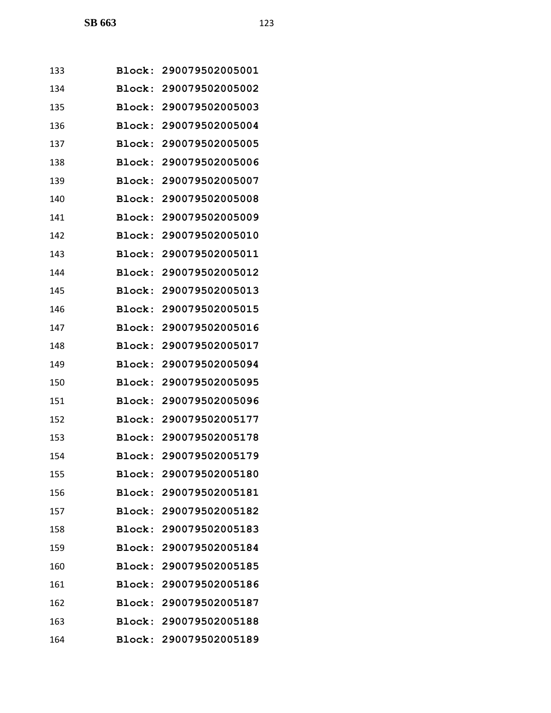| 133 | Block:        | 290079502005001        |
|-----|---------------|------------------------|
| 134 | Block:        | 290079502005002        |
| 135 | Block:        | 290079502005003        |
| 136 | Block:        | 290079502005004        |
| 137 | Block:        | 290079502005005        |
| 138 | Block:        | 290079502005006        |
| 139 | Block:        | 290079502005007        |
| 140 | Block:        | 290079502005008        |
| 141 | <b>Block:</b> | 290079502005009        |
| 142 | Block:        | 290079502005010        |
| 143 | Block:        | 290079502005011        |
| 144 | <b>Block:</b> | 290079502005012        |
| 145 | Block:        | 290079502005013        |
| 146 | Block:        | 290079502005015        |
| 147 | Block:        | 290079502005016        |
| 148 | Block:        | 290079502005017        |
| 149 | Block:        | 290079502005094        |
| 150 | Block:        | 290079502005095        |
| 151 | Block:        | 290079502005096        |
| 152 | <b>Block:</b> | 290079502005177        |
| 153 | Block:        | 290079502005178        |
| 154 |               | Block: 290079502005179 |
| 155 |               | Block: 290079502005180 |
| 156 |               | Block: 290079502005181 |
| 157 |               | Block: 290079502005182 |
| 158 |               | Block: 290079502005183 |
| 159 |               | Block: 290079502005184 |
| 160 | <b>Block:</b> | 290079502005185        |
| 161 |               | Block: 290079502005186 |
| 162 |               | Block: 290079502005187 |
| 163 |               | Block: 290079502005188 |
| 164 |               | Block: 290079502005189 |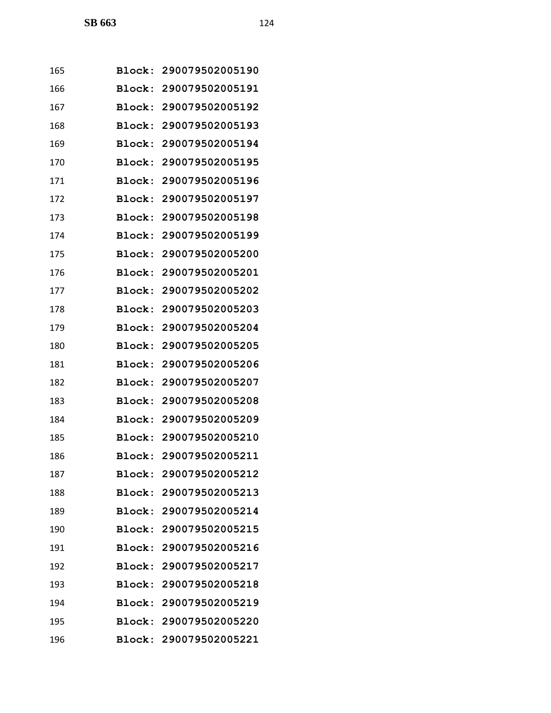| 165 | Block:        | 290079502005190        |
|-----|---------------|------------------------|
| 166 | Block:        | 290079502005191        |
| 167 | Block:        | 290079502005192        |
| 168 |               | Block: 290079502005193 |
| 169 | Block:        | 290079502005194        |
| 170 | Block:        | 290079502005195        |
| 171 | Block:        | 290079502005196        |
| 172 | Block:        | 290079502005197        |
| 173 | Block:        | 290079502005198        |
| 174 | Block:        | 290079502005199        |
| 175 | Block:        | 290079502005200        |
| 176 | <b>Block:</b> | 290079502005201        |
| 177 | Block:        | 290079502005202        |
| 178 | Block:        | 290079502005203        |
| 179 | Block:        | 290079502005204        |
| 180 | Block:        | 290079502005205        |
| 181 | Block:        | 290079502005206        |
| 182 | Block:        | 290079502005207        |
| 183 |               | Block: 290079502005208 |
| 184 | <b>Block:</b> | 290079502005209        |
| 185 |               | Block: 290079502005210 |
| 186 |               | Block: 290079502005211 |
| 187 |               | Block: 290079502005212 |
| 188 |               | Block: 290079502005213 |
| 189 |               | Block: 290079502005214 |
| 190 |               | Block: 290079502005215 |
| 191 |               | Block: 290079502005216 |
| 192 | <b>Block:</b> | 290079502005217        |
| 193 |               | Block: 290079502005218 |
| 194 |               | Block: 290079502005219 |
| 195 |               | Block: 290079502005220 |
| 196 |               | Block: 290079502005221 |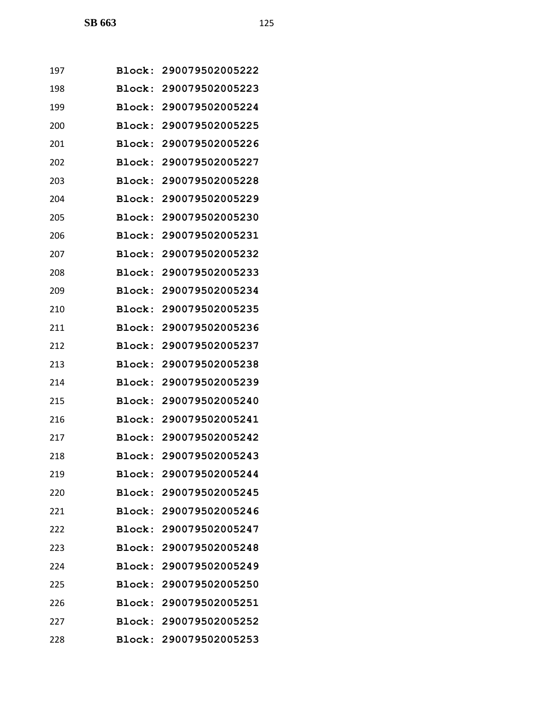| 197 |               | Block: 290079502005222 |
|-----|---------------|------------------------|
| 198 |               | Block: 290079502005223 |
| 199 | Block:        | 290079502005224        |
| 200 |               | Block: 290079502005225 |
| 201 | Block:        | 290079502005226        |
| 202 | Block:        | 290079502005227        |
| 203 | <b>Block:</b> | 290079502005228        |
| 204 | Block:        | 290079502005229        |
| 205 | Block:        | 290079502005230        |
| 206 | Block:        | 290079502005231        |
| 207 | Block:        | 290079502005232        |
| 208 | Block:        | 290079502005233        |
| 209 | Block:        | 290079502005234        |
| 210 |               | Block: 290079502005235 |
| 211 | Block:        | 290079502005236        |
| 212 | Block:        | 290079502005237        |
| 213 | Block:        | 290079502005238        |
| 214 | Block:        | 290079502005239        |
| 215 |               | Block: 290079502005240 |
| 216 | Block:        | 290079502005241        |
| 217 |               | Block: 290079502005242 |
| 218 |               | Block: 290079502005243 |
| 219 |               | Block: 290079502005244 |
| 220 |               | Block: 290079502005245 |
| 221 |               | Block: 290079502005246 |
| 222 |               | Block: 290079502005247 |
| 223 |               | Block: 290079502005248 |
| 224 | <b>Block:</b> | 290079502005249        |
| 225 |               | Block: 290079502005250 |
| 226 |               | Block: 290079502005251 |
| 227 |               | Block: 290079502005252 |
| 228 |               | Block: 290079502005253 |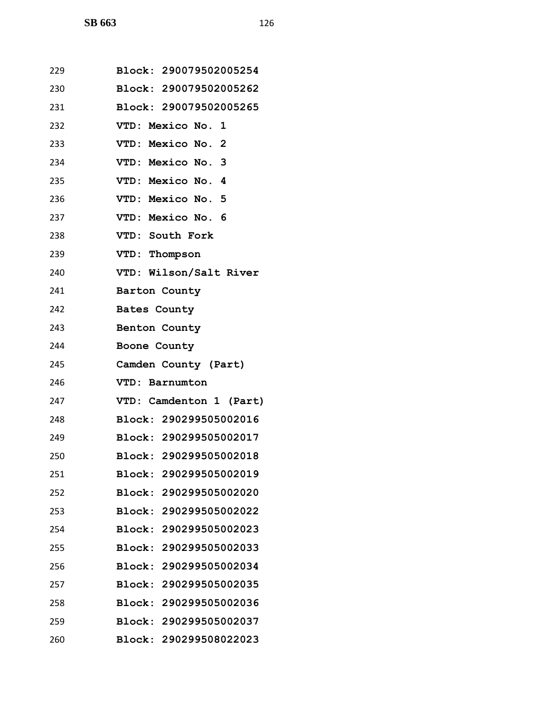| 229 | Block: 290079502005254  |
|-----|-------------------------|
| 230 | Block: 290079502005262  |
| 231 | Block: 290079502005265  |
| 232 | VTD: Mexico No. 1       |
| 233 | VTD: Mexico No. 2       |
| 234 | VTD: Mexico No. 3       |
| 235 | VTD: Mexico No. 4       |
| 236 | VTD: Mexico No. 5       |
| 237 | VTD: Mexico No. 6       |
| 238 | VTD: South Fork         |
| 239 | VTD: Thompson           |
| 240 | VTD: Wilson/Salt River  |
| 241 | Barton County           |
| 242 | <b>Bates County</b>     |
| 243 | Benton County           |
| 244 | Boone County            |
| 245 | Camden County (Part)    |
| 246 | VTD: Barnumton          |
| 247 | VTD: Camdenton 1 (Part) |
| 248 | Block: 290299505002016  |
| 249 | Block: 290299505002017  |
| 250 | Block: 290299505002018  |
| 251 | Block: 290299505002019  |
| 252 | Block: 290299505002020  |
| 253 | Block: 290299505002022  |
| 254 | Block: 290299505002023  |
| 255 | Block: 290299505002033  |
| 256 | Block: 290299505002034  |
| 257 | Block: 290299505002035  |
| 258 | Block: 290299505002036  |
| 259 | Block: 290299505002037  |
| 260 | Block: 290299508022023  |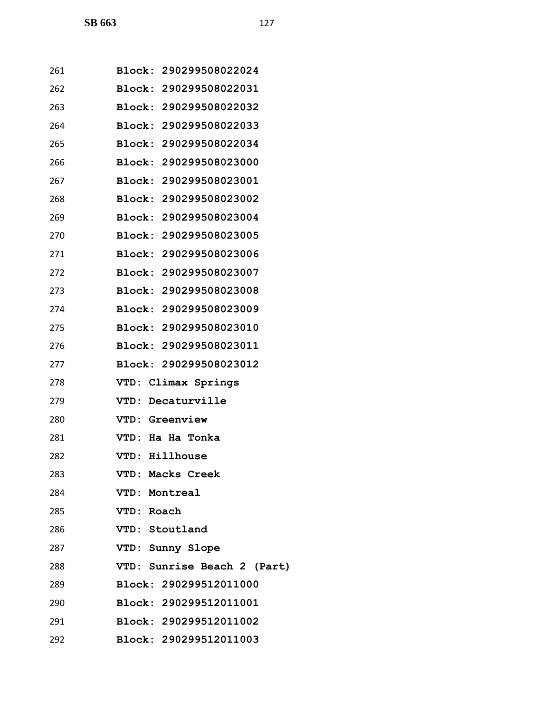| 261 | Block: 290299508022024        |
|-----|-------------------------------|
| 262 | Block: 290299508022031        |
| 263 | Block: 290299508022032        |
| 264 | Block: 290299508022033        |
| 265 | Block: 290299508022034        |
| 266 | <b>Block: 290299508023000</b> |
| 267 | <b>Block: 290299508023001</b> |
| 268 | Block: 290299508023002        |
| 269 | Block: 290299508023004        |
| 270 | Block: 290299508023005        |
| 271 | Block: 290299508023006        |
| 272 | Block: 290299508023007        |
| 273 | Block: 290299508023008        |
| 274 | Block: 290299508023009        |
| 275 | Block: 290299508023010        |
| 276 | Block: 290299508023011        |
| 277 | Block: 290299508023012        |
| 278 | VTD: Climax Springs           |
| 279 | VTD: Decaturville             |
| 280 | <b>VTD: Greenview</b>         |
| 281 | VTD: Ha Ha Tonka              |
| 282 | VTD: Hillhouse                |
| 283 | VTD: Macks Creek              |
| 284 | VTD: Montreal                 |
| 285 | VTD: Roach                    |
| 286 | VTD: Stoutland                |
| 287 | VTD: Sunny Slope              |
| 288 | VTD: Sunrise Beach 2 (Part)   |
| 289 | Block: 290299512011000        |
| 290 | Block: 290299512011001        |
| 291 | Block: 290299512011002        |
| 292 | Block: 290299512011003        |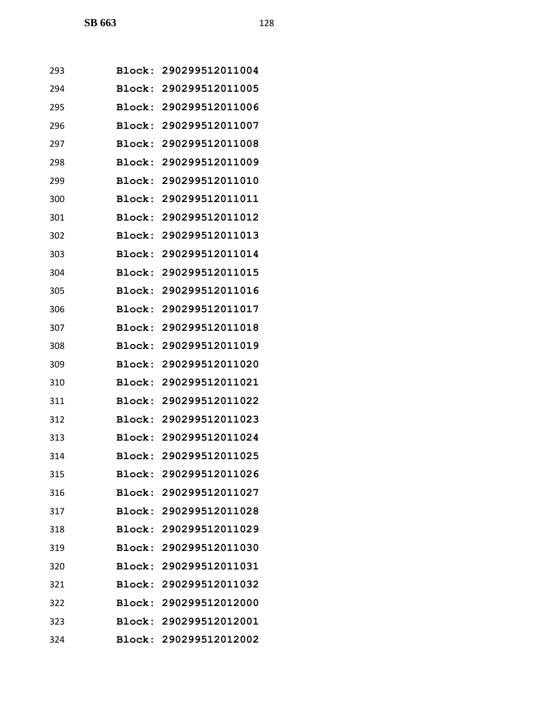| 293 |               | Block: 290299512011004 |
|-----|---------------|------------------------|
| 294 |               | Block: 290299512011005 |
| 295 |               | Block: 290299512011006 |
| 296 |               | Block: 290299512011007 |
| 297 | <b>Block:</b> | 290299512011008        |
| 298 | Block:        | 290299512011009        |
| 299 | Block:        | 290299512011010        |
| 300 | Block:        | 290299512011011        |
| 301 |               | Block: 290299512011012 |
| 302 | <b>Block:</b> | 290299512011013        |
| 303 |               | Block: 290299512011014 |
| 304 |               | Block: 290299512011015 |
| 305 | Block:        | 290299512011016        |
| 306 |               | Block: 290299512011017 |
| 307 | Block:        | 290299512011018        |
| 308 |               | Block: 290299512011019 |
| 309 | Block:        | 290299512011020        |
| 310 | Block:        | 290299512011021        |
| 311 |               | Block: 290299512011022 |
| 312 |               | Block: 290299512011023 |
| 313 |               | Block: 290299512011024 |
| 314 |               | Block: 290299512011025 |
| 315 |               | Block: 290299512011026 |
| 316 |               | Block: 290299512011027 |
| 317 |               | Block: 290299512011028 |
| 318 |               | Block: 290299512011029 |
| 319 |               | Block: 290299512011030 |
| 320 |               | Block: 290299512011031 |
| 321 |               | Block: 290299512011032 |
| 322 |               | Block: 290299512012000 |
| 323 |               | Block: 290299512012001 |
| 324 |               | Block: 290299512012002 |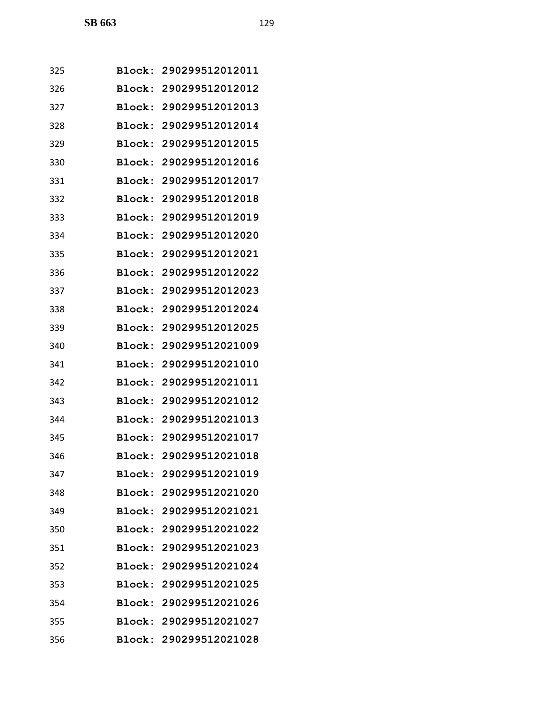| 325 |        | Block: 290299512012011 |
|-----|--------|------------------------|
| 326 |        | Block: 290299512012012 |
| 327 |        | Block: 290299512012013 |
| 328 |        | Block: 290299512012014 |
| 329 | Block: | 290299512012015        |
| 330 | Block: | 290299512012016        |
| 331 |        | Block: 290299512012017 |
| 332 |        | Block: 290299512012018 |
| 333 |        | Block: 290299512012019 |
| 334 | Block: | 290299512012020        |
| 335 |        | Block: 290299512012021 |
| 336 | Block: | 290299512012022        |
| 337 | Block: | 290299512012023        |
| 338 |        | Block: 290299512012024 |
| 339 | Block: | 290299512012025        |
| 340 | Block: | 290299512021009        |
| 341 | Block: | 290299512021010        |
| 342 | Block: | 290299512021011        |
| 343 |        | Block: 290299512021012 |
| 344 |        | Block: 290299512021013 |
| 345 |        | Block: 290299512021017 |
| 346 |        | Block: 290299512021018 |
| 347 |        | Block: 290299512021019 |
| 348 |        | Block: 290299512021020 |
| 349 |        | Block: 290299512021021 |
| 350 |        | Block: 290299512021022 |
| 351 |        | Block: 290299512021023 |
| 352 |        | Block: 290299512021024 |
| 353 |        | Block: 290299512021025 |
| 354 |        | Block: 290299512021026 |
| 355 |        | Block: 290299512021027 |
| 356 |        | Block: 290299512021028 |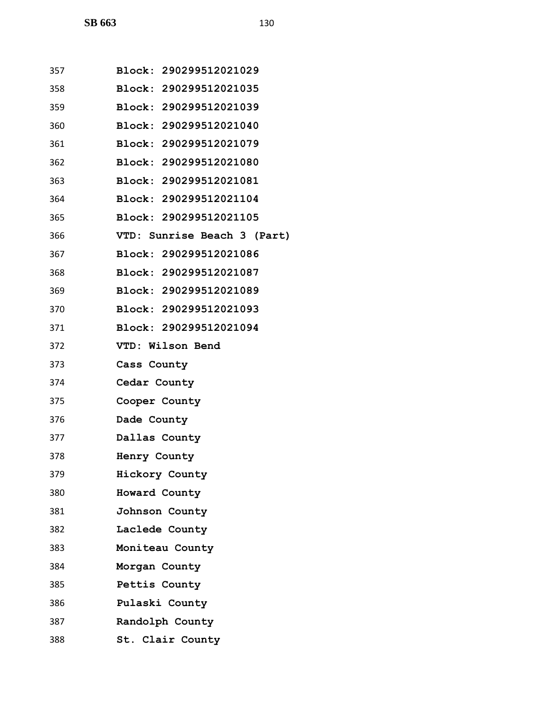| 357 | Block: 290299512021029        |
|-----|-------------------------------|
| 358 | Block: 290299512021035        |
| 359 | <b>Block: 290299512021039</b> |
| 360 | Block: 290299512021040        |
| 361 | Block: 290299512021079        |
| 362 | Block: 290299512021080        |
| 363 | Block: 290299512021081        |
| 364 | Block: 290299512021104        |
| 365 | Block: 290299512021105        |
| 366 | VTD: Sunrise Beach 3 (Part)   |
| 367 | Block: 290299512021086        |
| 368 | Block: 290299512021087        |
| 369 | Block: 290299512021089        |
| 370 | Block: 290299512021093        |
| 371 | Block: 290299512021094        |
| 372 | VTD: Wilson Bend              |
| 373 | Cass County                   |
| 374 | Cedar County                  |
| 375 | Cooper County                 |
| 376 | Dade County                   |
| 377 | Dallas County                 |
| 378 | Henry County                  |
| 379 | Hickory County                |
| 380 | Howard County                 |
| 381 | Johnson County                |
| 382 | Laclede County                |
| 383 | Moniteau County               |
| 384 | Morgan County                 |
| 385 | Pettis County                 |
| 386 | Pulaski County                |
| 387 | Randolph County               |

**St. Clair County**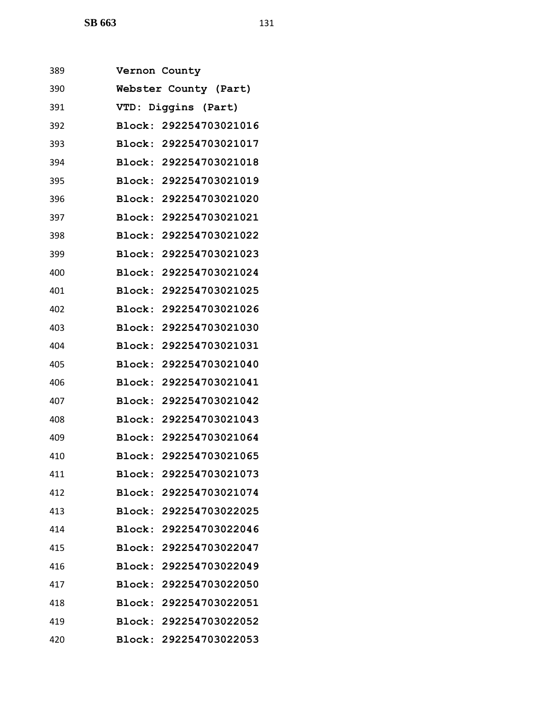**SB 663** 131

| 389 | Vernon County |                       |                        |
|-----|---------------|-----------------------|------------------------|
| 390 |               | Webster County (Part) |                        |
| 391 | <b>VTD:</b>   | Diggins (Part)        |                        |
| 392 |               |                       | Block: 292254703021016 |
| 393 |               |                       | Block: 292254703021017 |
| 394 |               |                       | Block: 292254703021018 |
| 395 |               |                       | Block: 292254703021019 |
| 396 |               |                       | Block: 292254703021020 |
| 397 |               |                       | Block: 292254703021021 |
| 398 |               |                       | Block: 292254703021022 |
| 399 |               |                       | Block: 292254703021023 |
| 400 |               |                       | Block: 292254703021024 |
| 401 |               |                       | Block: 292254703021025 |
| 402 |               |                       | Block: 292254703021026 |
| 403 |               |                       | Block: 292254703021030 |
| 404 |               |                       | Block: 292254703021031 |
| 405 |               |                       | Block: 292254703021040 |
| 406 |               |                       | Block: 292254703021041 |
| 407 |               |                       | Block: 292254703021042 |
| 408 |               |                       | Block: 292254703021043 |
| 409 |               |                       | Block: 292254703021064 |
| 410 |               |                       | Block: 292254703021065 |
| 411 |               |                       | Block: 292254703021073 |
| 412 |               |                       | Block: 292254703021074 |
| 413 |               |                       | Block: 292254703022025 |
| 414 |               |                       | Block: 292254703022046 |
| 415 |               |                       | Block: 292254703022047 |
| 416 |               |                       | Block: 292254703022049 |
| 417 |               |                       | Block: 292254703022050 |
| 418 |               |                       | Block: 292254703022051 |
| 419 |               |                       | Block: 292254703022052 |
| 420 |               |                       | Block: 292254703022053 |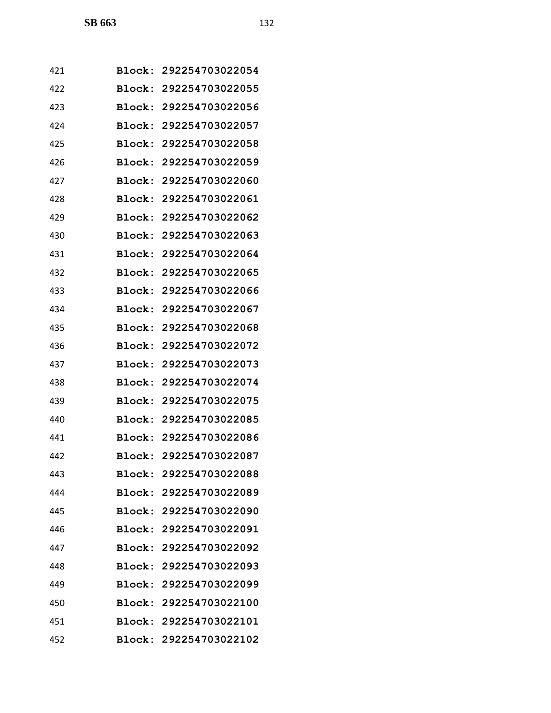| 421 |               | Block: 292254703022054 |
|-----|---------------|------------------------|
| 422 |               | Block: 292254703022055 |
| 423 | Block:        | 292254703022056        |
| 424 |               | Block: 292254703022057 |
| 425 | <b>Block:</b> | 292254703022058        |
| 426 | Block:        | 292254703022059        |
| 427 | Block:        | 292254703022060        |
| 428 | Block:        | 292254703022061        |
| 429 |               | Block: 292254703022062 |
| 430 | Block:        | 292254703022063        |
| 431 |               | Block: 292254703022064 |
| 432 |               | Block: 292254703022065 |
| 433 | Block:        | 292254703022066        |
| 434 |               | Block: 292254703022067 |
| 435 | <b>Block:</b> | 292254703022068        |
| 436 | Block:        | 292254703022072        |
| 437 | Block:        | 292254703022073        |
| 438 | Block:        | 292254703022074        |
| 439 |               | Block: 292254703022075 |
| 440 | Block:        | 292254703022085        |
| 441 |               | Block: 292254703022086 |
| 442 |               | Block: 292254703022087 |
| 443 |               | Block: 292254703022088 |
| 444 |               | Block: 292254703022089 |
| 445 |               | Block: 292254703022090 |
| 446 |               | Block: 292254703022091 |
| 447 |               | Block: 292254703022092 |
| 448 |               | Block: 292254703022093 |
| 449 |               | Block: 292254703022099 |
| 450 |               | Block: 292254703022100 |
| 451 |               | Block: 292254703022101 |
| 452 |               | Block: 292254703022102 |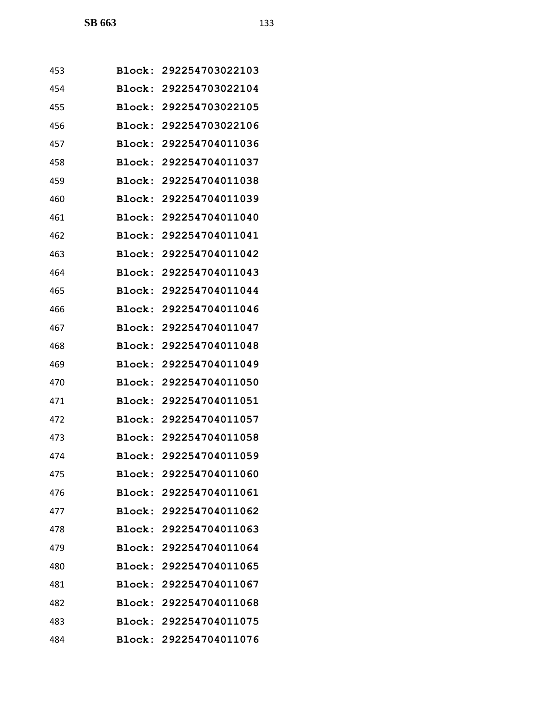| 453 |        | Block: 292254703022103 |
|-----|--------|------------------------|
| 454 | Block: | 292254703022104        |
| 455 | Block: | 292254703022105        |
| 456 |        | Block: 292254703022106 |
| 457 | Block: | 292254704011036        |
| 458 | Block: | 292254704011037        |
| 459 | Block: | 292254704011038        |
| 460 | Block: | 292254704011039        |
| 461 |        | Block: 292254704011040 |
| 462 | Block: | 292254704011041        |
| 463 | Block: | 292254704011042        |
| 464 | Block: | 292254704011043        |
| 465 | Block: | 292254704011044        |
| 466 | Block: | 292254704011046        |
| 467 | Block: | 292254704011047        |
| 468 | Block: | 292254704011048        |
| 469 | Block: | 292254704011049        |
| 470 | Block: | 292254704011050        |
| 471 | Block: | 292254704011051        |
| 472 | Block: | 292254704011057        |
| 473 | Block: | 292254704011058        |
| 474 |        | Block: 292254704011059 |
| 475 |        | Block: 292254704011060 |
| 476 |        | Block: 292254704011061 |
| 477 |        | Block: 292254704011062 |
| 478 |        | Block: 292254704011063 |
| 479 |        | Block: 292254704011064 |
| 480 |        | Block: 292254704011065 |
| 481 |        | Block: 292254704011067 |
| 482 |        | Block: 292254704011068 |
| 483 |        | Block: 292254704011075 |
| 484 |        | Block: 292254704011076 |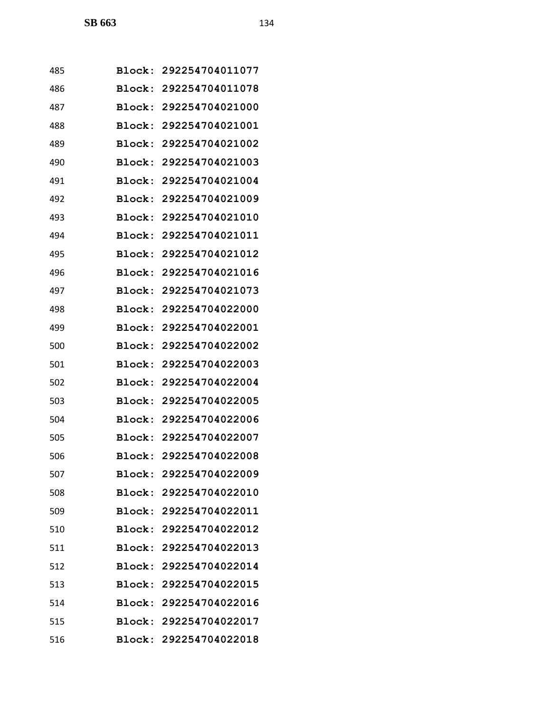| 485 | <b>Block:</b> | 292254704011077        |
|-----|---------------|------------------------|
| 486 | Block:        | 292254704011078        |
| 487 | Block:        | 292254704021000        |
| 488 | Block:        | 292254704021001        |
| 489 | Block:        | 292254704021002        |
| 490 | Block:        | 292254704021003        |
| 491 | Block:        | 292254704021004        |
| 492 | Block:        | 292254704021009        |
| 493 | Block:        | 292254704021010        |
| 494 | Block:        | 292254704021011        |
| 495 | Block:        | 292254704021012        |
| 496 | Block:        | 292254704021016        |
| 497 | Block:        | 292254704021073        |
| 498 | Block:        | 292254704022000        |
| 499 | Block:        | 292254704022001        |
| 500 | Block:        | 292254704022002        |
| 501 | Block:        | 292254704022003        |
| 502 | Block:        | 292254704022004        |
| 503 | Block:        | 292254704022005        |
| 504 | Block:        | 292254704022006        |
| 505 | Block:        | 292254704022007        |
| 506 |               | Block: 292254704022008 |
| 507 |               | Block: 292254704022009 |
| 508 |               | Block: 292254704022010 |
| 509 |               | Block: 292254704022011 |
| 510 |               | Block: 292254704022012 |
| 511 |               | Block: 292254704022013 |
| 512 |               | Block: 292254704022014 |
| 513 |               | Block: 292254704022015 |
| 514 |               | Block: 292254704022016 |
| 515 |               | Block: 292254704022017 |
| 516 |               | Block: 292254704022018 |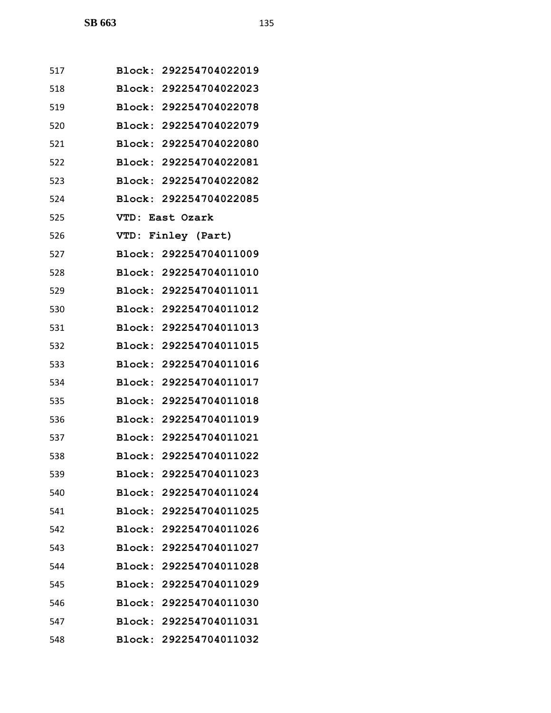| 517 |                 | Block: 292254704022019 |
|-----|-----------------|------------------------|
| 518 |                 | Block: 292254704022023 |
| 519 |                 | Block: 292254704022078 |
| 520 |                 | Block: 292254704022079 |
| 521 |                 | Block: 292254704022080 |
| 522 |                 | Block: 292254704022081 |
| 523 |                 | Block: 292254704022082 |
| 524 |                 | Block: 292254704022085 |
| 525 | VTD: East Ozark |                        |
| 526 |                 | VTD: Finley (Part)     |
| 527 |                 | Block: 292254704011009 |
| 528 |                 | Block: 292254704011010 |
| 529 |                 | Block: 292254704011011 |
| 530 |                 | Block: 292254704011012 |
| 531 |                 | Block: 292254704011013 |
| 532 |                 | Block: 292254704011015 |
| 533 |                 | Block: 292254704011016 |
| 534 |                 | Block: 292254704011017 |
| 535 |                 | Block: 292254704011018 |
| 536 |                 | Block: 292254704011019 |
| 537 |                 | Block: 292254704011021 |
| 538 |                 | Block: 292254704011022 |
| 539 |                 | Block: 292254704011023 |
| 540 |                 | Block: 292254704011024 |
| 541 |                 | Block: 292254704011025 |
| 542 |                 | Block: 292254704011026 |
| 543 |                 | Block: 292254704011027 |
| 544 |                 | Block: 292254704011028 |
| 545 |                 | Block: 292254704011029 |
| 546 |                 | Block: 292254704011030 |
| 547 |                 | Block: 292254704011031 |
| 548 |                 | Block: 292254704011032 |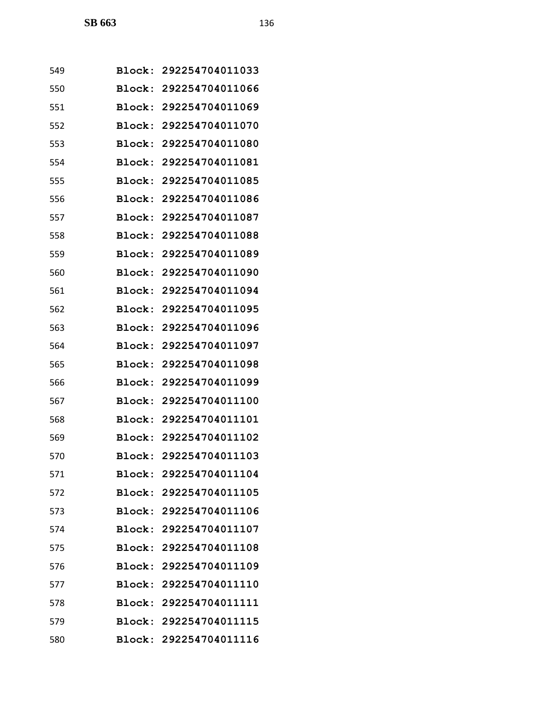| 549 |               | Block: 292254704011033 |
|-----|---------------|------------------------|
| 550 | <b>Block:</b> | 292254704011066        |
| 551 | Block:        | 292254704011069        |
| 552 | Block:        | 292254704011070        |
| 553 | Block:        | 292254704011080        |
| 554 | Block:        | 292254704011081        |
| 555 | <b>Block:</b> | 292254704011085        |
| 556 | Block:        | 292254704011086        |
| 557 | Block:        | 292254704011087        |
| 558 | Block:        | 292254704011088        |
| 559 |               | Block: 292254704011089 |
| 560 | Block:        | 292254704011090        |
| 561 | Block:        | 292254704011094        |
| 562 | Block:        | 292254704011095        |
| 563 | Block:        | 292254704011096        |
| 564 | Block:        | 292254704011097        |
| 565 | Block:        | 292254704011098        |
| 566 | Block:        | 292254704011099        |
| 567 | Block:        | 292254704011100        |
| 568 | <b>Block:</b> | 292254704011101        |
| 569 |               | Block: 292254704011102 |
| 570 |               | Block: 292254704011103 |
| 571 |               | Block: 292254704011104 |
| 572 |               | Block: 292254704011105 |
| 573 |               | Block: 292254704011106 |
| 574 |               | Block: 292254704011107 |
| 575 |               | Block: 292254704011108 |
| 576 |               | Block: 292254704011109 |
| 577 |               | Block: 292254704011110 |
| 578 |               | Block: 292254704011111 |
| 579 |               | Block: 292254704011115 |
| 580 |               | Block: 292254704011116 |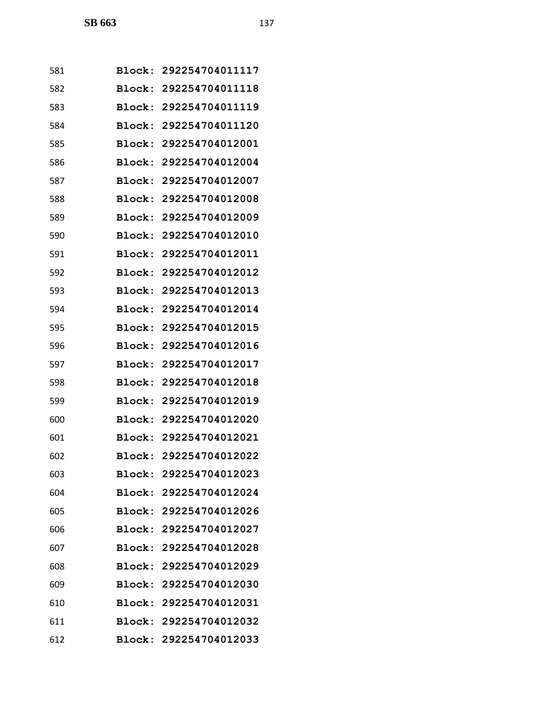| 581 |        | Block: 292254704011117 |
|-----|--------|------------------------|
| 582 | Block: | 292254704011118        |
| 583 | Block: | 292254704011119        |
| 584 |        | Block: 292254704011120 |
| 585 | Block: | 292254704012001        |
| 586 | Block: | 292254704012004        |
| 587 | Block: | 292254704012007        |
| 588 | Block: | 292254704012008        |
| 589 |        | Block: 292254704012009 |
| 590 | Block: | 292254704012010        |
| 591 | Block: | 292254704012011        |
| 592 | Block: | 292254704012012        |
| 593 | Block: | 292254704012013        |
| 594 | Block: | 292254704012014        |
| 595 | Block: | 292254704012015        |
| 596 | Block: | 292254704012016        |
| 597 | Block: | 292254704012017        |
| 598 | Block: | 292254704012018        |
| 599 | Block: | 292254704012019        |
| 600 | Block: | 292254704012020        |
| 601 |        | Block: 292254704012021 |
| 602 |        | Block: 292254704012022 |
| 603 |        | Block: 292254704012023 |
| 604 |        | Block: 292254704012024 |
| 605 |        | Block: 292254704012026 |
| 606 |        | Block: 292254704012027 |
| 607 |        | Block: 292254704012028 |
| 608 |        | Block: 292254704012029 |
| 609 |        | Block: 292254704012030 |
| 610 |        | Block: 292254704012031 |
| 611 |        | Block: 292254704012032 |
| 612 |        | Block: 292254704012033 |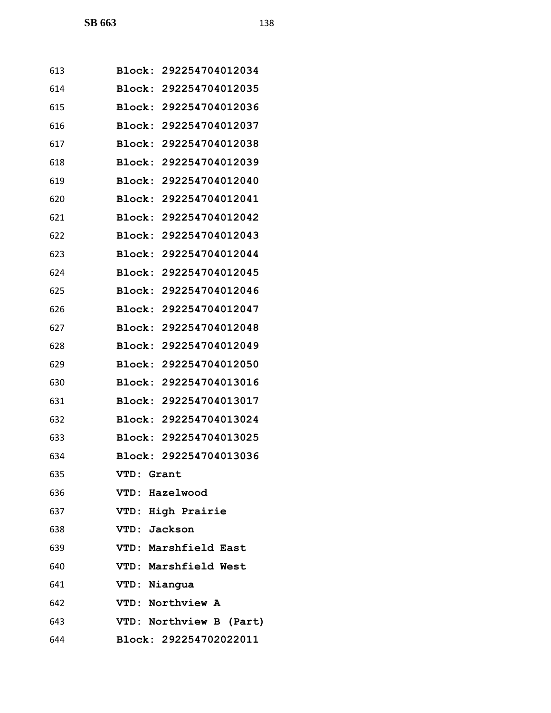| 613 | Block: 292254704012034  |
|-----|-------------------------|
| 614 | Block: 292254704012035  |
| 615 | Block: 292254704012036  |
| 616 | Block: 292254704012037  |
| 617 | Block: 292254704012038  |
| 618 | Block: 292254704012039  |
| 619 | Block: 292254704012040  |
| 620 | Block: 292254704012041  |
| 621 | Block: 292254704012042  |
| 622 | Block: 292254704012043  |
| 623 | Block: 292254704012044  |
| 624 | Block: 292254704012045  |
| 625 | Block: 292254704012046  |
| 626 | Block: 292254704012047  |
| 627 | Block: 292254704012048  |
| 628 | Block: 292254704012049  |
| 629 | Block: 292254704012050  |
| 630 | Block: 292254704013016  |
| 631 | Block: 292254704013017  |
| 632 | Block: 292254704013024  |
| 633 | Block: 292254704013025  |
| 634 | Block: 292254704013036  |
| 635 | VTD: Grant              |
| 636 | VTD: Hazelwood          |
| 637 | VTD: High Prairie       |
| 638 | VTD: Jackson            |
| 639 | VTD: Marshfield East    |
| 640 | VTD: Marshfield West    |
| 641 | VTD: Niangua            |
| 642 | VTD: Northview A        |
| 643 | VTD: Northview B (Part) |
| 644 | Block: 292254702022011  |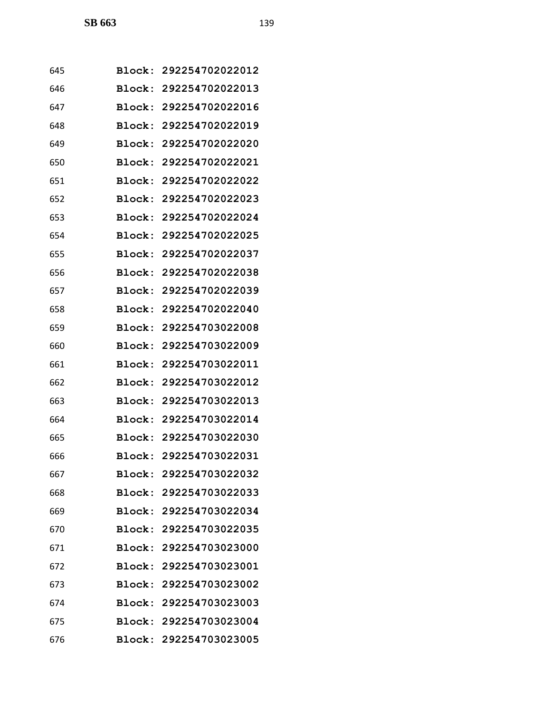| 645 |               | Block: 292254702022012 |
|-----|---------------|------------------------|
| 646 |               | Block: 292254702022013 |
| 647 |               | Block: 292254702022016 |
| 648 |               | Block: 292254702022019 |
| 649 | Block:        | 292254702022020        |
| 650 | Block:        | 292254702022021        |
| 651 | Block:        | 292254702022022        |
| 652 | Block:        | 292254702022023        |
| 653 |               | Block: 292254702022024 |
| 654 | Block:        | 292254702022025        |
| 655 |               | Block: 292254702022037 |
| 656 | <b>Block:</b> | 292254702022038        |
| 657 | Block:        | 292254702022039        |
| 658 |               | Block: 292254702022040 |
| 659 | Block:        | 292254703022008        |
| 660 | Block:        | 292254703022009        |
| 661 | Block:        | 292254703022011        |
| 662 | Block:        | 292254703022012        |
| 663 |               | Block: 292254703022013 |
| 664 | <b>Block:</b> | 292254703022014        |
| 665 |               | Block: 292254703022030 |
| 666 |               | Block: 292254703022031 |
| 667 |               | Block: 292254703022032 |
| 668 |               | Block: 292254703022033 |
| 669 |               | Block: 292254703022034 |
| 670 |               | Block: 292254703022035 |
| 671 |               | Block: 292254703023000 |
| 672 |               | Block: 292254703023001 |
| 673 |               | Block: 292254703023002 |
| 674 |               | Block: 292254703023003 |
| 675 |               | Block: 292254703023004 |
| 676 |               | Block: 292254703023005 |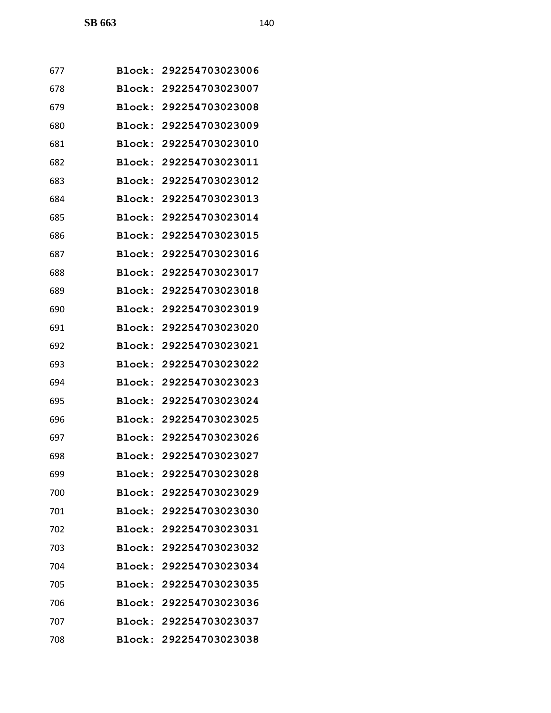| 677 |               | Block: 292254703023006 |
|-----|---------------|------------------------|
| 678 | Block:        | 292254703023007        |
| 679 | Block:        | 292254703023008        |
| 680 |               | Block: 292254703023009 |
| 681 | Block:        | 292254703023010        |
| 682 | Block:        | 292254703023011        |
| 683 | Block:        | 292254703023012        |
| 684 | Block:        | 292254703023013        |
| 685 |               | Block: 292254703023014 |
| 686 | Block:        | 292254703023015        |
| 687 | Block:        | 292254703023016        |
| 688 | <b>Block:</b> | 292254703023017        |
| 689 | Block:        | 292254703023018        |
| 690 | Block:        | 292254703023019        |
| 691 | Block:        | 292254703023020        |
| 692 | Block:        | 292254703023021        |
| 693 | Block:        | 292254703023022        |
| 694 | Block:        | 292254703023023        |
| 695 |               | Block: 292254703023024 |
| 696 | Block:        | 292254703023025        |
| 697 |               | Block: 292254703023026 |
| 698 |               | Block: 292254703023027 |
| 699 |               | Block: 292254703023028 |
| 700 |               | Block: 292254703023029 |
| 701 |               | Block: 292254703023030 |
| 702 |               | Block: 292254703023031 |
| 703 |               | Block: 292254703023032 |
| 704 |               | Block: 292254703023034 |
| 705 |               | Block: 292254703023035 |
| 706 |               | Block: 292254703023036 |
| 707 |               | Block: 292254703023037 |
| 708 |               | Block: 292254703023038 |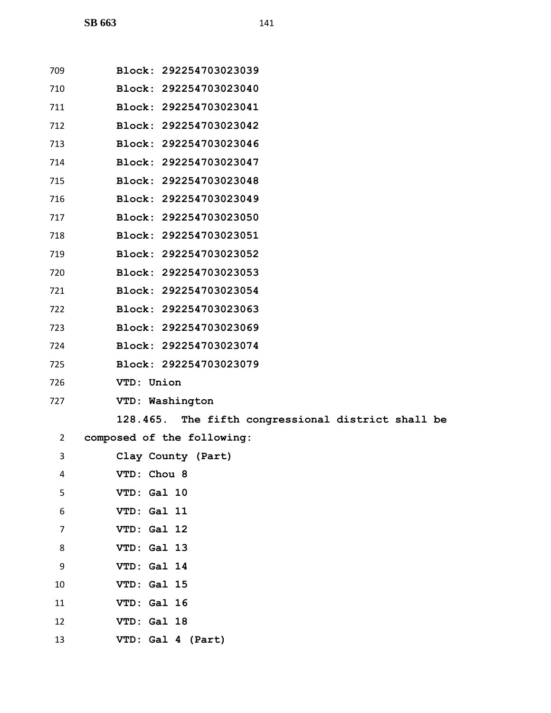| 709          | Block: 292254703023039                             |
|--------------|----------------------------------------------------|
| 710          | Block: 292254703023040                             |
| 711          | Block: 292254703023041                             |
| 712          | Block: 292254703023042                             |
| 713          | Block: 292254703023046                             |
| 714          | Block: 292254703023047                             |
| 715          | Block: 292254703023048                             |
| 716          | Block: 292254703023049                             |
| 717          | Block: 292254703023050                             |
| 718          | Block: 292254703023051                             |
| 719          | Block: 292254703023052                             |
| 720          | Block: 292254703023053                             |
| 721          | Block: 292254703023054                             |
| 722          | Block: 292254703023063                             |
| 723          | Block: 292254703023069                             |
| 724          | Block: 292254703023074                             |
| 725          | Block: 292254703023079                             |
| 726          | VTD: Union                                         |
| 727          | VTD: Washington                                    |
|              | 128.465. The fifth congressional district shall be |
| $\mathbf{2}$ | composed of the following:                         |
| 3            | Clay County (Part)                                 |
| 4            | VTD: Chou 8                                        |
| 5            | VTD: Gal 10                                        |
| 6            | VTD: Gal 11                                        |
| 7            | VTD: Gal 12                                        |
| 8            | VTD: Gal 13                                        |
| 9            | VTD: Gal 14                                        |
| 10           | VTD: Gal 15                                        |
| 11           | VTD: Gal 16                                        |
| 12           | VTD: Gal 18                                        |
| 13           | VTD: Gal 4 (Part)                                  |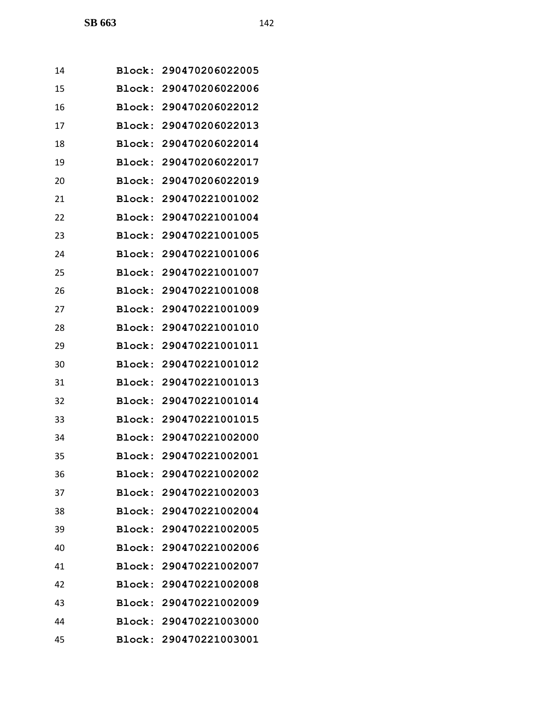| 14 |        | Block: 290470206022005 |
|----|--------|------------------------|
| 15 | Block: | 290470206022006        |
| 16 |        | Block: 290470206022012 |
| 17 |        | Block: 290470206022013 |
| 18 |        | Block: 290470206022014 |
| 19 | Block: | 290470206022017        |
| 20 | Block: | 290470206022019        |
| 21 |        | Block: 290470221001002 |
| 22 |        | Block: 290470221001004 |
| 23 |        | Block: 290470221001005 |
| 24 |        | Block: 290470221001006 |
| 25 | Block: | 290470221001007        |
| 26 | Block: | 290470221001008        |
| 27 |        | Block: 290470221001009 |
| 28 |        | Block: 290470221001010 |
| 29 | Block: | 290470221001011        |
| 30 | Block: | 290470221001012        |
| 31 | Block: | 290470221001013        |
| 32 |        | Block: 290470221001014 |
| 33 |        | Block: 290470221001015 |
| 34 |        | Block: 290470221002000 |
| 35 |        | Block: 290470221002001 |
| 36 |        | Block: 290470221002002 |
| 37 |        | Block: 290470221002003 |
| 38 |        | Block: 290470221002004 |
| 39 |        | Block: 290470221002005 |
| 40 |        | Block: 290470221002006 |
| 41 |        | Block: 290470221002007 |
| 42 |        | Block: 290470221002008 |
| 43 |        | Block: 290470221002009 |
| 44 |        | Block: 290470221003000 |
| 45 |        | Block: 290470221003001 |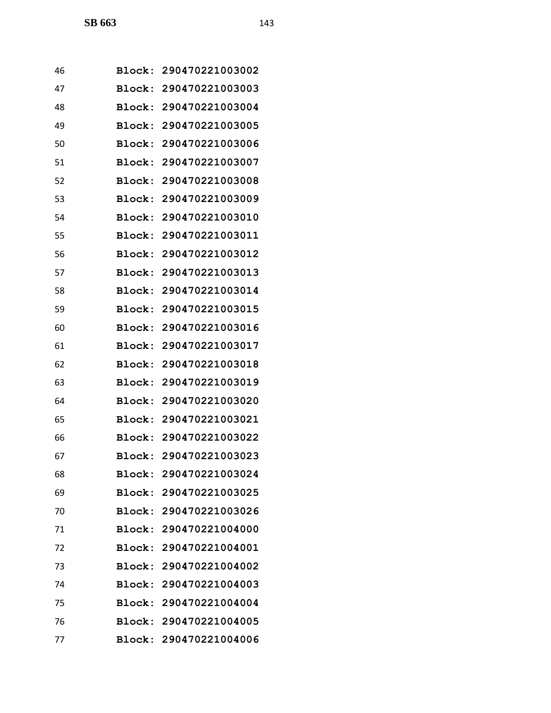| 46 |        | Block: 290470221003002 |
|----|--------|------------------------|
| 47 |        | Block: 290470221003003 |
| 48 |        | Block: 290470221003004 |
| 49 |        | Block: 290470221003005 |
| 50 |        | Block: 290470221003006 |
| 51 |        | Block: 290470221003007 |
| 52 |        | Block: 290470221003008 |
| 53 |        | Block: 290470221003009 |
| 54 |        | Block: 290470221003010 |
| 55 | Block: | 290470221003011        |
| 56 |        | Block: 290470221003012 |
| 57 | Block: | 290470221003013        |
| 58 |        | Block: 290470221003014 |
| 59 |        | Block: 290470221003015 |
| 60 |        | Block: 290470221003016 |
| 61 |        | Block: 290470221003017 |
| 62 |        | Block: 290470221003018 |
| 63 |        | Block: 290470221003019 |
| 64 |        | Block: 290470221003020 |
| 65 |        | Block: 290470221003021 |
| 66 |        | Block: 290470221003022 |
| 67 |        | Block: 290470221003023 |
| 68 |        | Block: 290470221003024 |
| 69 |        | Block: 290470221003025 |
| 70 |        | Block: 290470221003026 |
| 71 |        | Block: 290470221004000 |
| 72 |        | Block: 290470221004001 |
| 73 |        | Block: 290470221004002 |
| 74 |        | Block: 290470221004003 |
| 75 |        | Block: 290470221004004 |
| 76 |        | Block: 290470221004005 |
| 77 |        | Block: 290470221004006 |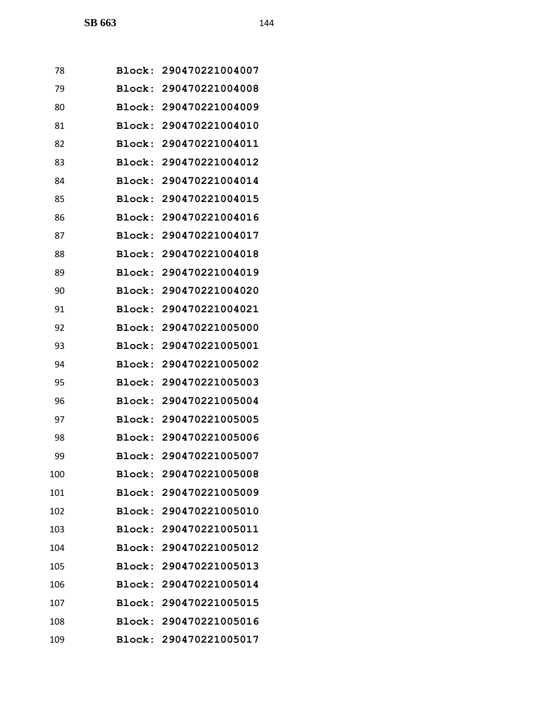| 78  |        | Block: 290470221004007 |
|-----|--------|------------------------|
| 79  |        | Block: 290470221004008 |
| 80  |        | Block: 290470221004009 |
| 81  |        | Block: 290470221004010 |
| 82  |        | Block: 290470221004011 |
| 83  | Block: | 290470221004012        |
| 84  |        | Block: 290470221004014 |
| 85  |        | Block: 290470221004015 |
| 86  |        | Block: 290470221004016 |
| 87  |        | Block: 290470221004017 |
| 88  |        | Block: 290470221004018 |
| 89  |        | Block: 290470221004019 |
| 90  | Block: | 290470221004020        |
| 91  |        | Block: 290470221004021 |
| 92  |        | Block: 290470221005000 |
| 93  |        | Block: 290470221005001 |
| 94  |        | Block: 290470221005002 |
| 95  |        | Block: 290470221005003 |
| 96  |        | Block: 290470221005004 |
| 97  |        | Block: 290470221005005 |
| 98  |        | Block: 290470221005006 |
| 99  |        | Block: 290470221005007 |
| 100 |        | Block: 290470221005008 |
| 101 |        | Block: 290470221005009 |
| 102 |        | Block: 290470221005010 |
| 103 |        | Block: 290470221005011 |
| 104 |        | Block: 290470221005012 |
| 105 |        | Block: 290470221005013 |
| 106 |        | Block: 290470221005014 |
| 107 |        | Block: 290470221005015 |
| 108 |        | Block: 290470221005016 |
| 109 |        | Block: 290470221005017 |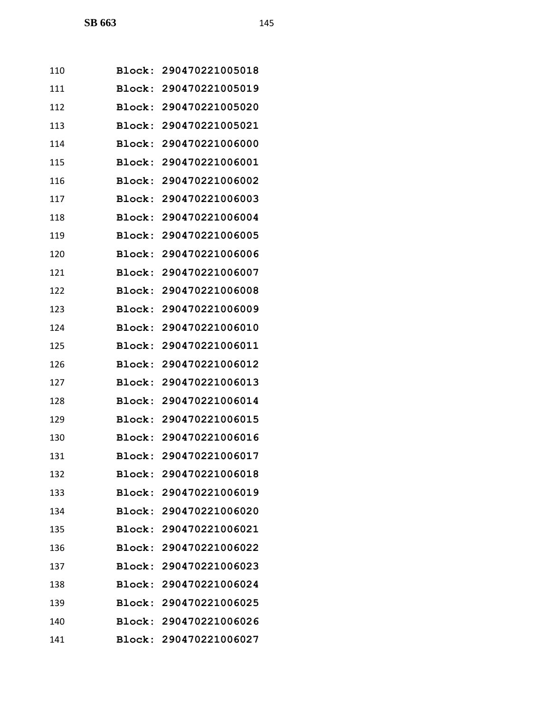| 110 |               | Block: 290470221005018 |
|-----|---------------|------------------------|
| 111 | Block:        | 290470221005019        |
| 112 | Block:        | 290470221005020        |
| 113 | Block:        | 290470221005021        |
| 114 | Block:        | 290470221006000        |
| 115 | Block:        | 290470221006001        |
| 116 | Block:        | 290470221006002        |
| 117 | Block:        | 290470221006003        |
| 118 |               | Block: 290470221006004 |
| 119 | Block:        | 290470221006005        |
| 120 | Block:        | 290470221006006        |
| 121 | Block:        | 290470221006007        |
| 122 | Block:        | 290470221006008        |
| 123 | Block:        | 290470221006009        |
| 124 | Block:        | 290470221006010        |
| 125 | Block:        | 290470221006011        |
| 126 | Block:        | 290470221006012        |
| 127 | Block:        | 290470221006013        |
| 128 | Block:        | 290470221006014        |
| 129 | <b>Block:</b> | 290470221006015        |
| 130 | Block:        | 290470221006016        |
| 131 |               | Block: 290470221006017 |
| 132 |               | Block: 290470221006018 |
| 133 |               | Block: 290470221006019 |
| 134 |               | Block: 290470221006020 |
| 135 |               | Block: 290470221006021 |
| 136 |               | Block: 290470221006022 |
| 137 |               | Block: 290470221006023 |
| 138 |               | Block: 290470221006024 |
| 139 |               | Block: 290470221006025 |
| 140 |               | Block: 290470221006026 |
| 141 |               | Block: 290470221006027 |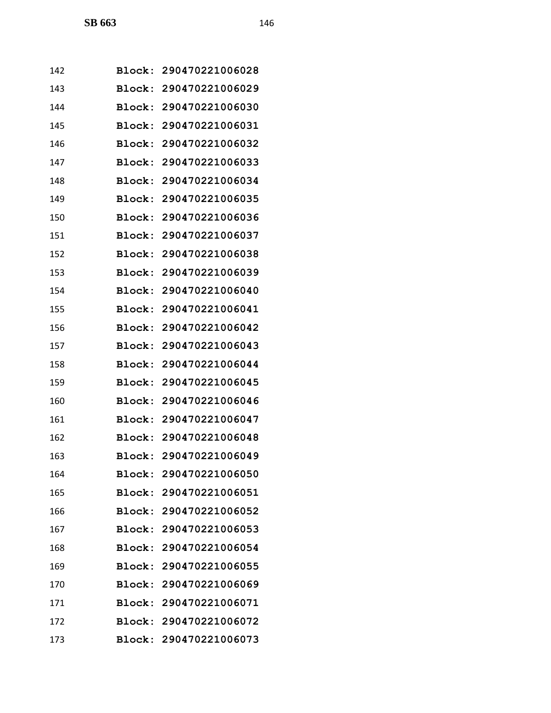| 142 |               | Block: 290470221006028 |
|-----|---------------|------------------------|
| 143 | Block:        | 290470221006029        |
| 144 | Block:        | 290470221006030        |
| 145 | Block:        | 290470221006031        |
| 146 | Block:        | 290470221006032        |
| 147 | Block:        | 290470221006033        |
| 148 | Block:        | 290470221006034        |
| 149 | Block:        | 290470221006035        |
| 150 |               | Block: 290470221006036 |
| 151 | Block:        | 290470221006037        |
| 152 | Block:        | 290470221006038        |
| 153 | Block:        | 290470221006039        |
| 154 | Block:        | 290470221006040        |
| 155 | Block:        | 290470221006041        |
| 156 | Block:        | 290470221006042        |
| 157 | Block:        | 290470221006043        |
| 158 | Block:        | 290470221006044        |
| 159 | Block:        | 290470221006045        |
| 160 | Block:        | 290470221006046        |
| 161 | <b>Block:</b> | 290470221006047        |
| 162 | Block:        | 290470221006048        |
| 163 |               | Block: 290470221006049 |
| 164 |               | Block: 290470221006050 |
| 165 |               | Block: 290470221006051 |
| 166 |               | Block: 290470221006052 |
| 167 |               | Block: 290470221006053 |
| 168 |               | Block: 290470221006054 |
| 169 |               | Block: 290470221006055 |
| 170 | <b>Block:</b> | 290470221006069        |
| 171 |               | Block: 290470221006071 |
| 172 |               | Block: 290470221006072 |
| 173 |               | Block: 290470221006073 |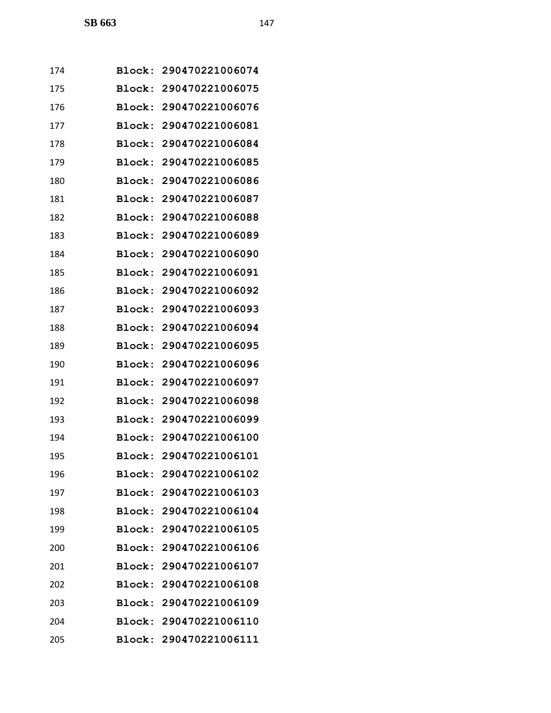| 174 | Block:        | 290470221006074        |
|-----|---------------|------------------------|
| 175 | Block:        | 290470221006075        |
| 176 | Block:        | 290470221006076        |
| 177 | <b>Block:</b> | 290470221006081        |
| 178 | Block:        | 290470221006084        |
| 179 | Block:        | 290470221006085        |
| 180 | Block:        | 290470221006086        |
| 181 | Block:        | 290470221006087        |
| 182 | Block:        | 290470221006088        |
| 183 | Block:        | 290470221006089        |
| 184 | Block:        | 290470221006090        |
| 185 | Block:        | 290470221006091        |
| 186 | Block:        | 290470221006092        |
| 187 | Block:        | 290470221006093        |
| 188 | Block:        | 290470221006094        |
| 189 | Block:        | 290470221006095        |
| 190 | Block:        | 290470221006096        |
| 191 | Block:        | 290470221006097        |
| 192 |               | Block: 290470221006098 |
| 193 | Block:        | 290470221006099        |
| 194 | Block:        | 290470221006100        |
| 195 |               | Block: 290470221006101 |
| 196 |               | Block: 290470221006102 |
| 197 |               | Block: 290470221006103 |
| 198 |               | Block: 290470221006104 |
| 199 |               | Block: 290470221006105 |
| 200 |               | Block: 290470221006106 |
| 201 | <b>Block:</b> | 290470221006107        |
| 202 |               | Block: 290470221006108 |
| 203 |               | Block: 290470221006109 |
| 204 |               | Block: 290470221006110 |
| 205 | <b>Block:</b> | 290470221006111        |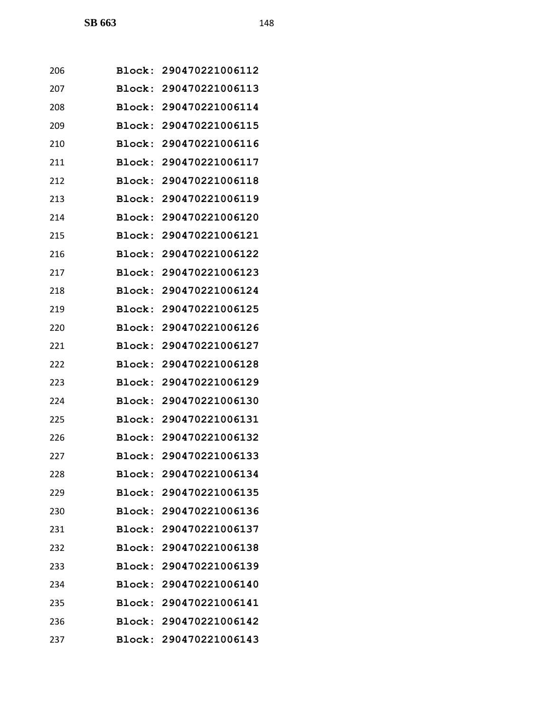| 206 |               | Block: 290470221006112 |
|-----|---------------|------------------------|
| 207 |               | Block: 290470221006113 |
| 208 | Block:        | 290470221006114        |
| 209 |               | Block: 290470221006115 |
| 210 | Block:        | 290470221006116        |
| 211 | Block:        | 290470221006117        |
| 212 | <b>Block:</b> | 290470221006118        |
| 213 | Block:        | 290470221006119        |
| 214 |               | Block: 290470221006120 |
| 215 | Block:        | 290470221006121        |
| 216 |               | Block: 290470221006122 |
| 217 |               | Block: 290470221006123 |
| 218 | Block:        | 290470221006124        |
| 219 |               | Block: 290470221006125 |
| 220 | Block:        | 290470221006126        |
| 221 |               | Block: 290470221006127 |
| 222 | Block:        | 290470221006128        |
| 223 | Block:        | 290470221006129        |
| 224 |               | Block: 290470221006130 |
| 225 | <b>Block:</b> | 290470221006131        |
| 226 |               | Block: 290470221006132 |
| 227 |               | Block: 290470221006133 |
| 228 |               | Block: 290470221006134 |
| 229 |               | Block: 290470221006135 |
| 230 |               | Block: 290470221006136 |
| 231 |               | Block: 290470221006137 |
| 232 |               | Block: 290470221006138 |
| 233 |               | Block: 290470221006139 |
| 234 |               | Block: 290470221006140 |
| 235 |               | Block: 290470221006141 |
| 236 |               | Block: 290470221006142 |
| 237 |               | Block: 290470221006143 |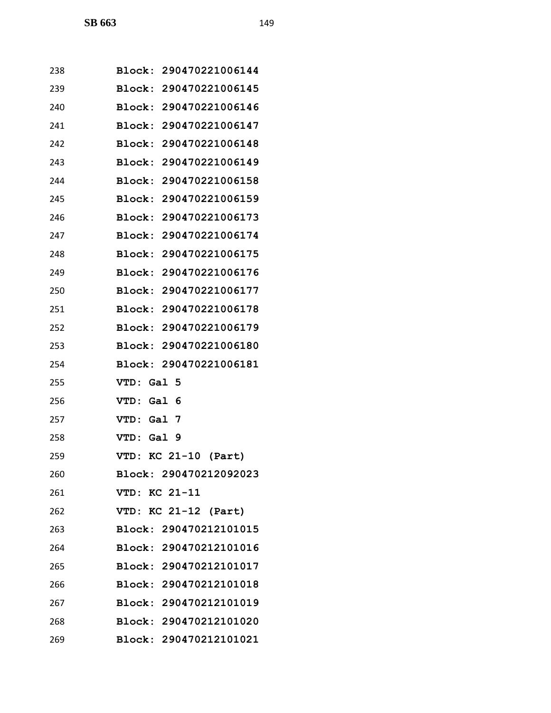| 238 | Block: 290470221006144 |
|-----|------------------------|
| 239 | Block: 290470221006145 |
| 240 | Block: 290470221006146 |
| 241 | Block: 290470221006147 |
| 242 | Block: 290470221006148 |
| 243 | Block: 290470221006149 |
| 244 | Block: 290470221006158 |
| 245 | Block: 290470221006159 |
| 246 | Block: 290470221006173 |
| 247 | Block: 290470221006174 |
| 248 | Block: 290470221006175 |
| 249 | Block: 290470221006176 |
| 250 | Block: 290470221006177 |
| 251 | Block: 290470221006178 |
| 252 | Block: 290470221006179 |
| 253 | Block: 290470221006180 |
| 254 | Block: 290470221006181 |
| 255 | Gal 5<br>VTD :         |
| 256 | Gal 6<br><b>VTD:</b>   |
| 257 | VTD: Gal 7             |
| 258 | VTD: Gal 9             |
| 259 | VTD: KC 21-10 (Part)   |
| 260 | Block: 290470212092023 |
| 261 | VTD: KC 21-11          |
| 262 | VTD: KC 21-12 (Part)   |
| 263 | Block: 290470212101015 |
| 264 | Block: 290470212101016 |
| 265 | Block: 290470212101017 |
| 266 | Block: 290470212101018 |
| 267 | Block: 290470212101019 |
| 268 | Block: 290470212101020 |
| 269 | Block: 290470212101021 |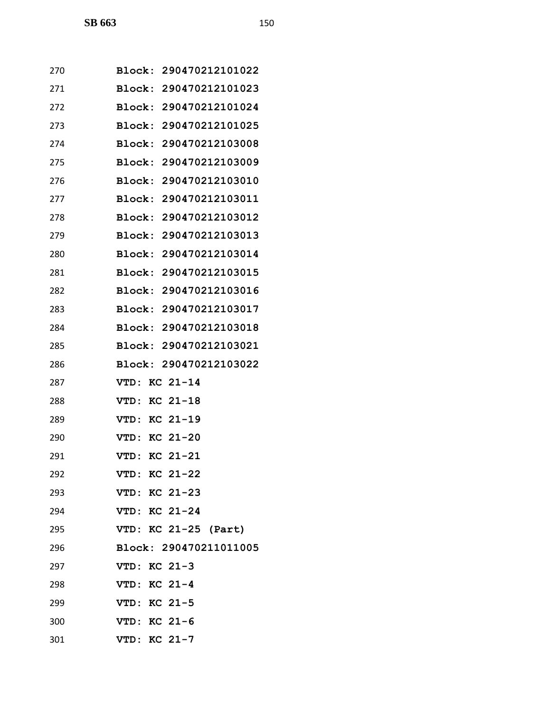| 270 | Block: 290470212101022    |
|-----|---------------------------|
| 271 | Block: 290470212101023    |
| 272 | Block: 290470212101024    |
| 273 | Block: 290470212101025    |
| 274 | Block: 290470212103008    |
| 275 | Block: 290470212103009    |
| 276 | Block: 290470212103010    |
| 277 | Block: 290470212103011    |
| 278 | Block: 290470212103012    |
| 279 | Block: 290470212103013    |
| 280 | Block: 290470212103014    |
| 281 | Block: 290470212103015    |
| 282 | Block: 290470212103016    |
| 283 | Block: 290470212103017    |
| 284 | Block: 290470212103018    |
| 285 | Block: 290470212103021    |
| 286 | Block: 290470212103022    |
| 287 | KC 21-14<br><b>VTD:</b>   |
| 288 | $KC$ 21-18<br><b>VTD:</b> |
| 289 | $KC$ 21-19<br>VTD:        |
| 290 | KC 21-20<br>VTD:          |
| 291 | $KC 21-21$<br><b>VTD:</b> |
| 292 | VTD: KC 21-22             |
| 293 | VTD: KC 21-23             |
| 294 | VTD: KC 21-24             |
| 295 | VTD: KC 21-25 (Part)      |
| 296 | Block: 290470211011005    |
| 297 | VTD: KC 21-3              |
| 298 | VTD: KC 21-4              |
| 299 | VTD: KC 21-5              |
| 300 | VTD: KC 21-6              |
| 301 | VTD: KC 21-7              |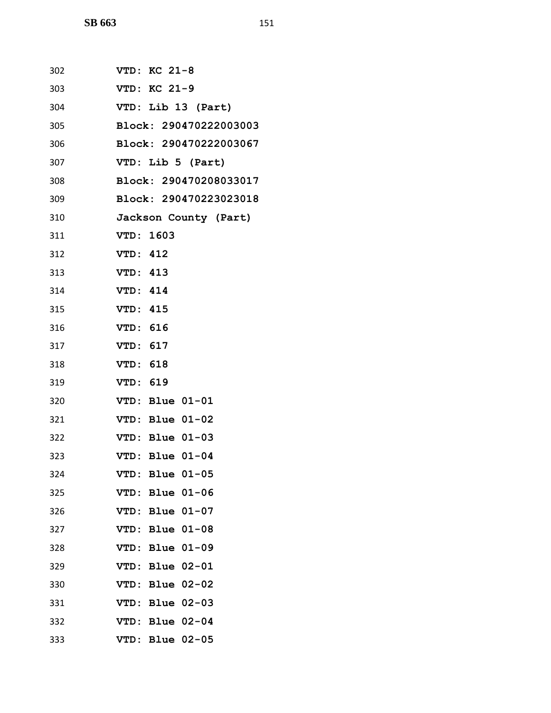| 302 | VTD: KC 21-8           |
|-----|------------------------|
| 303 | VTD: KC 21-9           |
| 304 | VTD: Lib 13 (Part)     |
| 305 | Block: 290470222003003 |
| 306 | Block: 290470222003067 |
| 307 | VTD: Lib 5 (Part)      |
| 308 | Block: 290470208033017 |
| 309 | Block: 290470223023018 |
| 310 | Jackson County (Part)  |
| 311 | VTD: 1603              |
| 312 | <b>VTD: 412</b>        |
| 313 | VTD: 413               |
| 314 | <b>VTD: 414</b>        |
| 315 | VTD: 415               |
| 316 | VTD: 616               |
| 317 | VTD: 617               |
| 318 | VTD: 618               |
| 319 | VTD: 619               |
| 320 | VTD: Blue 01-01        |
| 321 | VTD: Blue 01-02        |
| 322 | VTD: Blue 01-03        |
| 323 | VTD: Blue 01-04        |
| 324 | VTD: Blue 01-05        |
| 325 | VTD: Blue 01-06        |
| 326 | VTD: Blue 01-07        |
| 327 | VTD: Blue 01-08        |
| 328 | VTD: Blue 01-09        |
| 329 | VTD: Blue 02-01        |
| 330 | VTD: Blue 02-02        |
| 331 | VTD: Blue 02-03        |
| 332 | VTD: Blue 02-04        |
| 333 | VTD: Blue 02-05        |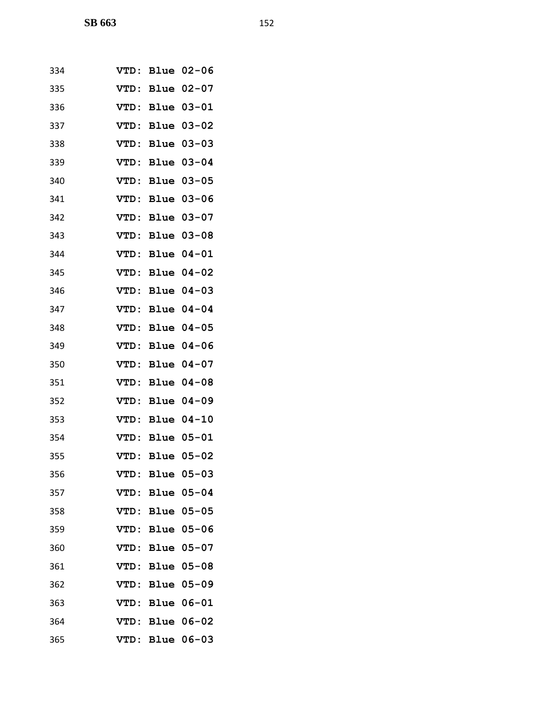| 334 | <b>VTD:</b> |             | Blue 02-06 |
|-----|-------------|-------------|------------|
| 335 | <b>VTD:</b> |             | Blue 02-07 |
| 336 | <b>VTD:</b> |             | Blue 03-01 |
| 337 | VTD:        |             | Blue 03-02 |
| 338 | VTD:        |             | Blue 03-03 |
| 339 | VTD:        | <b>Blue</b> | $03 - 04$  |
| 340 | <b>VTD:</b> | Blue        | $03 - 05$  |
| 341 | <b>VTD:</b> |             | Blue 03-06 |
| 342 | <b>VTD:</b> | <b>Blue</b> | $03 - 07$  |
| 343 | <b>VTD:</b> | <b>Blue</b> | $03 - 08$  |
| 344 | <b>VTD:</b> | <b>Blue</b> | $04 - 01$  |
| 345 | <b>VTD:</b> |             | Blue 04-02 |
| 346 | <b>VTD:</b> | <b>Blue</b> | $04 - 03$  |
| 347 | VTD:        | <b>Blue</b> | $04 - 04$  |
| 348 | <b>VTD:</b> |             | Blue 04-05 |
| 349 | <b>VTD:</b> | <b>Blue</b> | $04 - 06$  |
| 350 | <b>VTD:</b> | <b>Blue</b> | $04 - 07$  |
| 351 | <b>VTD:</b> |             | Blue 04-08 |
| 352 | <b>VTD:</b> |             | Blue 04-09 |
| 353 | <b>VTD:</b> | <b>Blue</b> | $04 - 10$  |
| 354 | VTD:        | Blue        | $05 - 01$  |
| 355 | <b>VTD:</b> |             | Blue 05-02 |
| 356 | VTD:        | <b>Blue</b> | $05 - 03$  |
| 357 | <b>VTD:</b> | Blue        | $05 - 04$  |
| 358 | VTD:        | Blue        | $05 - 05$  |
| 359 | <b>VTD:</b> | <b>Blue</b> | $05 - 06$  |
| 360 | VTD:        | Blue        | $05 - 07$  |
| 361 | VTD:        | Blue        | $05 - 08$  |
| 362 | VTD:        | <b>Blue</b> | $05 - 09$  |
| 363 | VTD:        |             | Blue 06-01 |
| 364 | <b>VTD:</b> | Blue        | $06 - 02$  |
| 365 | VTD:        |             | Blue 06-03 |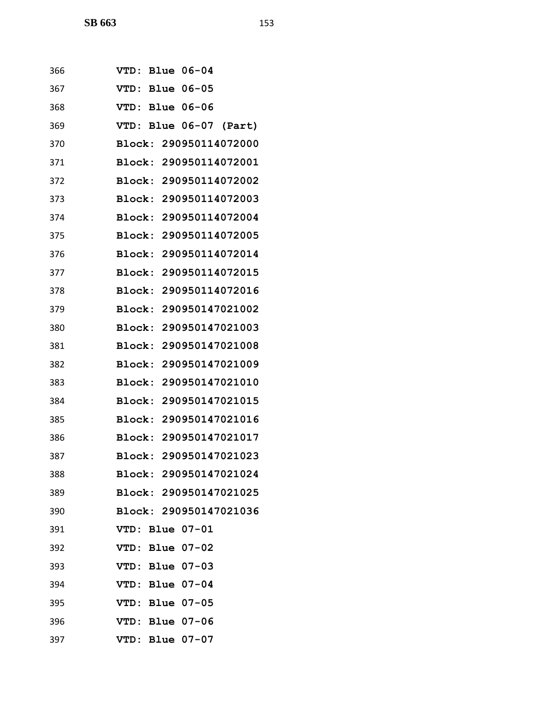| 366 | <b>Blue 06-04</b><br><b>VTD:</b>  |
|-----|-----------------------------------|
| 367 | <b>Blue 06-05</b><br><b>VTD :</b> |
| 368 | <b>Blue 06-06</b><br>VTD:         |
| 369 | VTD: Blue 06-07 (Part)            |
| 370 | Block: 290950114072000            |
| 371 | Block: 290950114072001            |
| 372 | Block: 290950114072002            |
| 373 | Block: 290950114072003            |
| 374 | Block: 290950114072004            |
| 375 | Block:<br>290950114072005         |
| 376 | Block: 290950114072014            |
| 377 | <b>Block:</b><br>290950114072015  |
| 378 | Block:<br>290950114072016         |
| 379 | Block: 290950147021002            |
| 380 | Block:<br>290950147021003         |
| 381 | Block: 290950147021008            |
| 382 | Block:<br>290950147021009         |
| 383 | Block:<br>290950147021010         |
| 384 | Block: 290950147021015            |
| 385 | <b>Block:</b><br>290950147021016  |
| 386 | Block: 290950147021017            |
| 387 | Block: 290950147021023            |
| 388 | Block: 290950147021024            |
| 389 | Block: 290950147021025            |
| 390 | Block: 290950147021036            |
| 391 | VTD: Blue 07-01                   |
| 392 | VTD: Blue 07-02                   |
| 393 | VTD: Blue 07-03                   |
| 394 | VTD: Blue 07-04                   |
| 395 | VTD: Blue 07-05                   |
| 396 | VTD: Blue 07-06                   |
| 397 | VTD: Blue 07-07                   |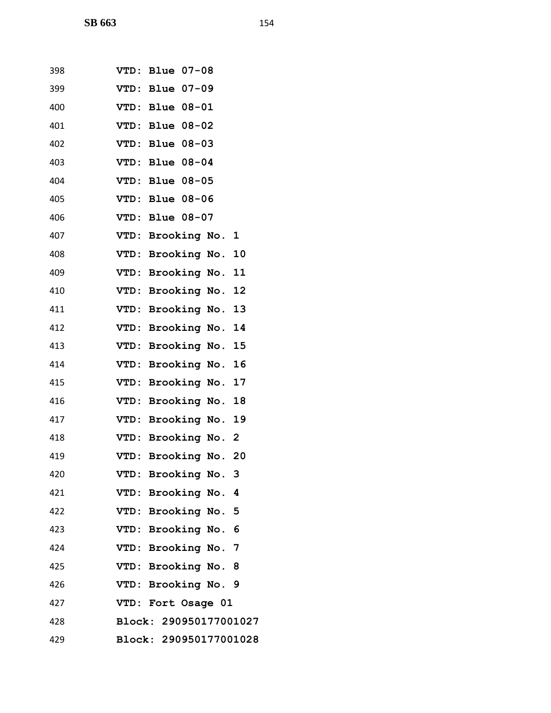| 398 | VTD: Blue 07-08        |
|-----|------------------------|
| 399 | VTD: Blue 07-09        |
| 400 | VTD: Blue 08-01        |
| 401 | VTD: Blue 08-02        |
| 402 | VTD: Blue 08-03        |
| 403 | VTD: Blue 08-04        |
| 404 | VTD: Blue 08-05        |
| 405 | VTD: Blue 08-06        |
| 406 | VTD: Blue 08-07        |
| 407 | VTD: Brooking No. 1    |
| 408 | VTD: Brooking No. 10   |
| 409 | VTD: Brooking No. 11   |
| 410 | VTD: Brooking No. 12   |
| 411 | VTD: Brooking No. 13   |
| 412 | VTD: Brooking No. 14   |
| 413 | VTD: Brooking No. 15   |
| 414 | VTD: Brooking No. 16   |
| 415 | VTD: Brooking No. 17   |
| 416 | VTD: Brooking No. 18   |
| 417 | VTD: Brooking No. 19   |
| 418 | VTD: Brooking No. 2    |
| 419 | VTD: Brooking No. 20   |
| 420 | VTD: Brooking No. 3    |
| 421 | VTD: Brooking No. 4    |
| 422 | VTD: Brooking No. 5    |
| 423 | VTD: Brooking No. 6    |
| 424 | VTD: Brooking No. 7    |
| 425 | VTD: Brooking No. 8    |
| 426 | VTD: Brooking No. 9    |
| 427 | VTD: Fort Osage 01     |
| 428 | Block: 290950177001027 |
| 429 | Block: 290950177001028 |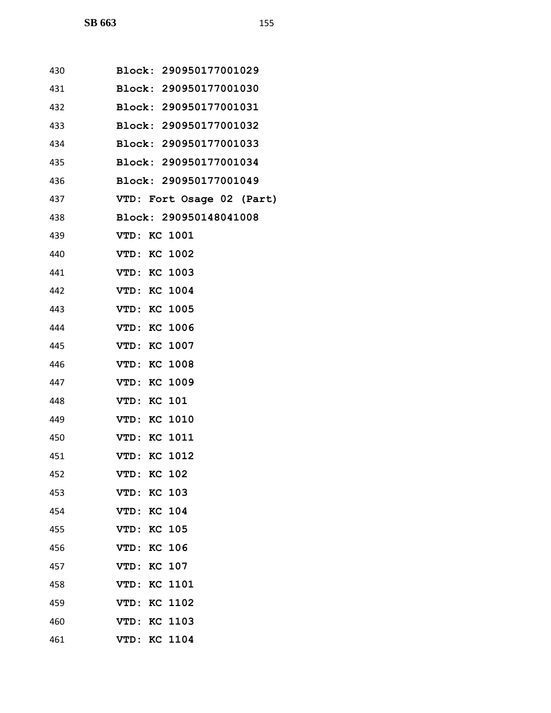| 430 | Block: 290950177001029    |
|-----|---------------------------|
| 431 | Block: 290950177001030    |
| 432 | Block: 290950177001031    |
| 433 | Block: 290950177001032    |
| 434 | Block: 290950177001033    |
| 435 | Block: 290950177001034    |
| 436 | Block: 290950177001049    |
| 437 | VTD: Fort Osage 02 (Part) |
| 438 | Block: 290950148041008    |
| 439 | VTD: KC 1001              |
| 440 | VTD: KC 1002              |
| 441 | <b>VTD: KC 1003</b>       |
| 442 | <b>VTD: KC 1004</b>       |
| 443 | VTD: KC 1005              |
| 444 | VTD: KC 1006              |
| 445 | VTD: KC 1007              |
| 446 | <b>VTD: KC 1008</b>       |
| 447 | VTD: KC 1009              |
| 448 | <b>VTD: KC 101</b>        |
| 449 | VTD: KC 1010              |
| 450 | VTD: KC 1011              |
| 451 | <b>VTD: KC 1012</b>       |
| 452 | KC 102<br>VTD:            |
| 453 | <b>VTD: KC 103</b>        |
| 454 | VTD: KC 104               |
| 455 | <b>VTD: KC 105</b>        |
| 456 | <b>VTD: KC 106</b>        |
| 457 | <b>VTD: KC 107</b>        |
| 458 | VTD: KC 1101              |
| 459 | <b>VTD: KC 1102</b>       |
| 460 | KC 1103<br>VTD:           |
| 461 | VTD: KC 1104              |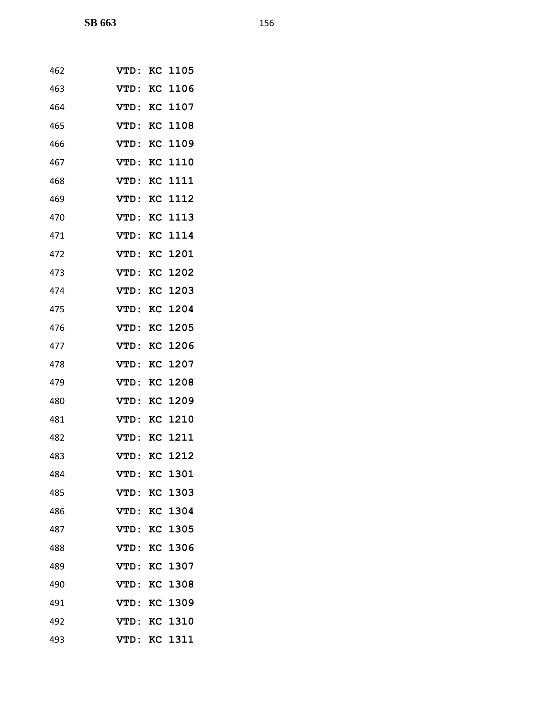| 462 | VTD :       |    | KC 1105        |
|-----|-------------|----|----------------|
| 463 | VTD:        |    | KC 1106        |
| 464 | VTD:        |    | KC 1107        |
| 465 | VTD:        |    | <b>KC 1108</b> |
| 466 | VTD:        |    | KC 1109        |
| 467 | VTD:        |    | <b>KC 1110</b> |
| 468 | VTD:        |    | KC 1111        |
| 469 | VTD:        |    | KC 1112        |
| 470 | <b>VTD:</b> |    | KC 1113        |
| 471 | VTD:        |    | KC 1114        |
| 472 | VTD:        |    | KC 1201        |
| 473 | VTD:        |    | KC 1202        |
| 474 | VTD:        |    | KC 1203        |
| 475 | VTD:        |    | KC 1204        |
| 476 | VTD:        |    | KC 1205        |
| 477 | VTD:        |    | <b>KC 1206</b> |
| 478 | VTD:        |    | <b>KC 1207</b> |
| 479 | VTD:        |    | KC 1208        |
| 480 | VTD:        |    | KC 1209        |
| 481 | VTD:        |    | KC 1210        |
| 482 | VTD:        |    | <b>KC 1211</b> |
| 483 | VTD:        |    | KC 1212        |
| 484 | VTD:        |    | KC 1301        |
| 485 | VTD:        |    | KC 1303        |
| 486 | VTD:        |    | KC 1304        |
| 487 | VTD:        |    | KC 1305        |
| 488 | <b>VTD:</b> |    | KC 1306        |
| 489 | <b>VTD:</b> |    | KC 1307        |
| 490 | VTD:        |    | <b>KC 1308</b> |
| 491 | VTD:        |    | KC 1309        |
| 492 | VTD:        | KC | 1310           |
| 493 | VTD:        |    | KC 1311        |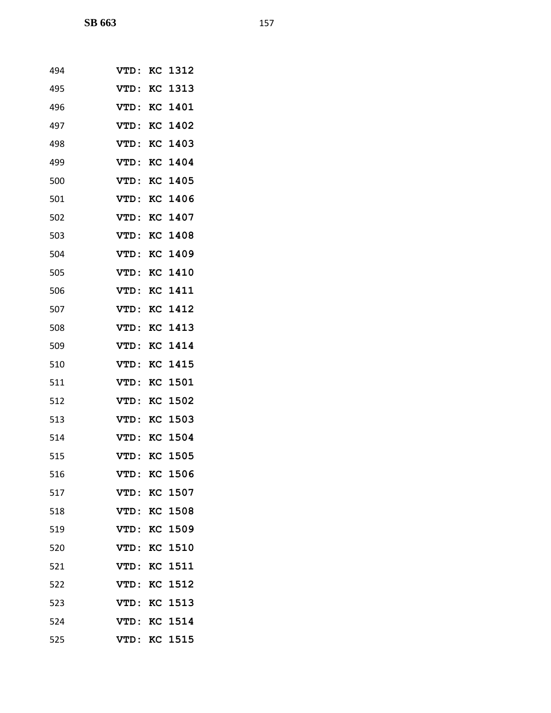| 494 | VTD:        |    | KC 1312        |
|-----|-------------|----|----------------|
| 495 | VTD:        |    | KC 1313        |
| 496 | VTD:        |    | KC 1401        |
| 497 | VTD:        |    | KC 1402        |
| 498 | VTD:        |    | KC 1403        |
| 499 | VTD :       |    | KC 1404        |
| 500 | VTD:        |    | KC 1405        |
| 501 | VTD:        |    | KC 1406        |
| 502 | VTD:        |    | KC 1407        |
| 503 | VTD:        |    | <b>KC 1408</b> |
| 504 | VTD:        |    | KC 1409        |
| 505 | VTD:        |    | KC 1410        |
| 506 | VTD:        |    | KC 1411        |
| 507 | VTD:        |    | <b>KC 1412</b> |
| 508 | VTD:        |    | KC 1413        |
| 509 | VTD:        |    | KC 1414        |
| 510 | VTD:        |    | KC 1415        |
| 511 | VTD:        |    | KC 1501        |
| 512 | VTD:        |    | KC 1502        |
| 513 | VTD:        | KC | 1503           |
| 514 | VTD:        | KC | 1504           |
| 515 | VTD:        |    | KC 1505        |
| 516 | VTD:        |    | KC 1506        |
| 517 | VTD:        |    | KC 1507        |
| 518 | <b>VTD:</b> |    | KC 1508        |
| 519 | VTD:        |    | KC 1509        |
| 520 | <b>VTD:</b> |    | <b>KC 1510</b> |
| 521 | <b>VTD:</b> |    | <b>KC 1511</b> |
| 522 | VTD:        |    | KC 1512        |
| 523 | VTD:        |    | KC 1513        |
| 524 | <b>VTD:</b> |    | <b>KC 1514</b> |
| 525 | VTD:        |    | KC 1515        |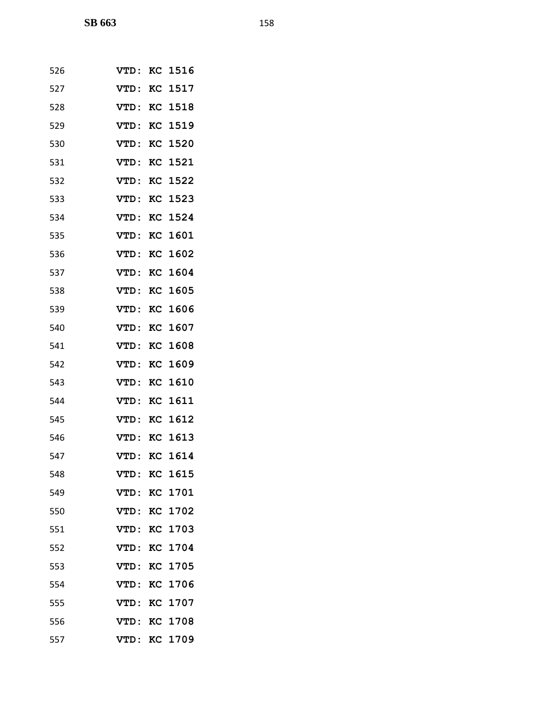| 526 | VTD:        |           | <b>KC 1516</b> |
|-----|-------------|-----------|----------------|
| 527 | VTD:        |           | KC 1517        |
| 528 | VTD:        |           | <b>KC 1518</b> |
| 529 | VTD:        |           | <b>KC 1519</b> |
| 530 | VTD:        |           | KC 1520        |
| 531 | VTD:        | KC        | 1521           |
| 532 | <b>VTD:</b> |           | KC 1522        |
| 533 | VTD:        |           | KC 1523        |
| 534 | <b>VTD:</b> | KC        | 1524           |
| 535 | VTD:        |           | KC 1601        |
| 536 | VTD:        |           | KC 1602        |
| 537 | VTD:        |           | KC 1604        |
| 538 | VTD:        |           | KC 1605        |
| 539 | VTD:        |           | KC 1606        |
| 540 | VTD:        |           | KC 1607        |
| 541 | VTD:        |           | KC 1608        |
| 542 | VTD:        |           | KC 1609        |
| 543 | VTD:        |           | KC 1610        |
| 544 | <b>VTD:</b> |           | <b>KC 1611</b> |
| 545 | VTD:        |           | KC 1612        |
| 546 | <b>VTD:</b> |           | <b>KC 1613</b> |
| 547 | VTD:        |           | <b>KC 1614</b> |
| 548 | VTD:        |           | KC 1615        |
| 549 | <b>VTD:</b> |           | <b>KC 1701</b> |
| 550 | <b>VTD:</b> |           | KC 1702        |
| 551 | VTD:        |           | KC 1703        |
| 552 | <b>VTD:</b> |           | KC 1704        |
| 553 | <b>VTD:</b> |           | KC 1705        |
| 554 | VTD:        |           | KC 1706        |
| 555 | <b>VTD:</b> | KC        | 1707           |
| 556 | <b>VTD:</b> | <b>KC</b> | 1708           |
| 557 | VTD:        |           | KC 1709        |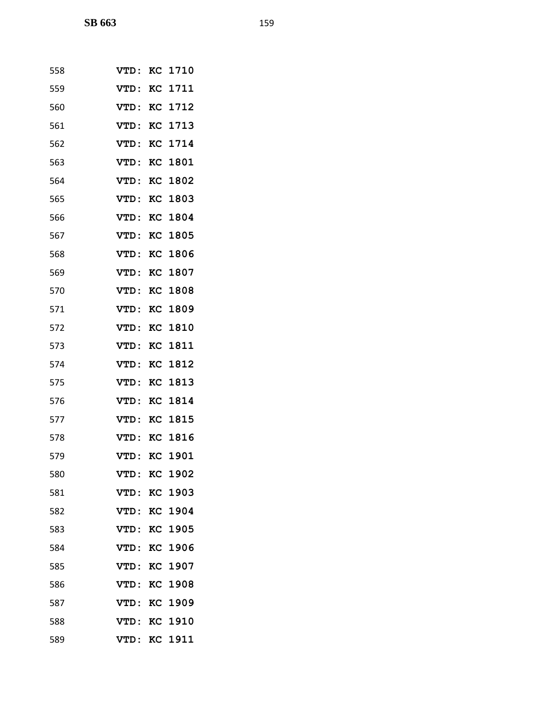| 558 | VTD:         |    | KC 1710        |
|-----|--------------|----|----------------|
| 559 | VTD:         |    | <b>KC 1711</b> |
| 560 | VTD:         |    | KC 1712        |
| 561 | VTD:         |    | KC 1713        |
| 562 | VTD:         |    | KC 1714        |
| 563 | VTD:         |    | <b>KC 1801</b> |
| 564 | VTD:         |    | <b>KC 1802</b> |
| 565 | VTD:         |    | KC 1803        |
| 566 | <b>VTD:</b>  |    | KC 1804        |
| 567 | <b>VTD:</b>  |    | KC 1805        |
| 568 | <b>VTD:</b>  |    | <b>KC 1806</b> |
| 569 | VTD:         |    | <b>KC 1807</b> |
| 570 | VTD:         |    | <b>KC 1808</b> |
| 571 | VTD:         |    | KC 1809        |
| 572 | VTD:         |    | KC 1810        |
| 573 | <b>VTD:</b>  |    | KC 1811        |
| 574 | VTD:         |    | KC 1812        |
| 575 | VTD:         |    | KC 1813        |
| 576 | VTD:         |    | KC 1814        |
| 577 | VTD:         |    | KC 1815        |
| 578 | VTD:         |    | KC 1816        |
| 579 | VTD: KC 1901 |    |                |
| 580 | VTD:         | KC | 1902           |
| 581 | VTD:         |    | KC 1903        |
| 582 | <b>VTD:</b>  |    | KC 1904        |
| 583 | VTD:         |    | KC 1905        |
| 584 | <b>VTD:</b>  |    | <b>KC 1906</b> |
| 585 | <b>VTD:</b>  |    | KC 1907        |
| 586 | VTD:         |    | KC 1908        |
| 587 | <b>VTD:</b>  |    | KC 1909        |
| 588 | <b>VTD:</b>  | KC | 1910           |
| 589 | VTD:         |    | KC 1911        |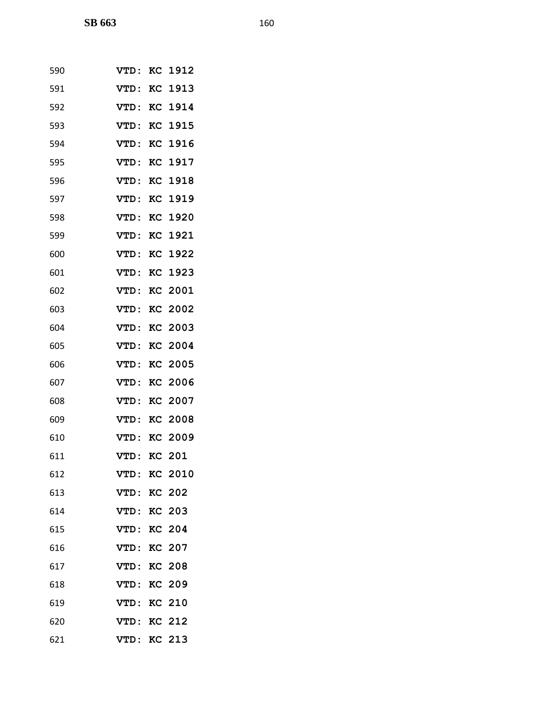| 590 | VTD:               |    | KC 1912        |
|-----|--------------------|----|----------------|
| 591 | VTD:               | KC | 1913           |
| 592 | VTD:               |    | KC 1914        |
| 593 | VTD:               |    | <b>KC 1915</b> |
| 594 | <b>VTD:</b>        | KC | 1916           |
| 595 | VTD:               | KC | 1917           |
| 596 | VTD:               |    | KC 1918        |
| 597 | VTD:               | KC | 1919           |
| 598 | <b>VTD:</b>        |    | KC 1920        |
| 599 | VTD:               | KC | 1921           |
| 600 | VTD:               |    | <b>KC 1922</b> |
| 601 | VTD:               | KC | 1923           |
| 602 | VTD:               |    | KC 2001        |
| 603 | VTD:               |    | <b>KC 2002</b> |
| 604 | VTD:               | KC | 2003           |
| 605 | <b>VTD:</b>        |    | KC 2004        |
| 606 | <b>VTD:</b>        |    | <b>KC 2005</b> |
| 607 | <b>VTD:</b>        | KC | 2006           |
| 608 | VTD:               |    | <b>KC 2007</b> |
| 609 | VTD:               | KC | 2008           |
| 610 | <b>VTD:</b>        |    | KC 2009        |
| 611 | VTD:               |    | <b>KC 201</b>  |
| 612 | <b>VTD:</b>        |    | KC 2010        |
| 613 | VTD:               |    | <b>KC 202</b>  |
| 614 | VTD:               |    | <b>KC 203</b>  |
| 615 | <b>VTD: KC 204</b> |    |                |
| 616 | <b>VTD: KC 207</b> |    |                |
| 617 | <b>VTD:</b>        |    | <b>KC 208</b>  |
| 618 | <b>VTD: KC 209</b> |    |                |
| 619 | VTD: KC 210        |    |                |
| 620 | <b>VTD: KC 212</b> |    |                |
| 621 | <b>VTD: KC 213</b> |    |                |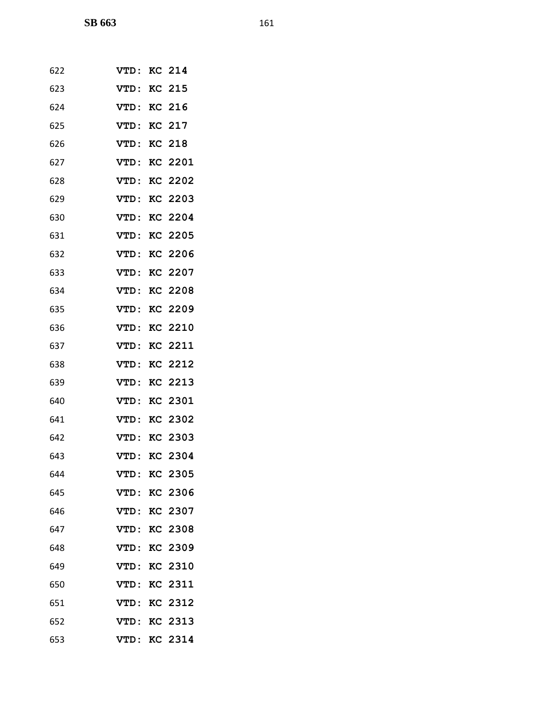| 622 | <b>VTD: KC 214</b>  |                |
|-----|---------------------|----------------|
| 623 | <b>VTD: KC 215</b>  |                |
| 624 | VTD:                | <b>KC 216</b>  |
| 625 | VTD: KC 217         |                |
| 626 | VTD:                | <b>KC 218</b>  |
| 627 | <b>VTD: KC 2201</b> |                |
| 628 | VTD:                | KC 2202        |
| 629 | VTD:                | KC 2203        |
| 630 | VTD: KC 2204        |                |
| 631 | VTD:                | KC 2205        |
| 632 | VTD: KC 2206        |                |
| 633 | VTD: KC 2207        |                |
| 634 | VTD:                | <b>KC 2208</b> |
| 635 | VTD:                | KC 2209        |
| 636 | VTD:                | KC 2210        |
| 637 | <b>VTD: KC 2211</b> |                |
| 638 | VTD:                | <b>KC 2212</b> |
| 639 | VTD:                | KC 2213        |
| 640 | VTD:                | <b>KC 2301</b> |
| 641 | VTD:                | KC 2302        |
| 642 | VTD: KC 2303        |                |
| 643 | VTD: KC 2304        |                |
| 644 | <b>VTD:</b>         | KC 2305        |
| 645 |                     | VTD: KC 2306   |
| 646 | VTD:                | KC 2307        |
| 647 | VTD: KC 2308        |                |
| 648 |                     | VTD: KC 2309   |
| 649 | <b>VTD:</b>         | KC 2310        |
| 650 | VTD:                | <b>KC 2311</b> |
| 651 | VTD:                | KC 2312        |
| 652 | VTD: KC 2313        |                |
| 653 |                     | VTD: KC 2314   |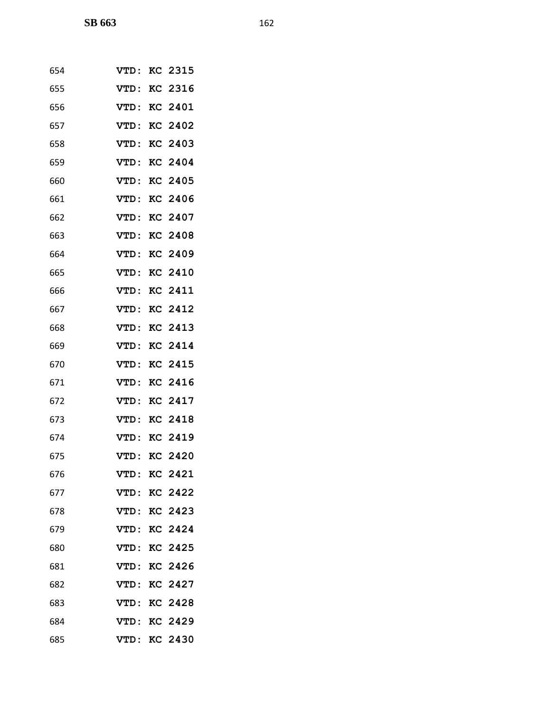| 654 | VTD:        | KC 2315        |
|-----|-------------|----------------|
| 655 | VTD:        | KC 2316        |
| 656 | VTD:        | KC 2401        |
| 657 | VTD:        | KC 2402        |
| 658 | VTD:        | KC 2403        |
| 659 | VTD:        | KC 2404        |
| 660 | <b>VTD:</b> | KC 2405        |
| 661 | VTD:        | KC 2406        |
| 662 | VTD:        | KC 2407        |
| 663 | <b>VTD:</b> | KC 2408        |
| 664 | VTD:        | KC 2409        |
| 665 | VTD:        | <b>KC 2410</b> |
| 666 | VTD:        | KC 2411        |
| 667 | VTD:        | <b>KC 2412</b> |
| 668 | VTD:        | KC 2413        |
| 669 | <b>VTD:</b> | KC 2414        |
| 670 | VTD:        | <b>KC 2415</b> |
| 671 | VTD:        | KC 2416        |
| 672 | VTD:        | KC 2417        |
| 673 | VTD:        | <b>KC 2418</b> |
| 674 | VTD:        | <b>KC 2419</b> |
| 675 | VTD:        | <b>KC 2420</b> |
| 676 | VTD:        | KC 2421        |
| 677 | VTD:        | KC 2422        |
| 678 | <b>VTD:</b> | KC 2423        |
| 679 | VTD:        | KC 2424        |
| 680 | VTD:        | <b>KC 2425</b> |
| 681 | <b>VTD:</b> | KC 2426        |
| 682 | VTD:        | KC 2427        |
| 683 | VTD:        | KC 2428        |
| 684 | <b>VTD:</b> | KC 2429        |
| 685 | VTD:        | KC 2430        |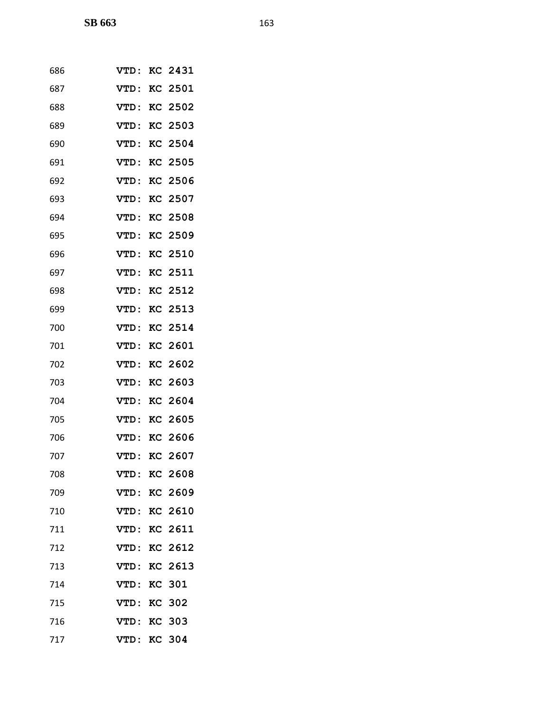| 686 | VTD:        | KC 2431        |
|-----|-------------|----------------|
| 687 | VTD:        | <b>KC 2501</b> |
| 688 | <b>VTD:</b> | KC 2502        |
| 689 | VTD:        | KC 2503        |
| 690 | <b>VTD:</b> | KC 2504        |
| 691 | VTD:        | <b>KC 2505</b> |
| 692 | <b>VTD:</b> | <b>KC 2506</b> |
| 693 | <b>VTD:</b> | KC 2507        |
| 694 | VTD:        | KC 2508        |
| 695 | <b>VTD:</b> | <b>KC 2509</b> |
| 696 | VTD:        | KC 2510        |
| 697 | VTD:        | <b>KC 2511</b> |
| 698 | VTD:        | KC 2512        |
| 699 | <b>VTD:</b> | KC 2513        |
| 700 | <b>VTD:</b> | KC 2514        |
| 701 | <b>VTD:</b> | KC 2601        |
| 702 | <b>VTD:</b> | <b>KC 2602</b> |
| 703 | <b>VTD:</b> | KC 2603        |
| 704 | <b>VTD:</b> | KC 2604        |
| 705 | VTD:        | KC 2605        |
| 706 | VTD:        | KC 2606        |
| 707 | VTD:        | KC 2607        |
| 708 | <b>VTD:</b> | <b>KC 2608</b> |
| 709 | <b>VTD:</b> | KC 2609        |
| 710 | <b>VTD:</b> | KC 2610        |
| 711 | VTD:        | KC 2611        |
| 712 | <b>VTD:</b> | KC 2612        |
| 713 | <b>VTD:</b> | <b>KC 2613</b> |
| 714 | VTD:        | <b>KC 301</b>  |
| 715 | <b>VTD:</b> | <b>KC 302</b>  |
| 716 | <b>VTD:</b> | <b>KC 303</b>  |
| 717 | <b>VTD:</b> | <b>KC 304</b>  |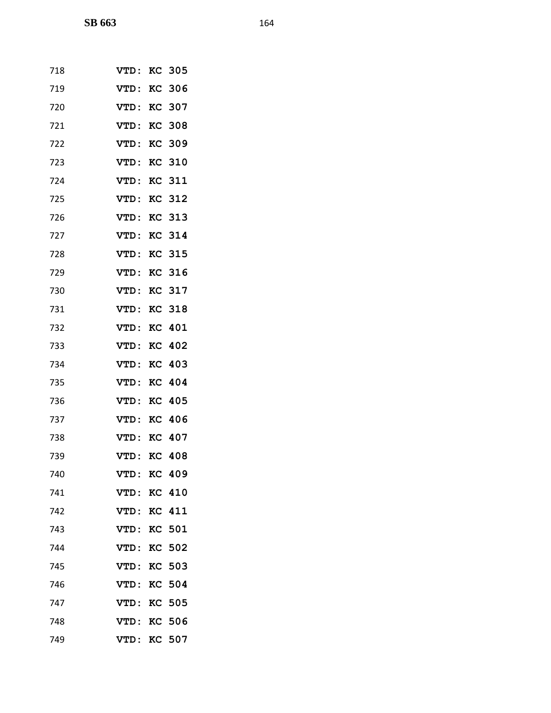| 718 | VTD:        |    | <b>KC 305</b> |
|-----|-------------|----|---------------|
| 719 | <b>VTD:</b> |    | <b>KC 306</b> |
| 720 | VTD:        |    | <b>KC 307</b> |
| 721 | VTD:        |    | <b>KC 308</b> |
| 722 | <b>VTD:</b> |    | <b>KC 309</b> |
| 723 | VTD:        | KC | 310           |
| 724 | VTD:        |    | <b>KC 311</b> |
| 725 | VTD:        |    | <b>KC 312</b> |
| 726 | VTD:        |    | <b>KC 313</b> |
| 727 | <b>VTD:</b> |    | <b>KC 314</b> |
| 728 | VTD:        |    | <b>KC 315</b> |
| 729 | VTD:        |    | <b>KC 316</b> |
| 730 | <b>VTD:</b> |    | <b>KC 317</b> |
| 731 | VTD:        |    | <b>KC 318</b> |
| 732 | VTD:        |    | KC 401        |
| 733 | VTD:        |    | <b>KC 402</b> |
| 734 | VTD:        |    | <b>KC 403</b> |
| 735 | VTD:        |    | KC 404        |
| 736 | VTD:        |    | <b>KC 405</b> |
| 737 | VTD:        |    | <b>KC 406</b> |
| 738 | <b>VTD:</b> |    | <b>KC 407</b> |
| 739 | <b>VTD:</b> |    | <b>KC 408</b> |
| 740 | VTD:        |    | KC 409        |
| 741 | <b>VTD:</b> |    | <b>KC 410</b> |
| 742 | <b>VTD:</b> |    | <b>KC 411</b> |
| 743 | VTD:        |    | <b>KC 501</b> |
| 744 | VTD:        |    | <b>KC 502</b> |
| 745 | <b>VTD:</b> |    | KC 503        |
| 746 | VTD:        |    | KC 504        |
| 747 | VTD:        |    | <b>KC 505</b> |
| 748 | <b>VTD:</b> | KC | 506           |
| 749 | VTD:        |    | <b>KC 507</b> |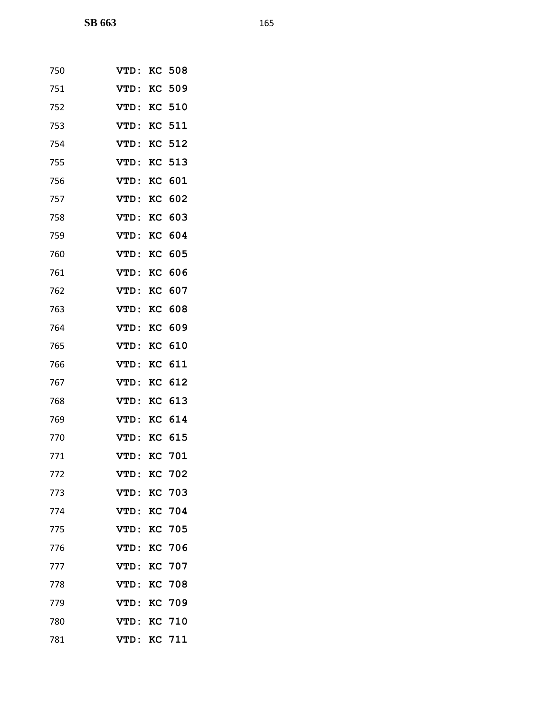| 750 | VTD:        | KC | 508           |
|-----|-------------|----|---------------|
| 751 | <b>VTD:</b> | KC | 509           |
| 752 | VTD:        |    | <b>KC 510</b> |
| 753 | VTD:        | KC | 511           |
| 754 | VTD:        |    | <b>KC 512</b> |
| 755 | <b>VTD:</b> | KC | 513           |
| 756 | VTD:        |    | KC 601        |
| 757 | VTD:        | KC | 602           |
| 758 | <b>VTD:</b> | KC | 603           |
| 759 | VTD:        | KC | 604           |
| 760 | VTD:        | KC | 605           |
| 761 | VTD:        | KC | 606           |
| 762 | VTD:        | KC | 607           |
| 763 | VTD:        | KC | 608           |
| 764 | VTD:        | KC | 609           |
| 765 | VTD:        | KC | 610           |
| 766 | VTD:        | KC | 611           |
| 767 | VTD:        | KC | 612           |
| 768 | VTD:        | KC | 613           |
| 769 | VTD:        | KC | 614           |
| 770 | VTD:        | KC | 615           |
| 771 | <b>VTD:</b> | KC | 701           |
| 772 | <b>VTD:</b> |    | <b>KC 702</b> |
| 773 | VTD:        | KC | 703           |
| 774 | <b>VTD:</b> |    | <b>KC 704</b> |
| 775 | VTD:        |    | <b>KC 705</b> |
| 776 | <b>VTD:</b> | KC | 706           |
| 777 | VTD:        |    | KC 707        |
| 778 | VTD:        | KC | 708           |
| 779 | VTD:        |    | <b>KC 709</b> |
| 780 | <b>VTD:</b> | KC | 710           |
| 781 | VTD:        |    | KC 711        |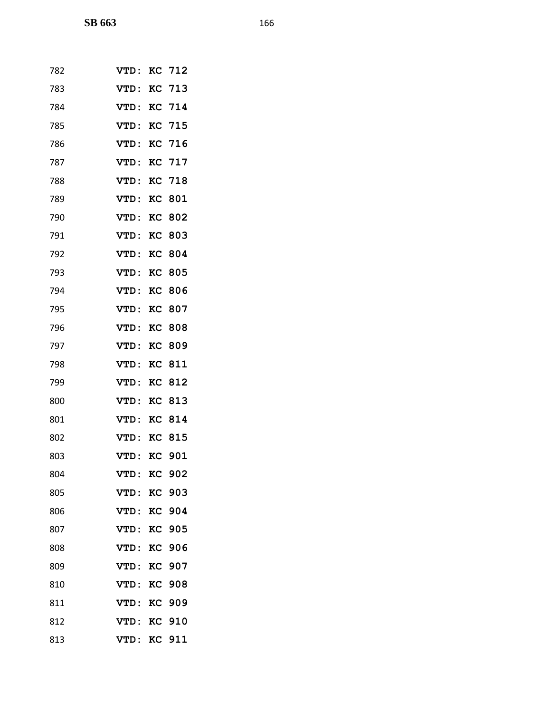| 782 | VTD:        |    | KC 712        |
|-----|-------------|----|---------------|
| 783 | <b>VTD:</b> |    | <b>KC 713</b> |
| 784 | VTD:        |    | KC 714        |
| 785 | <b>VTD:</b> |    | <b>KC 715</b> |
| 786 | VTD:        |    | KC 716        |
| 787 | <b>VTD:</b> |    | <b>KC 717</b> |
| 788 | VTD:        |    | <b>KC 718</b> |
| 789 | <b>VTD:</b> | KC | 801           |
| 790 | VTD:        | KC | 802           |
| 791 | <b>VTD:</b> | KC | 803           |
| 792 | VTD:        | KC | 804           |
| 793 | VTD:        | KC | 805           |
| 794 | VTD:        | KC | 806           |
| 795 | VTD:        |    | <b>KC 807</b> |
| 796 | <b>VTD:</b> | KC | 808           |
| 797 | VTD:        | KC | 809           |
| 798 | <b>VTD:</b> | KC | 811           |
| 799 | VTD:        | KC | 812           |
| 800 | <b>VTD:</b> | KC | 813           |
| 801 | VTD:        | KC | 814           |
| 802 | <b>VTD:</b> | KC | 815           |
| 803 | VTD:        | KC | 901           |
| 804 | <b>VTD:</b> | KC | 902           |
| 805 | VTD:        | KC | 903           |
| 806 | <b>VTD:</b> |    | <b>KC 904</b> |
| 807 | VTD:        | KC | 905           |
| 808 | VTD:        | KC | 906           |
| 809 | VTD:        | KC | 907           |
| 810 | VTD:        | KC | 908           |
| 811 | VTD:        | KC | 909           |
| 812 | <b>VTD:</b> | KC | 910           |
| 813 | VTD:        |    | <b>KC 911</b> |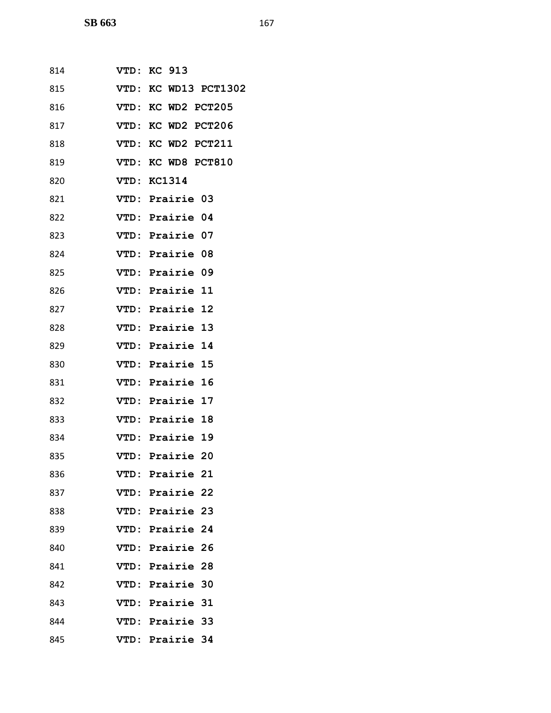| 814 | <b>VTD: KC 913</b>     |
|-----|------------------------|
| 815 | VTD: KC WD13 PCT1302   |
| 816 | VTD: KC WD2 PCT205     |
| 817 | VTD: KC WD2 PCT206     |
| 818 | VTD: KC WD2 PCT211     |
| 819 | VTD: KC WD8 PCT810     |
| 820 | VTD: KC1314            |
| 821 | VTD: Prairie 03        |
| 822 | VTD: Prairie 04        |
| 823 | VTD: Prairie 07        |
| 824 | VTD: Prairie 08        |
| 825 | VTD: Prairie 09        |
| 826 | <b>VTD: Prairie 11</b> |
| 827 | VTD: Prairie 12        |
| 828 | VTD: Prairie 13        |
| 829 | VTD: Prairie 14        |
| 830 | VTD: Prairie 15        |
| 831 | VTD: Prairie 16        |
| 832 | VTD: Prairie 17        |
| 833 | VTD: Prairie 18        |
| 834 | VTD: Prairie 19        |
| 835 | VTD: Prairie 20        |
| 836 | VTD: Prairie 21        |
| 837 | VTD: Prairie 22        |
| 838 | VTD: Prairie 23        |
| 839 | VTD: Prairie 24        |
| 840 | VTD: Prairie 26        |
| 841 | VTD: Prairie 28        |
| 842 | VTD: Prairie 30        |
| 843 | VTD: Prairie 31        |
| 844 | VTD: Prairie 33        |
| 845 | VTD: Prairie 34        |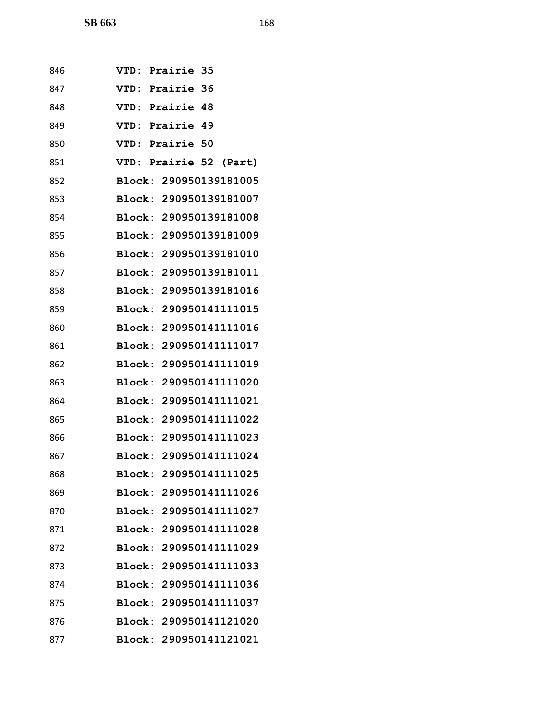| 846 | <b>VTD: Prairie 35</b> |
|-----|------------------------|
| 847 | VTD: Prairie 36        |
| 848 | VTD: Prairie 48        |
| 849 | VTD: Prairie 49        |
| 850 | VTD: Prairie 50        |
| 851 | VTD: Prairie 52 (Part) |
| 852 | Block: 290950139181005 |
| 853 | Block: 290950139181007 |
| 854 | Block: 290950139181008 |
| 855 | Block: 290950139181009 |
| 856 | Block: 290950139181010 |
| 857 | Block: 290950139181011 |
| 858 | Block: 290950139181016 |
| 859 | Block: 290950141111015 |
| 860 | Block: 290950141111016 |
| 861 | Block: 290950141111017 |
| 862 | Block: 290950141111019 |
| 863 | Block: 290950141111020 |
| 864 | Block: 290950141111021 |
| 865 | Block: 290950141111022 |
| 866 | Block: 290950141111023 |
| 867 | Block: 290950141111024 |
| 868 | Block: 290950141111025 |
| 869 | Block: 290950141111026 |
| 870 | Block: 290950141111027 |
| 871 | Block: 290950141111028 |
| 872 | Block: 290950141111029 |
| 873 | Block: 290950141111033 |
| 874 | Block: 290950141111036 |
| 875 | Block: 290950141111037 |
| 876 | Block: 290950141121020 |
| 877 | Block: 290950141121021 |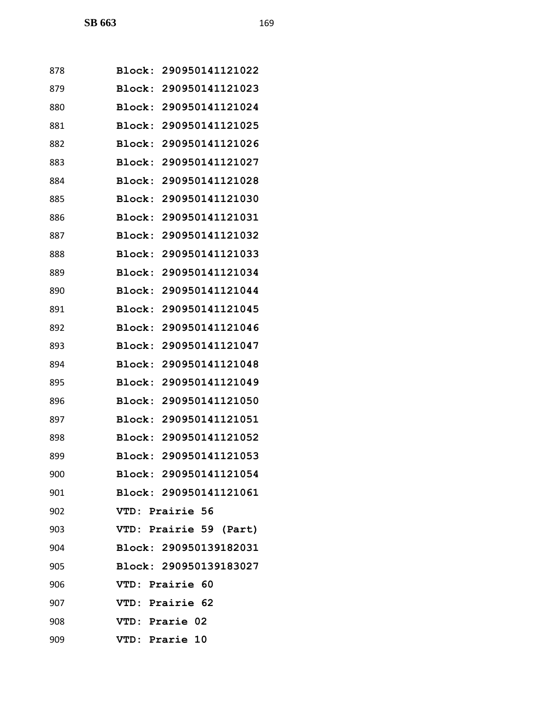| 878 | Block: 290950141121022    |
|-----|---------------------------|
| 879 | Block:<br>290950141121023 |
| 880 | Block:<br>290950141121024 |
| 881 | 290950141121025<br>Block: |
| 882 | Block:<br>290950141121026 |
| 883 | Block:<br>290950141121027 |
| 884 | Block:<br>290950141121028 |
| 885 | 290950141121030<br>Block: |
| 886 | Block: 290950141121031    |
| 887 | 290950141121032<br>Block: |
| 888 | Block: 290950141121033    |
| 889 | Block:<br>290950141121034 |
| 890 | 290950141121044<br>Block: |
| 891 | Block:<br>290950141121045 |
| 892 | Block:<br>290950141121046 |
| 893 | Block:<br>290950141121047 |
| 894 | Block:<br>290950141121048 |
| 895 | 290950141121049<br>Block: |
| 896 | Block:<br>290950141121050 |
| 897 | Block:<br>290950141121051 |
| 898 | Block: 290950141121052    |
| 899 | Block: 290950141121053    |
| 900 | Block: 290950141121054    |
| 901 | Block: 290950141121061    |
| 902 | VTD: Prairie 56           |
| 903 | VTD: Prairie 59 (Part)    |
| 904 | Block: 290950139182031    |
| 905 | Block: 290950139183027    |
| 906 | VTD: Prairie 60           |
| 907 | VTD: Prairie 62           |
| 908 | VTD: Prarie 02            |
| 909 | VTD: Prarie 10            |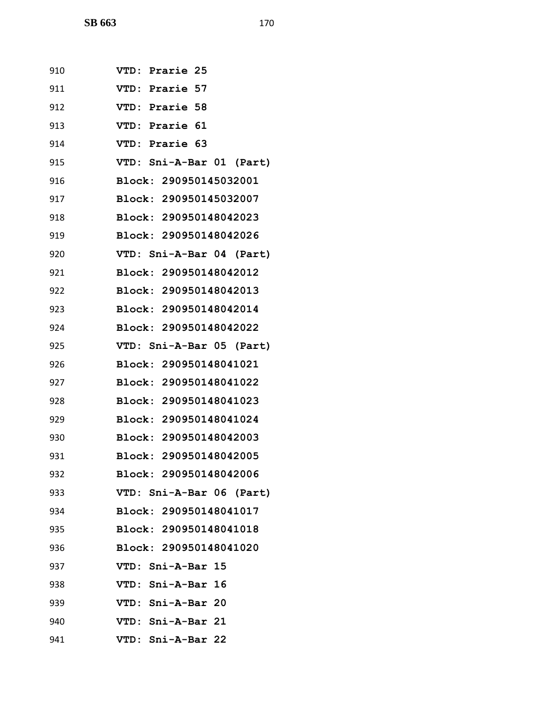| 910 | VTD: Prarie 25           |
|-----|--------------------------|
| 911 | VTD: Prarie 57           |
| 912 | VTD: Prarie 58           |
| 913 | VTD: Prarie 61           |
| 914 | VTD: Prarie 63           |
| 915 | VTD: Sni-A-Bar 01 (Part) |
| 916 | Block: 290950145032001   |
| 917 | Block: 290950145032007   |
| 918 | Block: 290950148042023   |
| 919 | Block: 290950148042026   |
| 920 | VTD: Sni-A-Bar 04 (Part) |
| 921 | Block: 290950148042012   |
| 922 | Block: 290950148042013   |
| 923 | Block: 290950148042014   |
| 924 | Block: 290950148042022   |
| 925 | VTD: Sni-A-Bar 05 (Part) |
| 926 | Block: 290950148041021   |
| 927 | Block: 290950148041022   |
| 928 | Block: 290950148041023   |
| 929 | Block: 290950148041024   |
| 930 | Block: 290950148042003   |
| 931 | Block: 290950148042005   |
| 932 | Block: 290950148042006   |
| 933 | VTD: Sni-A-Bar 06 (Part) |
| 934 | Block: 290950148041017   |
| 935 | Block: 290950148041018   |
| 936 | Block: 290950148041020   |
| 937 | VTD: Sni-A-Bar 15        |
| 938 | VTD: Sni-A-Bar 16        |
| 939 | VTD: Sni-A-Bar 20        |
| 940 | VTD: Sni-A-Bar 21        |
| 941 | VTD: Sni-A-Bar 22        |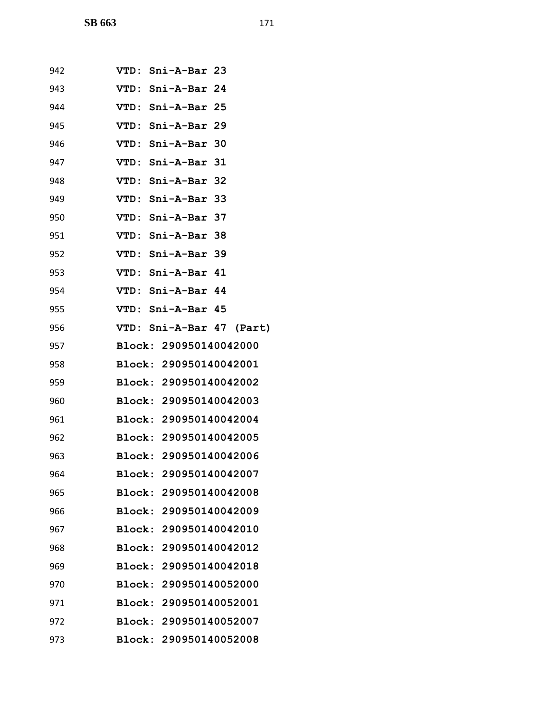| 942 | VTD: Sni-A-Bar 23             |
|-----|-------------------------------|
| 943 | VTD: Sni-A-Bar 24             |
| 944 | VTD: Sni-A-Bar 25             |
| 945 | VTD: Sni-A-Bar 29             |
| 946 | VTD: Sni-A-Bar 30             |
| 947 | VTD: Sni-A-Bar 31             |
| 948 | VTD: Sni-A-Bar 32             |
| 949 | VTD: Sni-A-Bar 33             |
| 950 | VTD: Sni-A-Bar 37             |
| 951 | VTD: Sni-A-Bar 38             |
| 952 | VTD: Sni-A-Bar 39             |
| 953 | VTD: Sni-A-Bar 41             |
| 954 | VTD: Sni-A-Bar 44             |
| 955 | VTD: Sni-A-Bar 45             |
| 956 | VTD: Sni-A-Bar 47 (Part)      |
| 957 | Block: 290950140042000        |
| 958 | <b>Block: 290950140042001</b> |
| 959 | Block: 290950140042002        |
| 960 | Block: 290950140042003        |
| 961 | Block: 290950140042004        |
| 962 | Block: 290950140042005        |
| 963 | Block: 290950140042006        |
| 964 | Block: 290950140042007        |
| 965 | Block: 290950140042008        |
| 966 | Block: 290950140042009        |
| 967 | Block: 290950140042010        |
| 968 | Block: 290950140042012        |
| 969 | Block: 290950140042018        |
| 970 | Block: 290950140052000        |
| 971 | Block: 290950140052001        |
| 972 | Block: 290950140052007        |
| 973 | Block: 290950140052008        |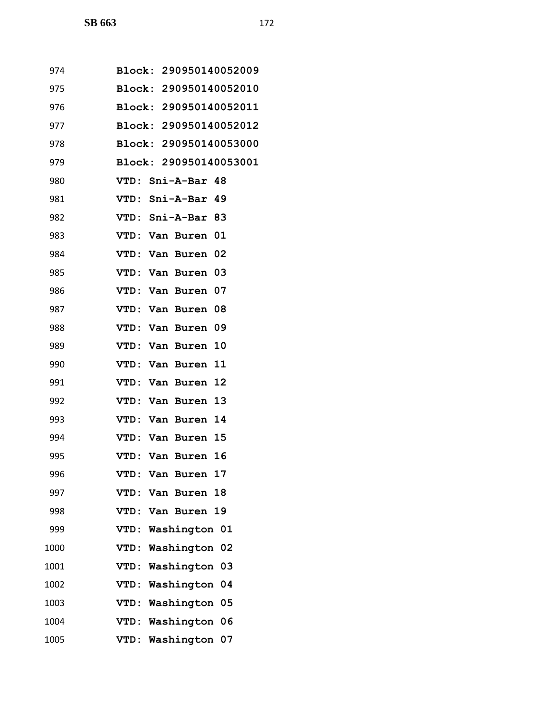| 974  | Block: 290950140052009        |
|------|-------------------------------|
| 975  | Block: 290950140052010        |
| 976  | Block: 290950140052011        |
| 977  | Block: 290950140052012        |
| 978  | Block: 290950140053000        |
| 979  | <b>Block: 290950140053001</b> |
| 980  | VTD: Sni-A-Bar 48             |
| 981  | VTD: Sni-A-Bar 49             |
| 982  | VTD: Sni-A-Bar 83             |
| 983  | VTD: Van Buren 01             |
| 984  | VTD: Van Buren 02             |
| 985  | VTD: Van Buren 03             |
| 986  | VTD: Van Buren 07             |
| 987  | VTD: Van Buren 08             |
| 988  | VTD: Van Buren 09             |
| 989  | VTD: Van Buren 10             |
| 990  | VTD: Van Buren 11             |
| 991  | VTD: Van Buren 12             |
| 992  | VTD: Van Buren 13             |
| 993  | VTD: Van Buren 14             |
| 994  | VTD: Van Buren 15             |
| 995  | VTD: Van Buren 16             |
| 996  | VTD:<br>Van Buren<br>17       |
| 997  | VTD: Van Buren 18             |
| 998  | VTD: Van Buren 19             |
| 999  | VTD: Washington 01            |
| 1000 | VTD: Washington 02            |
| 1001 | VTD: Washington<br>03         |
| 1002 | VTD: Washington<br>04         |
| 1003 | VTD: Washington 05            |
| 1004 | VTD: Washington<br>06         |
| 1005 | VTD: Washington 07            |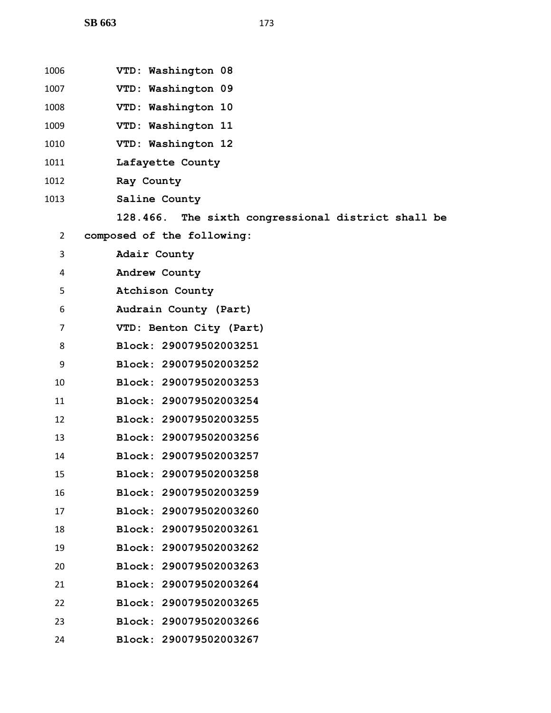| 1006           | VTD: Washington 08                                 |
|----------------|----------------------------------------------------|
| 1007           | VTD: Washington 09                                 |
| 1008           | VTD: Washington 10                                 |
| 1009           | VTD: Washington 11                                 |
| 1010           | VTD: Washington 12                                 |
| 1011           | Lafayette County                                   |
| 1012           | Ray County                                         |
| 1013           | Saline County                                      |
|                | 128.466. The sixth congressional district shall be |
| $\overline{2}$ | composed of the following:                         |
| 3              | Adair County                                       |
| 4              | Andrew County                                      |
| 5              | Atchison County                                    |
| 6              | Audrain County (Part)                              |
| $\overline{7}$ | VTD: Benton City (Part)                            |
| 8              | Block: 290079502003251                             |
| 9              | Block: 290079502003252                             |
| 10             | Block: 290079502003253                             |
| 11             | Block: 290079502003254                             |
| 12             | Block: 290079502003255                             |
| 13             | Block: 290079502003256                             |
| 14             | Block: 290079502003257                             |
| 15             | Block: 290079502003258                             |
| 16             | Block: 290079502003259                             |
| 17             | Block: 290079502003260                             |
| 18             | <b>Block:</b><br>290079502003261                   |
| 19             | Block: 290079502003262                             |
| 20             | Block: 290079502003263                             |
| 21             | Block: 290079502003264                             |
| 22             | Block: 290079502003265                             |
| 23             | Block: 290079502003266                             |
| 24             | Block: 290079502003267                             |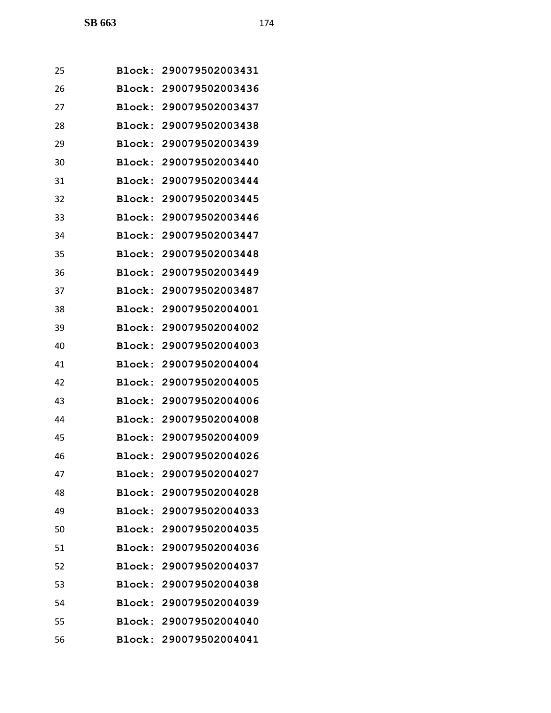| 25 | Block:        | 290079502003431        |
|----|---------------|------------------------|
| 26 |               | Block: 290079502003436 |
| 27 | Block:        | 290079502003437        |
| 28 | Block:        | 290079502003438        |
| 29 | Block:        | 290079502003439        |
| 30 | Block:        | 290079502003440        |
| 31 |               | Block: 290079502003444 |
| 32 | Block:        | 290079502003445        |
| 33 | Block:        | 290079502003446        |
| 34 | Block:        | 290079502003447        |
| 35 | Block:        | 290079502003448        |
| 36 |               | Block: 290079502003449 |
| 37 | Block:        | 290079502003487        |
| 38 | Block:        | 290079502004001        |
| 39 | Block:        | 290079502004002        |
| 40 | Block:        | 290079502004003        |
| 41 |               | Block: 290079502004004 |
| 42 | Block:        | 290079502004005        |
| 43 | Block:        | 290079502004006        |
| 44 | Block:        | 290079502004008        |
| 45 |               | Block: 290079502004009 |
| 46 |               | Block: 290079502004026 |
| 47 | <b>Block:</b> | 290079502004027        |
| 48 |               | Block: 290079502004028 |
| 49 |               | Block: 290079502004033 |
| 50 |               | Block: 290079502004035 |
| 51 | Block:        | 290079502004036        |
| 52 | <b>Block:</b> | 290079502004037        |
| 53 |               | Block: 290079502004038 |
| 54 |               | Block: 290079502004039 |
| 55 |               | Block: 290079502004040 |
| 56 |               | Block: 290079502004041 |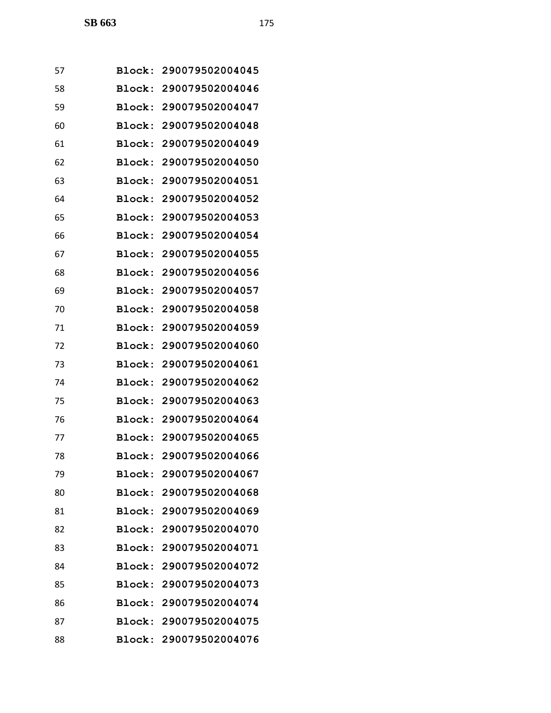| 57 | Block:        | 290079502004045        |
|----|---------------|------------------------|
| 58 |               | Block: 290079502004046 |
| 59 |               | Block: 290079502004047 |
| 60 |               | Block: 290079502004048 |
| 61 | Block:        | 290079502004049        |
| 62 | Block:        | 290079502004050        |
| 63 |               | Block: 290079502004051 |
| 64 |               | Block: 290079502004052 |
| 65 | Block:        | 290079502004053        |
| 66 | Block:        | 290079502004054        |
| 67 | Block:        | 290079502004055        |
| 68 |               | Block: 290079502004056 |
| 69 | Block:        | 290079502004057        |
| 70 |               | Block: 290079502004058 |
| 71 | Block:        | 290079502004059        |
| 72 | Block:        | 290079502004060        |
| 73 |               | Block: 290079502004061 |
| 74 | Block:        | 290079502004062        |
| 75 |               | Block: 290079502004063 |
| 76 | Block:        | 290079502004064        |
| 77 |               | Block: 290079502004065 |
| 78 |               | Block: 290079502004066 |
| 79 | <b>Block:</b> | 290079502004067        |
| 80 |               | Block: 290079502004068 |
| 81 |               | Block: 290079502004069 |
| 82 |               | Block: 290079502004070 |
| 83 |               | Block: 290079502004071 |
| 84 | Block:        | 290079502004072        |
| 85 |               | Block: 290079502004073 |
| 86 |               | Block: 290079502004074 |
| 87 |               | Block: 290079502004075 |
| 88 |               | Block: 290079502004076 |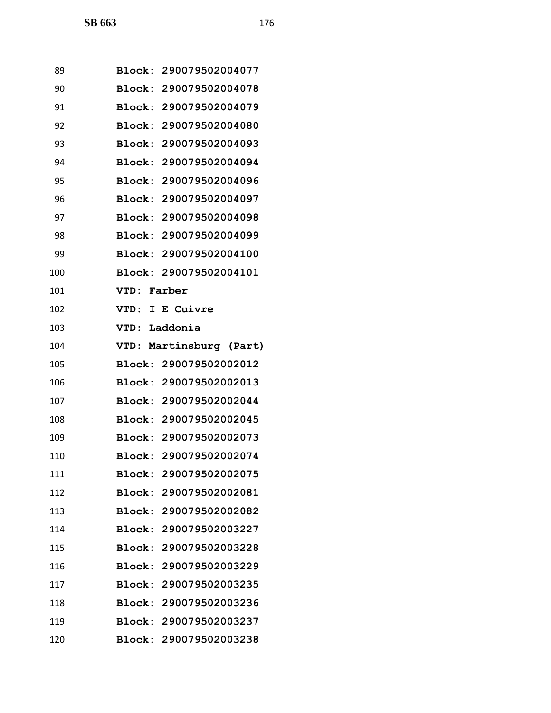| 89  | Block: 290079502004077  |
|-----|-------------------------|
| 90  | Block: 290079502004078  |
| 91  | Block: 290079502004079  |
| 92  | Block: 290079502004080  |
| 93  | Block: 290079502004093  |
| 94  | Block: 290079502004094  |
| 95  | Block: 290079502004096  |
| 96  | Block: 290079502004097  |
| 97  | Block: 290079502004098  |
| 98  | Block: 290079502004099  |
| 99  | Block: 290079502004100  |
| 100 | Block: 290079502004101  |
| 101 | Farber<br><b>VTD:</b>   |
| 102 | E Cuivre<br>VTD:<br>I   |
| 103 | Laddonia<br><b>VTD:</b> |
| 104 | VTD: Martinsburg (Part) |
| 105 | Block: 290079502002012  |
| 106 | Block: 290079502002013  |
| 107 | Block: 290079502002044  |
| 108 | Block: 290079502002045  |
| 109 | Block: 290079502002073  |
| 110 | Block: 290079502002074  |
| 111 | Block: 290079502002075  |
| 112 | Block: 290079502002081  |
| 113 | Block: 290079502002082  |
| 114 | Block: 290079502003227  |
| 115 | Block: 290079502003228  |
| 116 | Block: 290079502003229  |
| 117 | Block: 290079502003235  |
| 118 | Block: 290079502003236  |
| 119 | Block: 290079502003237  |
| 120 | Block: 290079502003238  |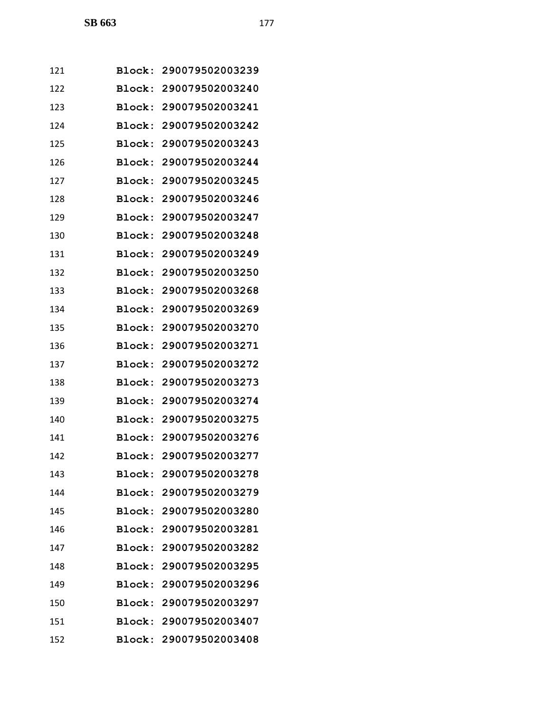| 121 |               | Block: 290079502003239 |
|-----|---------------|------------------------|
| 122 |               | Block: 290079502003240 |
| 123 |               | Block: 290079502003241 |
| 124 |               | Block: 290079502003242 |
| 125 | Block:        | 290079502003243        |
| 126 |               | Block: 290079502003244 |
| 127 | Block:        | 290079502003245        |
| 128 |               | Block: 290079502003246 |
| 129 |               | Block: 290079502003247 |
| 130 | Block:        | 290079502003248        |
| 131 |               | Block: 290079502003249 |
| 132 | <b>Block:</b> | 290079502003250        |
| 133 | Block:        | 290079502003268        |
| 134 |               | Block: 290079502003269 |
| 135 | Block:        | 290079502003270        |
| 136 |               | Block: 290079502003271 |
| 137 | Block:        | 290079502003272        |
| 138 | Block:        | 290079502003273        |
| 139 |               | Block: 290079502003274 |
| 140 |               | Block: 290079502003275 |
| 141 |               | Block: 290079502003276 |
| 142 |               | Block: 290079502003277 |
| 143 |               | Block: 290079502003278 |
| 144 |               | Block: 290079502003279 |
| 145 |               | Block: 290079502003280 |
| 146 |               | Block: 290079502003281 |
| 147 |               | Block: 290079502003282 |
| 148 | <b>Block:</b> | 290079502003295        |
| 149 |               | Block: 290079502003296 |
| 150 |               | Block: 290079502003297 |
| 151 |               | Block: 290079502003407 |
| 152 |               | Block: 290079502003408 |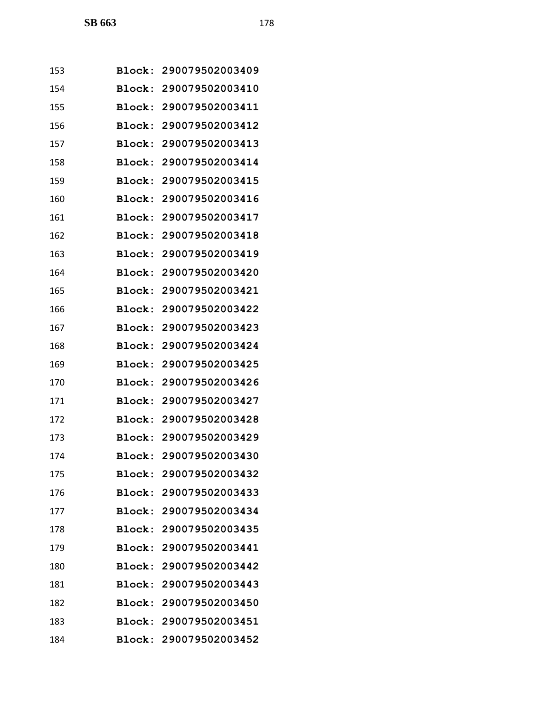| 153 |               | Block: 290079502003409 |
|-----|---------------|------------------------|
| 154 | Block:        | 290079502003410        |
| 155 | Block:        | 290079502003411        |
| 156 |               | Block: 290079502003412 |
| 157 | Block:        | 290079502003413        |
| 158 | Block:        | 290079502003414        |
| 159 | Block:        | 290079502003415        |
| 160 | Block:        | 290079502003416        |
| 161 |               | Block: 290079502003417 |
| 162 | Block:        | 290079502003418        |
| 163 | Block:        | 290079502003419        |
| 164 | Block:        | 290079502003420        |
| 165 | Block:        | 290079502003421        |
| 166 |               | Block: 290079502003422 |
| 167 | Block:        | 290079502003423        |
| 168 | Block:        | 290079502003424        |
| 169 | Block:        | 290079502003425        |
| 170 | Block:        | 290079502003426        |
| 171 |               | Block: 290079502003427 |
| 172 | Block:        | 290079502003428        |
| 173 |               | Block: 290079502003429 |
| 174 |               | Block: 290079502003430 |
| 175 |               | Block: 290079502003432 |
| 176 |               | Block: 290079502003433 |
| 177 |               | Block: 290079502003434 |
| 178 |               | Block: 290079502003435 |
| 179 |               | Block: 290079502003441 |
| 180 | <b>Block:</b> | 290079502003442        |
| 181 |               | Block: 290079502003443 |
| 182 |               | Block: 290079502003450 |
| 183 |               | Block: 290079502003451 |
| 184 |               | Block: 290079502003452 |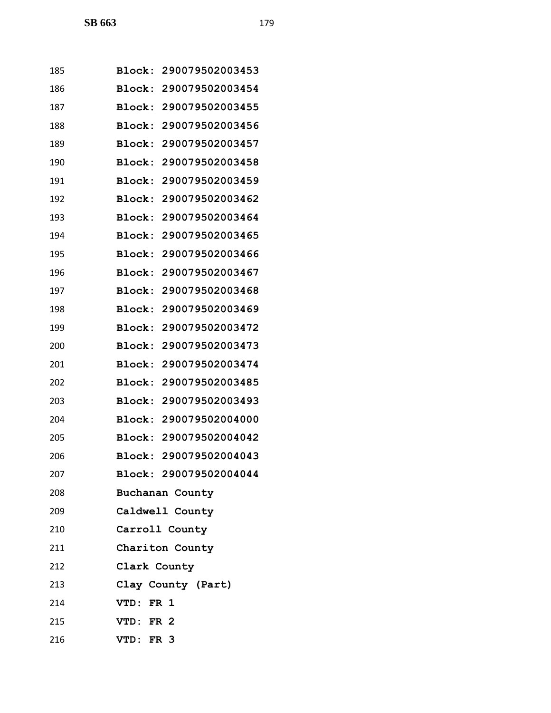| 185 | Block: 290079502003453           |
|-----|----------------------------------|
| 186 | <b>Block:</b><br>290079502003454 |
| 187 | Block:<br>290079502003455        |
| 188 | Block:<br>290079502003456        |
| 189 | Block:<br>290079502003457        |
| 190 | 290079502003458<br>Block:        |
| 191 | Block:<br>290079502003459        |
| 192 | 290079502003462<br>Block:        |
| 193 | 290079502003464<br>Block:        |
| 194 | 290079502003465<br>Block:        |
| 195 | 290079502003466<br>Block:        |
| 196 | Block:<br>290079502003467        |
| 197 | 290079502003468<br>Block:        |
| 198 | Block:<br>290079502003469        |
| 199 | Block:<br>290079502003472        |
| 200 | Block:<br>290079502003473        |
| 201 | Block:<br>290079502003474        |
| 202 | 290079502003485<br>Block:        |
| 203 | Block:<br>290079502003493        |
| 204 | Block:<br>290079502004000        |
| 205 | Block:<br>290079502004042        |
| 206 | 290079502004043<br>Block:        |
| 207 | Block: 290079502004044           |
| 208 | Buchanan County                  |
| 209 | Caldwell County                  |
| 210 | Carroll County                   |
| 211 | Chariton County                  |
| 212 | Clark County                     |
| 213 | Clay County (Part)               |
| 214 | VTD: FR 1                        |
| 215 | VTD: FR 2                        |
| 216 | VTD: FR 3                        |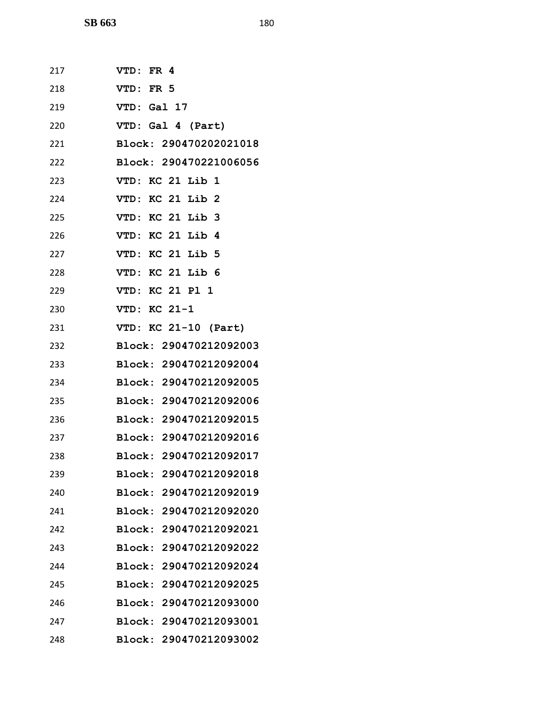| 217 | VTD: FR 4              |
|-----|------------------------|
| 218 | VTD: FR 5              |
| 219 | VTD: Gal 17            |
| 220 | VTD: Gal 4 (Part)      |
| 221 | Block: 290470202021018 |
| 222 | Block: 290470221006056 |
| 223 | VTD: KC 21 Lib 1       |
| 224 | VTD: KC 21 Lib 2       |
| 225 | VTD: KC 21 Lib 3       |
| 226 | VTD: KC 21 Lib 4       |
| 227 | VTD: KC 21 Lib 5       |
| 228 | VTD: KC 21 Lib 6       |
| 229 | VTD: KC 21 Pl 1        |
| 230 | VTD: KC 21-1           |
| 231 | VTD: KC 21-10 (Part)   |
| 232 | Block: 290470212092003 |
| 233 | Block: 290470212092004 |
| 234 | Block: 290470212092005 |
| 235 | Block: 290470212092006 |
| 236 | Block: 290470212092015 |
| 237 | Block: 290470212092016 |
| 238 | Block: 290470212092017 |
| 239 | Block: 290470212092018 |
| 240 | Block: 290470212092019 |
| 241 | Block: 290470212092020 |
| 242 | Block: 290470212092021 |
| 243 | Block: 290470212092022 |
| 244 | Block: 290470212092024 |
| 245 | Block: 290470212092025 |
| 246 | Block: 290470212093000 |
| 247 | Block: 290470212093001 |
| 248 | Block: 290470212093002 |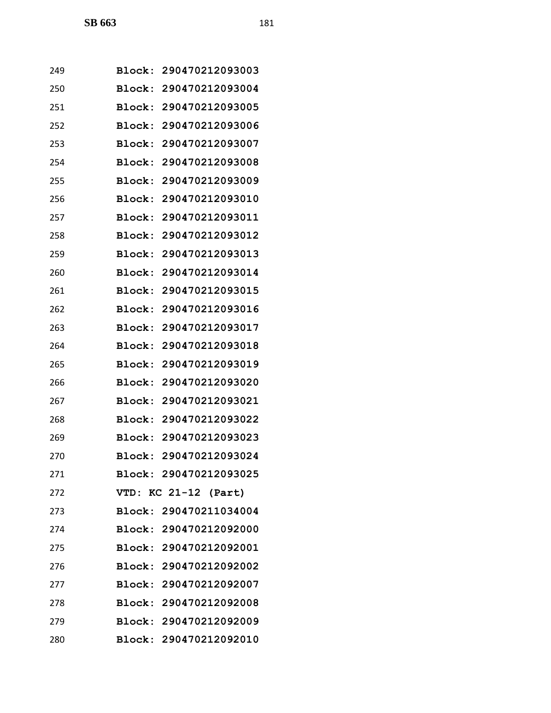| 249 |        | Block: 290470212093003 |
|-----|--------|------------------------|
| 250 | Block: | 290470212093004        |
| 251 | Block: | 290470212093005        |
| 252 | Block: | 290470212093006        |
| 253 | Block: | 290470212093007        |
| 254 |        | Block: 290470212093008 |
| 255 | Block: | 290470212093009        |
| 256 | Block: | 290470212093010        |
| 257 | Block: | 290470212093011        |
| 258 | Block: | 290470212093012        |
| 259 | Block: | 290470212093013        |
| 260 | Block: | 290470212093014        |
| 261 | Block: | 290470212093015        |
| 262 | Block: | 290470212093016        |
| 263 | Block: | 290470212093017        |
| 264 | Block: | 290470212093018        |
| 265 | Block: | 290470212093019        |
| 266 | Block: | 290470212093020        |
| 267 | Block: | 290470212093021        |
| 268 | Block: | 290470212093022        |
| 269 |        | Block: 290470212093023 |
| 270 |        | Block: 290470212093024 |
| 271 |        | Block: 290470212093025 |
| 272 |        | VTD: KC 21-12 (Part)   |
| 273 |        | Block: 290470211034004 |
| 274 |        | Block: 290470212092000 |
| 275 |        | Block: 290470212092001 |
| 276 |        | Block: 290470212092002 |
| 277 |        | Block: 290470212092007 |
| 278 |        | Block: 290470212092008 |
| 279 |        | Block: 290470212092009 |
| 280 |        | Block: 290470212092010 |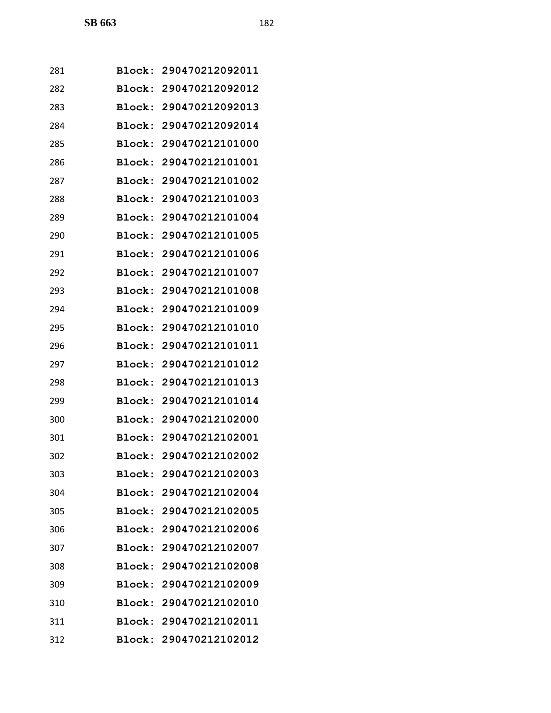| 281 |               | Block: 290470212092011 |
|-----|---------------|------------------------|
| 282 | <b>Block:</b> | 290470212092012        |
| 283 | Block:        | 290470212092013        |
| 284 | Block:        | 290470212092014        |
| 285 | Block:        | 290470212101000        |
| 286 | Block:        | 290470212101001        |
| 287 | Block:        | 290470212101002        |
| 288 | Block:        | 290470212101003        |
| 289 | Block:        | 290470212101004        |
| 290 | Block:        | 290470212101005        |
| 291 | Block:        | 290470212101006        |
| 292 | Block:        | 290470212101007        |
| 293 | <b>Block:</b> | 290470212101008        |
| 294 | Block:        | 290470212101009        |
| 295 | Block:        | 290470212101010        |
| 296 | Block:        | 290470212101011        |
| 297 | Block:        | 290470212101012        |
| 298 | Block:        | 290470212101013        |
| 299 | Block:        | 290470212101014        |
| 300 | Block:        | 290470212102000        |
| 301 |               | Block: 290470212102001 |
| 302 |               | Block: 290470212102002 |
| 303 |               | Block: 290470212102003 |
| 304 |               | Block: 290470212102004 |
| 305 |               | Block: 290470212102005 |
| 306 |               | Block: 290470212102006 |
| 307 |               | Block: 290470212102007 |
| 308 |               | Block: 290470212102008 |
| 309 |               | Block: 290470212102009 |
| 310 |               | Block: 290470212102010 |
| 311 |               | Block: 290470212102011 |
| 312 |               | Block: 290470212102012 |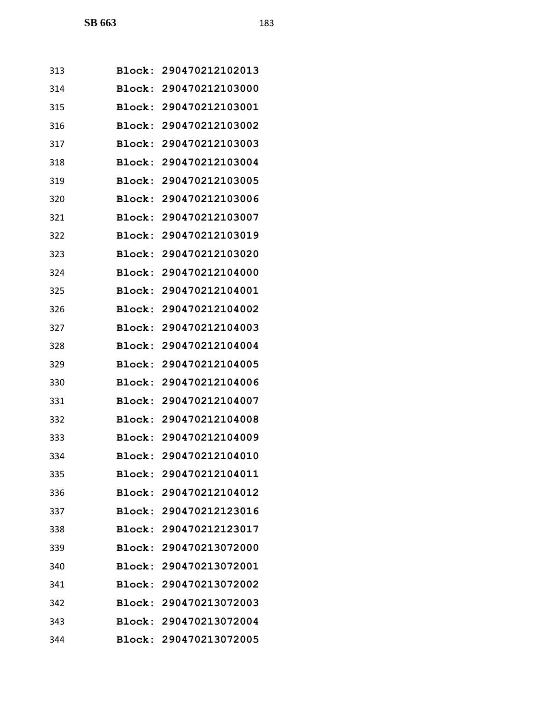| 313 |               | Block: 290470212102013 |
|-----|---------------|------------------------|
| 314 | <b>Block:</b> | 290470212103000        |
| 315 | Block:        | 290470212103001        |
| 316 | Block:        | 290470212103002        |
| 317 | Block:        | 290470212103003        |
| 318 | Block:        | 290470212103004        |
| 319 | Block:        | 290470212103005        |
| 320 | Block:        | 290470212103006        |
| 321 | Block:        | 290470212103007        |
| 322 | Block:        | 290470212103019        |
| 323 |               | Block: 290470212103020 |
| 324 | Block:        | 290470212104000        |
| 325 | Block:        | 290470212104001        |
| 326 | Block:        | 290470212104002        |
| 327 | Block:        | 290470212104003        |
| 328 | Block:        | 290470212104004        |
| 329 | Block:        | 290470212104005        |
| 330 | Block:        | 290470212104006        |
| 331 | Block:        | 290470212104007        |
| 332 | <b>Block:</b> | 290470212104008        |
| 333 |               | Block: 290470212104009 |
| 334 |               | Block: 290470212104010 |
| 335 |               | Block: 290470212104011 |
| 336 |               | Block: 290470212104012 |
| 337 |               | Block: 290470212123016 |
| 338 |               | Block: 290470212123017 |
| 339 |               | Block: 290470213072000 |
| 340 |               | Block: 290470213072001 |
| 341 |               | Block: 290470213072002 |
| 342 |               | Block: 290470213072003 |
| 343 |               | Block: 290470213072004 |
| 344 |               | Block: 290470213072005 |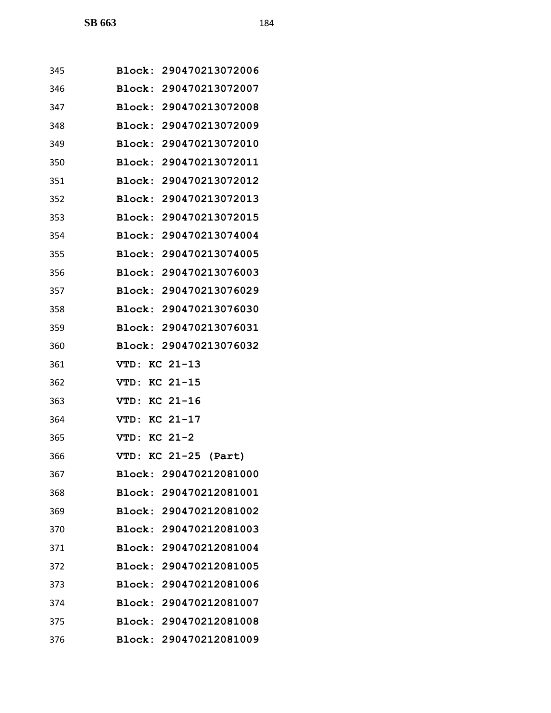| 345 | Block: 290470213072006 |
|-----|------------------------|
| 346 | Block: 290470213072007 |
| 347 | Block: 290470213072008 |
| 348 | Block: 290470213072009 |
| 349 | Block: 290470213072010 |
| 350 | Block: 290470213072011 |
| 351 | Block: 290470213072012 |
| 352 | Block: 290470213072013 |
| 353 | Block: 290470213072015 |
| 354 | Block: 290470213074004 |
| 355 | Block: 290470213074005 |
| 356 | Block: 290470213076003 |
| 357 | Block: 290470213076029 |
| 358 | Block: 290470213076030 |
| 359 | Block: 290470213076031 |
| 360 | Block: 290470213076032 |
| 361 | $KC 21-13$<br>VTD:     |
| 362 | VTD: KC 21-15          |
| 363 | VTD: KC 21-16          |
| 364 | VTD: KC 21-17          |
| 365 | VTD: KC 21-2           |
| 366 | VTD: KC 21-25 (Part)   |
| 367 | Block: 290470212081000 |
| 368 | Block: 290470212081001 |
| 369 | Block: 290470212081002 |
| 370 | Block: 290470212081003 |
| 371 | Block: 290470212081004 |
| 372 | Block: 290470212081005 |
| 373 | Block: 290470212081006 |
| 374 | Block: 290470212081007 |
| 375 | Block: 290470212081008 |
| 376 | Block: 290470212081009 |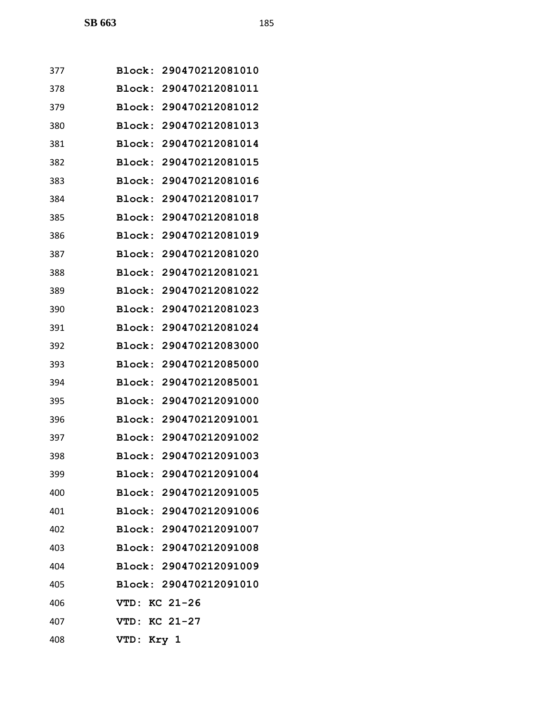| 377 | Block: 290470212081010           |
|-----|----------------------------------|
| 378 | Block:<br>290470212081011        |
| 379 | Block: 290470212081012           |
| 380 | Block:<br>290470212081013        |
| 381 | 290470212081014<br>Block:        |
| 382 | Block: 290470212081015           |
| 383 | Block:<br>290470212081016        |
| 384 | Block: 290470212081017           |
| 385 | Block: 290470212081018           |
| 386 | Block:<br>290470212081019        |
| 387 | Block: 290470212081020           |
| 388 | Block:<br>290470212081021        |
| 389 | 290470212081022<br>Block:        |
| 390 | Block:<br>290470212081023        |
| 391 | 290470212081024<br>Block:        |
| 392 | 290470212083000<br>Block:        |
| 393 | Block:<br>290470212085000        |
| 394 | 290470212085001<br>Block:        |
| 395 | <b>Block:</b><br>290470212091000 |
| 396 | Block:<br>290470212091001        |
| 397 | Block: 290470212091002           |
| 398 | Block: 290470212091003           |
| 399 | Block: 290470212091004           |
| 400 | Block: 290470212091005           |
| 401 | Block: 290470212091006           |
| 402 | Block: 290470212091007           |
| 403 | Block: 290470212091008           |
| 404 | Block: 290470212091009           |
| 405 | Block: 290470212091010           |
| 406 | VTD: KC 21-26                    |
| 407 | VTD: KC 21-27                    |
| 408 | VTD: Kry 1                       |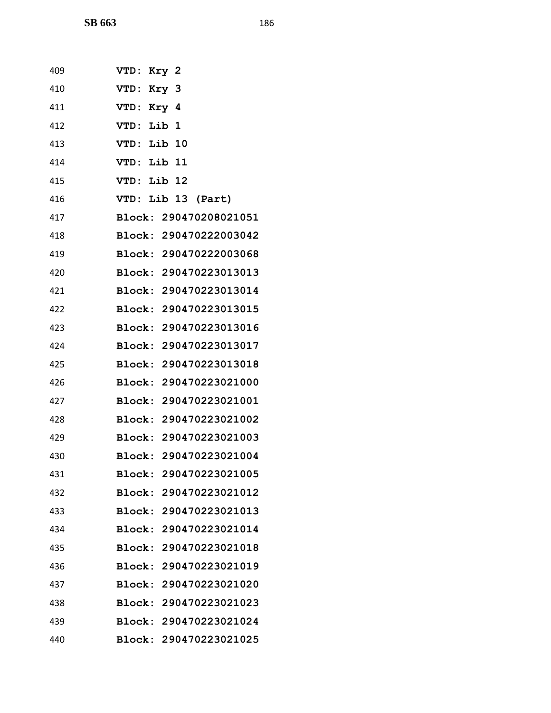| 409 | VTD: Kry 2             |
|-----|------------------------|
| 410 | VTD: Kry 3             |
| 411 | VTD: Kry 4             |
| 412 | VTD: Lib 1             |
| 413 | VTD: Lib 10            |
| 414 | VTD: Lib 11            |
| 415 | VTD: Lib 12            |
| 416 | VTD: Lib 13 (Part)     |
| 417 | Block: 290470208021051 |
| 418 | Block: 290470222003042 |
| 419 | Block: 290470222003068 |
| 420 | Block: 290470223013013 |
| 421 | Block: 290470223013014 |
| 422 | Block: 290470223013015 |
| 423 | Block: 290470223013016 |
| 424 | Block: 290470223013017 |
| 425 | Block: 290470223013018 |
| 426 | Block: 290470223021000 |
| 427 | Block: 290470223021001 |
| 428 | Block: 290470223021002 |
| 429 | Block: 290470223021003 |
| 430 | Block: 290470223021004 |
| 431 | Block: 290470223021005 |
| 432 | Block: 290470223021012 |
| 433 | Block: 290470223021013 |
| 434 | Block: 290470223021014 |
| 435 | Block: 290470223021018 |
| 436 | Block: 290470223021019 |
| 437 | Block: 290470223021020 |
| 438 | Block: 290470223021023 |
| 439 | Block: 290470223021024 |
| 440 | Block: 290470223021025 |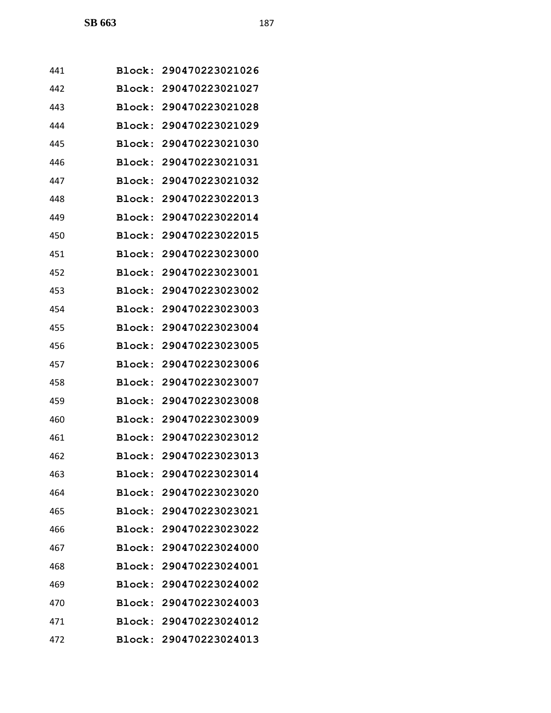| 441 |        | Block: 290470223021026 |
|-----|--------|------------------------|
| 442 | Block: | 290470223021027        |
| 443 |        | Block: 290470223021028 |
| 444 |        | Block: 290470223021029 |
| 445 | Block: | 290470223021030        |
| 446 | Block: | 290470223021031        |
| 447 | Block: | 290470223021032        |
| 448 |        | Block: 290470223022013 |
| 449 |        | Block: 290470223022014 |
| 450 | Block: | 290470223022015        |
| 451 |        | Block: 290470223023000 |
| 452 | Block: | 290470223023001        |
| 453 | Block: | 290470223023002        |
| 454 | Block: | 290470223023003        |
| 455 | Block: | 290470223023004        |
| 456 | Block: | 290470223023005        |
| 457 | Block: | 290470223023006        |
| 458 | Block: | 290470223023007        |
| 459 |        | Block: 290470223023008 |
| 460 | Block: | 290470223023009        |
| 461 |        | Block: 290470223023012 |
| 462 |        | Block: 290470223023013 |
| 463 |        | Block: 290470223023014 |
| 464 |        | Block: 290470223023020 |
| 465 |        | Block: 290470223023021 |
| 466 |        | Block: 290470223023022 |
| 467 |        | Block: 290470223024000 |
| 468 |        | Block: 290470223024001 |
| 469 |        | Block: 290470223024002 |
| 470 |        | Block: 290470223024003 |
| 471 |        | Block: 290470223024012 |
| 472 |        | Block: 290470223024013 |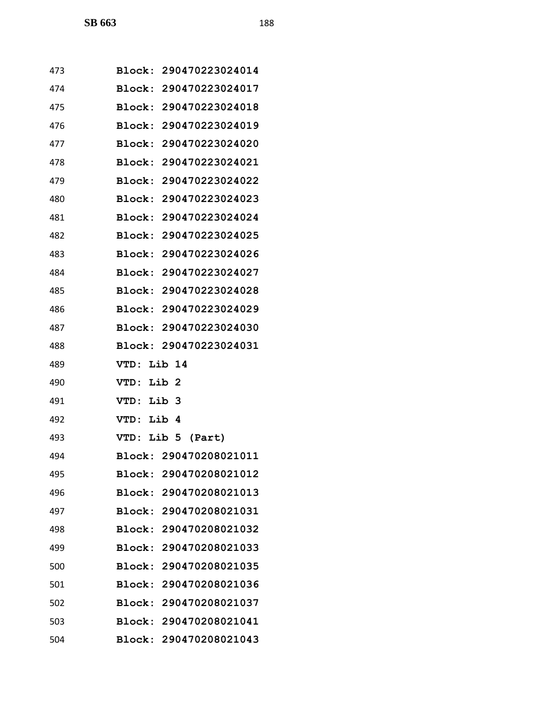| 473 |                        |
|-----|------------------------|
|     | Block: 290470223024014 |
| 474 | Block: 290470223024017 |
| 475 | Block: 290470223024018 |
| 476 | Block: 290470223024019 |
| 477 | Block: 290470223024020 |
| 478 | Block: 290470223024021 |
| 479 | Block: 290470223024022 |
| 480 | Block: 290470223024023 |
| 481 | Block: 290470223024024 |
| 482 | Block: 290470223024025 |
| 483 | Block: 290470223024026 |
| 484 | Block: 290470223024027 |
| 485 | Block: 290470223024028 |
| 486 | Block: 290470223024029 |
| 487 | Block: 290470223024030 |
| 488 | Block: 290470223024031 |
| 489 | Lib 14<br>VTD:         |
| 490 | VTD: Lib 2             |
|     |                        |
| 491 | VTD: Lib 3             |
| 492 | VTD: Lib 4             |
| 493 | VTD: Lib 5 (Part)      |
| 494 | Block: 290470208021011 |
| 495 | Block: 290470208021012 |
| 496 | Block: 290470208021013 |
| 497 | Block: 290470208021031 |
| 498 | Block: 290470208021032 |
| 499 | Block: 290470208021033 |
| 500 | Block: 290470208021035 |
| 501 | Block: 290470208021036 |
| 502 | Block: 290470208021037 |
| 503 | Block: 290470208021041 |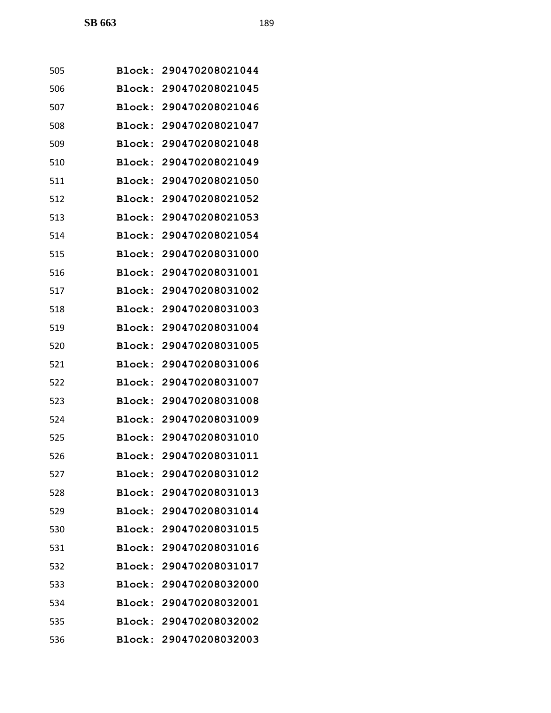| 505 | <b>Block:</b> | 290470208021044        |
|-----|---------------|------------------------|
| 506 | Block:        | 290470208021045        |
| 507 | Block:        | 290470208021046        |
| 508 |               | Block: 290470208021047 |
| 509 | Block:        | 290470208021048        |
| 510 | Block:        | 290470208021049        |
| 511 | Block:        | 290470208021050        |
| 512 | Block:        | 290470208021052        |
| 513 |               | Block: 290470208021053 |
| 514 | Block:        | 290470208021054        |
| 515 | Block:        | 290470208031000        |
| 516 | Block:        | 290470208031001        |
| 517 | Block:        | 290470208031002        |
| 518 |               | Block: 290470208031003 |
| 519 | Block:        | 290470208031004        |
| 520 | Block:        | 290470208031005        |
| 521 | Block:        | 290470208031006        |
| 522 | Block:        | 290470208031007        |
| 523 |               | Block: 290470208031008 |
| 524 | Block:        | 290470208031009        |
| 525 | Block:        | 290470208031010        |
| 526 |               | Block: 290470208031011 |
| 527 |               | Block: 290470208031012 |
| 528 |               | Block: 290470208031013 |
| 529 |               | Block: 290470208031014 |
| 530 |               | Block: 290470208031015 |
| 531 |               | Block: 290470208031016 |
| 532 |               | Block: 290470208031017 |
| 533 |               | Block: 290470208032000 |
| 534 |               | Block: 290470208032001 |
| 535 |               | Block: 290470208032002 |
| 536 |               | Block: 290470208032003 |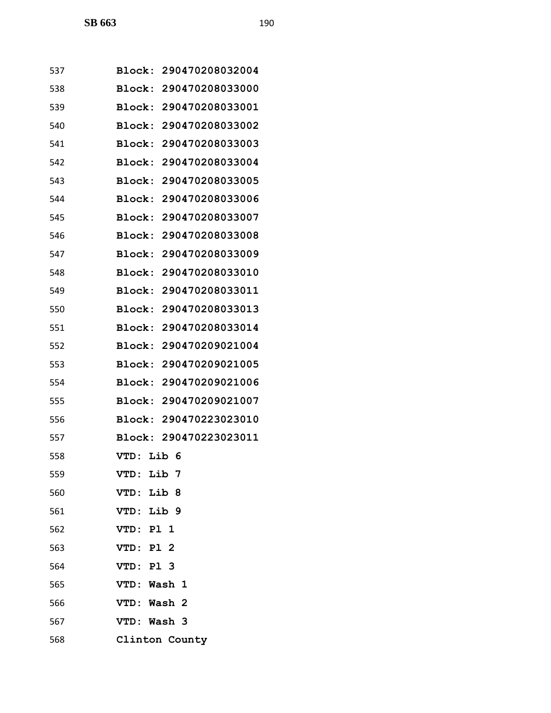| 537 | 290470208032004<br>Block:        |
|-----|----------------------------------|
| 538 | Block:<br>290470208033000        |
| 539 | Block:<br>290470208033001        |
| 540 | Block:<br>290470208033002        |
| 541 | 290470208033003<br>Block:        |
| 542 | Block:<br>290470208033004        |
| 543 | <b>Block:</b><br>290470208033005 |
| 544 | Block: 290470208033006           |
| 545 | 290470208033007<br>Block:        |
| 546 | 290470208033008<br>Block:        |
| 547 | Block: 290470208033009           |
| 548 | 290470208033010<br>Block:        |
| 549 | Block:<br>290470208033011        |
| 550 | Block:<br>290470208033013        |
| 551 | Block:<br>290470208033014        |
| 552 | Block:<br>290470209021004        |
| 553 | Block:<br>290470209021005        |
| 554 | Block: 290470209021006           |
| 555 | Block:<br>290470209021007        |
| 556 | 290470223023010<br>Block:        |
| 557 | Block:<br>290470223023011        |
| 558 | VTD: Lib 6                       |
| 559 | VTD: Lib 7                       |
| 560 | VTD: Lib 8                       |
| 561 | VTD: Lib 9                       |
| 562 | VTD: Pl 1                        |
| 563 | VTD: Pl 2                        |
| 564 | VTD: Pl 3                        |
| 565 | VTD: Wash 1                      |
| 566 | VTD: Wash 2                      |
| 567 | VTD: Wash 3                      |
| 568 | Clinton County                   |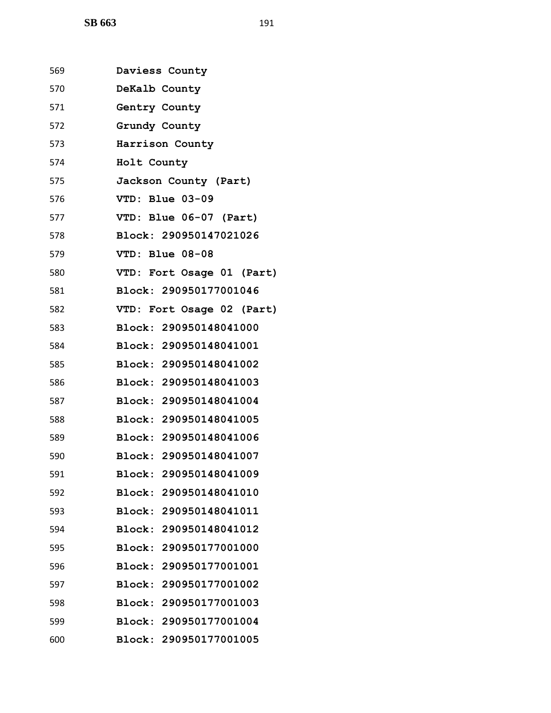| 569 | Daviess County            |
|-----|---------------------------|
| 570 | DeKalb County             |
| 571 | Gentry County             |
| 572 | Grundy County             |
| 573 | Harrison County           |
| 574 | Holt County               |
| 575 | Jackson County (Part)     |
| 576 | VTD: Blue 03-09           |
| 577 | VTD: Blue 06-07 (Part)    |
| 578 | Block: 290950147021026    |
| 579 | VTD: Blue 08-08           |
| 580 | VTD: Fort Osage 01 (Part) |
| 581 | Block: 290950177001046    |
| 582 | VTD: Fort Osage 02 (Part) |
| 583 | Block: 290950148041000    |
| 584 | Block: 290950148041001    |
| 585 | Block: 290950148041002    |
| 586 | Block: 290950148041003    |
| 587 | Block: 290950148041004    |
| 588 | Block: 290950148041005    |
| 589 | Block: 290950148041006    |
| 590 | Block: 290950148041007    |
| 591 | Block: 290950148041009    |
| 592 | Block: 290950148041010    |
| 593 | Block: 290950148041011    |
| 594 | Block: 290950148041012    |
| 595 | Block: 290950177001000    |
| 596 | Block: 290950177001001    |
| 597 | Block: 290950177001002    |
| 598 | Block: 290950177001003    |
| 599 | Block: 290950177001004    |
| 600 | Block: 290950177001005    |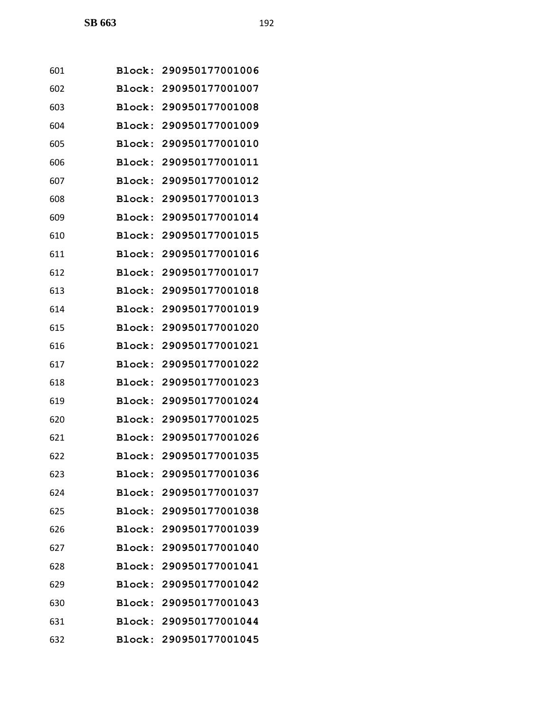| 601 |        | Block: 290950177001006 |
|-----|--------|------------------------|
| 602 | Block: | 290950177001007        |
| 603 | Block: | 290950177001008        |
| 604 | Block: | 290950177001009        |
| 605 | Block: | 290950177001010        |
| 606 | Block: | 290950177001011        |
| 607 | Block: | 290950177001012        |
| 608 | Block: | 290950177001013        |
| 609 | Block: | 290950177001014        |
| 610 | Block: | 290950177001015        |
| 611 | Block: | 290950177001016        |
| 612 | Block: | 290950177001017        |
| 613 | Block: | 290950177001018        |
| 614 | Block: | 290950177001019        |
| 615 | Block: | 290950177001020        |
| 616 | Block: | 290950177001021        |
| 617 | Block: | 290950177001022        |
| 618 | Block: | 290950177001023        |
| 619 | Block: | 290950177001024        |
| 620 | Block: | 290950177001025        |
| 621 |        | Block: 290950177001026 |
| 622 |        | Block: 290950177001035 |
| 623 |        | Block: 290950177001036 |
| 624 |        | Block: 290950177001037 |
| 625 |        | Block: 290950177001038 |
| 626 |        | Block: 290950177001039 |
| 627 |        | Block: 290950177001040 |
| 628 |        | Block: 290950177001041 |
| 629 |        | Block: 290950177001042 |
| 630 |        | Block: 290950177001043 |
| 631 |        | Block: 290950177001044 |
| 632 |        | Block: 290950177001045 |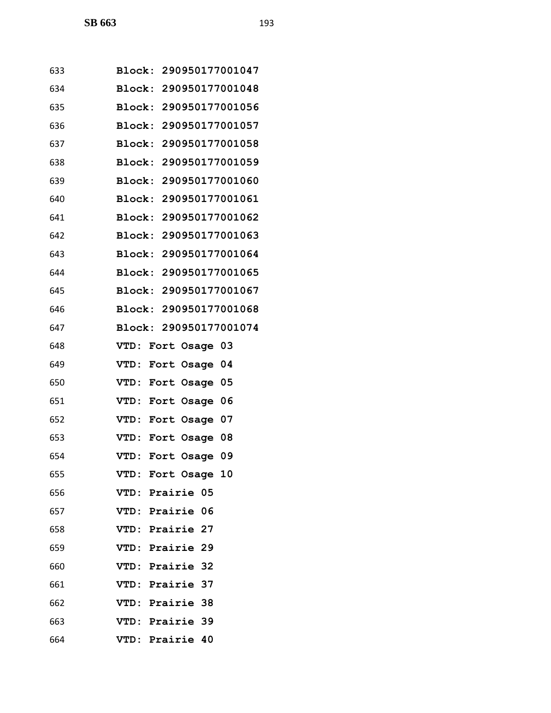| 633 | Block: 290950177001047 |
|-----|------------------------|
| 634 | Block: 290950177001048 |
| 635 | Block: 290950177001056 |
| 636 | Block: 290950177001057 |
| 637 | Block: 290950177001058 |
| 638 | Block: 290950177001059 |
| 639 | Block: 290950177001060 |
| 640 | Block: 290950177001061 |
| 641 | Block: 290950177001062 |
| 642 | Block: 290950177001063 |
| 643 | Block: 290950177001064 |
| 644 | Block: 290950177001065 |
| 645 | Block: 290950177001067 |
| 646 | Block: 290950177001068 |
| 647 | Block: 290950177001074 |
| 648 | VTD: Fort Osage 03     |
| 649 | VTD: Fort Osage 04     |
| 650 | VTD: Fort Osage 05     |
| 651 | VTD: Fort Osage 06     |
| 652 | VTD: Fort Osage 07     |
| 653 | VTD: Fort Osage 08     |
| 654 | VTD: Fort Osage 09     |
| 655 | VTD: Fort Osage 10     |
| 656 | VTD: Prairie 05        |
| 657 | VTD: Prairie 06        |
| 658 | VTD: Prairie 27        |
| 659 | VTD: Prairie 29        |
| 660 | VTD: Prairie 32        |
| 661 | VTD: Prairie 37        |
| 662 | VTD: Prairie 38        |
| 663 | VTD: Prairie 39        |
| 664 | VTD: Prairie 40        |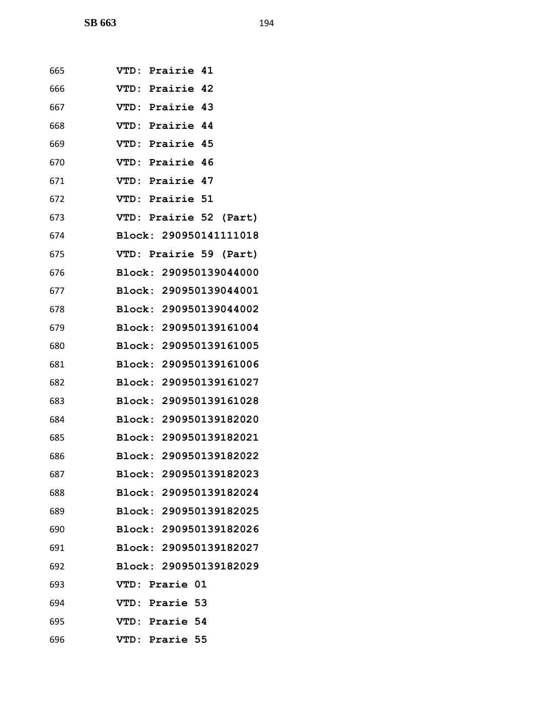| 665 | VTD: Prairie 41        |
|-----|------------------------|
| 666 | VTD: Prairie 42        |
| 667 | VTD: Prairie 43        |
| 668 | VTD: Prairie 44        |
| 669 | VTD: Prairie 45        |
| 670 | VTD: Prairie 46        |
| 671 | VTD: Prairie 47        |
| 672 | <b>VTD: Prairie 51</b> |
| 673 | VTD: Prairie 52 (Part) |
| 674 | Block: 290950141111018 |
| 675 | VTD: Prairie 59 (Part) |
| 676 | Block: 290950139044000 |
| 677 | Block: 290950139044001 |
| 678 | Block: 290950139044002 |
| 679 | Block: 290950139161004 |
| 680 | Block: 290950139161005 |
| 681 | Block: 290950139161006 |
| 682 | Block: 290950139161027 |
| 683 | Block: 290950139161028 |
| 684 | Block: 290950139182020 |
| 685 | Block: 290950139182021 |
| 686 | Block: 290950139182022 |
| 687 | Block: 290950139182023 |
| 688 | Block: 290950139182024 |
| 689 | Block: 290950139182025 |
| 690 | Block: 290950139182026 |
| 691 | Block: 290950139182027 |
| 692 | Block: 290950139182029 |
| 693 | <b>VTD: Prarie 01</b>  |
| 694 | <b>VTD: Prarie 53</b>  |
| 695 | VTD: Prarie 54         |
| 696 | VTD: Prarie 55         |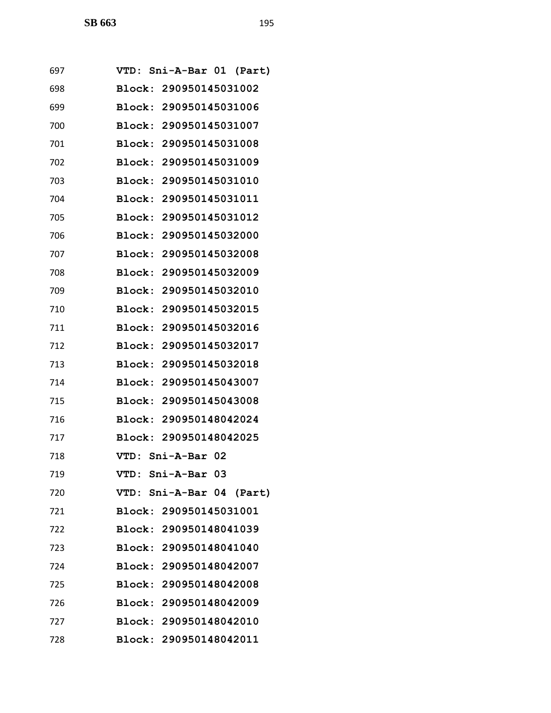| 697 | VTD: Sni-A-Bar 01 (Part) |  |  |                          |
|-----|--------------------------|--|--|--------------------------|
| 698 | Block: 290950145031002   |  |  |                          |
| 699 | Block: 290950145031006   |  |  |                          |
| 700 | Block: 290950145031007   |  |  |                          |
| 701 | Block: 290950145031008   |  |  |                          |
| 702 | Block: 290950145031009   |  |  |                          |
| 703 | Block: 290950145031010   |  |  |                          |
| 704 | Block: 290950145031011   |  |  |                          |
| 705 | Block: 290950145031012   |  |  |                          |
| 706 | Block: 290950145032000   |  |  |                          |
| 707 | Block: 290950145032008   |  |  |                          |
| 708 | Block: 290950145032009   |  |  |                          |
| 709 | Block: 290950145032010   |  |  |                          |
| 710 | Block: 290950145032015   |  |  |                          |
| 711 | Block: 290950145032016   |  |  |                          |
| 712 | Block: 290950145032017   |  |  |                          |
| 713 | Block: 290950145032018   |  |  |                          |
| 714 | Block: 290950145043007   |  |  |                          |
| 715 | Block: 290950145043008   |  |  |                          |
| 716 | Block: 290950148042024   |  |  |                          |
| 717 | Block: 290950148042025   |  |  |                          |
| 718 | VTD: Sni-A-Bar 02        |  |  |                          |
| 719 | VTD: Sni-A-Bar 03        |  |  |                          |
| 720 |                          |  |  | VTD: Sni-A-Bar 04 (Part) |
| 721 | Block: 290950145031001   |  |  |                          |
| 722 | Block: 290950148041039   |  |  |                          |
| 723 | Block: 290950148041040   |  |  |                          |
| 724 | Block: 290950148042007   |  |  |                          |
| 725 | Block: 290950148042008   |  |  |                          |
| 726 | Block: 290950148042009   |  |  |                          |
| 727 | Block: 290950148042010   |  |  |                          |
| 728 | Block: 290950148042011   |  |  |                          |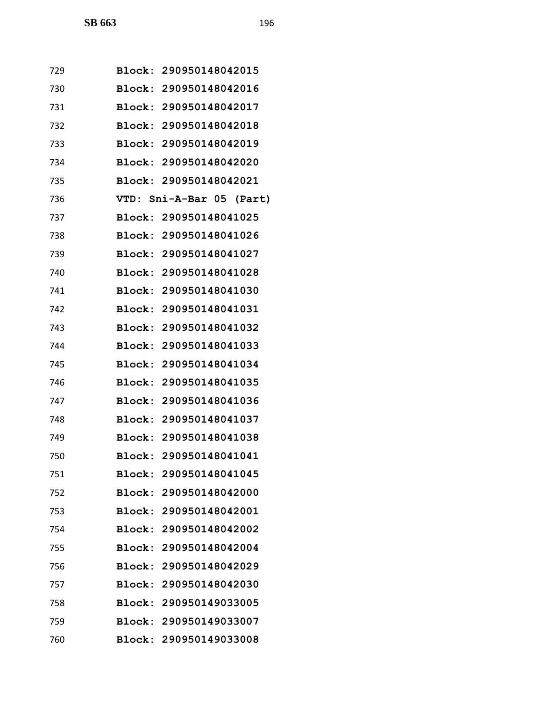| 729 | Block: 290950148042015   |  |
|-----|--------------------------|--|
| 730 | Block: 290950148042016   |  |
| 731 | Block: 290950148042017   |  |
| 732 | Block: 290950148042018   |  |
| 733 | Block: 290950148042019   |  |
| 734 | Block: 290950148042020   |  |
| 735 | Block: 290950148042021   |  |
| 736 | VTD: Sni-A-Bar 05 (Part) |  |
| 737 | Block: 290950148041025   |  |
| 738 | Block: 290950148041026   |  |
| 739 | Block: 290950148041027   |  |
| 740 | Block: 290950148041028   |  |
| 741 | Block: 290950148041030   |  |
| 742 | Block: 290950148041031   |  |
| 743 | Block: 290950148041032   |  |
| 744 | Block: 290950148041033   |  |
| 745 | Block: 290950148041034   |  |
| 746 | Block: 290950148041035   |  |
| 747 | Block: 290950148041036   |  |
| 748 | Block: 290950148041037   |  |
| 749 | Block: 290950148041038   |  |
| 750 | Block: 290950148041041   |  |
| 751 | Block: 290950148041045   |  |
| 752 | Block: 290950148042000   |  |
| 753 | Block: 290950148042001   |  |
| 754 | Block: 290950148042002   |  |
| 755 | Block: 290950148042004   |  |
| 756 | Block: 290950148042029   |  |
| 757 | Block: 290950148042030   |  |
| 758 | Block: 290950149033005   |  |
| 759 | Block: 290950149033007   |  |
| 760 | Block: 290950149033008   |  |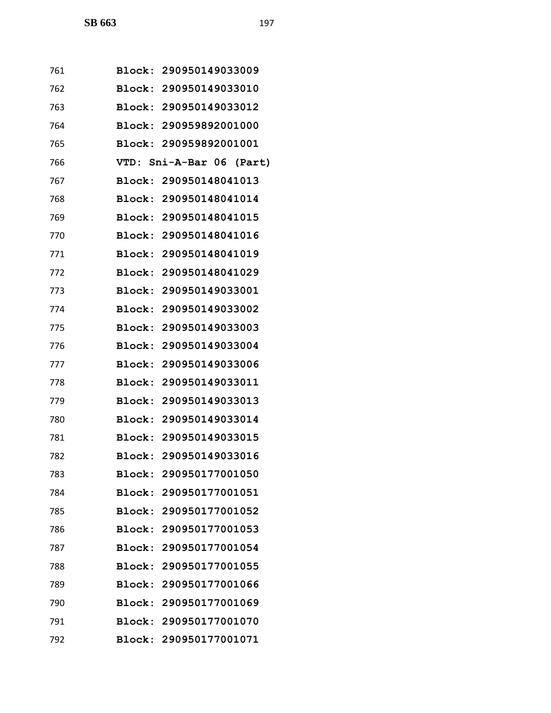| 761 | Block: 290950149033009   |  |
|-----|--------------------------|--|
| 762 | Block: 290950149033010   |  |
| 763 | Block: 290950149033012   |  |
| 764 | Block: 290959892001000   |  |
| 765 | Block: 290959892001001   |  |
| 766 | VTD: Sni-A-Bar 06 (Part) |  |
| 767 | Block: 290950148041013   |  |
| 768 | Block: 290950148041014   |  |
| 769 | Block: 290950148041015   |  |
| 770 | Block: 290950148041016   |  |
| 771 | Block: 290950148041019   |  |
| 772 | Block: 290950148041029   |  |
| 773 | Block: 290950149033001   |  |
| 774 | Block: 290950149033002   |  |
| 775 | Block: 290950149033003   |  |
| 776 | Block: 290950149033004   |  |
| 777 | Block: 290950149033006   |  |
| 778 | Block: 290950149033011   |  |
| 779 | Block: 290950149033013   |  |
| 780 | Block: 290950149033014   |  |
| 781 | Block: 290950149033015   |  |
| 782 | Block: 290950149033016   |  |
| 783 | Block: 290950177001050   |  |
| 784 | Block: 290950177001051   |  |
| 785 | Block: 290950177001052   |  |
| 786 | Block: 290950177001053   |  |
| 787 | Block: 290950177001054   |  |
| 788 | Block: 290950177001055   |  |
| 789 | Block: 290950177001066   |  |
| 790 | Block: 290950177001069   |  |
| 791 | Block: 290950177001070   |  |
| 792 | Block: 290950177001071   |  |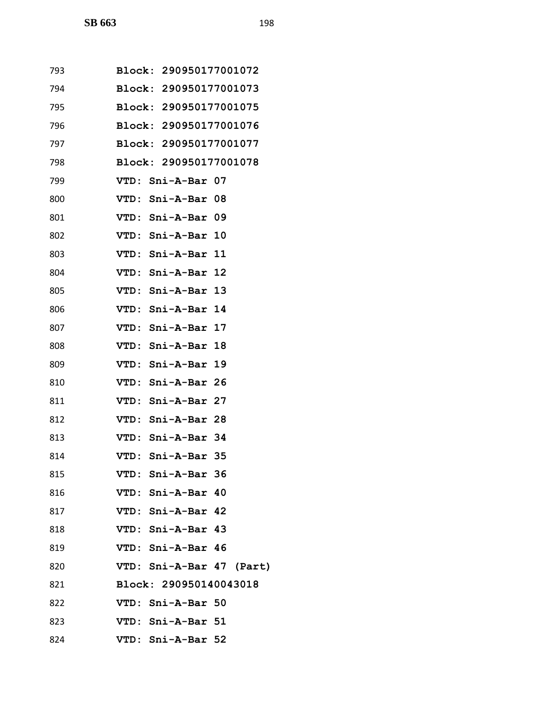| 793 | Block: 290950177001072   |
|-----|--------------------------|
| 794 | Block: 290950177001073   |
| 795 | Block: 290950177001075   |
| 796 | Block: 290950177001076   |
| 797 | Block: 290950177001077   |
| 798 | Block: 290950177001078   |
| 799 | VTD: Sni-A-Bar 07        |
| 800 | VTD: Sni-A-Bar 08        |
| 801 | VTD: Sni-A-Bar 09        |
| 802 | VTD: Sni-A-Bar 10        |
| 803 | VTD: Sni-A-Bar 11        |
| 804 | VTD: Sni-A-Bar 12        |
| 805 | VTD: Sni-A-Bar 13        |
| 806 | VTD: Sni-A-Bar 14        |
| 807 | VTD: Sni-A-Bar 17        |
| 808 | VTD: Sni-A-Bar 18        |
| 809 | VTD: Sni-A-Bar 19        |
| 810 | VTD: Sni-A-Bar 26        |
| 811 | VTD: Sni-A-Bar 27        |
| 812 | VTD: Sni-A-Bar 28        |
| 813 | VTD: Sni-A-Bar 34        |
| 814 | VTD: Sni-A-Bar 35        |
| 815 | VTD: Sni-A-Bar 36        |
| 816 | VTD: Sni-A-Bar 40        |
| 817 | VTD: Sni-A-Bar 42        |
| 818 | VTD: Sni-A-Bar 43        |
| 819 | VTD: Sni-A-Bar 46        |
| 820 | VTD: Sni-A-Bar 47 (Part) |
| 821 | Block: 290950140043018   |
| 822 | VTD: Sni-A-Bar 50        |
| 823 | VTD: Sni-A-Bar 51        |
| 824 | VTD: Sni-A-Bar 52        |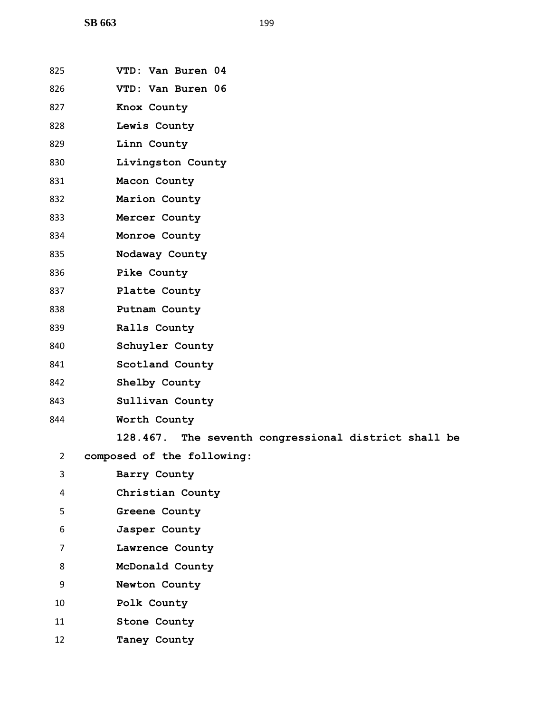| 825            | VTD: Van Buren 04                                    |
|----------------|------------------------------------------------------|
| 826            | VTD: Van Buren 06                                    |
| 827            | Knox County                                          |
| 828            | Lewis County                                         |
| 829            | Linn County                                          |
| 830            | Livingston County                                    |
| 831            | Macon County                                         |
| 832            | Marion County                                        |
| 833            | Mercer County                                        |
| 834            | Monroe County                                        |
| 835            | Nodaway County                                       |
| 836            | Pike County                                          |
| 837            | Platte County                                        |
| 838            | Putnam County                                        |
| 839            | Ralls County                                         |
| 840            | Schuyler County                                      |
| 841            | Scotland County                                      |
| 842            | Shelby County                                        |
| 843            | Sullivan County                                      |
| 844            | Worth County                                         |
|                | 128.467. The seventh congressional district shall be |
| $\mathbf{2}$   | composed of the following:                           |
| 3              | Barry County                                         |
| 4              | Christian County                                     |
| 5              | Greene County                                        |
| 6              | Jasper County                                        |
| $\overline{7}$ | Lawrence County                                      |
| 8              | McDonald County                                      |
| 9              | Newton County                                        |
| 10             | Polk County                                          |
| 11             | Stone County                                         |
|                |                                                      |

**Taney County**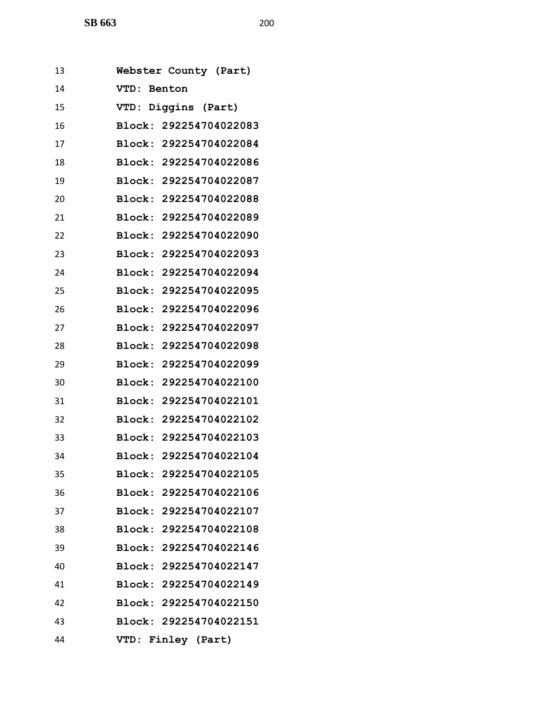| 13 |             | Webster County (Part)  |  |
|----|-------------|------------------------|--|
| 14 | VTD:        | Benton                 |  |
| 15 | <b>VTD:</b> | Diggins (Part)         |  |
| 16 |             | Block: 292254704022083 |  |
| 17 |             | Block: 292254704022084 |  |
| 18 |             | Block: 292254704022086 |  |
| 19 |             | Block: 292254704022087 |  |
| 20 |             | Block: 292254704022088 |  |
| 21 |             | Block: 292254704022089 |  |
| 22 |             | Block: 292254704022090 |  |
| 23 |             | Block: 292254704022093 |  |
| 24 |             | Block: 292254704022094 |  |
| 25 |             | Block: 292254704022095 |  |
| 26 |             | Block: 292254704022096 |  |
| 27 |             | Block: 292254704022097 |  |
| 28 |             | Block: 292254704022098 |  |
| 29 |             | Block: 292254704022099 |  |
| 30 |             | Block: 292254704022100 |  |
| 31 |             | Block: 292254704022101 |  |
| 32 |             | Block: 292254704022102 |  |
| 33 |             | Block: 292254704022103 |  |
| 34 |             | Block: 292254704022104 |  |
| 35 |             | Block: 292254704022105 |  |
| 36 |             | Block: 292254704022106 |  |
| 37 |             | Block: 292254704022107 |  |
| 38 |             | Block: 292254704022108 |  |
| 39 |             | Block: 292254704022146 |  |
| 40 |             | Block: 292254704022147 |  |
| 41 |             | Block: 292254704022149 |  |
| 42 |             | Block: 292254704022150 |  |
| 43 |             | Block: 292254704022151 |  |
| 44 |             | VTD: Finley (Part)     |  |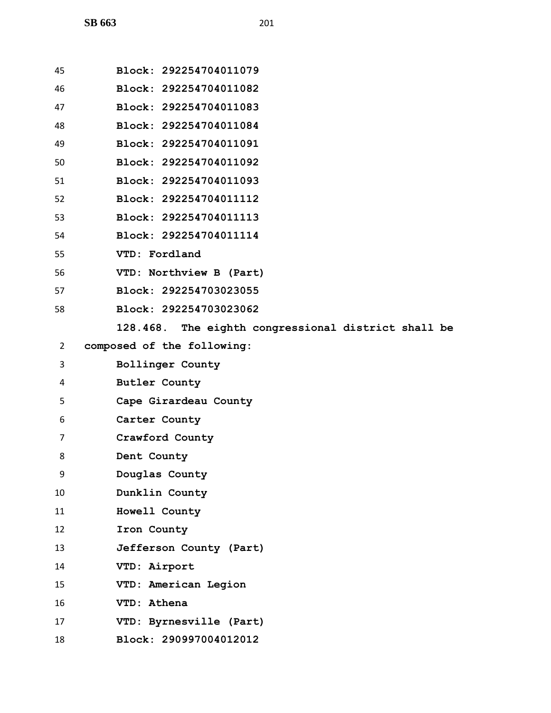| 45 | Block: 292254704011079                              |
|----|-----------------------------------------------------|
| 46 | Block: 292254704011082                              |
| 47 | Block: 292254704011083                              |
| 48 | Block: 292254704011084                              |
| 49 | Block: 292254704011091                              |
| 50 | Block: 292254704011092                              |
| 51 | Block: 292254704011093                              |
| 52 | Block: 292254704011112                              |
| 53 | Block: 292254704011113                              |
| 54 | Block: 292254704011114                              |
| 55 | VTD: Fordland                                       |
| 56 | VTD: Northview B (Part)                             |
| 57 | Block: 292254703023055                              |
| 58 | Block: 292254703023062                              |
|    | 128.468. The eighth congressional district shall be |
| 2  | composed of the following:                          |
| 3  | <b>Bollinger County</b>                             |
| 4  | <b>Butler County</b>                                |
| 5  | Cape Girardeau County                               |
| 6  | Carter County                                       |
| 7  | Crawford County                                     |
| 8  | Dent County                                         |
| 9  | Douglas County                                      |
| 10 | Dunklin County                                      |
| 11 | Howell County                                       |
| 12 | Iron County                                         |
| 13 | Jefferson County (Part)                             |
| 14 | VTD: Airport                                        |
| 15 | VTD: American Legion                                |
| 16 | VTD: Athena                                         |
| 17 | VTD: Byrnesville (Part)                             |
| 18 | Block: 290997004012012                              |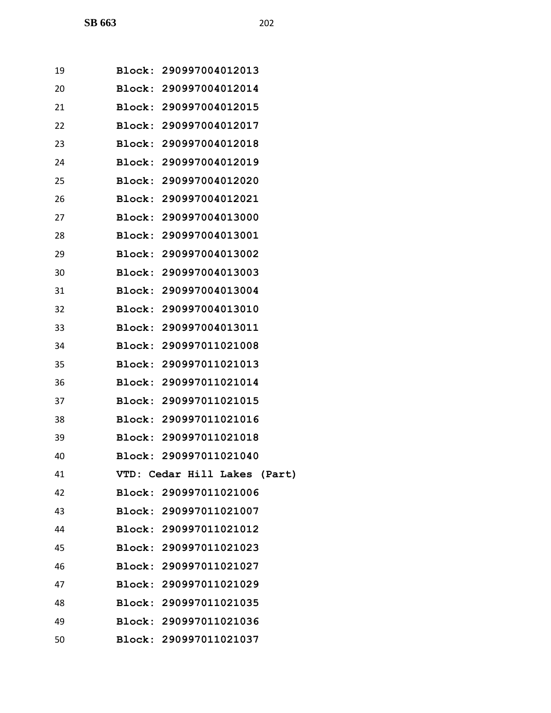| 19 | Block: 290997004012013       |
|----|------------------------------|
| 20 | Block: 290997004012014       |
| 21 | Block: 290997004012015       |
| 22 | Block: 290997004012017       |
| 23 | Block: 290997004012018       |
| 24 | Block: 290997004012019       |
| 25 | Block: 290997004012020       |
| 26 | Block: 290997004012021       |
| 27 | Block: 290997004013000       |
| 28 | Block: 290997004013001       |
| 29 | Block: 290997004013002       |
| 30 | Block: 290997004013003       |
| 31 | Block: 290997004013004       |
| 32 | Block: 290997004013010       |
| 33 | Block: 290997004013011       |
| 34 | Block: 290997011021008       |
| 35 | Block: 290997011021013       |
| 36 | Block: 290997011021014       |
| 37 | Block: 290997011021015       |
| 38 | Block: 290997011021016       |
| 39 | Block: 290997011021018       |
| 40 | Block: 290997011021040       |
| 41 | VTD: Cedar Hill Lakes (Part) |
| 42 | Block: 290997011021006       |
| 43 | Block: 290997011021007       |
| 44 | Block: 290997011021012       |
| 45 | Block: 290997011021023       |
| 46 | Block: 290997011021027       |
| 47 | Block: 290997011021029       |
| 48 | Block: 290997011021035       |
| 49 | Block: 290997011021036       |
| 50 | Block: 290997011021037       |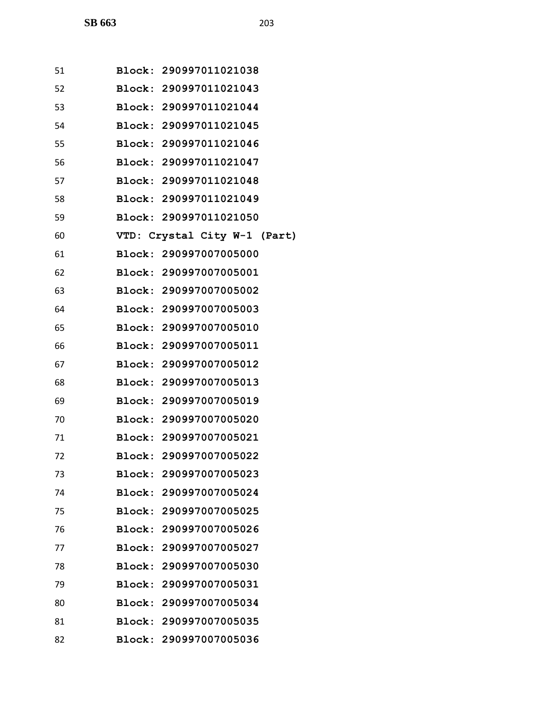| 51 | Block: 290997011021038       |  |  |
|----|------------------------------|--|--|
| 52 | Block: 290997011021043       |  |  |
| 53 | Block: 290997011021044       |  |  |
| 54 | Block: 290997011021045       |  |  |
| 55 | Block: 290997011021046       |  |  |
| 56 | Block: 290997011021047       |  |  |
| 57 | Block: 290997011021048       |  |  |
| 58 | Block: 290997011021049       |  |  |
| 59 | Block: 290997011021050       |  |  |
| 60 | VTD: Crystal City W-1 (Part) |  |  |
| 61 | Block: 290997007005000       |  |  |
| 62 | Block: 290997007005001       |  |  |
| 63 | Block: 290997007005002       |  |  |
| 64 | Block: 290997007005003       |  |  |
| 65 | Block: 290997007005010       |  |  |
| 66 | Block: 290997007005011       |  |  |
| 67 | Block: 290997007005012       |  |  |
| 68 | Block: 290997007005013       |  |  |
| 69 | Block: 290997007005019       |  |  |
| 70 | Block: 290997007005020       |  |  |
| 71 | Block: 290997007005021       |  |  |
| 72 | Block: 290997007005022       |  |  |
| 73 | Block: 290997007005023       |  |  |
| 74 | Block: 290997007005024       |  |  |
| 75 | Block: 290997007005025       |  |  |
| 76 | Block: 290997007005026       |  |  |
| 77 | Block: 290997007005027       |  |  |

**Block: 290997007005030**

**Block: 290997007005031**

**Block: 290997007005034**

**Block: 290997007005035**

**Block: 290997007005036**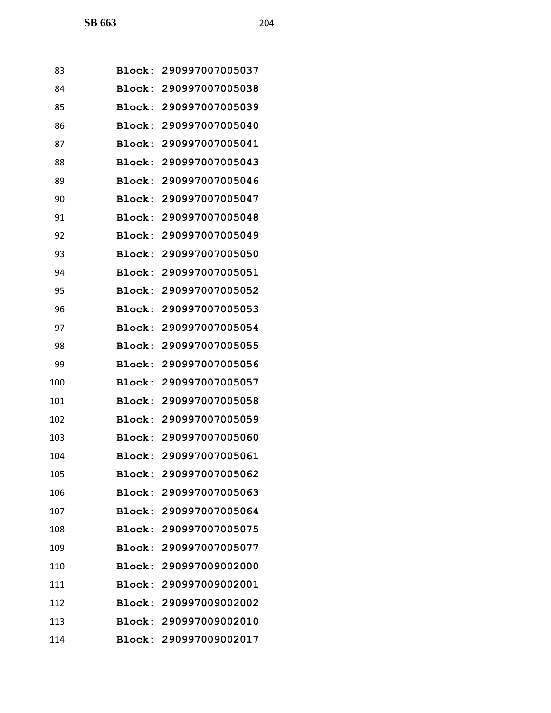| 83  |               | Block: 290997007005037 |
|-----|---------------|------------------------|
| 84  | Block:        | 290997007005038        |
| 85  | Block:        | 290997007005039        |
| 86  | Block:        | 290997007005040        |
| 87  | Block:        | 290997007005041        |
| 88  | Block:        | 290997007005043        |
| 89  | Block:        | 290997007005046        |
| 90  | Block:        | 290997007005047        |
| 91  | Block:        | 290997007005048        |
| 92  | Block:        | 290997007005049        |
| 93  | Block:        | 290997007005050        |
| 94  | Block:        | 290997007005051        |
| 95  | <b>Block:</b> | 290997007005052        |
| 96  | Block:        | 290997007005053        |
| 97  | Block:        | 290997007005054        |
| 98  | Block:        | 290997007005055        |
| 99  | Block:        | 290997007005056        |
| 100 | Block:        | 290997007005057        |
| 101 | Block:        | 290997007005058        |
| 102 | Block:        | 290997007005059        |
| 103 |               | Block: 290997007005060 |
| 104 |               | Block: 290997007005061 |
| 105 |               | Block: 290997007005062 |
| 106 |               | Block: 290997007005063 |
| 107 |               | Block: 290997007005064 |
| 108 |               | Block: 290997007005075 |
| 109 |               | Block: 290997007005077 |
| 110 |               | Block: 290997009002000 |
| 111 |               | Block: 290997009002001 |
| 112 |               | Block: 290997009002002 |
| 113 |               | Block: 290997009002010 |
| 114 |               | Block: 290997009002017 |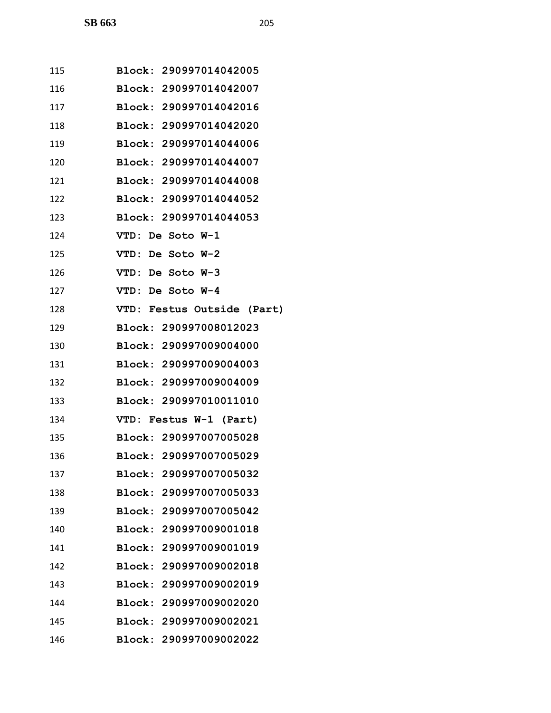| 115 | Block: 290997014042005     |
|-----|----------------------------|
| 116 | Block: 290997014042007     |
| 117 | Block: 290997014042016     |
| 118 | Block: 290997014042020     |
| 119 | Block: 290997014044006     |
| 120 | Block: 290997014044007     |
| 121 | Block: 290997014044008     |
| 122 | Block: 290997014044052     |
| 123 | Block: 290997014044053     |
| 124 | VTD: De Soto W-1           |
| 125 | VTD: De Soto W-2           |
| 126 | VTD: De Soto W-3           |
| 127 | VTD: De Soto W-4           |
| 128 | VTD: Festus Outside (Part) |
| 129 | Block: 290997008012023     |
| 130 | Block: 290997009004000     |
| 131 | Block: 290997009004003     |
| 132 | Block: 290997009004009     |
| 133 | Block: 290997010011010     |
| 134 | VTD: Festus W-1 (Part)     |
| 135 | Block: 290997007005028     |
| 136 | Block: 290997007005029     |
| 137 | Block: 290997007005032     |
| 138 | Block: 290997007005033     |
| 139 | Block: 290997007005042     |
| 140 | Block: 290997009001018     |
| 141 | Block: 290997009001019     |
| 142 | Block: 290997009002018     |
| 143 | Block: 290997009002019     |
| 144 | Block: 290997009002020     |
| 145 | Block: 290997009002021     |
| 146 | Block: 290997009002022     |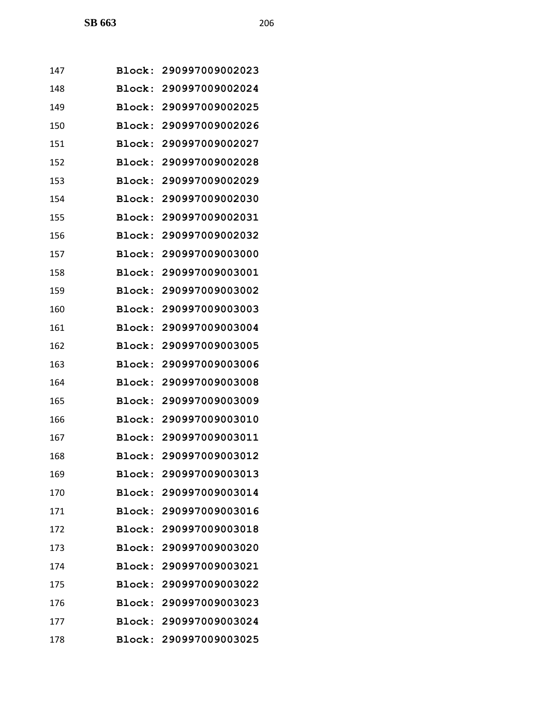| 147 |               | Block: 290997009002023 |
|-----|---------------|------------------------|
| 148 | Block:        | 290997009002024        |
| 149 | Block:        | 290997009002025        |
| 150 | Block:        | 290997009002026        |
| 151 | Block:        | 290997009002027        |
| 152 | <b>Block:</b> | 290997009002028        |
| 153 | Block:        | 290997009002029        |
| 154 | <b>Block:</b> | 290997009002030        |
| 155 | Block:        | 290997009002031        |
| 156 | Block:        | 290997009002032        |
| 157 | Block:        | 290997009003000        |
| 158 | Block:        | 290997009003001        |
| 159 | Block:        | 290997009003002        |
| 160 | Block:        | 290997009003003        |
| 161 | Block:        | 290997009003004        |
| 162 | <b>Block:</b> | 290997009003005        |
| 163 | Block:        | 290997009003006        |
| 164 | <b>Block:</b> | 290997009003008        |
| 165 | Block:        | 290997009003009        |
| 166 | Block:        | 290997009003010        |
| 167 |               | Block: 290997009003011 |
| 168 |               | Block: 290997009003012 |
| 169 |               | Block: 290997009003013 |
| 170 |               | Block: 290997009003014 |
| 171 |               | Block: 290997009003016 |
| 172 |               | Block: 290997009003018 |
| 173 |               | Block: 290997009003020 |
| 174 |               | Block: 290997009003021 |
| 175 |               | Block: 290997009003022 |
| 176 |               | Block: 290997009003023 |
| 177 |               | Block: 290997009003024 |
| 178 |               | Block: 290997009003025 |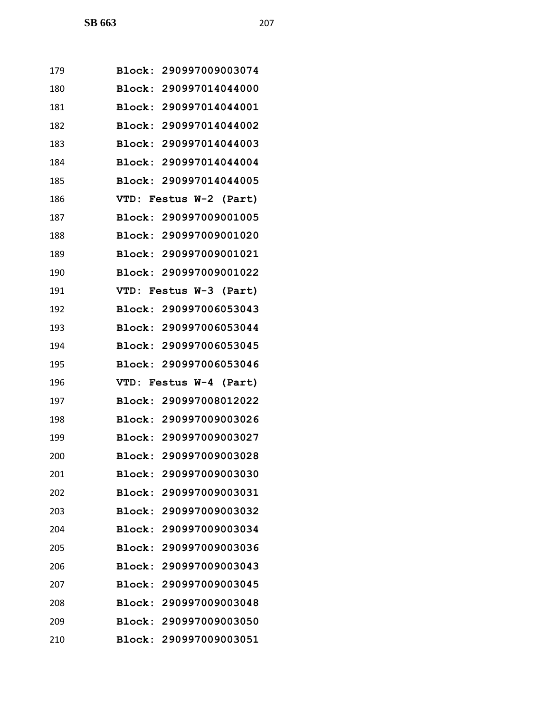| 179 | Block: 290997009003074 |
|-----|------------------------|
| 180 | Block: 290997014044000 |
| 181 | Block: 290997014044001 |
| 182 | Block: 290997014044002 |
| 183 | Block: 290997014044003 |
| 184 | Block: 290997014044004 |
| 185 | Block: 290997014044005 |
| 186 | VTD: Festus W-2 (Part) |
| 187 | Block: 290997009001005 |
| 188 | Block: 290997009001020 |
| 189 | Block: 290997009001021 |
| 190 | Block: 290997009001022 |
| 191 | VTD: Festus W-3 (Part) |
| 192 | Block: 290997006053043 |
| 193 | Block: 290997006053044 |
| 194 | Block: 290997006053045 |
| 195 | Block: 290997006053046 |
| 196 | VTD: Festus W-4 (Part) |
| 197 | Block: 290997008012022 |
| 198 | Block: 290997009003026 |
| 199 | Block: 290997009003027 |
| 200 | Block: 290997009003028 |
| 201 | Block: 290997009003030 |
| 202 | Block: 290997009003031 |
| 203 | Block: 290997009003032 |
| 204 | Block: 290997009003034 |
| 205 | Block: 290997009003036 |
| 206 | Block: 290997009003043 |
| 207 | Block: 290997009003045 |
| 208 | Block: 290997009003048 |
| 209 | Block: 290997009003050 |
| 210 | Block: 290997009003051 |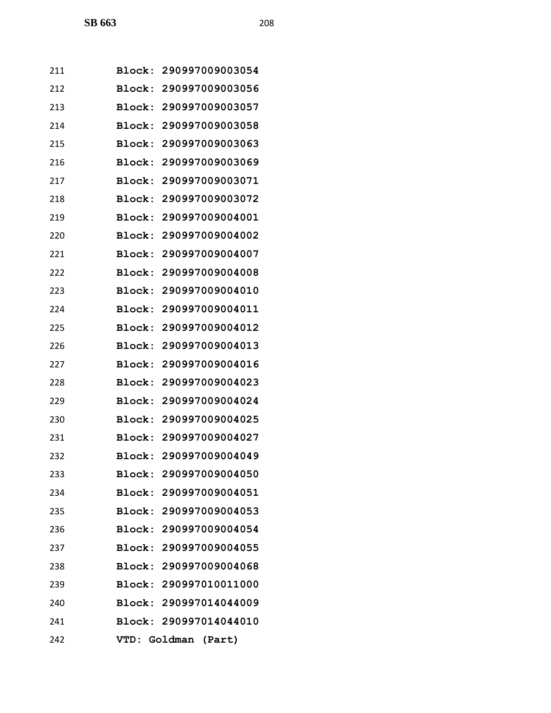| 211 |               | Block: 290997009003054 |
|-----|---------------|------------------------|
| 212 | Block:        | 290997009003056        |
| 213 | Block:        | 290997009003057        |
| 214 | Block:        | 290997009003058        |
| 215 | Block:        | 290997009003063        |
| 216 | <b>Block:</b> | 290997009003069        |
| 217 | Block:        | 290997009003071        |
| 218 | Block:        | 290997009003072        |
| 219 | Block:        | 290997009004001        |
| 220 | Block:        | 290997009004002        |
| 221 |               | Block: 290997009004007 |
| 222 | Block:        | 290997009004008        |
| 223 | Block:        | 290997009004010        |
| 224 | Block:        | 290997009004011        |
| 225 | Block:        | 290997009004012        |
| 226 | <b>Block:</b> | 290997009004013        |
| 227 | Block:        | 290997009004016        |
| 228 | Block:        | 290997009004023        |
| 229 | <b>Block:</b> | 290997009004024        |
| 230 | Block:        | 290997009004025        |
| 231 |               | Block: 290997009004027 |
| 232 |               | Block: 290997009004049 |
| 233 |               | Block: 290997009004050 |
| 234 |               | Block: 290997009004051 |
| 235 |               | Block: 290997009004053 |
| 236 |               | Block: 290997009004054 |
| 237 |               | Block: 290997009004055 |
| 238 |               | Block: 290997009004068 |
| 239 |               | Block: 290997010011000 |
| 240 |               | Block: 290997014044009 |
| 241 |               | Block: 290997014044010 |
| 242 |               | VTD: Goldman (Part)    |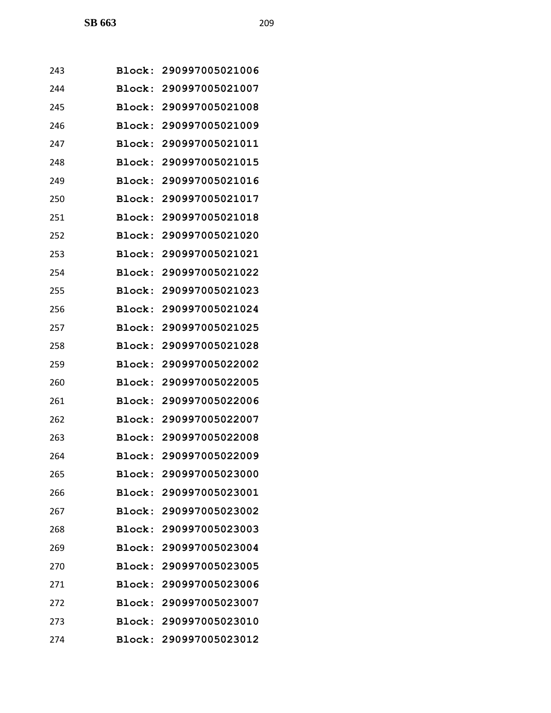| 243 |               | Block: 290997005021006 |
|-----|---------------|------------------------|
| 244 |               | Block: 290997005021007 |
| 245 | Block:        | 290997005021008        |
| 246 | Block:        | 290997005021009        |
| 247 | Block:        | 290997005021011        |
| 248 |               | Block: 290997005021015 |
| 249 | Block:        | 290997005021016        |
| 250 | Block:        | 290997005021017        |
| 251 | Block:        | 290997005021018        |
| 252 | Block:        | 290997005021020        |
| 253 |               | Block: 290997005021021 |
| 254 | Block:        | 290997005021022        |
| 255 | Block:        | 290997005021023        |
| 256 | Block:        | 290997005021024        |
| 257 | Block:        | 290997005021025        |
| 258 |               | Block: 290997005021028 |
| 259 | Block:        | 290997005022002        |
| 260 | Block:        | 290997005022005        |
| 261 | <b>Block:</b> | 290997005022006        |
| 262 |               | Block: 290997005022007 |
| 263 |               | Block: 290997005022008 |
| 264 |               | Block: 290997005022009 |
| 265 |               | Block: 290997005023000 |
| 266 |               | Block: 290997005023001 |
| 267 |               | Block: 290997005023002 |
| 268 |               | Block: 290997005023003 |
| 269 |               | Block: 290997005023004 |
| 270 |               | Block: 290997005023005 |
| 271 |               | Block: 290997005023006 |
| 272 |               | Block: 290997005023007 |
| 273 |               | Block: 290997005023010 |
| 274 |               | Block: 290997005023012 |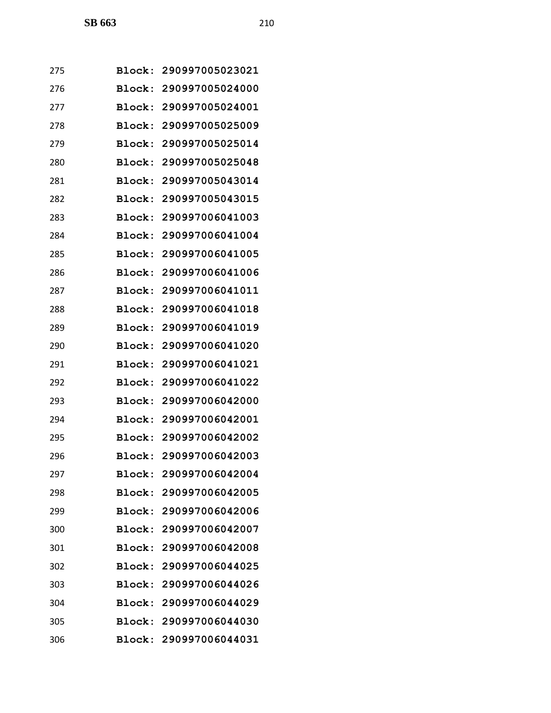| 275 | Block:        | 290997005023021        |
|-----|---------------|------------------------|
| 276 |               | Block: 290997005024000 |
| 277 | Block:        | 290997005024001        |
| 278 | Block:        | 290997005025009        |
| 279 | Block:        | 290997005025014        |
| 280 | Block:        | 290997005025048        |
| 281 | Block:        | 290997005043014        |
| 282 | Block:        | 290997005043015        |
| 283 | Block:        | 290997006041003        |
| 284 | Block:        | 290997006041004        |
| 285 | Block:        | 290997006041005        |
| 286 | <b>Block:</b> | 290997006041006        |
| 287 | Block:        | 290997006041011        |
| 288 | Block:        | 290997006041018        |
| 289 | Block:        | 290997006041019        |
| 290 | Block:        | 290997006041020        |
| 291 | Block:        | 290997006041021        |
| 292 | Block:        | 290997006041022        |
| 293 | Block:        | 290997006042000        |
| 294 | Block:        | 290997006042001        |
| 295 | Block:        | 290997006042002        |
| 296 |               | Block: 290997006042003 |
| 297 | <b>Block:</b> | 290997006042004        |
| 298 |               | Block: 290997006042005 |
| 299 |               | Block: 290997006042006 |
| 300 | <b>Block:</b> | 290997006042007        |
| 301 |               | Block: 290997006042008 |
| 302 | Block:        | 290997006044025        |
| 303 |               | Block: 290997006044026 |
| 304 |               | Block: 290997006044029 |
| 305 |               | Block: 290997006044030 |
| 306 | <b>Block:</b> | 290997006044031        |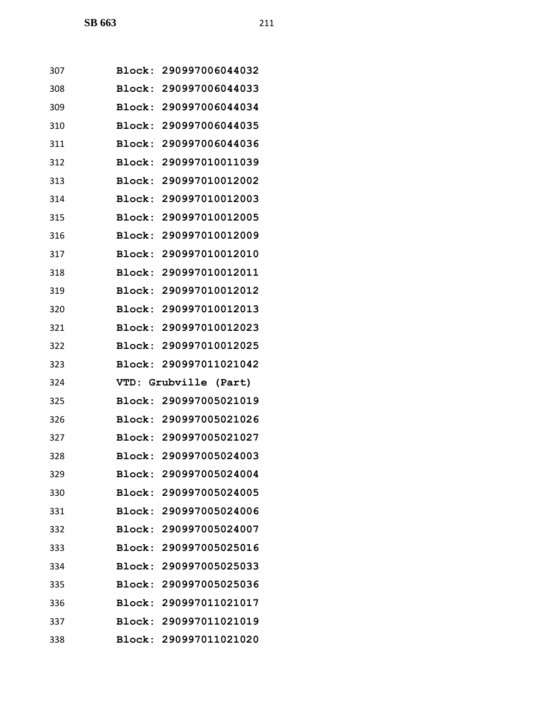| 307 |        | Block: 290997006044032 |
|-----|--------|------------------------|
| 308 |        | Block: 290997006044033 |
| 309 |        | Block: 290997006044034 |
| 310 |        | Block: 290997006044035 |
| 311 |        | Block: 290997006044036 |
| 312 |        | Block: 290997010011039 |
| 313 |        | Block: 290997010012002 |
| 314 |        | Block: 290997010012003 |
| 315 |        | Block: 290997010012005 |
| 316 | Block: | 290997010012009        |
| 317 |        | Block: 290997010012010 |
| 318 |        | Block: 290997010012011 |
| 319 |        | Block: 290997010012012 |
| 320 |        | Block: 290997010012013 |
| 321 |        | Block: 290997010012023 |
| 322 |        | Block: 290997010012025 |
| 323 | Block: | 290997011021042        |
| 324 |        | VTD: Grubville (Part)  |
| 325 |        | Block: 290997005021019 |
| 326 |        | Block: 290997005021026 |
| 327 |        | Block: 290997005021027 |
| 328 |        | Block: 290997005024003 |
| 329 |        | Block: 290997005024004 |
| 330 |        | Block: 290997005024005 |
| 331 |        | Block: 290997005024006 |
| 332 |        | Block: 290997005024007 |
| 333 |        | Block: 290997005025016 |
| 334 |        | Block: 290997005025033 |
| 335 |        | Block: 290997005025036 |
| 336 |        | Block: 290997011021017 |
| 337 |        | Block: 290997011021019 |
| 338 |        | Block: 290997011021020 |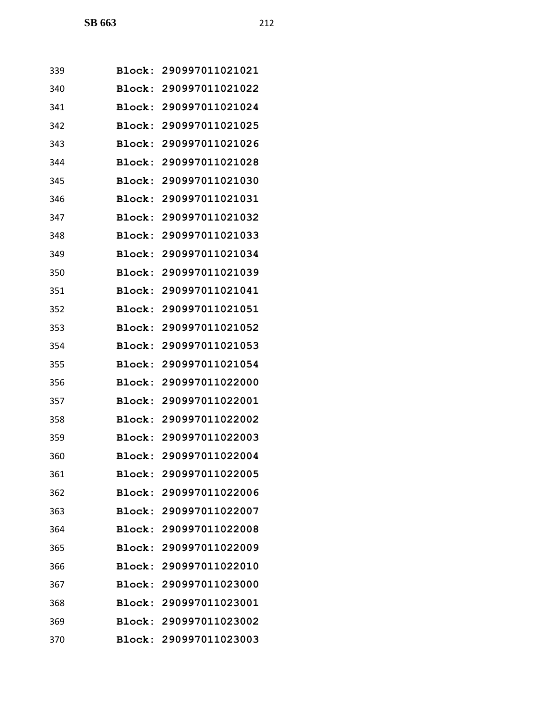| 339 | Block:        | 290997011021021        |
|-----|---------------|------------------------|
| 340 |               | Block: 290997011021022 |
| 341 | Block:        | 290997011021024        |
| 342 |               | Block: 290997011021025 |
| 343 | <b>Block:</b> | 290997011021026        |
| 344 | Block:        | 290997011021028        |
| 345 | Block:        | 290997011021030        |
| 346 | Block:        | 290997011021031        |
| 347 | Block:        | 290997011021032        |
| 348 | Block:        | 290997011021033        |
| 349 | Block:        | 290997011021034        |
| 350 | Block:        | 290997011021039        |
| 351 | Block:        | 290997011021041        |
| 352 |               | Block: 290997011021051 |
| 353 | Block:        | 290997011021052        |
| 354 | Block:        | 290997011021053        |
| 355 | Block:        | 290997011021054        |
| 356 | Block:        | 290997011022000        |
| 357 |               | Block: 290997011022001 |
| 358 | Block:        | 290997011022002        |
| 359 |               | Block: 290997011022003 |
| 360 |               | Block: 290997011022004 |
| 361 |               | Block: 290997011022005 |
| 362 |               | Block: 290997011022006 |
| 363 |               | Block: 290997011022007 |
| 364 |               | Block: 290997011022008 |
| 365 |               | Block: 290997011022009 |
| 366 | <b>Block:</b> | 290997011022010        |
| 367 |               | Block: 290997011023000 |
| 368 |               | Block: 290997011023001 |
| 369 |               | Block: 290997011023002 |
| 370 | <b>Block:</b> | 290997011023003        |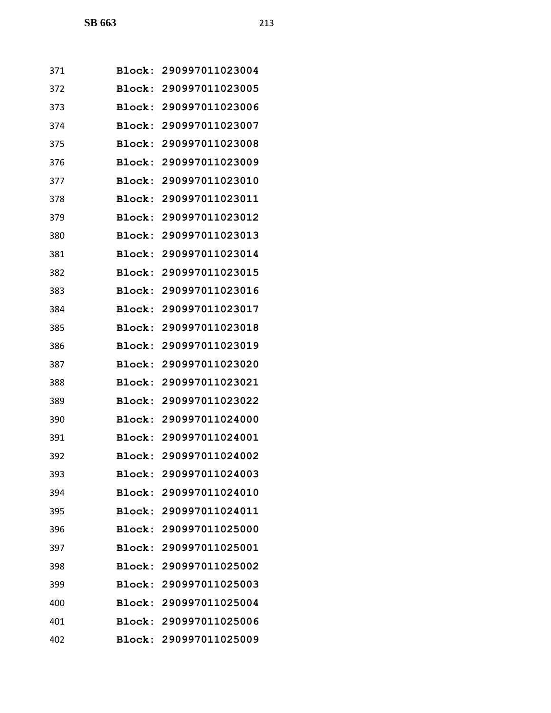| 371 | <b>Block:</b> | 290997011023004        |
|-----|---------------|------------------------|
| 372 | Block:        | 290997011023005        |
| 373 | Block:        | 290997011023006        |
| 374 | Block:        | 290997011023007        |
| 375 | Block:        | 290997011023008        |
| 376 | Block:        | 290997011023009        |
| 377 | Block:        | 290997011023010        |
| 378 | Block:        | 290997011023011        |
| 379 | <b>Block:</b> | 290997011023012        |
| 380 | Block:        | 290997011023013        |
| 381 | Block:        | 290997011023014        |
| 382 | Block:        | 290997011023015        |
| 383 | Block:        | 290997011023016        |
| 384 | Block:        | 290997011023017        |
| 385 | Block:        | 290997011023018        |
| 386 | Block:        | 290997011023019        |
| 387 | Block:        | 290997011023020        |
| 388 | Block:        | 290997011023021        |
| 389 | Block:        | 290997011023022        |
| 390 | <b>Block:</b> | 290997011024000        |
| 391 | Block:        | 290997011024001        |
| 392 |               | Block: 290997011024002 |
| 393 |               | Block: 290997011024003 |
| 394 |               | Block: 290997011024010 |
| 395 |               | Block: 290997011024011 |
| 396 |               | Block: 290997011025000 |
| 397 | <b>Block:</b> | 290997011025001        |
| 398 | Block:        | 290997011025002        |
| 399 |               | Block: 290997011025003 |
| 400 |               | Block: 290997011025004 |
| 401 |               | Block: 290997011025006 |
| 402 |               | Block: 290997011025009 |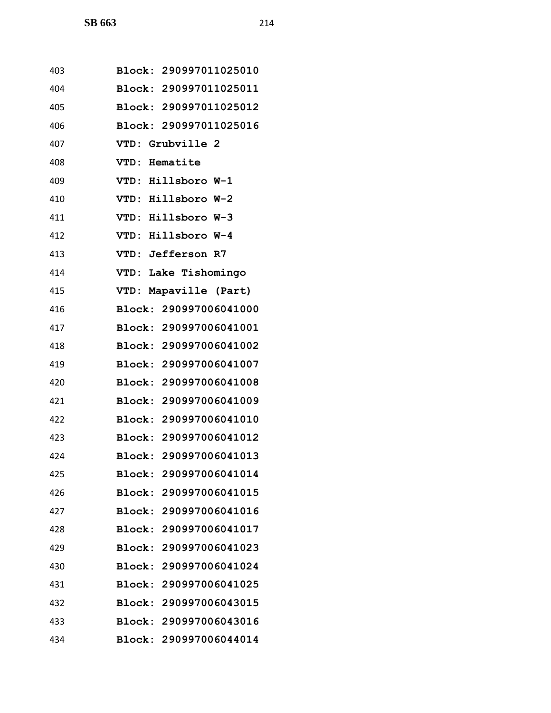| 403 | Block: 290997011025010 |
|-----|------------------------|
| 404 | Block: 290997011025011 |
| 405 | Block: 290997011025012 |
| 406 | Block: 290997011025016 |
| 407 | VTD: Grubville 2       |
| 408 | VTD: Hematite          |
| 409 | VTD: Hillsboro W-1     |
| 410 | VTD: Hillsboro W-2     |
| 411 | VTD: Hillsboro W-3     |
| 412 | VTD: Hillsboro W-4     |
| 413 | VTD: Jefferson R7      |
| 414 | VTD: Lake Tishomingo   |
| 415 | VTD: Mapaville (Part)  |
| 416 | Block: 290997006041000 |
| 417 | Block: 290997006041001 |
| 418 | Block: 290997006041002 |
| 419 | Block: 290997006041007 |
| 420 | Block: 290997006041008 |
| 421 | Block: 290997006041009 |
| 422 | Block: 290997006041010 |
| 423 | Block: 290997006041012 |
| 424 | Block: 290997006041013 |
| 425 | Block: 290997006041014 |
| 426 | Block: 290997006041015 |
| 427 | Block: 290997006041016 |
| 428 | Block: 290997006041017 |
| 429 | Block: 290997006041023 |
| 430 | Block: 290997006041024 |
| 431 | Block: 290997006041025 |
| 432 | Block: 290997006043015 |
| 433 | Block: 290997006043016 |
| 434 | Block: 290997006044014 |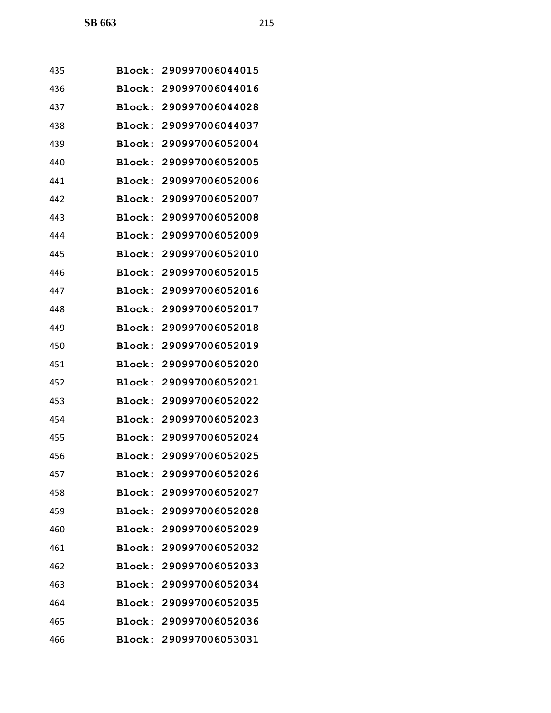| 435 | Block:        | 290997006044015        |
|-----|---------------|------------------------|
| 436 | Block:        | 290997006044016        |
| 437 | Block:        | 290997006044028        |
| 438 | Block:        | 290997006044037        |
| 439 | Block:        | 290997006052004        |
| 440 | Block:        | 290997006052005        |
| 441 | Block:        | 290997006052006        |
| 442 | Block:        | 290997006052007        |
| 443 | Block:        | 290997006052008        |
| 444 | Block:        | 290997006052009        |
| 445 | Block:        | 290997006052010        |
| 446 | Block:        | 290997006052015        |
| 447 | Block:        | 290997006052016        |
| 448 | Block:        | 290997006052017        |
| 449 | Block:        | 290997006052018        |
| 450 | Block:        | 290997006052019        |
| 451 | Block:        | 290997006052020        |
| 452 | Block:        | 290997006052021        |
| 453 | Block:        | 290997006052022        |
| 454 | Block:        | 290997006052023        |
| 455 | Block:        | 290997006052024        |
| 456 |               | Block: 290997006052025 |
| 457 |               | Block: 290997006052026 |
| 458 |               | Block: 290997006052027 |
| 459 |               | Block: 290997006052028 |
| 460 |               | Block: 290997006052029 |
| 461 | <b>Block:</b> | 290997006052032        |
| 462 | <b>Block:</b> | 290997006052033        |
| 463 | <b>Block:</b> | 290997006052034        |
| 464 |               | Block: 290997006052035 |
| 465 |               | Block: 290997006052036 |
| 466 |               | Block: 290997006053031 |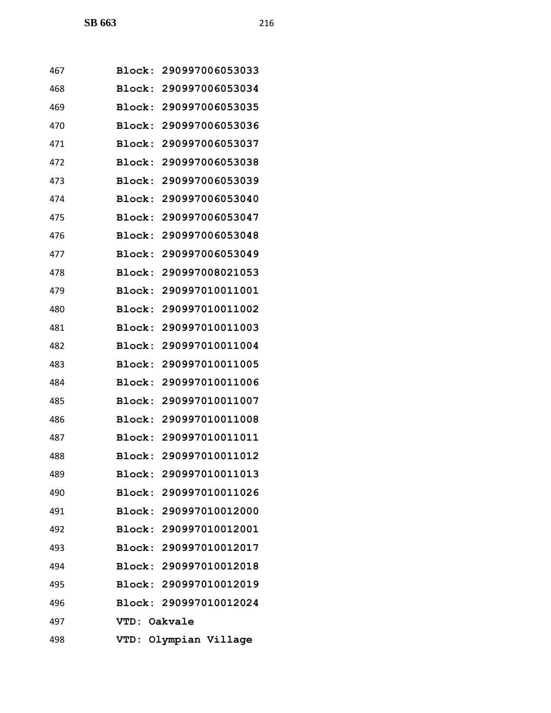| 467 | Block: | 290997006053033        |
|-----|--------|------------------------|
| 468 | Block: | 290997006053034        |
| 469 | Block: | 290997006053035        |
| 470 | Block: | 290997006053036        |
| 471 | Block: | 290997006053037        |
| 472 | Block: | 290997006053038        |
| 473 | Block: | 290997006053039        |
| 474 | Block: | 290997006053040        |
| 475 | Block: | 290997006053047        |
| 476 | Block: | 290997006053048        |
| 477 | Block: | 290997006053049        |
| 478 | Block: | 290997008021053        |
| 479 | Block: | 290997010011001        |
| 480 | Block: | 290997010011002        |
| 481 | Block: | 290997010011003        |
| 482 | Block: | 290997010011004        |
| 483 | Block: | 290997010011005        |
| 484 | Block: | 290997010011006        |
| 485 |        | Block: 290997010011007 |
| 486 | Block: | 290997010011008        |
| 487 |        | Block: 290997010011011 |
| 488 |        | Block: 290997010011012 |
| 489 |        | Block: 290997010011013 |
| 490 |        | Block: 290997010011026 |
| 491 |        | Block: 290997010012000 |
| 492 |        | Block: 290997010012001 |
| 493 |        | Block: 290997010012017 |
| 494 |        | Block: 290997010012018 |
| 495 |        | Block: 290997010012019 |
| 496 |        | Block: 290997010012024 |
| 497 | VTD:   | Oakvale                |
| 498 |        | VTD: Olympian Village  |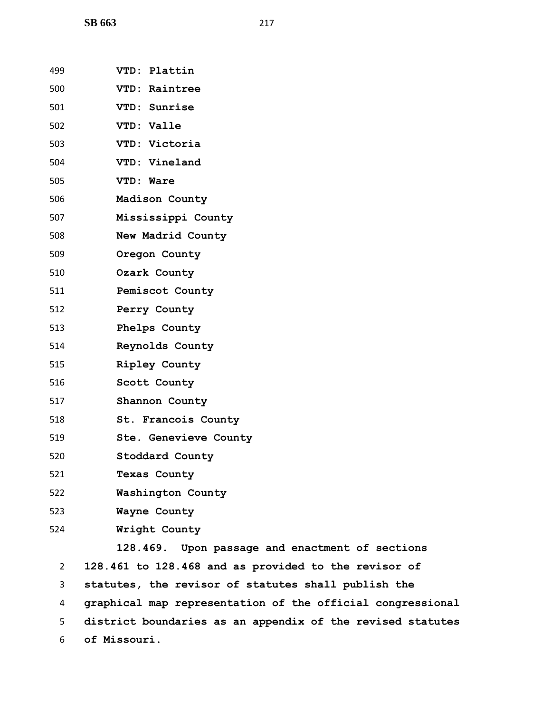**SB 663** 217

| 499            | VTD: Plattin                                          |
|----------------|-------------------------------------------------------|
| 500            | VTD: Raintree                                         |
| 501            | VTD: Sunrise                                          |
| 502            | VTD: Valle                                            |
| 503            | VTD: Victoria                                         |
| 504            | VTD: Vineland                                         |
| 505            | VTD: Ware                                             |
| 506            | Madison County                                        |
| 507            | Mississippi County                                    |
| 508            | New Madrid County                                     |
| 509            | Oregon County                                         |
| 510            | Ozark County                                          |
| 511            | Pemiscot County                                       |
| 512            | Perry County                                          |
| 513            | Phelps County                                         |
| 514            | Reynolds County                                       |
| 515            | Ripley County                                         |
| 516            | Scott County                                          |
| 517            | Shannon County                                        |
| 518            | St. Francois County                                   |
| 519            | Ste. Genevieve County                                 |
| 520            | Stoddard County                                       |
| 521            | <b>Texas County</b>                                   |
| 522            | Washington County                                     |
| 523            | Wayne County                                          |
| 524            | Wright County                                         |
|                | 128.469. Upon passage and enactment of sections       |
| $\overline{2}$ | 128.461 to 128.468 and as provided to the revisor of  |
| 3              | statutes, the revisor of statutes shall publish the   |
| 4              | graphical map representation of the official congres: |
|                |                                                       |

 **district boundaries as an appendix of the revised statutes of Missouri.**

ections

 $congressional$